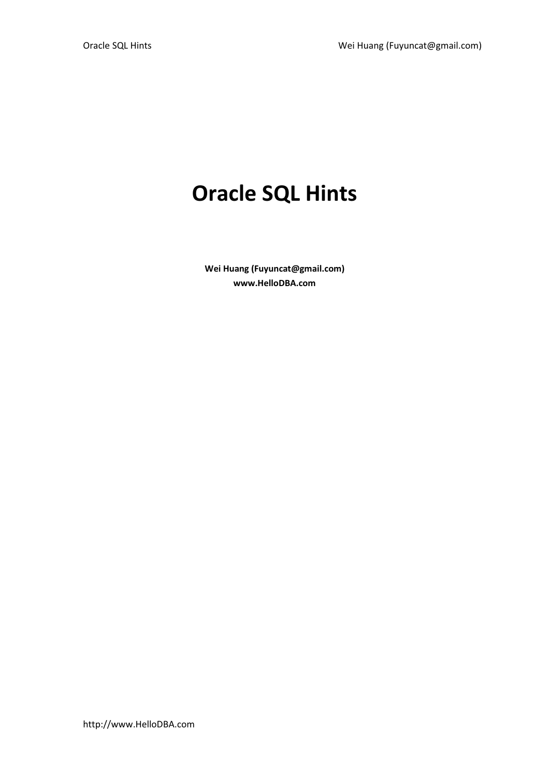# Oracle SQL Hints

Wei Huang (Fuyuncat@gmail.com) www.HelloDBA.com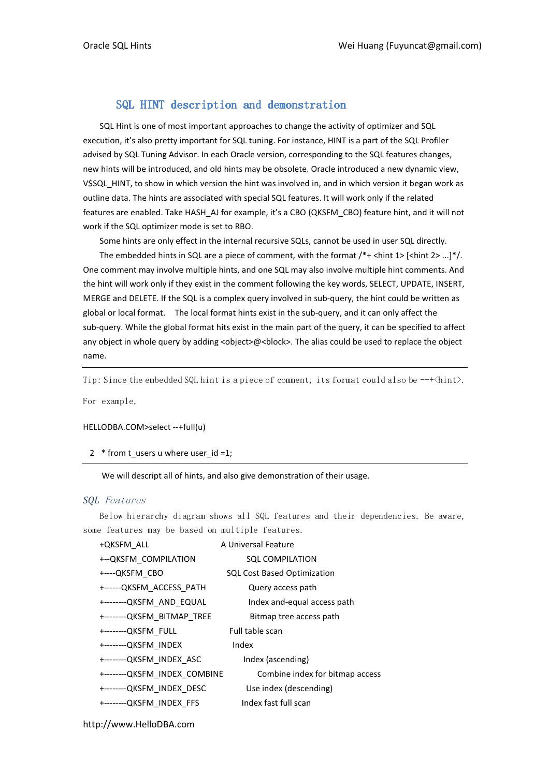# SQL HINT description and demonstration

SQL Hint is one of most important approaches to change the activity of optimizer and SQL execution, it's also pretty important for SQL tuning. For instance, HINT is a part of the SQL Profiler advised by SQL Tuning Advisor. In each Oracle version, corresponding to the SQL features changes, new hints will be introduced, and old hints may be obsolete. Oracle introduced a new dynamic view, V\$SQL\_HINT, to show in which version the hint was involved in, and in which version it began work as outline data. The hints are associated with special SQL features. It will work only if the related features are enabled. Take HASH\_AJ for example, it's a CBO (QKSFM\_CBO) feature hint, and it will not work if the SQL optimizer mode is set to RBO.

Some hints are only effect in the internal recursive SQLs, cannot be used in user SQL directly.

The embedded hints in SQL are a piece of comment, with the format  $/*+$  <hint  $1$ > [<hint  $2$ > ...]\*/. One comment may involve multiple hints, and one SQL may also involve multiple hint comments. And the hint will work only if they exist in the comment following the key words, SELECT, UPDATE, INSERT, MERGE and DELETE. If the SQL is a complex query involved in sub-query, the hint could be written as global or local format. The local format hints exist in the sub-query, and it can only affect the sub-query. While the global format hits exist in the main part of the query, it can be specified to affect any object in whole query by adding <object>@<br/>block>. The alias could be used to replace the object name.

Tip: Since the embedded SQL hint is a piece of comment, its format could also be  $-\rightarrow$   $\langle$ hint $\rangle$ .

For example,

#### HELLODBA.COM>select --+full(u)

#### 2 \* from t\_users u where user  $id = 1$ ;

#### We will descript all of hints, and also give demonstration of their usage.

#### SQL Features

Below hierarchy diagram shows all SQL features and their dependencies. Be aware, some features may be based on multiple features.

| +QKSFM ALL                   | A Universal Feature                |
|------------------------------|------------------------------------|
| +-- QKSFM COMPILATION        | <b>SQL COMPILATION</b>             |
| +----QKSFM CBO               | <b>SQL Cost Based Optimization</b> |
| +------QKSFM ACCESS PATH     | Query access path                  |
| +--------QKSFM AND EQUAL     | Index and-equal access path        |
| +--------QKSFM BITMAP TREE   | Bitmap tree access path            |
| +--------QKSFM FULL          | Full table scan                    |
| +--------QKSFM INDEX         | Index                              |
| +--------QKSFM INDEX ASC     | Index (ascending)                  |
| +--------QKSFM INDEX COMBINE | Combine index for bitmap access    |
| +--------QKSFM_INDEX DESC    | Use index (descending)             |
| +--------QKSFM INDEX FFS     | Index fast full scan               |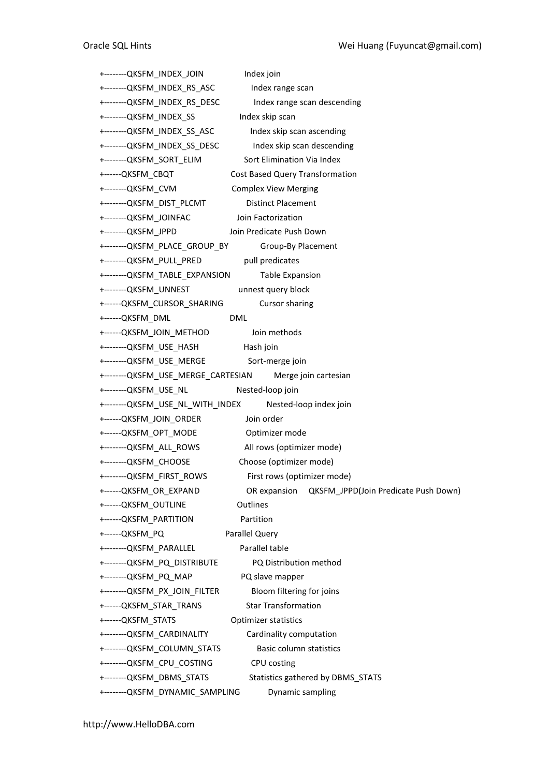| +-------- QKSFM INDEX JOIN                              | Index join                                           |
|---------------------------------------------------------|------------------------------------------------------|
| +--------QKSFM_INDEX_RS_ASC                             | Index range scan                                     |
| +--------QKSFM_INDEX_RS_DESC                            | Index range scan descending                          |
| +--------QKSFM_INDEX_SS                                 | Index skip scan                                      |
| +--------QKSFM_INDEX_SS_ASC                             | Index skip scan ascending                            |
| +--------QKSFM_INDEX_SS_DESC                            | Index skip scan descending                           |
| +--------QKSFM SORT ELIM                                | Sort Elimination Via Index                           |
| +------QKSFM_CBQT                                       | <b>Cost Based Query Transformation</b>               |
| +--------QKSFM_CVM                                      | <b>Complex View Merging</b>                          |
| +--------QKSFM_DIST_PLCMT                               | <b>Distinct Placement</b>                            |
| +--------QKSFM_JOINFAC                                  | Join Factorization                                   |
| +--------QKSFM JPPD                                     | Join Predicate Push Down                             |
| +--------QKSFM_PLACE_GROUP_BY                           | Group-By Placement                                   |
| +--------QKSFM_PULL_PRED pull predicates                |                                                      |
| +--------QKSFM_TABLE_EXPANSION                          | <b>Table Expansion</b>                               |
| +--------QKSFM_UNNEST                                   | unnest query block                                   |
| +------QKSFM CURSOR SHARING                             | Cursor sharing                                       |
| +------QKSFM_DML                                        | <b>DML</b>                                           |
| +------QKSFM_JOIN_METHOD                                | Join methods                                         |
| +--------QKSFM_USE_HASH                                 | Hash join                                            |
| +--------QKSFM_USE_MERGE    Sort-merge join             |                                                      |
| +--------QKSFM_USE_MERGE_CARTESIAN Merge join cartesian |                                                      |
| +--------QKSFM_USE_NL                                   | Nested-loop join                                     |
| +--------QKSFM_USE_NL_WITH_INDEX                        | Nested-loop index join                               |
| +------QKSFM_JOIN_ORDER                                 | Join order                                           |
| +------QKSFM_OPT_MODE                                   | Optimizer mode                                       |
| +--------QKSFM_ALL_ROWS                                 | All rows (optimizer mode)                            |
| +--------QKSFM_CHOOSE                                   | Choose (optimizer mode)                              |
| +--------QKSFM_FIRST_ROWS                               | First rows (optimizer mode)                          |
| +------QKSFM_OR_EXPAND                                  | OR expansion<br>QKSFM JPPD(Join Predicate Push Down) |
| +------QKSFM_OUTLINE                                    | Outlines                                             |
| +------QKSFM PARTITION                                  | Partition                                            |
| +------QKSFM PQ                                         | <b>Parallel Query</b>                                |
| +--------QKSFM_PARALLEL                                 | Parallel table                                       |
| +--------QKSFM_PQ_DISTRIBUTE                            | PQ Distribution method                               |
| +--------QKSFM_PQ_MAP                                   | PQ slave mapper                                      |
| +--------QKSFM_PX_JOIN_FILTER                           | Bloom filtering for joins                            |
| +------QKSFM_STAR_TRANS                                 | <b>Star Transformation</b>                           |
| +------QKSFM_STATS                                      | <b>Optimizer statistics</b>                          |
| +--------QKSFM CARDINALITY                              | Cardinality computation                              |
|                                                         |                                                      |
| +--------QKSFM_COLUMN_STATS                             | Basic column statistics                              |
| +--------QKSFM_CPU_COSTING                              | CPU costing                                          |
| +-------- QKSFM DBMS STATS                              | Statistics gathered by DBMS_STATS                    |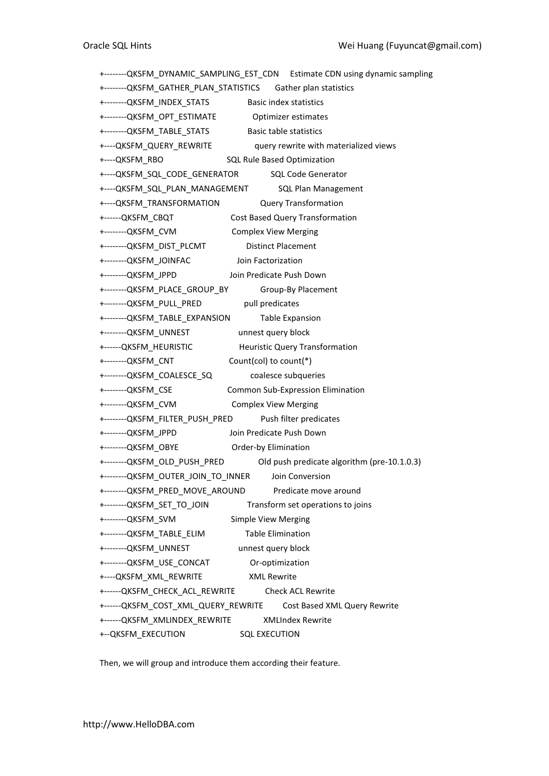+--------QKSFM\_DYNAMIC\_SAMPLING\_EST\_CDN Estimate CDN using dynamic sampling +--------QKSFM\_GATHER\_PLAN\_STATISTICS Gather plan statistics +--------QKSFM\_INDEX\_STATS Basic index statistics +--------QKSFM\_OPT\_ESTIMATE Optimizer estimates +--------QKSFM\_TABLE\_STATS Basic table statistics +---- QKSFM\_QUERY\_REWRITE query rewrite with materialized views +----QKSFM\_RBO SQL Rule Based Optimization +----QKSFM\_SQL\_CODE\_GENERATOR SQL Code Generator +----QKSFM\_SQL\_PLAN\_MANAGEMENT SQL Plan Management +----QKSFM\_TRANSFORMATION Query Transformation +------QKSFM\_CBQT Cost Based Query Transformation +--------QKSFM\_CVM Complex View Merging +--------QKSFM\_DIST\_PLCMT Distinct Placement +--------QKSFM\_JOINFAC Join Factorization +--------QKSFM\_JPPD Join Predicate Push Down +--------QKSFM\_PLACE\_GROUP\_BY Group-By Placement +--------QKSFM\_PULL\_PRED pull predicates +--------QKSFM\_TABLE\_EXPANSION Table Expansion +--------QKSFM\_UNNEST unnest query block +------QKSFM\_HEURISTIC Heuristic Query Transformation +--------QKSFM\_CNT Count(col) to count(\*) +--------QKSFM\_COALESCE\_SQ coalesce subqueries +--------QKSFM\_CSE Common Sub-Expression Elimination +--------QKSFM\_CVM Complex View Merging +--------QKSFM\_FILTER\_PUSH\_PRED Push filter predicates +--------QKSFM\_JPPD Join Predicate Push Down +--------QKSFM\_OBYE Order-by Elimination +--------QKSFM\_OLD\_PUSH\_PRED Old push predicate algorithm (pre-10.1.0.3) +--------QKSFM\_OUTER\_JOIN\_TO\_INNER \_\_\_ Join Conversion +--------QKSFM\_PRED\_MOVE\_AROUND Predicate move around +--------QKSFM\_SET\_TO\_JOIN Transform set operations to joins +--------QKSFM\_SVM Simple View Merging +--------QKSFM\_TABLE\_ELIM Table Elimination +--------QKSFM\_UNNEST unnest query block +--------QKSFM\_USE\_CONCAT Or-optimization +----QKSFM\_XML\_REWRITE XML Rewrite +------QKSFM\_CHECK\_ACL\_REWRITE Check ACL Rewrite +------QKSFM\_COST\_XML\_QUERY\_REWRITE Cost Based XML Query Rewrite +------QKSFM\_XMLINDEX\_REWRITE XMLIndex Rewrite +--QKSFM\_EXECUTION SQL EXECUTION

Then, we will group and introduce them according their feature.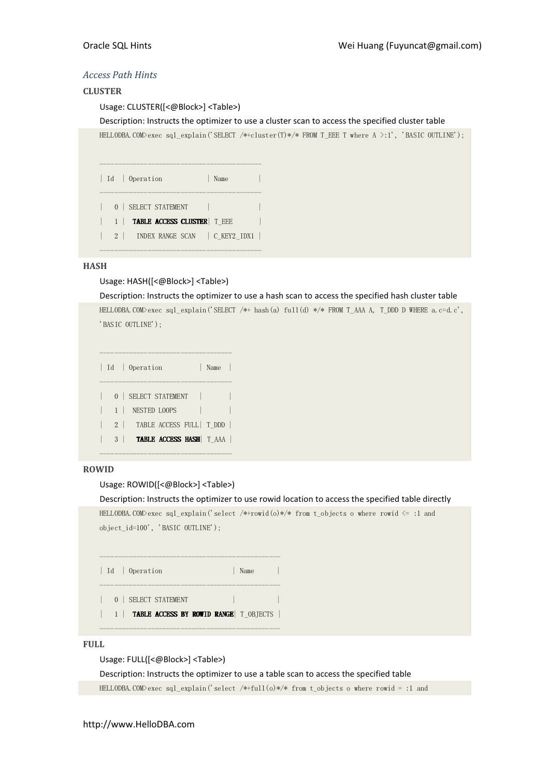# Access Path Hints

#### **CLUSTER**

Usage: CLUSTER([<@Block>] <Table>)

Description: Instructs the optimizer to use a cluster scan to access the specified cluster table

HELLODBA.COM>exec sql\_explain('SELECT /\*+cluster(T)\*/\* FROM T\_EEE T where A >:1', 'BASIC OUTLINE');

|           | Id   Operation                             | Name |  |
|-----------|--------------------------------------------|------|--|
|           | 0   SELECT STATEMENT                       |      |  |
| $1 \perp$ | <b>TABLE ACCESS CLUSTER</b> T EEE          |      |  |
|           | INDEX RANGE SCAN   C KEY2 IDX1<br>$2 \mid$ |      |  |

--------------------------------------------

#### HASH

#### Usage: HASH([<@Block>] <Table>)

Description: Instructs the optimizer to use a hash scan to access the specified hash cluster table HELLODBA.COM>exec sql\_explain('SELECT /\*+ hash(a) full(d) \*/\* FROM T\_AAA A, T\_DDD D WHERE a.c=d.c', 'BASIC OUTLINE');

|  |                | Id   Operation<br>Name        |  |
|--|----------------|-------------------------------|--|
|  |                | 0   SELECT STATEMENT          |  |
|  |                | 1   NESTED LOOPS              |  |
|  |                | 2   TABLE ACCESS FULL   T_DDD |  |
|  | 3 <sup>1</sup> | TABLE ACCESS HASH   T_AAA     |  |

# ROWID

# Usage: ROWID([<@Block>] <Table>)

------------------------------------

Description: Instructs the optimizer to use rowid location to access the specified table directly

HELLODBA.COM>exec sql\_explain('select /\*+rowid(o)\*/\* from t\_objects o where rowid <= :1 and  ${\tt object\_id=100'}$  ,  $\lq$  BASIC OUTLINE');

| Id   Operation                                                      | Name |
|---------------------------------------------------------------------|------|
| 0   SELECT STATEMENT<br>1   TABLE ACCESS BY ROWID RANGE   T OBJECTS |      |

#### FULL

Usage: FULL([<@Block>] <Table>)

Description: Instructs the optimizer to use a table scan to access the specified table

HELLODBA.COM>exec sql\_explain('select /\*+full(o)\*/\* from t\_objects o where rowid = :1 and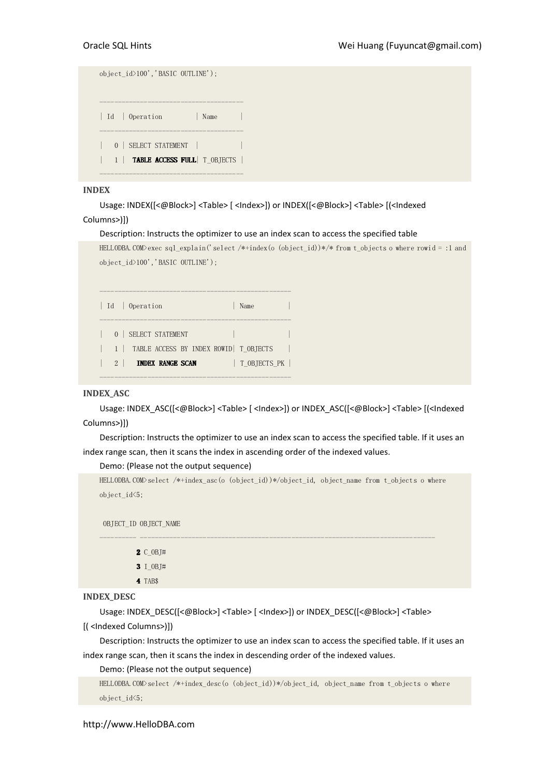| object_id>100','BASIC OUTLINE');         |  |
|------------------------------------------|--|
| Id   Operation<br>Name                   |  |
| 0   SELECT STATEMENT                     |  |
| 1   <b>TABLE ACCESS FULL</b>   T_OBJECTS |  |

#### INDEX

Usage: INDEX([<@Block>] <Table> [ <Index>]) or INDEX([<@Block>] <Table> [(<Indexed

# Columns>)])

#### Description: Instructs the optimizer to use an index scan to access the specified table

```
HELLODBA.COM>exec sql_explain('select /*+index(o (object_id))*/* from t_objects o where rowid = :1 and
object_id>100','BASIC OUTLINE');
```

| Id   Operation                              | Name         |
|---------------------------------------------|--------------|
| SELECT STATEMENT<br>0 <sup>1</sup>          |              |
| 1   TABLE ACCESS BY INDEX ROWID   T OBJECTS |              |
| $2 \perp$<br><b>INDEX RANGE SCAN</b>        | T OBJECTS PK |
|                                             |              |

#### INDEX\_ASC

Usage: INDEX\_ASC([<@Block>] <Table> [ <Index>]) or INDEX\_ASC([<@Block>] <Table> [(<Indexed Columns>)])

Description: Instructs the optimizer to use an index scan to access the specified table. If it uses an index range scan, then it scans the index in ascending order of the indexed values.

Demo: (Please not the output sequence)

```
HELLODBA.COM>select /*+index_asc(o (object_id))*/object_id, object_name from t_objects o where 
object_id<5;
```
---------- --------------------------------------------------------------------------------

OBJECT\_ID OBJECT\_NAME

|  | $2 C$ OBJ# |
|--|------------|
|  |            |

3 I OBJ#

4 TAB\$

#### INDEX\_DESC

Usage: INDEX\_DESC([<@Block>] <Table> [ <Index>]) or INDEX\_DESC([<@Block>] <Table>

[( <Indexed Columns>)])

Description: Instructs the optimizer to use an index scan to access the specified table. If it uses an index range scan, then it scans the index in descending order of the indexed values.

Demo: (Please not the output sequence)

```
HELLODBA.COM>select /*+index_desc(o (object_id))*/object_id, object_name from t_objects o where 
object_id<5;
```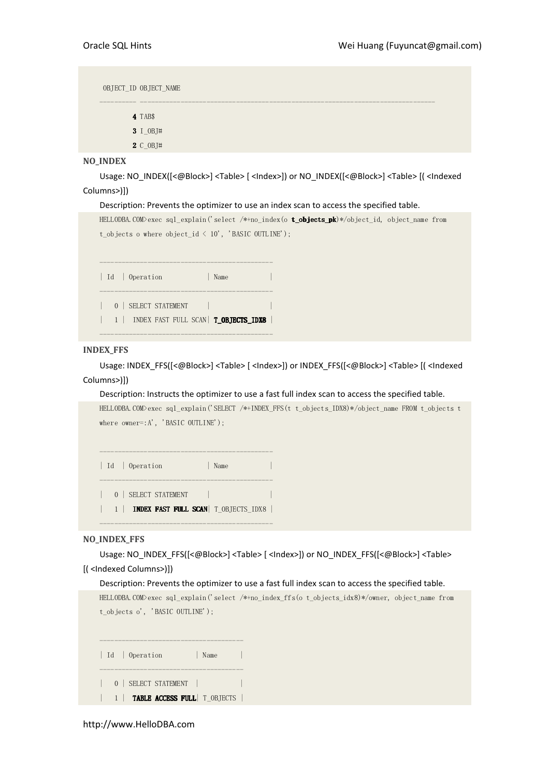OBJECT\_ID OBJECT\_NAME ---------- -------------------------------------------------------------------------------- 4 TAB\$ 3 I\_OBJ#

2 C\_OBJ#

#### NO\_INDEX

Usage: NO\_INDEX([<@Block>] <Table> [ <Index>]) or NO\_INDEX([<@Block>] <Table> [( <Indexed Columns>)])

#### Description: Prevents the optimizer to use an index scan to access the specified table.



#### INDEX\_FFS

Usage: INDEX\_FFS([<@Block>] <Table> [ <Index>]) or INDEX\_FFS([<@Block>] <Table> [( <Indexed Columns>)])

#### Description: Instructs the optimizer to use a fast full index scan to access the specified table.

HELLODBA.COM>exec sql\_explain('SELECT /\*+INDEX\_FFS(t t\_objects\_IDX8)\*/object\_name FROM t\_objects t where owner=:A', 'BASIC OUTLINE');

----------------------------------------------- | Id | Operation | Name | ----------------------------------------------- | 0 | SELECT STATEMENT | | 1 | **INDEX FAST FULL SCAN**| T\_OBJECTS\_IDX8 |

-----------------------------------------------

#### NO\_INDEX\_FFS

Usage: NO\_INDEX\_FFS([<@Block>] <Table> [ <Index>]) or NO\_INDEX\_FFS([<@Block>] <Table> [( <Indexed Columns>)])

#### Description: Prevents the optimizer to use a fast full index scan to access the specified table.

HELLODBA.COM>exec sql\_explain('select /\*+no\_index\_ffs(o t\_objects\_idx8)\*/owner, object\_name from t objects o', 'BASIC OUTLINE');

|  | Id   Operation<br>Name               |  |
|--|--------------------------------------|--|
|  | 0   SELECT STATEMENT                 |  |
|  | <b>TABLE ACCESS FULL</b>   T OBJECTS |  |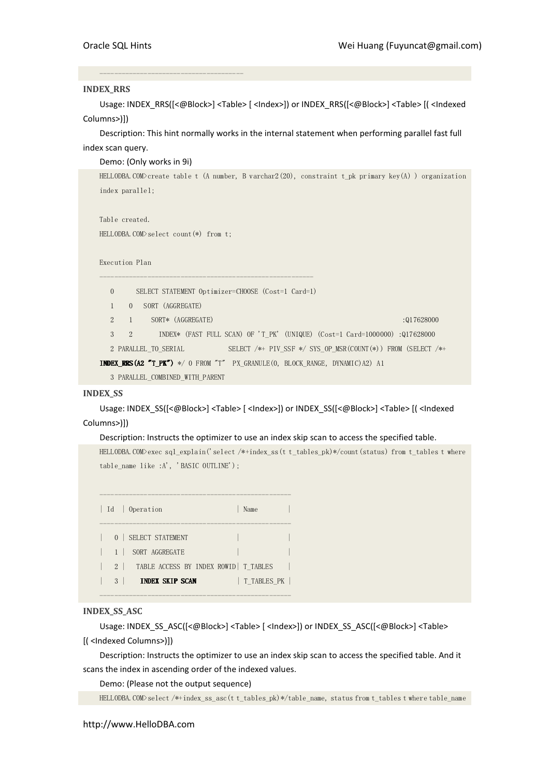#### INDEX\_RRS

Usage: INDEX\_RRS([<@Block>] <Table> [ <Index>]) or INDEX\_RRS([<@Block>] <Table> [( <Indexed Columns>)])

Description: This hint normally works in the internal statement when performing parallel fast full index scan query.

#### Demo: (Only works in 9i)

HELLODBA.COM>create table t (A number, B varchar2(20), constraint t\_pk primary key(A) ) organization index parallel;

```
Table created. 
HELLODBA.COM>select count(*) from t;
```
---------------------------------------

Execution Plan

| $\mathbf{0}$                |                |  |                                 |  | SELECT STATEMENT Optimizer=CHOOSE (Cost=1 Card=1)                                   |  |  |  |                                                                                        |  |
|-----------------------------|----------------|--|---------------------------------|--|-------------------------------------------------------------------------------------|--|--|--|----------------------------------------------------------------------------------------|--|
| $\mathbf{1}$                | $\Omega$       |  | SORT (AGGREGATE)                |  |                                                                                     |  |  |  |                                                                                        |  |
| $\mathcal{D}_{\mathcal{L}}$ | $\overline{1}$ |  | SORT* (AGGREGATE)               |  |                                                                                     |  |  |  | :017628000                                                                             |  |
| 3                           | 2              |  |                                 |  |                                                                                     |  |  |  | INDEX* (FAST FULL SCAN) OF 'T PK' (UNIQUE) $(Cost=1 \text{ Card}=1000000)$ : 017628000 |  |
|                             |                |  | 2 PARALLEL TO SERIAL            |  |                                                                                     |  |  |  | SELECT $/*$ PIV SSF $*/$ SYS OP MSR(COUNT $(*)$ ) FROM (SELECT $/*$                    |  |
|                             |                |  |                                 |  | <b>INDEX_RRS(A2 "T_PK")</b> */ 0 FROM "T" PX_GRANULE(0, BLOCK_RANGE, DYNAMIC)A2) A1 |  |  |  |                                                                                        |  |
|                             |                |  | 3 PARALLEL COMBINED WITH PARENT |  |                                                                                     |  |  |  |                                                                                        |  |

#### INDEX\_SS

Usage: INDEX\_SS([<@Block>] <Table> [ <Index>]) or INDEX\_SS([<@Block>] <Table> [( <Indexed Columns>)])

#### Description: Instructs the optimizer to use an index skip scan to access the specified table.

HELLODBA.COM>exec sql\_explain('select /\*+index\_ss(t t\_tables\_pk)\*/count(status) from t\_tables t where table\_name like :A', 'BASIC OUTLINE');

|                            | Id   Operation                                                   | Name        |  |
|----------------------------|------------------------------------------------------------------|-------------|--|
| $1 \mid$                   | 0   SELECT STATEMENT<br>SORT AGGREGATE                           |             |  |
| $2 \mid$<br>3 <sup>1</sup> | TABLE ACCESS BY INDEX ROWID   T TABLES<br><b>INDEX SKIP SCAN</b> | T TABLES PK |  |

----------------------------------------------------

#### INDEX\_SS\_ASC

Usage: INDEX\_SS\_ASC([<@Block>] <Table> [ <Index>]) or INDEX\_SS\_ASC([<@Block>] <Table> [( <Indexed Columns>)])

Description: Instructs the optimizer to use an index skip scan to access the specified table. And it scans the index in ascending order of the indexed values.

Demo: (Please not the output sequence)

HELLODBA.COM>select /\*+index\_ss\_asc(t t\_tables\_pk)\*/table\_name, status from t\_tables t where table\_name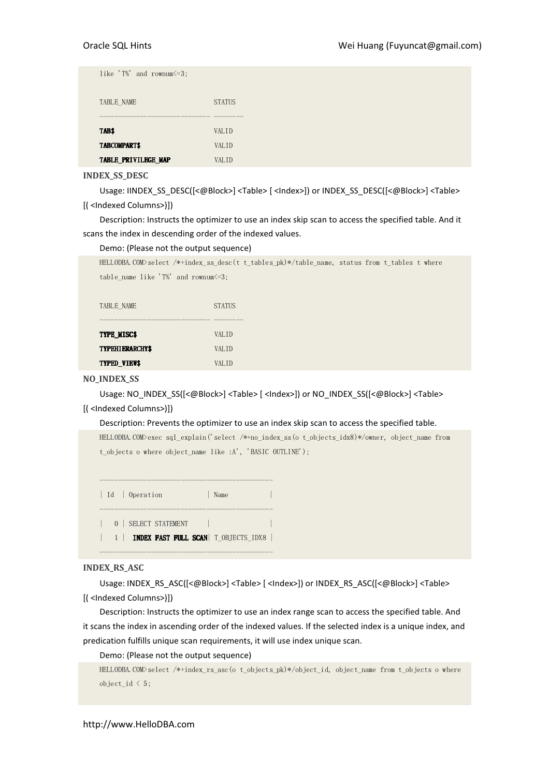| like 'T%' and rownum $\leq 3$ ; |                   |  |
|---------------------------------|-------------------|--|
| TABLE NAME                      | <b>STATUS</b>     |  |
| TAB\$                           | VAL <sub>ID</sub> |  |
| TABCOMPART\$                    | VALID             |  |
| TABLE_PRIVILEGE_MAP             | VALID             |  |

INDEX\_SS\_DESC

Usage: IINDEX\_SS\_DESC([<@Block>] <Table> [ <Index>]) or INDEX\_SS\_DESC([<@Block>] <Table> [( <Indexed Columns>)])

Description: Instructs the optimizer to use an index skip scan to access the specified table. And it scans the index in descending order of the indexed values.

#### Demo: (Please not the output sequence)

TYPED\_VIEW\$ VALID

| HELLODBA.COM>select /*+index ss desc(t t tables $pk$ )*/table name, status from t tables t where |                                            |  |  |  |  |  |  |  |
|--------------------------------------------------------------------------------------------------|--------------------------------------------|--|--|--|--|--|--|--|
|                                                                                                  | table name like 'T%' and rownum $\leq 3$ ; |  |  |  |  |  |  |  |
|                                                                                                  |                                            |  |  |  |  |  |  |  |
| TABLE NAME                                                                                       | <b>STATUS</b>                              |  |  |  |  |  |  |  |
|                                                                                                  |                                            |  |  |  |  |  |  |  |
| TYPE MISC\$                                                                                      | <b>VALID</b>                               |  |  |  |  |  |  |  |
| <b>TYPEHIERARCHY\$</b>                                                                           | VAL TD                                     |  |  |  |  |  |  |  |
|                                                                                                  |                                            |  |  |  |  |  |  |  |

#### NO\_INDEX\_SS

Usage: NO\_INDEX\_SS([<@Block>] <Table> [ <Index>]) or NO\_INDEX\_SS([<@Block>] <Table>

#### [( <Indexed Columns>)])

Description: Prevents the optimizer to use an index skip scan to access the specified table.

```
HELLODBA.COM>exec sql_explain('select /*+no_index_ss(o t_objects_idx8)*/owner, object_name from 
t objects o where object name like :A', 'BASIC OUTLINE');
```

```
----------------------------------------------- 
| Id | Operation | Name
----------------------------------------------- 
| 0 | SELECT STATEMENT |
| 1 | INDEX FAST FULL SCAN| T_OBJECTS_IDX8 |
-----------------------------------------------
```
#### INDEX\_RS\_ASC

Usage: INDEX\_RS\_ASC([<@Block>] <Table> [ <lndex>]) or INDEX\_RS\_ASC([<@Block>] <Table> [( <Indexed Columns>)])

Description: Instructs the optimizer to use an index range scan to access the specified table. And it scans the index in ascending order of the indexed values. If the selected index is a unique index, and predication fulfills unique scan requirements, it will use index unique scan.

Demo: (Please not the output sequence)

```
HELLODBA.COM>select /*+index_rs_asc(o t_objects_pk)*/object_id, object_name from t_objects o where 
object id \leq 5;
```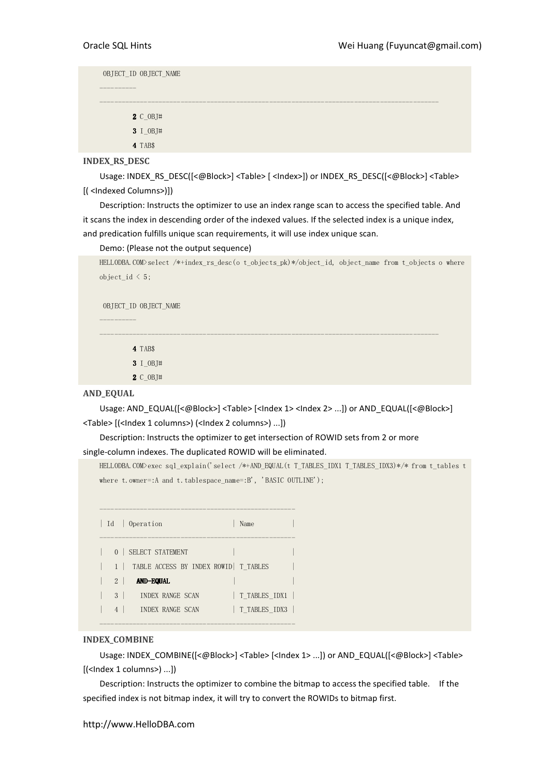----------

OBJECT\_ID OBJECT\_NAME

 2 C\_OBJ# 3 I\_OBJ#

4 TAB\$

INDEX\_RS\_DESC

Usage: INDEX\_RS\_DESC([<@Block>] <Table> [ <Index>]) or INDEX\_RS\_DESC([<@Block>] <Table> [( <Indexed Columns>)])

--------------------------------------------------------------------------------------------

Description: Instructs the optimizer to use an index range scan to access the specified table. And it scans the index in descending order of the indexed values. If the selected index is a unique index, and predication fulfills unique scan requirements, it will use index unique scan.

Demo: (Please not the output sequence)

```
HELLODBA.COM>select /*+index_rs_desc(o t_objects_pk)*/object_id, object_name from t_objects o where 
object_id \leq 5;
```
OBJECT\_ID OBJECT\_NAME

----------

4 TAB\$

3 I\_OBJ#

2 C\_OBJ#

#### AND\_EQUAL

Usage: AND\_EQUAL([<@Block>] <Table> [<lndex 1> <lndex 2> ...]) or AND\_EQUAL([<@Block>] <Table> [(<Index 1 columns>) (<Index 2 columns>) ...])

--------------------------------------------------------------------------------------------

Description: Instructs the optimizer to get intersection of ROWID sets from 2 or more single-column indexes. The duplicated ROWID will be eliminated.

HELLODBA.COM>exec sql\_explain('select /\*+AND\_EQUAL(t T\_TABLES\_IDX1 T\_TABLES\_IDX3)\*/\* from t\_tables t where t.owner=:A and t.tablespace\_name=:B', 'BASIC OUTLINE');

|                     | Id   Operation<br>Name                                                 |  |
|---------------------|------------------------------------------------------------------------|--|
|                     | 0   SELECT STATEMENT<br>1   TABLE ACCESS BY INDEX ROWID   T TABLES     |  |
| $2 \mid$            | <b>AND-EQUAL</b>                                                       |  |
| 3 <sup>1</sup><br>4 | T TABLES IDX1<br>INDEX RANGE SCAN<br>T TABLES IDX3<br>INDEX RANGE SCAN |  |

#### INDEX\_COMBINE

Usage: INDEX\_COMBINE([<@Block>] <Table> [<Index 1> ...]) or AND\_EQUAL([<@Block>] <Table> [(<Index 1 columns>) ...])

Description: Instructs the optimizer to combine the bitmap to access the specified table. If the specified index is not bitmap index, it will try to convert the ROWIDs to bitmap first.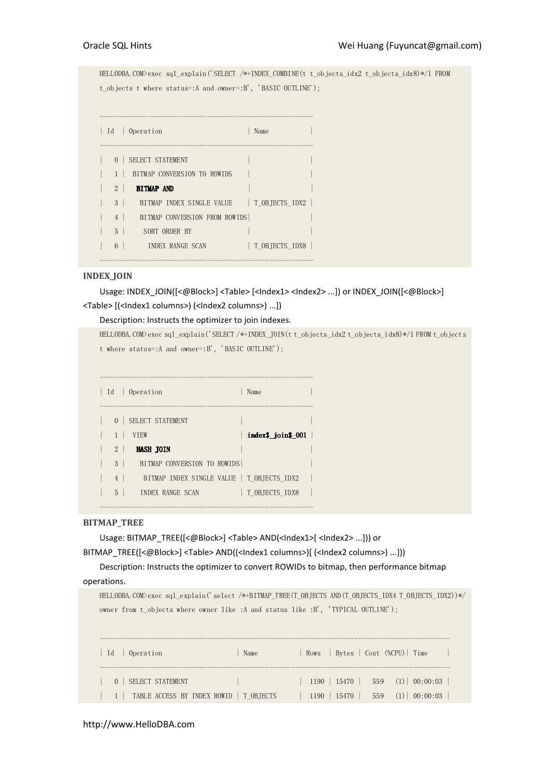HELLODBA.COM>exec sql\_explain('SELECT /\*+INDEX\_COMBINE(t t\_objects\_idx2 t\_objects\_idx8)\*/1 FROM t\_objects t where status=:A and owner=:B', 'BASIC OUTLINE');

|                | Id   Operation                             | Name           |
|----------------|--------------------------------------------|----------------|
|                | 0   SELECT STATEMENT                       |                |
|                | BITMAP CONVERSION TO ROWIDS                |                |
| $2 \mid$       | <b>BITMAP AND</b>                          |                |
| 3 <sup>1</sup> | BITMAP INDEX SINGLE VALUE   T OBJECTS IDX2 |                |
| $\overline{4}$ | BITMAP CONVERSION FROM ROWIDS              |                |
| $5-1$          | SORT ORDER BY                              |                |
| 6              | INDEX RANGE SCAN                           | T OBJECTS IDX8 |

----------------------------------------------------------

#### INDEX\_JOIN

Usage: INDEX\_JOIN([<@Block>] <Table> [<Index1> <Index2> ...]) or INDEX\_JOIN([<@Block>] <Table> [(<Index1 columns>) (<Index2 columns>) ...])

#### Description: Instructs the optimizer to join indexes.

```
HELLODBA.COM>exec sql_explain('SELECT /*+INDEX_JOIN(t t_objects_idx2 t_objects_idx8)*/1 FROM t_objects
t where status=:A and owner=:B', 'BASIC OUTLINE');
```

| Id             | Operation                                  | Name               |  |
|----------------|--------------------------------------------|--------------------|--|
| $\Omega$       | SELECT STATEMENT                           |                    |  |
|                | <b>VTEW</b>                                | index\$_join\$_001 |  |
| $\mathfrak{D}$ | <b>HASH JOIN</b>                           |                    |  |
| 3              | BITMAP CONVERSION TO ROWIDS                |                    |  |
| $\overline{4}$ | BITMAP INDEX SINGLE VALUE   T OBJECTS IDX2 |                    |  |
| 5              | INDEX RANGE SCAN                           | T OBJECTS IDX8     |  |
|                |                                            |                    |  |

----------------------------------------------------------

#### BITMAP\_TREE

Usage: BITMAP\_TREE([<@Block>] <Table> AND(<Index1>[ <Index2> ...])) or

BITMAP\_TREE([<@Block>] <Table> AND((<Index1 columns>)[ (<Index2 columns>) ...]))

Description: Instructs the optimizer to convert ROWIDs to bitmap, then performance bitmap operations.

HELLODBA.COM>exec sql\_explain('select /\*+BITMAP\_TREE(T\_OBJECTS AND(T\_OBJECTS\_IDX4 T\_OBJECTS\_IDX2))\*/ owner from t\_objects where owner like :A and status like :B', 'TYPICAL OUTLINE');

|  | Id   Operation | Name                                                |  |                |  | Rows   Bytes   Cost (%CPU)   Time |  |
|--|----------------|-----------------------------------------------------|--|----------------|--|-----------------------------------|--|
|  |                | <u>al Mary</u>                                      |  | $1190$   15470 |  | $559$ $(1)$ 00:00:03              |  |
|  |                | $\vert$ 1   TABLE ACCESS BY INDEX ROWID   T OBJECTS |  | $1190$   15470 |  | $559 \t(1) \t00:00:03$            |  |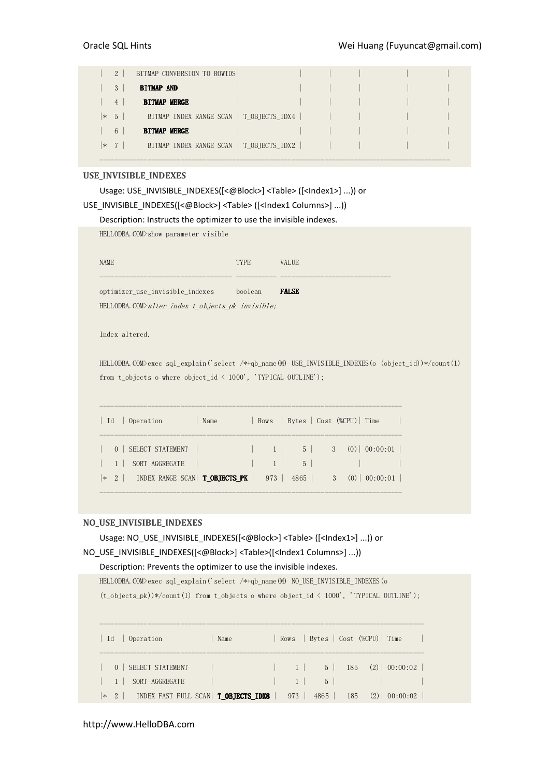|        | 2              | BITMAP CONVERSION TO ROWIDS              |  |  |  |
|--------|----------------|------------------------------------------|--|--|--|
|        | 3              | <b>BITMAP AND</b>                        |  |  |  |
|        | $\overline{4}$ | <b>BITMAP MERGE</b>                      |  |  |  |
| $\ast$ | 5 <sub>5</sub> | BITMAP INDEX RANGE SCAN   T OBJECTS IDX4 |  |  |  |
|        | 6              | <b>BITMAP MERGE</b>                      |  |  |  |
| $\ast$ | 7              | BITMAP INDEX RANGE SCAN   T OBJECTS IDX2 |  |  |  |

-----------------------------------------------------------------------------------------------

#### USE\_INVISIBLE\_INDEXES

Usage: USE\_INVISIBLE\_INDEXES([<@Block>] <Table> ([<Index1>] ...)) or

|  |  | USE_INVISIBLE_INDEXES([<@Block>] <table> ([<index1 columns="">] ))</index1></table> |  |
|--|--|-------------------------------------------------------------------------------------|--|
|  |  |                                                                                     |  |

Description: Instructs the optimizer to use the invisible indexes.

HELLODBA.COM>show parameter visible

| <b>NAME</b>                                                | TYPE    | <b>VALUE</b> |
|------------------------------------------------------------|---------|--------------|
|                                                            |         |              |
| optimizer use invisible indexes                            | boolean | <b>FALSE</b> |
| HELLODBA.COM $\lambda$ alter index t objects pk invisible; |         |              |

Index altered.

HELLODBA.COM>exec sql\_explain('select /\*+qb\_name(M) USE\_INVISIBLE\_INDEXES(o (object\_id))\*/count(1) from t\_objects o where object\_id  $\langle$  1000', 'TYPICAL OUTLINE');

| Operation<br><b>Id</b>                                                       | Name |          | Rows   Bytes   Cost (%CPU)   Time |  |                                         |
|------------------------------------------------------------------------------|------|----------|-----------------------------------|--|-----------------------------------------|
| 0   SELECT STATEMENT                                                         |      |          | $1 \mid \cdot \cdot \cdot \cdot$  |  | $5 \mid 3 \quad (0) \mid 00:00:01 \mid$ |
| SORT AGGREGATE                                                               |      | $1 \mid$ | 5 <sup>1</sup>                    |  |                                         |
| $*$ 2   INDEX RANGE SCAN   <b>T OBJECTS PK</b>   973   4865   3 (0) 00:00:01 |      |          |                                   |  |                                         |

#### NO\_USE\_INVISIBLE\_INDEXES

Usage: NO\_USE\_INVISIBLE\_INDEXES([<@Block>] <Table> ([<Index1>] ...)) or NO\_USE\_INVISIBLE\_INDEXES([<@Block>] <Table>([<Index1 Columns>] ...)) Description: Prevents the optimizer to use the invisible indexes.

HELLODBA.COM>exec sql\_explain('select /\*+qb\_name(M) NO\_USE\_INVISIBLE\_INDEXES(o

 $(t\_objects\_pk))*/count(1)$  from  $t\_objects$  o where  $object\_id \; < 1000'$ , 'TYPICAL OUTLINE');

|  | Id   Operation                                            | Name |          |       |     | Rows   Bytes   Cost (%CPU)   Time |  |
|--|-----------------------------------------------------------|------|----------|-------|-----|-----------------------------------|--|
|  | 0   SELECT STATEMENT                                      |      |          |       |     |                                   |  |
|  | SORT AGGREGATE                                            |      | $1 \mid$ | $5-1$ |     |                                   |  |
|  | $ * 2 $ index fast full scan $\Gamma$ <b>OBJECTS_IDX8</b> |      | 973      | 4865  | 185 | $(2)$ 00:00:02                    |  |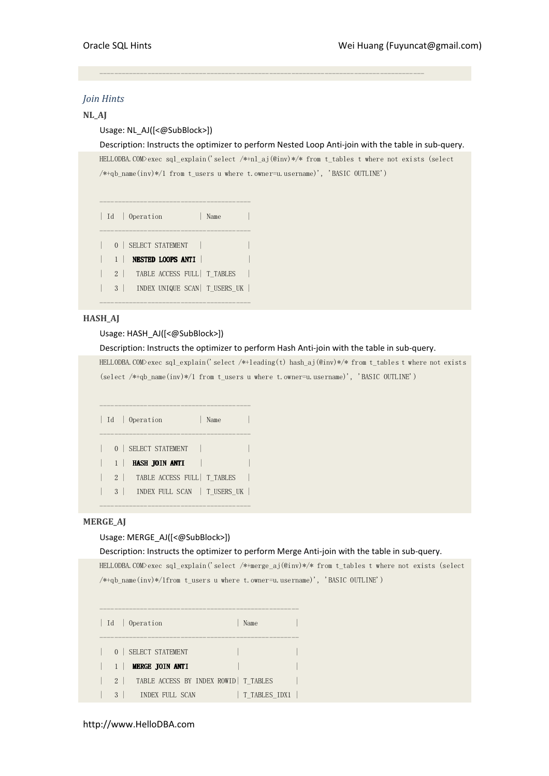### Join Hints

#### NL\_AJ

# Usage: NL\_AJ([<@SubBlock>])

Description: Instructs the optimizer to perform Nested Loop Anti-join with the table in sub-query.

HELLODBA.COM>exec sql\_explain('select /\*+nl\_aj(@inv)\*/\* from t\_tables t where not exists (select /\*+qb\_name(inv)\*/1 from t\_users u where t.owner=u.username)', 'BASIC OUTLINE')

----------------------------------------------------------------------------------------

|  |          | Id   Operation                           | Name |
|--|----------|------------------------------------------|------|
|  |          | 0   SELECT STATEMENT                     |      |
|  |          | NESTED LOOPS ANTI<br>- 1                 |      |
|  |          | TABLE ACCESS FULL   T TABLES<br>$2 \mid$ |      |
|  | $3 \mid$ | INDEX UNIQUE SCAN   T_USERS_UK           |      |
|  |          |                                          |      |

#### **HASH AI**

#### Usage: HASH\_AJ([<@SubBlock>])

#### Description: Instructs the optimizer to perform Hash Anti-join with the table in sub-query.

HELLODBA.COM>exec sql\_explain('select /\*+leading(t) hash\_aj(@inv)\*/\* from t\_tables t where not exists (select /\*+qb\_name(inv)\*/1 from t\_users u where t.owner=u.username)', 'BASIC OUTLINE')

|                | Id   Operation                           | Name |
|----------------|------------------------------------------|------|
|                | 0   SELECT STATEMENT                     |      |
| 1 <sup>1</sup> | HASH JOIN ANTI                           |      |
|                | TABLE ACCESS FULL   T TABLES<br>$2 \mid$ |      |
|                | 3   INDEX FULL SCAN   T USERS UK         |      |
|                |                                          |      |

### MERGE\_AJ

#### Usage: MERGE\_AJ([<@SubBlock>])

#### Description: Instructs the optimizer to perform Merge Anti-join with the table in sub-query.

HELLODBA.COM>exec sql\_explain('select /\*+merge\_aj(@inv)\*/\* from t\_tables t where not exists (select /\*+qb\_name(inv)\*/1from t\_users u where t.owner=u.username)', 'BASIC OUTLINE')

------------------------------------------------------ | Id | Operation | Name ------------------------------------------------------ 0 | SELECT STATEMENT | 1 | **MERGE JOIN ANTI** | 2 | TABLE ACCESS BY INDEX ROWID | T\_TABLES | 3 | INDEX FULL SCAN | T\_TABLES\_IDX1 |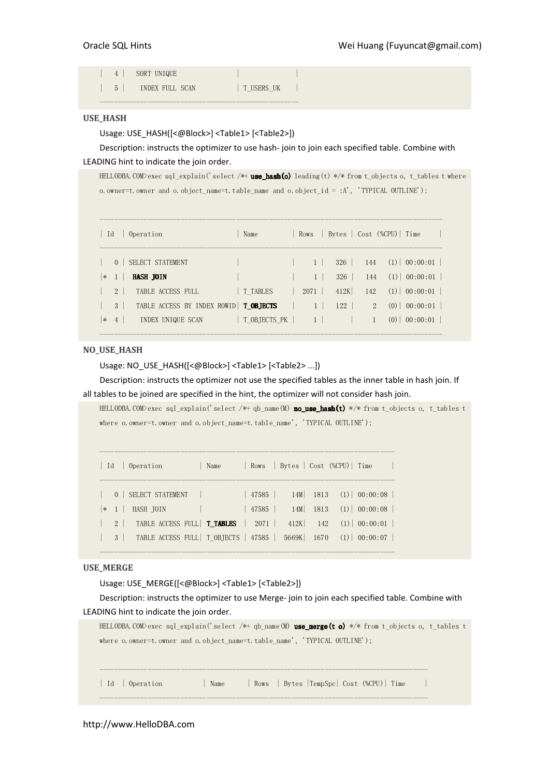| $4 \mid$ | SORT UNIQUE      |            |  |
|----------|------------------|------------|--|
| $5 \mid$ | INDEX FIILL SCAN | T USERS UK |  |
|          |                  |            |  |

#### USE\_HASH

Usage: USE\_HASH([<@Block>] <Table1> [<Table2>])

# Description: instructs the optimizer to use hash- join to join each specified table. Combine with LEADING hint to indicate the join order.

HELLODBA.COM>exec sql\_explain('select /\*+ **use\_hash(o)** leading(t) \*/\* from t\_objects o, t\_tables t where o.owner=t.owner and o.object\_name=t.table\_name and o.object\_id = :A', 'TYPICAL OUTLINE');

| Id<br>Operation                                                                                           | Name         |                             |            |     | Rows   Bytes   Cost (%CPU)   Time                  |
|-----------------------------------------------------------------------------------------------------------|--------------|-----------------------------|------------|-----|----------------------------------------------------|
| 0   SELECT STATEMENT<br><b>HASH JOIN</b><br>$\ast$<br>$\sim$ 1 $\sim$                                     |              | 1 <sup>1</sup>              | 326<br>326 | 144 | $144$ (1) 00:00:01<br>$(1)$ 00:00:01               |
| $2 \mid$<br>TABLE ACCESS FULL                                                                             | T TABLES     | 2071                        | 412K       | 142 | $(1)$ 00:00:01                                     |
| TABLE ACCESS BY INDEX ROWID   TOBJECTS<br>3 <sup>1</sup><br>INDEX UNIQUE SCAN<br>4 <sup>o</sup><br>$\ast$ | T OBJECTS PK | $\vert 1 \vert$<br>$1 \mid$ | 122        |     | $2^{\circ}$<br>$(0)$   00:00:01<br>00:00:01<br>(0) |

#### NO\_USE\_HASH

Usage: NO\_USE\_HASH([<@Block>] <Table1> [<Table2> ...])

Description: instructs the optimizer not use the specified tables as the inner table in hash join. If all tables to be joined are specified in the hint, the optimizer will not consider hash join.

HELLODBA.COM>exec sql\_explain('select /\*+ qb\_name(M) no\_use\_hash(t) \*/\* from t\_objects o, t\_tables t where o.owner=t.owner and o.object\_name=t.table\_name', 'TYPICAL OUTLINE');

| $\vert$ Id |                | Operation                                                  | Name |       |            |          | Rows   Bytes   Cost (%CPU)   Time |
|------------|----------------|------------------------------------------------------------|------|-------|------------|----------|-----------------------------------|
|            |                | 0   SELECT STATEMENT                                       |      | 47585 |            |          | $14M$ 1813 (1) 00:00:08           |
|            | $ * 1 $        | HASH JOIN                                                  |      | 47585 |            | 14M 1813 | $(1)$ 00:00:08                    |
|            | $2 \perp$      | TABLE ACCESS FULL $\textsf{T\_TABLES}$   2071   412K   142 |      |       |            |          | $(1)$ 00:00:01                    |
|            | 3 <sup>1</sup> | TABLE ACCESS FULL   T OBJECTS   47585                      |      |       | 5669K 1670 |          | $(1)$ 00:00:07                    |

--------------------------------------------------------------------------------

--------------------------------------------------------------------------------

#### USE\_MERGE

Usage: USE\_MERGE([<@Block>] <Table1> [<Table2>])

Description: instructs the optimizer to use Merge- join to join each specified table. Combine with LEADING hint to indicate the join order.

```
HELLODBA.COM>exec sql_explain('select /*+ qb_name(M) use_merge(t o) */* from t_objects o, t_tables t 
where o.owner=t.owner and o.object_name=t.table_name', 'TYPICAL OUTLINE');
----------------------------------------------------------------------------------------- 
| Id | Operation | Name | Rows | Bytes |TempSpc| Cost (%CPU)| Time | 
-----------------------------------------------------------------------------------------
```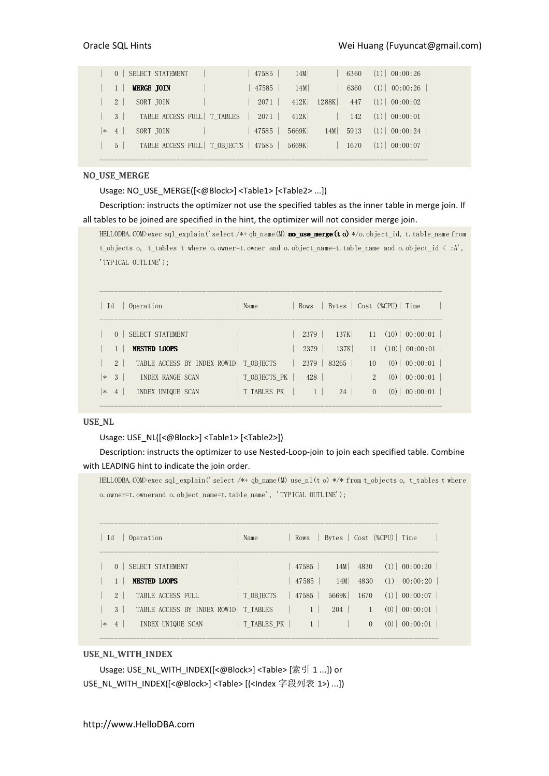|                | 0   SELECT STATEMENT                                                      | 47585  | 14M   |                | 6360 | $(1)$ 00:00:26         |
|----------------|---------------------------------------------------------------------------|--------|-------|----------------|------|------------------------|
|                | <b>MERGE JOIN</b>                                                         | 47585  | 14M   |                | 6360 | $(1)$ 00:00:26         |
| 2 <sup>1</sup> | SORT JOIN                                                                 | 2071 l |       | 412K 1288K 447 |      | $(1)$ 00:00:02         |
|                | $3$ TABLE ACCESS FULL TTABLES $\begin{bmatrix} 2071 & 412K \end{bmatrix}$ |        |       |                | 142  | $(1)$ 00:00:01         |
| $* 4$          | SORT JOIN                                                                 | 47585  | 5669K | $14M$ 5913     |      | $(1) \,   \, 00:00:24$ |
| $5 \mid$       | TABLE ACCESS FULL   T OBJECTS   47585   5669K                             |        |       |                | 1670 | $(1)$ 00:00:07         |

-----------------------------------------------------------------------------------------

#### NO\_USE\_MERGE

Usage: NO\_USE\_MERGE([<@Block>] <Table1> [<Table2> ...])

Description: instructs the optimizer not use the specified tables as the inner table in merge join. If all tables to be joined are specified in the hint, the optimizer will not consider merge join.

HELLODBA.COM>exec sql\_explain('select /\*+ qb\_name(M) no\_use\_merge(to) \*/o.object\_id, t.table\_name from t\_objects o, t\_tables t where o.owner=t.owner and o.object\_name=t.table\_name and o.object\_id < :A', 'TYPICAL OUTLINE');

| Id               |                      | Operation                                    | Name                        | Rows                    |              |               | Bytes   Cost (%CPU)   Time                                               |
|------------------|----------------------|----------------------------------------------|-----------------------------|-------------------------|--------------|---------------|--------------------------------------------------------------------------|
|                  | $\Omega$             | SELECT STATEMENT<br><b>NESTED LOOPS</b>      |                             | 2379<br>2379            | 137K<br>137K |               | $11 \quad (10) \mid 00:00:01 \mid$<br>$11 \quad (10) \mid 00:00:01 \mid$ |
|                  | 2 <sup>1</sup>       | TABLE ACCESS BY INDEX ROWID   T OBJECTS      |                             | 2379                    | 83265        | 10            | $(0)$ 00:00:01                                                           |
| $\ast$<br>$\ast$ | -3<br>$\overline{4}$ | <b>INDEX RANGE SCAN</b><br>INDEX UNIQUE SCAN | T OBJECTS PK<br>T TABLES PK | 428  <br>1 <sup>1</sup> | 24           | 2<br>$\Omega$ | $(0)$   00:00:01  <br>(0)<br>00:00:01                                    |
|                  |                      |                                              |                             |                         |              |               |                                                                          |

#### USE\_NL

#### Usage: USE\_NL([<@Block>] <Table1> [<Table2>])

Description: instructs the optimizer to use Nested-Loop-join to join each specified table. Combine with LEADING hint to indicate the join order.

HELLODBA.COM>exec sql\_explain('select /\*+ qb\_name(M) use\_nl(t o) \*/\* from t\_objects o, t\_tables t where o.owner=t.ownerand o.object\_name=t.table\_name', 'TYPICAL OUTLINE');

| Id     |                | Operation                               | Name        |                |       |                   | Rows   Bytes   Cost (%CPU)   Time |
|--------|----------------|-----------------------------------------|-------------|----------------|-------|-------------------|-----------------------------------|
|        | $\Omega$       | SELECT STATEMENT<br><b>NESTED LOOPS</b> |             | 47585<br>47585 | 14M   | 14M 4830<br>4830  | $(1)$ 00:00:20<br>$(1)$ 00:00:20  |
|        | $2 \mid$       | TABLE ACCESS FULL                       | T OBJECTS   | 47585          | 5669K | 1670              | $(1)$ 00:00:07                    |
|        | 3 <sup>1</sup> | TABLE ACCESS BY INDEX ROWID   T TABLES  |             | 1              | 204   | $\vert 1 \rangle$ | (0)<br>00:00:01                   |
| $\ast$ | $4 \vert$      | INDEX UNIQUE SCAN                       | T TABLES PK | $1 \vert$      |       | $\Omega$          | 00:00:01<br>(0)                   |

#### USE\_NL\_WITH\_INDEX

Usage: USE\_NL\_WITH\_INDEX([<@Block>] <Table> [索引 1 ...]) or USE\_NL\_WITH\_INDEX([<@Block>] <Table> [(<Index 字段列表 1>) ...])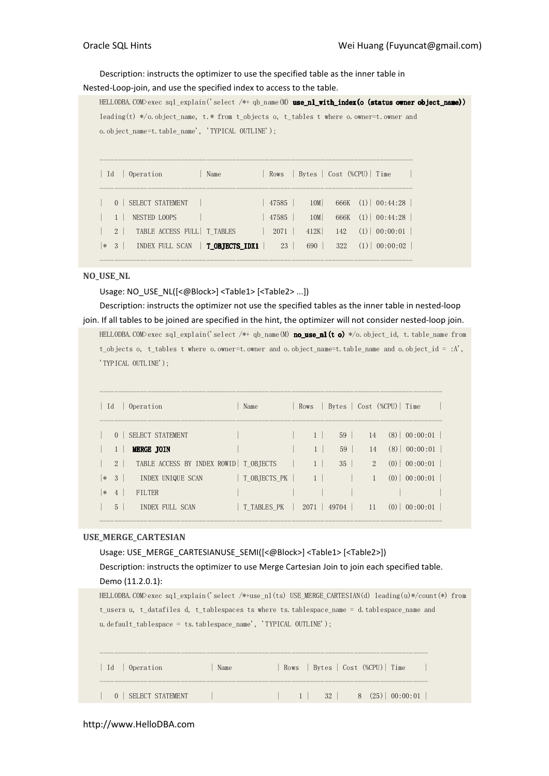#### Description: instructs the optimizer to use the specified table as the inner table in

Nested-Loop-join, and use the specified index to access to the table.

```
HELLODBA.COM>exec sql_explain('select /*+ qb_name(M) use_nl_with_index(o (status owner object_name))
leading(t) */o.object_name, t.* from t_objects o, t_tables t where o.owner=t.owner and 
o.object_name=t.table_name', 'TYPICAL OUTLINE'); 
------------------------------------------------------------------------------------- 
| Id | Operation | Name | Rows | Bytes | Cost (%CPU) | Time |
------------------------------------------------------------------------------------- 
| 0 | SELECT STATEMENT | | 47585 | 10M| 666K (1)| 00:44:28 | 
 | 1 | NESTED LOOPS | | 47585 | 10M| 666K (1)| 00:44:28 | 
| 2 | TABLE ACCESS FULL| T_TABLES | 2071 | 412K| 142 (1)| 00:00:01 | 
|* 3 | INDEX FULL SCAN | T_OBJECTS_IDX1 | 23 | 690 | 322 (1)| 00:00:02 |
```
NO\_USE\_NL

Usage: NO\_USE\_NL([<@Block>] <Table1> [<Table2> ...])

Description: instructs the optimizer not use the specified tables as the inner table in nested-loop join. If all tables to be joined are specified in the hint, the optimizer will not consider nested-loop join. HELLODBA.COM>exec sql\_explain('select /\*+ qb\_name(M) no\_use\_nl(t o) \*/o.object\_id, t.table\_name from t\_objects o, t\_tables t where o.owner=t.owner and o.object\_name=t.table\_name and o.object\_id = :A',

-------------------------------------------------------------------------------------

'TYPICAL OUTLINE');

| $\vert$ Id   |                     | Operation                                                    | Name         |                     |                     |                      | Rows   Bytes   Cost (%CPU)   Time |  |
|--------------|---------------------|--------------------------------------------------------------|--------------|---------------------|---------------------|----------------------|-----------------------------------|--|
|              | $\theta$            | SELECT STATEMENT                                             |              | $1 \vert$           | 59                  | 14                   | $(8)$   00:00:01                  |  |
|              | $2 \mid$            | <b>MERGE JOIN</b><br>TABLE ACCESS BY INDEX ROWID   T OBJECTS |              | 1<br>1 <sup>1</sup> | 59<br>$35 \mid$     | 14<br>$\overline{2}$ | $(8)$ 00:00:01<br>$(0)$ 00:00:01  |  |
| $\ast$<br>∣∗ | 3<br>$\overline{4}$ | INDEX UNIQUE SCAN<br><b>FILTER</b>                           | T OBJECTS PK | $1 \mid$            |                     | $\mathbf{1}$         | (0)<br> 00:00:01                  |  |
|              | 5 <sup>1</sup>      | INDEX FULL SCAN                                              | T TABLES PK  |                     | $2071$   49704   11 |                      | (0)<br>00:00:01                   |  |

#### USE\_MERGE\_CARTESIAN

| Usage: USE MERGE_CARTESIANUSE_SEMI([<@Block>] <table1> [<table2>])</table2></table1>                      |  |  |  |  |  |  |  |
|-----------------------------------------------------------------------------------------------------------|--|--|--|--|--|--|--|
| Description: instructs the optimizer to use Merge Cartesian Join to join each specified table.            |  |  |  |  |  |  |  |
| Demo (11.2.0.1):                                                                                          |  |  |  |  |  |  |  |
| HELLODBA.COM>exec sql_explain('select /*+use_nl(ts) USE_MERGE_CARTESIAN(d) leading(u)*/count(*) from      |  |  |  |  |  |  |  |
| t users u, t datafiles d, t tablespaces ts where ts tablespace name = d tablespace name and               |  |  |  |  |  |  |  |
| u. default tablespace = ts. tablespace name', 'TYPICAL OUTLINE');                                         |  |  |  |  |  |  |  |
|                                                                                                           |  |  |  |  |  |  |  |
|                                                                                                           |  |  |  |  |  |  |  |
| Rows   Bytes   Cost (%CPU)   Time<br>Id<br>Operation<br>Name                                              |  |  |  |  |  |  |  |
|                                                                                                           |  |  |  |  |  |  |  |
| $32 \mid 8 \quad (25) \mid 00:00:01$<br>$1 \mid \cdot \cdot \cdot$<br><b>SELECT STATEMENT</b><br>$\Omega$ |  |  |  |  |  |  |  |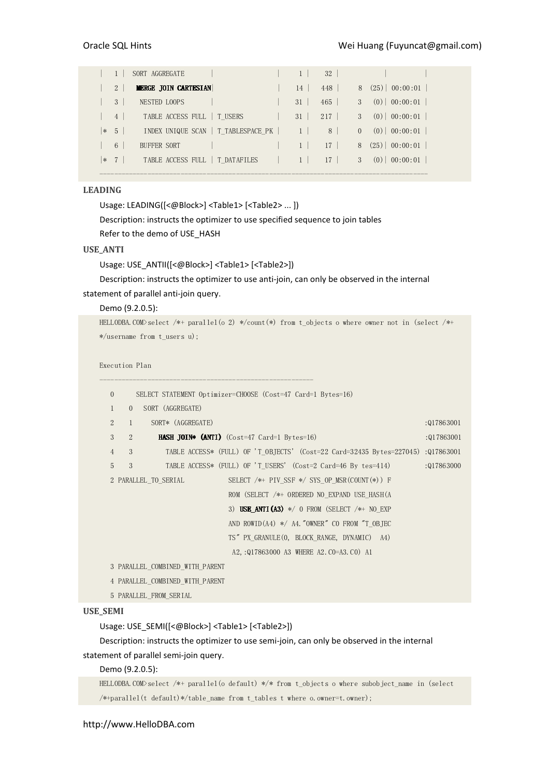|        |                | SORT AGGREGATE              |                 |    | 32              |          |                   |
|--------|----------------|-----------------------------|-----------------|----|-----------------|----------|-------------------|
|        | $\overline{2}$ | <b>MERGE JOIN CARTESIAN</b> |                 | 14 | 448             | 8        | $(25)$   00:00:01 |
|        | 3              | NESTED LOOPS                |                 | 31 | 465             | 3        | $(0)$   00:00:01  |
|        | $\overline{4}$ | TABLE ACCESS FULL           | T USERS         | 31 | 217             | 3        | $(0)$   00:00:01  |
| $\ast$ | $\overline{5}$ | INDEX UNIQUE SCAN           | T TABLESPACE PK |    | 8               | $\Omega$ | 00:00:01<br>(0)   |
|        | 6              | BUFFER SORT                 |                 |    | 17 <sup>7</sup> | 8        | $(25)$ 00:00:01   |
| $\ast$ | $\overline{7}$ | TABLE ACCESS FULL           | T DATAFILES     |    | 17              | 3        | 00:00:01<br>(0)   |
|        |                |                             |                 |    |                 |          |                   |

### LEADING

Usage: LEADING([<@Block>] <Table1> [<Table2> ... ]) Description: instructs the optimizer to use specified sequence to join tables Refer to the demo of USE\_HASH

#### USE\_ANTI

Usage: USE\_ANTII([<@Block>] <Table1> [<Table2>])

Description: instructs the optimizer to use anti-join, can only be observed in the internal statement of parallel anti-join query.

#### Demo (9.2.0.5):

HELLODBA.COM>select /\*+ parallel(o 2) \*/count(\*) from t\_objects o where owner not in (select /\*+ \*/username from t\_users u);

```
Execution Plan
```

| $\mathbf{0}$   |                | SELECT STATEMENT Optimizer=CHOOSE (Cost=47 Card=1 Bytes=16)                 |            |  |
|----------------|----------------|-----------------------------------------------------------------------------|------------|--|
| $\mathbf{1}$   | $\Omega$       | SORT (AGGREGATE)                                                            |            |  |
| $\overline{2}$ | $\mathbf{1}$   | SORT* (AGGREGATE)                                                           | :017863001 |  |
| 3              | $\overline{2}$ | <b>HASH JOIN* (ANTI)</b> $(Cost=47 \text{ Card}=1 \text{Bytes}=16)$         | :017863001 |  |
| $\overline{4}$ | 3              | TABLE ACCESS* (FULL) OF 'T OBJECTS' (Cost=22 Card=32435 Bytes=227045)       | :017863001 |  |
| 5              | 3              | TABLE ACCESS* (FULL) OF 'T USERS' (Cost=2 Card=46 By tes=414)               | :017863000 |  |
|                |                | SELECT $/*$ PIV SSF $*/$ SYS OP MSR(COUNT $(*)$ ) F<br>2 PARALLEL TO SERIAL |            |  |
|                |                | ROM (SELECT /*+ ORDERED NO EXPAND USE HASH(A                                |            |  |
|                |                | 3) USE ANTI (A3) $*/$ 0 FROM (SELECT $/*$ + NO EXP                          |            |  |
|                |                | AND ROWID(A4) $*/$ A4. "OWNER" CO FROM "T OBJEC                             |            |  |
|                |                | TS" PX GRANULE (0, BLOCK RANGE, DYNAMIC) A4)                                |            |  |
|                |                | A2, : 017863000 A3 WHERE A2. CO=A3. CO) A1                                  |            |  |
|                |                | 3 PARALLEL COMBINED WITH PARENT                                             |            |  |
|                |                | 4 PARALLEL COMBINED WITH PARENT                                             |            |  |
|                |                |                                                                             |            |  |

# 5 PARALLEL\_FROM\_SERIAL

# USE\_SEMI

Usage: USE\_SEMI([<@Block>] <Table1> [<Table2>])

Description: instructs the optimizer to use semi-join, can only be observed in the internal statement of parallel semi-join query.

#### Demo (9.2.0.5):

HELLODBA.COM>select /\*+ parallel(o default) \*/\* from t\_objects o where subobject\_name in (select /\*+parallel(t default)\*/table\_name from t\_tables t where o.owner=t.owner);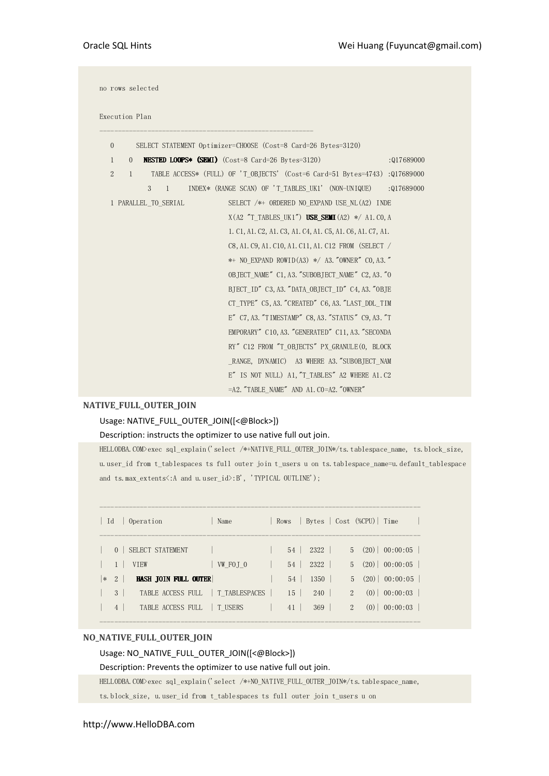| $\mathbf{0}$   |                      | SELECT STATEMENT Optimizer=CHOOSE (Cost=8 Card=26 Bytes=3120)                 |            |
|----------------|----------------------|-------------------------------------------------------------------------------|------------|
| $\mathbf{1}$   | $\overline{0}$       | <b>NESTED LOOPS* (SEMI)</b> (Cost=8 Card=26 Bytes=3120)                       | :Q17689000 |
| $\overline{2}$ | $\mathbf{1}$         | TABLE ACCESS* (FULL) OF 'T OBJECTS' (Cost=6 Card=51 Bytes=4743)               | :Q17689000 |
|                | 3<br>$\mathbf{1}$    | INDEX* (RANGE SCAN) OF 'T TABLES UK1' (NON-UNIQUE)                            | :Q17689000 |
|                | 1 PARALLEL TO SERIAL | SELECT /*+ ORDERED NO EXPAND USE NL (A2) INDE                                 |            |
|                |                      | $X(A2 \text{ T} \text{ TABLES UK1}^{\prime})$ USE SEMI $(A2) \neq A1$ . CO, A |            |
|                |                      | 1. C1, A1. C2, A1. C3, A1. C4, A1. C5, A1. C6, A1. C7, A1.                    |            |
|                |                      | C8, A1. C9, A1. C10, A1. C11, A1. C12 FROM (SELECT /                          |            |
|                |                      | ** NO EXPAND ROWID(A3) */ A3. "OWNER" CO, A3. "                               |            |
|                |                      | OBJECT NAME" C1, A3. "SUBOBJECT NAME" C2, A3. "O                              |            |
|                |                      | BJECT ID" C3, A3. "DATA OBJECT ID" C4, A3. "OBJE                              |            |
|                |                      | CT TYPE" C5, A3. "CREATED" C6, A3. "LAST DDL TIM                              |            |
|                |                      | E" C7, A3. "TIMESTAMP" C8, A3. "STATUS" C9, A3. "T                            |            |
|                |                      | EMPORARY" C10, A3. "GENERATED" C11, A3. "SECONDA                              |            |
|                |                      | RY" C12 FROM "T OBJECTS" PX GRANULE (0, BLOCK                                 |            |
|                |                      | RANGE, DYNAMIC) A3 WHERE A3. "SUBOBJECT NAM                                   |            |
|                |                      | E" IS NOT NULL) A1, "T TABLES" A2 WHERE A1. C2                                |            |
|                |                      | =A2. "TABLE NAME" AND A1. CO=A2. "OWNER"                                      |            |

# NATIVE\_FULL\_OUTER\_JOIN

# Usage: NATIVE\_FULL\_OUTER\_JOIN([<@Block>])

#### Description: instructs the optimizer to use native full out join.

HELLODBA.COM>exec sql\_explain('select /\*+NATIVE\_FULL\_OUTER\_JOIN\*/ts.tablespace\_name,\_ts.block\_size, u.user\_id from t\_tablespaces ts full outer join t\_users u on ts.tablespace\_name=u.default\_tablespace and ts.max\_extents<br>  $\dotsc$  A and u.user\_id>:B', 'TYPICAL OUTLINE');

| Id     |                | Operation                         | Name     | Rows   | Bytes   Cost (%CPU)   Time |                |             |                  |
|--------|----------------|-----------------------------------|----------|--------|----------------------------|----------------|-------------|------------------|
|        | $\Omega$       | SELECT STATEMENT                  |          | 54     | 2322                       |                |             | $5(20)$ 00:00:05 |
|        |                | <b>VTEW</b>                       | VW FOJ 0 | 54     | 2322                       |                |             | $5(20)$ 00:00:05 |
| $\ast$ | 2              | HASH JOIN FULL OUTER              |          | 54     | 1350                       |                |             | $5(20)$ 00:00:05 |
|        | 3              | TABLE ACCESS FULL   T TABLESPACES |          | $15-1$ | 240                        |                | $2^{\circ}$ | $(0)$ 00:00:03   |
|        | $\overline{4}$ | TABLE ACCESS FULL                 | T USERS  | 41     | 369                        | $\overline{2}$ |             | $(0)$ 00:00:03   |
|        |                |                                   |          |        |                            |                |             |                  |

#### NO\_NATIVE\_FULL\_OUTER\_JOIN

# Usage: NO\_NATIVE\_FULL\_OUTER\_JOIN([<@Block>])

#### Description: Prevents the optimizer to use native full out join.

HELLODBA.COM>exec sql\_explain('select /\*+NO\_NATIVE\_FULL\_OUTER\_JOIN\*/ts.tablespace\_name,

ts.block\_size, u.user\_id from t\_tablespaces ts full outer join t\_users u on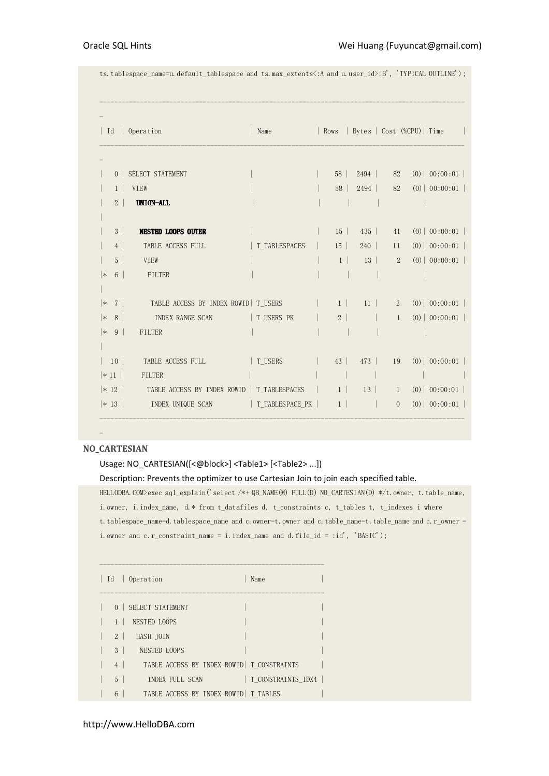ts.tablespace\_name=u.default\_tablespace and ts.max\_extents<:A and u.user\_id>:B', 'TYPICAL OUTLINE');

| Id                   | Operation                                          | Name           |                                                                                 |           |                            | Rows   Bytes   Cost (%CPU)   Time |                  |  |
|----------------------|----------------------------------------------------|----------------|---------------------------------------------------------------------------------|-----------|----------------------------|-----------------------------------|------------------|--|
|                      |                                                    |                |                                                                                 |           |                            |                                   |                  |  |
| 0 <sup>1</sup>       | SELECT STATEMENT                                   |                |                                                                                 | 58   2494 |                            | 82                                | $(0)$   00:00:01 |  |
| 1                    | VIEW                                               |                | 58                                                                              | 2494      |                            | 82                                | (0)   00:00:01   |  |
| 2 <sup>1</sup>       | UNION-ALL                                          |                |                                                                                 |           |                            |                                   |                  |  |
| 3 <sup>1</sup>       | <b>NESTED LOOPS OUTER</b>                          |                | 15                                                                              | 435       |                            | 41                                | (0)   00:00:01   |  |
| 4                    | TABLE ACCESS FULL                                  | T TABLESPACES  | 15                                                                              | 240       |                            | 11                                | $(0)$   00:00:01 |  |
| $5-1$                | VIEW                                               |                | $1$                                                                             | 13        | $\overline{\phantom{a}}$ 2 |                                   | (0)   00:00:01   |  |
| ∗<br>6 <sup>1</sup>  | FILTER                                             |                |                                                                                 |           |                            |                                   |                  |  |
|                      |                                                    |                |                                                                                 |           |                            |                                   |                  |  |
| 7 <sup>1</sup><br>∣∗ | TABLE ACCESS BY INDEX ROWID   T USERS              |                | $\begin{array}{ c c c c c c c c c } \hline & & 1 & 1 & 2 \\ \hline \end{array}$ |           |                            |                                   | $(0)$   00:00:01 |  |
| ∣∗<br>8 <sup>1</sup> | INDEX RANGE SCAN                                   | T_USERS_PK     | 2 <sup>2</sup>                                                                  |           |                            | $\mathbf{1}$                      | $(0)$   00:00:01 |  |
| 9 <sup>1</sup><br> ∗ | FILTER                                             |                |                                                                                 |           |                            |                                   |                  |  |
|                      |                                                    |                |                                                                                 |           |                            |                                   |                  |  |
| 10                   | TABLE ACCESS FULL                                  | $\mid$ T_USERS | 43<br>$\mathbb{R}^n$                                                            | 473       |                            | 19                                | $(0)$   00:00:01 |  |
| $ *11 $              | FILTER                                             |                |                                                                                 |           |                            |                                   |                  |  |
|                      | * 12   TABLE ACCESS BY INDEX ROWID   T_TABLESPACES |                |                                                                                 | 13        |                            | $\frac{1}{2}$                     | $(0)$   00:00:01 |  |
| $ * 13 $             | INDEX UNIQUE SCAN   T_TABLESPACE_PK                |                | 1                                                                               |           |                            | $\overline{0}$                    | $(0)$   00:00:01 |  |
|                      |                                                    |                |                                                                                 |           |                            |                                   |                  |  |

# -

#### NO\_CARTESIAN

#### Usage: NO\_CARTESIAN([<@block>] <Table1> [<Table2> ...])

#### Description: Prevents the optimizer to use Cartesian Join to join each specified table.

HELLODBA.COM>exec sql\_explain('select /\*+ QB\_NAME(M) FULL(D) NO\_CARTESIAN(D) \*/t.owner, t.table\_name, i.owner, i.index\_name, d.\* from t\_datafiles d, t\_constraints c, t\_tables t, t\_indexes i where t.tablespace\_name=d.tablespace\_name and c.owner=t.owner and c.table\_name=t.table\_name and c.r\_owner = i.owner and c.r\_constraint\_name = i.index\_name and d.file\_id = :id', 'BASIC');

|                | Id   Operation                              | Name               |  |
|----------------|---------------------------------------------|--------------------|--|
|                |                                             |                    |  |
|                | 0   SELECT STATEMENT<br>NESTED LOOPS        |                    |  |
| 2 <sup>1</sup> | HASH JOIN                                   |                    |  |
| 3 <sup>1</sup> | NESTED LOOPS                                |                    |  |
| 4              | TABLE ACCESS BY INDEX ROWID   T CONSTRAINTS |                    |  |
| $5-1$          | INDEX FULL SCAN                             | T CONSTRAINTS IDX4 |  |
| 6              | TABLE ACCESS BY INDEX ROWID   T TABLES      |                    |  |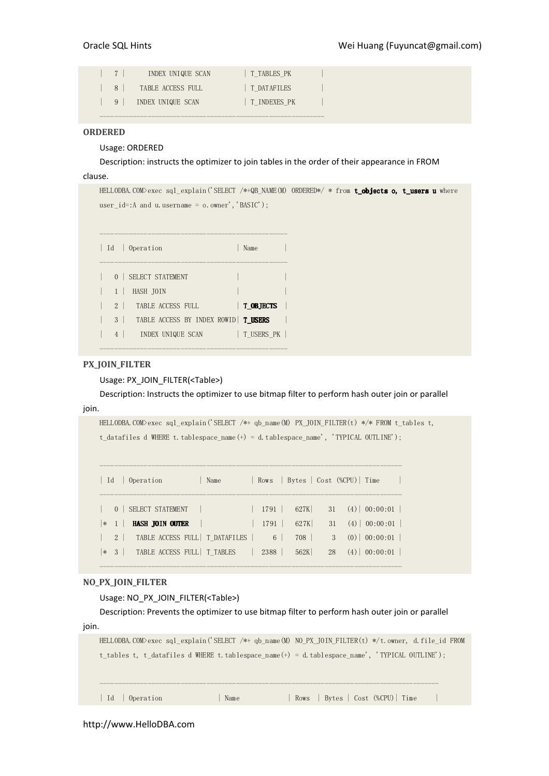|                | INDEX UNIQUE SCAN | T TABLES PK  |  |
|----------------|-------------------|--------------|--|
| 8 <sup>1</sup> | TABLE ACCESS FULL | T DATAFILES  |  |
| $\overline{9}$ | INDEX UNIQUE SCAN | T INDEXES PK |  |
|                |                   |              |  |

#### ORDERED

#### Usage: ORDERED

Description: instructs the optimizer to join tables in the order of their appearance in FROM

# clause.

HELLODBA.COM>exec sql\_explain('SELECT /\*+QB\_NAME(M) ORDERED\*/ \* from **t\_objects o, t\_users u** where user\_id=:A and u.username = o.owner','BASIC');

| $Id$           | Operation                             | Name       |
|----------------|---------------------------------------|------------|
| 0 <sup>1</sup> | SELECT STATEMENT                      |            |
|                | HASH JOIN                             |            |
| 2 <sup>1</sup> | TABLE ACCESS FULL                     | T OBJECTS  |
| 3              | TABLE ACCESS BY INDEX ROWID   T USERS |            |
| $\overline{4}$ | INDEX UNIQUE SCAN                     | T USERS PK |

---------------------------------------------------

#### PX\_JOIN\_FILTER

Usage: PX\_JOIN\_FILTER(<Table>)

Description: Instructs the optimizer to use bitmap filter to perform hash outer join or parallel

# join.

```
HELLODBA.COM>exec sql_explain('SELECT /*+ qb_name(M) PX_JOIN_FILTER(t) */* FROM t_tables t,
t_datafiles d WHERE t.tablespace_name(+) = d.tablespace_name', 'TYPICAL OUTLINE');
```

|         | Id   Operation         |                                            | Name                                    |      | Rows   Bytes   Cost (%CPU)   Time |    |                                   |  |
|---------|------------------------|--------------------------------------------|-----------------------------------------|------|-----------------------------------|----|-----------------------------------|--|
|         | 0   SELECT STATEMENT   |                                            |                                         | 1791 |                                   |    | $627K$ 31 (4) 00:00:01            |  |
| $ * 1 $ | <b>HASH JOIN OUTER</b> |                                            |                                         | 1791 | 627K                              |    | $31 \quad (4) \mid 00:00:01 \mid$ |  |
|         |                        |                                            | 2   TABLE ACCESS FULL   T DATAFILES   6 |      | 708                               |    | 3(0) 00:00:01                     |  |
|         |                        | $ \ast \quad 3$ TABLE ACCESS FULL T TABLES |                                         | 2388 | 562K                              | 28 | $(4)$   00:00:01                  |  |

----------------------------------------------------------------------------------

----------------------------------------------------------------------------------

#### NO\_PX\_JOIN\_FILTER

Usage: NO\_PX\_JOIN\_FILTER(<Table>)

Description: Prevents the optimizer to use bitmap filter to perform hash outer join or parallel join.

|                |      | HELLODBA. COM>exec sql explain('SELECT /*+ qb name (M) NO PX JOIN FILTER(t) */t.owner, d. file id FROM |
|----------------|------|--------------------------------------------------------------------------------------------------------|
|                |      | t tables t, t datafiles d WHERE t tablespace name $(+) = d$ tablespace name', 'TYPICAL OUTLINE');      |
|                |      |                                                                                                        |
|                |      |                                                                                                        |
|                |      |                                                                                                        |
| Id   Operation | Name | Rows   Bytes   Cost (%CPU)   Time                                                                      |

http://www.HelloDBA.com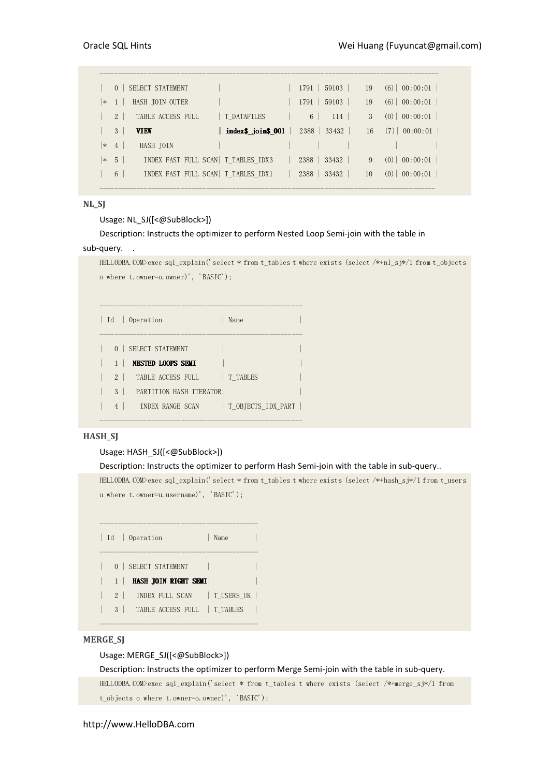|        | SELECT STATEMENT<br>$\Omega$       |                                      | $1791$ 59103    | 19 | (6)<br>$\vert 00:00:01 \vert$ |
|--------|------------------------------------|--------------------------------------|-----------------|----|-------------------------------|
| $\ast$ | HASH JOIN OUTER                    |                                      | 59103<br>1791   | 19 | (6)<br>00:00:01               |
|        | $\mathcal{L}$<br>TABLE ACCESS FULL | T DATAFILES                          | 6<br>114        | 3  | 00:00:01<br>(0)               |
|        | 3<br><b>VIEW</b>                   | $linemath> and cos is 0.01$          | 2388<br>33432   | 16 | $(7)$   00:00:01              |
| $\ast$ | HASH JOIN<br>$\overline{4}$        |                                      |                 |    |                               |
| $\ast$ | $\overline{5}$                     | INDEX FAST FULL SCAN   T TABLES IDX3 | 33432<br>2388   | 9  | 00:00:01<br>(0)               |
|        | 6                                  | INDEX FAST FULL SCAN   T TABLES IDX1 | 33432  <br>2388 | 10 | 00:00:01<br>(0)               |
|        |                                    |                                      |                 |    |                               |

#### NL\_SJ

#### Usage: NL SJ([<@SubBlock>])

Description: Instructs the optimizer to perform Nested Loop Semi-join with the table in

#### sub-query.

```
HELLODBA.COM>exec sql_explain('select * from t_tables t where exists (select /*+nl_sj*/1 from t_objects 
o where t.owner=o.owner)', 'BASIC');
```

|                | Id   Operation          | Name               |
|----------------|-------------------------|--------------------|
|                | 0   SELECT STATEMENT    |                    |
|                | NESTED LOOPS SEMI       |                    |
| $2 \perp$      | TABLE ACCESS FULL       | T TABLES           |
| 3              | PARTITION HASH ITERATOR |                    |
| $\overline{4}$ | INDEX RANGE SCAN        | T OBJECTS IDX PART |

-------------------------------------------------------

#### HASH\_SJ

#### Usage: HASH\_SJ([<@SubBlock>])

#### Description: Instructs the optimizer to perform Hash Semi-join with the table in sub-query..

HELLODBA.COM>exec sql\_explain('select \* from t\_tables t where exists (select /\*+hash\_sj\*/1 from t\_users u where t.owner=u.username)', 'BASIC');

```
------------------------------------------- 
| Id | Operation | Name
------------------------------------------- 
| 0 | SELECT STATEMENT |
| 1 | HASH JOIN RIGHT SEMI|
| 2 | INDEX FULL SCAN | T_USERS_UK |
| 3 | TABLE ACCESS FULL | T_TABLES |
-------------------------------------------
```
#### MERGE\_SJ

#### Usage: MERGE\_SJ([<@SubBlock>])

Description: Instructs the optimizer to perform Merge Semi-join with the table in sub-query. HELLODBA.COM>exec sql\_explain('select \* from t\_tables t where exists (select /\*+merge\_sj\*/1 from t\_objects o where t.owner=o.owner)', 'BASIC');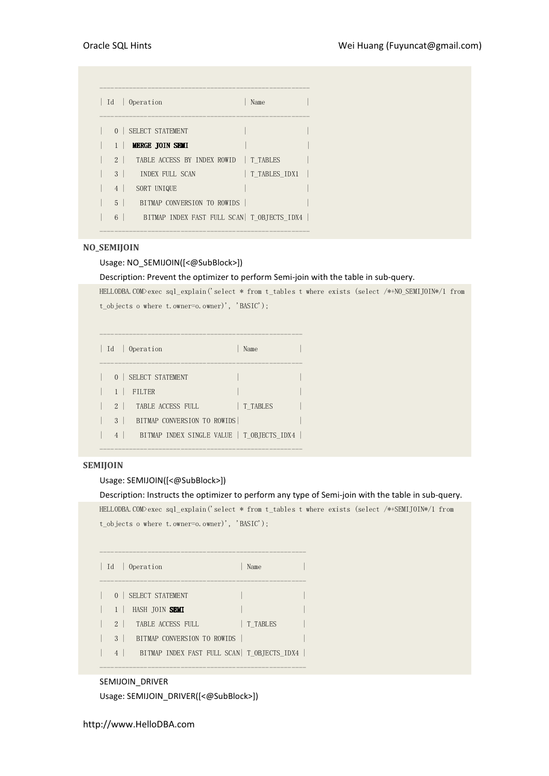| Id   Operation           |                                             | Name          |
|--------------------------|---------------------------------------------|---------------|
| 0   SELECT STATEMENT     |                                             |               |
| $1-1$<br>MERGE JOIN SEMI |                                             |               |
| $2 \mid$                 | TABLE ACCESS BY INDEX ROWID   T TABLES      |               |
| 3 <sup>1</sup>           | INDEX FULL SCAN                             | T TABLES IDX1 |
| 4<br>SORT UNIQUE         |                                             |               |
| 5 <sup>1</sup>           | BITMAP CONVERSION TO ROWIDS                 |               |
| 6<br>$\mathbf{I}$        | BITMAP INDEX FAST FULL SCAN  T OBJECTS IDX4 |               |
|                          |                                             |               |

#### NO\_SEMIJOIN

#### Usage: NO\_SEMIJOIN([<@SubBlock>])

#### Description: Prevent the optimizer to perform Semi-join with the table in sub-query.

HELLODBA.COM>exec sql\_explain('select \* from t\_tables t where exists (select /\*+NO\_SEMIJOIN\*/1 from t\_objects o where t.owner=o.owner)', 'BASIC');

|                | Id   Operation                             | Name     |
|----------------|--------------------------------------------|----------|
|                | 0   SELECT STATEMENT                       |          |
|                | FILTER                                     |          |
| 2 <sup>1</sup> | TABLE ACCESS FULL                          | T TABLES |
| 3              | BITMAP CONVERSION TO ROWIDS                |          |
| $\overline{4}$ | BITMAP INDEX SINGLE VALUE   T OBJECTS IDX4 |          |

-------------------------------------------------------

#### SEMIJOIN

#### Usage: SEMIJOIN([<@SubBlock>])

#### Description: Instructs the optimizer to perform any type of Semi-join with the table in sub-query.

HELLODBA.COM>exec sql\_explain('select \* from t\_tables t where exists (select /\*+SEMIJOIN\*/1 from t\_objects o where t.owner=o.owner)', 'BASIC');

|                | Id   Operation              | Name                                         |  |
|----------------|-----------------------------|----------------------------------------------|--|
|                | 0   SELECT STATEMENT        |                                              |  |
|                | HASH JOIN <b>SEMI</b>       |                                              |  |
| $2 \mid$       | TABLE ACCESS FULL           | T TABLES                                     |  |
| 3 <sup>1</sup> | BITMAP CONVERSION TO ROWIDS |                                              |  |
| $\overline{4}$ |                             | BITMAP INDEX FAST FULL SCAN   T OBJECTS IDX4 |  |

--------------------------------------------------------

#### SEMIJOIN\_DRIVER

```
Usage: SEMIJOIN_DRIVER([<@SubBlock>])
```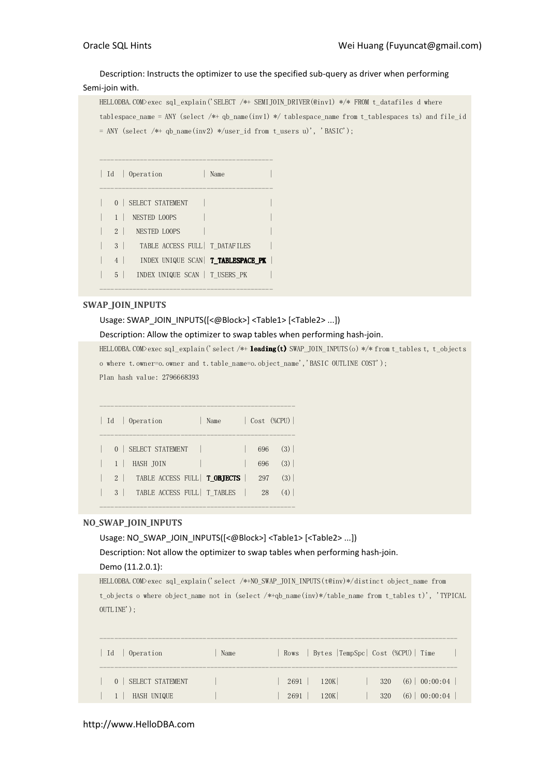# Description: Instructs the optimizer to use the specified sub-query as driver when performing

### Semi-join with.

```
HELLODBA.COM>exec sql_explain('SELECT /*+ SEMIJOIN_DRIVER(@inv1) */* FROM t_datafiles d where
tablespace_name = ANY (select /*+ qb_name(inv1) */ tablespace_name from t_tablespaces ts) and file_id 
= ANY (select /*+ qb_name(inv2) */user_id from t_users u)', 'BASIC');
```

|                | Id   Operation                              | Name |  |
|----------------|---------------------------------------------|------|--|
| 0 <sup>1</sup> | SELECT STATEMENT                            |      |  |
|                | NESTED LOOPS                                |      |  |
| $2 \mid$       | NESTED LOOPS                                |      |  |
|                | TABLE ACCESS FULL   T DATAFILES<br>$3 \mid$ |      |  |
| $4 \vert$      | INDEX UNIQUE SCAN   T TABLESPACE PK         |      |  |
| $5-1$          | INDEX UNIQUE SCAN   T USERS PK              |      |  |

-----------------------------------------------

-----------------------------------------------

#### SWAP\_JOIN\_INPUTS

Usage: SWAP\_JOIN\_INPUTS([<@Block>] <Table1> [<Table2> ...])

Description: Allow the optimizer to swap tables when performing hash-join.

HELLODBA.COM>exec sql\_explain('select /\*+ leading(t) SWAP\_JOIN\_INPUTS(o) \*/\* from t\_tables t, t\_objects o where t.owner=o.owner and t.table\_name=o.object\_name','BASIC OUTLINE COST'); Plan hash value: 2796668393 -----------------------------------------------------

|  | Id   Operation                                                                                    | Name |     | $\sqrt{Cost}$ (%CPU) |
|--|---------------------------------------------------------------------------------------------------|------|-----|----------------------|
|  |                                                                                                   |      |     |                      |
|  | 0   SELECT STATEMENT                                                                              |      | 696 | (3)                  |
|  | $\begin{array}{ c c c c c c } \hline \ \multicolumn{1}{ c }{\text{HASH IDIN}} \hline \end{array}$ |      | 696 | (3)                  |
|  | 2   TABLE ACCESS FULL   T_OBJECTS                                                                 |      | 297 | (3)                  |
|  | 3   TABLE ACCESS FULL   T TABLES                                                                  |      | 28  | $(4)$                |
|  |                                                                                                   |      |     |                      |

-----------------------------------------------------

#### NO\_SWAP\_JOIN\_INPUTS

Usage: NO\_SWAP\_JOIN\_INPUTS([<@Block>] <Table1> [<Table2> ...])

Description: Not allow the optimizer to swap tables when performing hash-join.

#### Demo (11.2.0.1):

HELLODBA.COM>exec sql\_explain('select /\*+NO\_SWAP\_JOIN\_INPUTS(t@inv)\*/distinct object\_name from t\_objects o where object\_name not in (select /\*+qb\_name(inv)\*/table\_name from t\_tables t)', 'TYPICAL OUTLINE');

| Operation<br>- Id            | Name                                                | Rows   Bytes   TempSpc   Cost (%CPU)   Time |
|------------------------------|-----------------------------------------------------|---------------------------------------------|
| SELECT STATEMENT<br>$\Omega$ | <b>The Contract of the Contract of the Contract</b> | 320(6) 00:00:04<br>$120K$  <br>2691         |
| HASH UNIQUE<br>$\pm$ 1       |                                                     | 320 (6) 00:00:04<br>120K<br>$2691$          |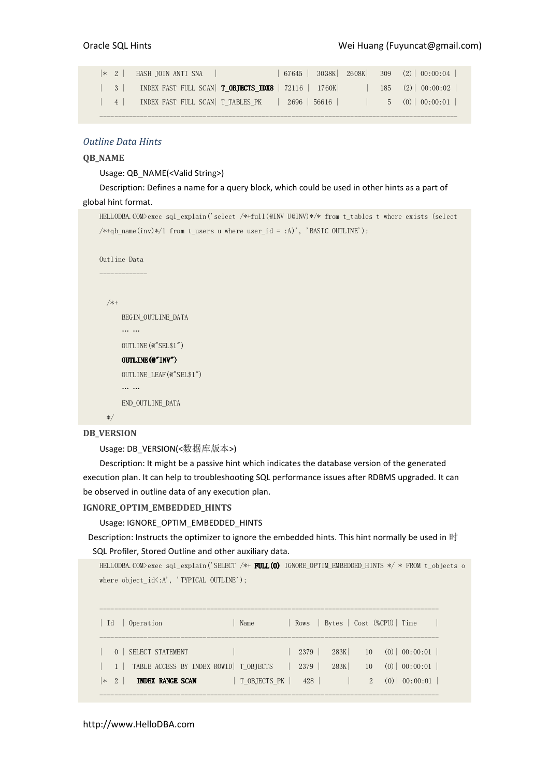|                                             | * 2   HASH JOIN ANTI SNA                                                     |  | $67645$   $3038K$   $2608K$   $309$ (2)   $00:00:04$ |
|---------------------------------------------|------------------------------------------------------------------------------|--|------------------------------------------------------|
| $\begin{array}{c c} \hline 3 & \end{array}$ | INDEX FAST FULL SCAN   T_OBJECTS_IDX8   72116   1760K                        |  | $185$ $(2)$ 00:00:02                                 |
| $\sim$ 4                                    | INDEX FAST FULL SCAN T TABLES PK   2696   56616             5 (0)   00:00:01 |  |                                                      |
|                                             |                                                                              |  |                                                      |

#### Outline Data Hints

#### QB\_NAME

Usage: QB\_NAME(<Valid String>)

Description: Defines a name for a query block, which could be used in other hints as a part of global hint format.

```
HELLODBA.COM>exec sql_explain('select /*+full(@INV U@INV)*/* from t_tables t where exists (select 
/*+qb_name(inv)*(1 from t_users u where user_id = :A)', 'BASIC OUTLINE');
```

```
Outline Data 
------------- 
   /*+ 
       BEGIN_OUTLINE_DATA 
        … … 
       OUTLINE(@"SEL$1") 
      OUTLINE(@"INV")
       OUTLINE_LEAF(@"SEL$1") 
       … … 
       END_OUTLINE_DATA
```
# \*/

#### DB\_VERSION

Usage: DB\_VERSION(<数据库版本>)

Description: It might be a passive hint which indicates the database version of the generated execution plan. It can help to troubleshooting SQL performance issues after RDBMS upgraded. It can be observed in outline data of any execution plan.

#### IGNORE\_OPTIM\_EMBEDDED\_HINTS

Usage: IGNORE\_OPTIM\_EMBEDDED\_HINTS

Description: Instructs the optimizer to ignore the embedded hints. This hint normally be used in 时 SQL Profiler, Stored Outline and other auxiliary data.

```
HELLODBA.COM>exec sql_explain('SELECT /*+ FULL(O) IGNORE_OPTIM_EMBEDDED_HINTS */ * FROM t_objects o 
where object\_id\text{·A}', 'TYPICAL OUTLINE');
```

| - Id   | Operation                                                   | Name         |                |              |                 | Rows   Bytes   Cost (%CPU)   Time        |
|--------|-------------------------------------------------------------|--------------|----------------|--------------|-----------------|------------------------------------------|
|        | SELECT STATEMENT<br>TABLE ACCESS BY INDEX ROWID   T OBJECTS |              | 2379  <br>2379 | 283K<br>283K | 10 <sup>1</sup> | $10 \t(0) \t(00:00:01$<br>$(0)$ 00:00:01 |
| $ * 2$ | <b>INDEX RANGE SCAN</b>                                     | T OBJECTS PK | 428            |              | $\mathfrak{D}$  | $(0)$ 00:00:01                           |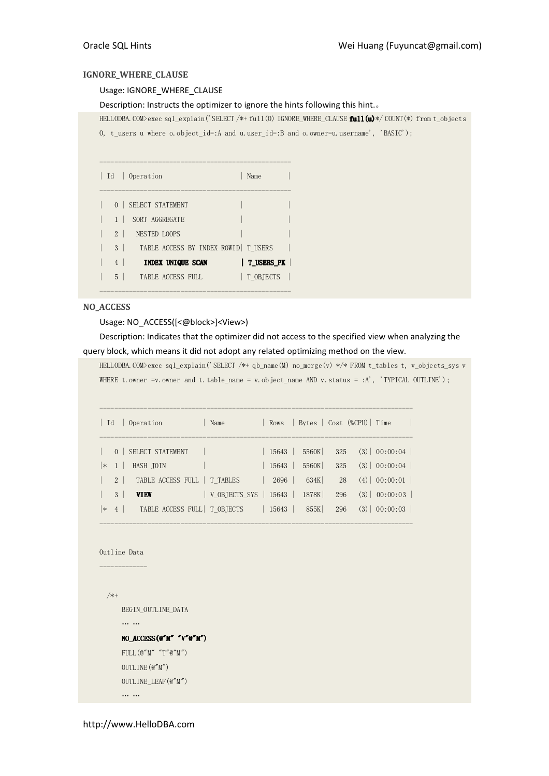#### IGNORE\_WHERE\_CLAUSE

#### Usage: IGNORE\_WHERE\_CLAUSE

Description: Instructs the optimizer to ignore the hints following this hint.。

HELLODBA.COM>exec sql\_explain('SELECT /\*+ full(O) IGNORE\_WHERE\_CLAUSE full(u)\*/ COUNT(\*) from t\_objects

O, t\_users u where o.object\_id=:A and u.user\_id=:B and o.owner=u.username', 'BASIC');

| Id             | $\mathbf{1}$ | Operation                             | Name       |
|----------------|--------------|---------------------------------------|------------|
| 0 <sup>1</sup> |              | SELECT STATEMENT                      |            |
|                |              | SORT AGGREGATE                        |            |
| $2 \mid$       |              | NESTED LOOPS                          |            |
| 3 <sup>1</sup> |              | TABLE ACCESS BY INDEX ROWID   T USERS |            |
| 4              |              | INDEX UNIQUE SCAN                     | T USERS PK |
| 5              |              | TABLE ACCESS FULL                     | T OBJECTS  |

----------------------------------------------------

#### NO\_ACCESS

#### Usage: NO\_ACCESS([<@block>]<View>)

Description: Indicates that the optimizer did not access to the specified view when analyzing the query block, which means it did not adopt any related optimizing method on the view.

HELLODBA.COM>exec sql\_explain('SELECT /\*+ qb\_name(M) no\_merge(v) \*/\* FROM t\_tables t, v\_objects\_sys v WHERE t.owner =v.owner and t.table\_name = v.object\_name AND v.status = :A', 'TYPICAL OUTLINE');

| Id     |                | Operation                     | Name                                |       |       |     | Rows   Bytes   Cost (%CPU)   Time |                          |
|--------|----------------|-------------------------------|-------------------------------------|-------|-------|-----|-----------------------------------|--------------------------|
|        |                | 0   SELECT STATEMENT          |                                     | 15643 | 5560K |     |                                   | $325$ $(3)$ $00:00:04$   |
| $\ast$ |                | HASH JOIN                     |                                     | 15643 | 5560K | 325 |                                   | $(3) \mid 00:00:04 \mid$ |
|        | $2\vert$       | TABLE ACCESS FULL   T TABLES  |                                     | 2696  | 634K  | 28  |                                   | $(4)$   00:00:01         |
|        | 3 <sup>1</sup> | <b>VIEW</b>                   | V OBJECTS SYS $\vert$ 15643 $\vert$ |       | 1878K | 296 |                                   | $(3)$   00:00:03         |
| $\ast$ | 4              | TABLE ACCESS FULL   T OBJECTS |                                     | 15643 | 855K  | 296 |                                   | $(3) \mid 00:00:03$      |

-------------------------------------------------------------------------------------

```
Outline Data 
-------------
```
/\*+

BEGIN\_OUTLINE\_DATA

… …

# NO\_ACCESS(@"M" "V"@"M")  $\textnormal{FULL}\left(\textnormal{\texttt{\texttt{Q}}\,}^{\prime\prime}\textnormal{\texttt{M}}^{\prime\prime}\textnormal{\texttt{}}^{\prime\prime}\textnormal{\texttt{T}}^{\prime\prime}\textnormal{\texttt{C}}^{\prime\prime}\textnormal{\texttt{M}}^{\prime\prime}\right)$

 OUTLINE(@"M") OUTLINE\_LEAF(@"M") … …

http://www.HelloDBA.com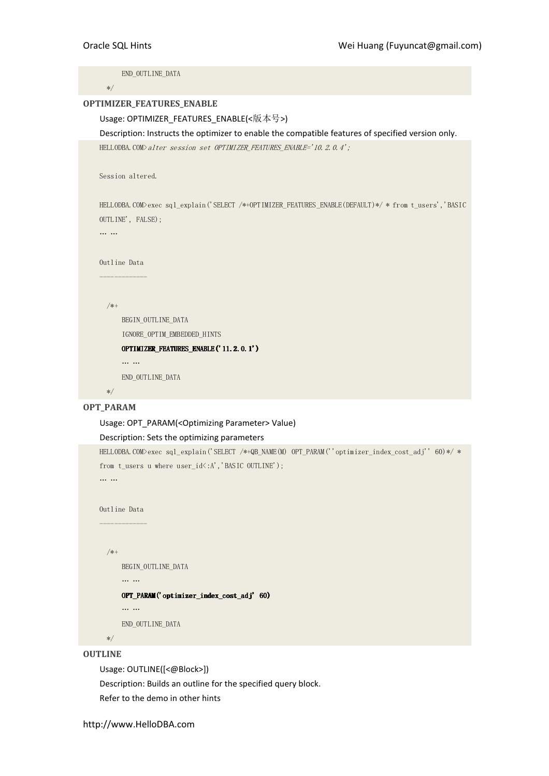END\_OUTLINE\_DATA \*/ OPTIMIZER\_FEATURES\_ENABLE Usage: OPTIMIZER\_FEATURES\_ENABLE(<版本号>) Description: Instructs the optimizer to enable the compatible features of specified version only. HELLODBA.COM>alter session set OPTIMIZER FEATURES ENABLE='10.2.0.4'; Session altered. HELLODBA.COM>exec sql\_explain('SELECT /\*+OPTIMIZER\_FEATURES\_ENABLE(DEFAULT)\*/ \* from t\_users','BASIC OUTLINE', FALSE); … … Outline Data ------------- /\*+ BEGIN\_OUTLINE\_DATA IGNORE\_OPTIM\_EMBEDDED\_HINTS OPTIMIZER\_FEATURES\_ENABLE('11.2.0.1') … … END\_OUTLINE\_DATA \*/ OPT\_PARAM

# Usage: OPT\_PARAM(<Optimizing Parameter> Value)

#### Description: Sets the optimizing parameters

HELLODBA.COM>exec sql\_explain('SELECT /\*+QB\_NAME(M) OPT\_PARAM(''optimizer\_index\_cost\_adj'' 60)\*/ \* from t users u where user  $id\langle :A',$ 'BASIC OUTLINE'); … …

Outline Data

```
-------------
```
/\*+

BEGIN\_OUTLINE\_DATA

 $OPT$ \_PARAM('optimizer\_index\_cost\_adj' 60)

… …

… …

END\_OUTLINE\_DATA

\*/

#### **OUTLINE**

Usage: OUTLINE([<@Block>]) Description: Builds an outline for the specified query block. Refer to the demo in other hints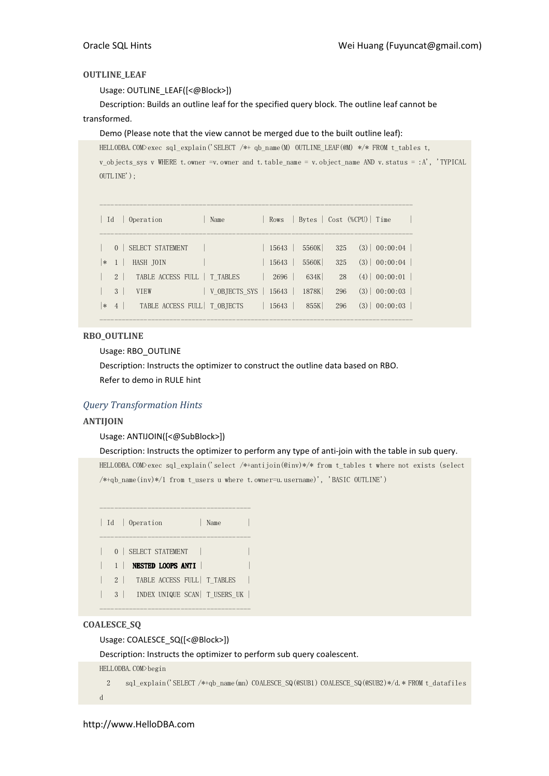#### OUTLINE\_LEAF

Usage: OUTLINE\_LEAF([<@Block>])

Description: Builds an outline leaf for the specified query block. The outline leaf cannot be transformed.

#### Demo (Please note that the view cannot be merged due to the built outline leaf):

HELLODBA.COM>exec sql\_explain('SELECT /\*+ qb\_name(M) OUTLINE\_LEAF(@M) \*/\* FROM t tables t, v\_objects\_sys v WHERE t.owner =v.owner and t.table\_name = v.object\_name AND v.status = :A', 'TYPICAL OUTLINE');

| Id     |                            | Operation                                    | Name                                        |       | Rows Bytes Cost (%CPU) Time |            |                                            |
|--------|----------------------------|----------------------------------------------|---------------------------------------------|-------|-----------------------------|------------|--------------------------------------------|
|        | $\overline{0}$             | SELECT STATEMENT                             |                                             | 15643 | 5560K                       |            | $325$ $(3)$ $00:00:04$                     |
| $\ast$ | $\overline{1}$<br>$2 \mid$ | HASH JOIN<br>TABLE ACCESS FULL   T TABLES    |                                             | 15643 | 5560K<br>$2696$ 634K        | 325<br>28  | $(3) \mid 00:00:04 \mid$<br>$(4)$ 00:00:01 |
| $\ast$ | 3                          | <b>VTEW</b><br>4 TABLE ACCESS FULL T OBJECTS | $\vert$ V OBJECTS SYS $\vert$ 15643 $\vert$ |       | 1878K<br>  $15643$   $855K$ | 296<br>296 | $(3)$   00:00:03  <br>$(3)$   00:00:03     |
|        |                            |                                              |                                             |       |                             |            |                                            |

#### RBO\_OUTLINE

Usage: RBO\_OUTLINE

Description: Instructs the optimizer to construct the outline data based on RBO. Refer to demo in RULE hint

### Query Transformation Hints

#### ANTIJOIN

#### Usage: ANTIJOIN([<@SubBlock>])

#### Description: Instructs the optimizer to perform any type of anti-join with the table in sub query.

HELLODBA.COM>exec sql\_explain('select /\*+antijoin(@inv)\*/\* from t\_tables t where not exists (select /\*+qb\_name(inv)\*/1 from t\_users u where t.owner=u.username)', 'BASIC OUTLINE')



#### COALESCE\_SQ

Usage: COALESCE\_SQ([<@Block>])

Description: Instructs the optimizer to perform sub query coalescent.

HELLODBA.COM>begin

```
2 sql explain('SELECT /*+qb_name(mn) COALESCE SQ(@SUB1) COALESCE SQ(@SUB2)*/d.* FROM t_datafiles
d
```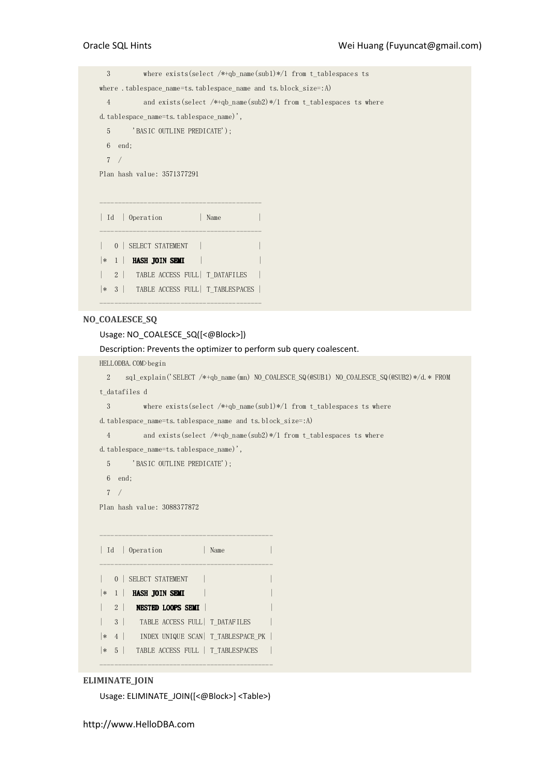3 where exists(select /\*+qb\_name(sub1)\*/1 from t\_tablespaces ts where .tablespace name=ts.tablespace name and ts.block size=:A) 4 and exists(select /\*+qb\_name(sub2)\*/1 from t\_tablespaces ts where d.tablespace\_name=ts.tablespace\_name)', 5 'BASIC OUTLINE PREDICATE'); 6 end; 7 / Plan hash value: 3571377291 -------------------------------------------- | Id | Operation | Name | -------------------------------------------- | 0 | SELECT STATEMENT | |  $|* \; 1 \; |$  **HASH JOIN SEMI**  $| \; | \; |$ | 2 | TABLE ACCESS FULL| T\_DATAFILES | |\* 3 | TABLE ACCESS FULL| T\_TABLESPACES |

#### NO\_COALESCE\_SQ

#### Usage: NO\_COALESCE\_SQ([<@Block>])

--------------------------------------------

Description: Prevents the optimizer to perform sub query coalescent.

HELLODBA.COM>begin

 2 sql\_explain('SELECT /\*+qb\_name(mn) NO\_COALESCE\_SQ(@SUB1) NO\_COALESCE\_SQ(@SUB2)\*/d.\* FROM t\_datafiles d

3 where exists(select /\*+qb\_name(sub1)\*/1 from t\_tablespaces ts where

d.tablespace\_name=ts.tablespace\_name and ts.block\_size=:A)

4 and exists(select /\*+qb\_name(sub2)\*/1 from t\_tablespaces ts where

d.tablespace\_name=ts.tablespace\_name)',

5 'BASIC OUTLINE PREDICATE');

6 end;

7 /

Plan hash value: 3088377872

|           |                   | Id   Operation<br>Name                  |
|-----------|-------------------|-----------------------------------------|
|           |                   | 0   SELECT STATEMENT                    |
| $\vert *$ | $\vert$ 1 $\vert$ | HASH JOIN SEMI                          |
|           |                   | 2 NESTED LOOPS SEMI                     |
|           |                   | 3   TABLE ACCESS FULL   T DATAFILES     |
| ∣∗        |                   | 4   INDEX UNIQUE SCAN   T TABLESPACE PK |
| ∗         | 5                 | TABLE ACCESS FULL   T TABLESPACES       |

#### ELIMINATE\_JOIN

Usage: ELIMINATE\_JOIN([<@Block>] <Table>)

-----------------------------------------------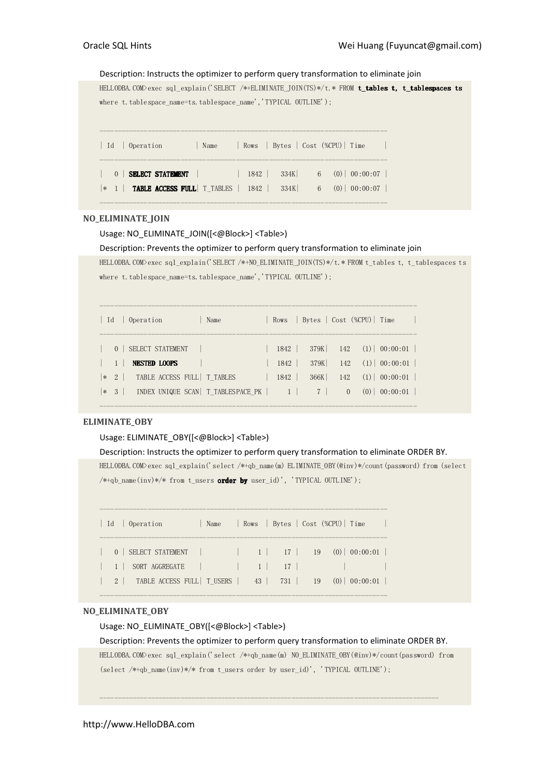## Description: Instructs the optimizer to perform query transformation to eliminate join

HELLODBA.COM>exec sql explain('SELECT /\*+ELIMINATE JOIN(TS)\*/t.\* FROM t\_tables t, t\_tablespaces ts where t.tablespace\_name=ts.tablespace\_name','TYPICAL OUTLINE'); ------------------------------------------------------------------------------ | Id | Operation | Name | Rows | Bytes | Cost (%CPU) | Time ------------------------------------------------------------------------------ | 0 | **SELECT STATEMENT** | | 1842 | 334K| 6 (0)| 00:00:07 | |\* 1 | TABLE ACCESS FULL| T\_TABLES | 1842 | 334K| 6 (0)| 00:00:07 |

# NO ELIMINATE JOIN

Usage: NO\_ELIMINATE\_JOIN([<@Block>] <Table>)

## Description: Prevents the optimizer to perform query transformation to eliminate join

------------------------------------------------------------------------------

HELLODBA.COM>exec sql\_explain('SELECT /\*+NO\_ELIMINATE\_JOIN(TS)\*/t.\* FROM t\_tables t, t\_tablespaces ts where t.tablespace\_name=ts.tablespace\_name','TYPICAL OUTLINE');

| Operation<br>- Id<br>Name                          |      | Rows   Bytes   Cost (%CPU)   Time |                      |
|----------------------------------------------------|------|-----------------------------------|----------------------|
| 0   SELECT STATEMENT                               | 1842 | 379K                              | $142$ (1) 00:00:01   |
| <b>NESTED LOOPS</b>                                | 1842 | 379K                              | $142$ (1) 00:00:01   |
| 2   TABLE ACCESS FULL   T TABLES<br>$*$            | 1842 | 366K                              | $142 \t(1) 00:00:01$ |
| INDEX UNIQUE SCAN   T TABLESPACE PK   1<br>$ * 3 $ |      | 7 <sup>1</sup><br>$\left($        | $(0)$ 00:00:01       |
|                                                    |      |                                   |                      |

## ELIMINATE\_OBY

## Usage: ELIMINATE\_OBY([<@Block>] <Table>)

## Description: Instructs the optimizer to perform query transformation to eliminate ORDER BY.

HELLODBA.COM>exec sql\_explain('select /\*+qb\_name(m) ELIMINATE\_OBY(@inv)\*/count(password) from (select  $/*+qb_name(inv)*/* from t_users order by user_id', 'TYPICAL OUTLINE');$ 

| Id   Operation                                                 | Name | Rows Bytes Cost (%CPU) Time |  |
|----------------------------------------------------------------|------|-----------------------------|--|
|                                                                |      |                             |  |
| 1 SORT AGGREGATE                                               |      |                             |  |
| 2   TABLE ACCESS FULL   T USERS   43   731   19 (0)   00:00:01 |      |                             |  |
|                                                                |      |                             |  |

# NO ELIMINATE OBY

Usage: NO\_ELIMINATE\_OBY([<@Block>] <Table>)

## Description: Prevents the optimizer to perform query transformation to eliminate ORDER BY.

--------------------------------------------------------------------------------------------

HELLODBA.COM>exec sql\_explain('select /\*+qb\_name(m) NO\_ELIMINATE\_OBY(@inv)\*/count(password) from (select /\*+qb\_name(inv)\*/\* from t\_users order by user\_id)', 'TYPICAL OUTLINE');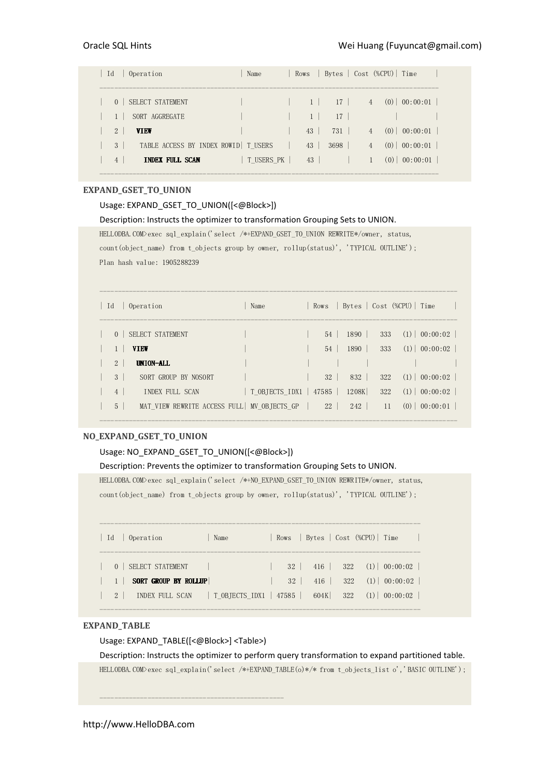| Id             | Operation                             | Name       | Rows |      |                | Bytes   Cost (%CPU)   Time |                  |  |
|----------------|---------------------------------------|------------|------|------|----------------|----------------------------|------------------|--|
| $\Omega$       | SELECT STATEMENT                      |            |      | 17   | $\overline{4}$ |                            | $(0)$ 00:00:01   |  |
|                | SORT AGGREGATE                        |            |      | 17   |                |                            |                  |  |
| $\overline{2}$ | <b>VIEW</b>                           |            | 43   | 731  | $\overline{4}$ |                            | $(0)$ 00:00:01   |  |
| 3              | TABLE ACCESS BY INDEX ROWID   T USERS |            | 43   | 3698 | $\overline{4}$ |                            | $(0)$ 00:00:01   |  |
| $\overline{4}$ | <b>INDEX FULL SCAN</b>                | T USERS PK | 43   |      |                |                            | $(0)$   00:00:01 |  |
|                |                                       |            |      |      |                |                            |                  |  |

# EXPAND\_GSET\_TO\_UNION

## Usage: EXPAND\_GSET\_TO\_UNION([<@Block>])

Description: Instructs the optimizer to transformation Grouping Sets to UNION.

HELLODBA.COM>exec sql\_explain('select /\*+EXPAND\_GSET\_TO\_UNION REWRITE\*/owner, status, count(object\_name) from t\_objects group by owner, rollup(status)', 'TYPICAL OUTLINE'); Plan hash value: 1905288239

| Id<br>Operation                                              | Name           | Rows       |       |     | Bytes   Cost (%CPU)   Time |  |
|--------------------------------------------------------------|----------------|------------|-------|-----|----------------------------|--|
| SELECT STATEMENT<br>$\Omega$                                 |                | 54         | 1890  | 333 | $(1)$ 00:00:02             |  |
| <b>VIEW</b>                                                  |                | 54         | 1890  | 333 | $(1)$ 00:00:02             |  |
| UNION-ALL<br>2 <sup>1</sup>                                  |                |            |       |     |                            |  |
| $3-1$<br>SORT GROUP BY NOSORT                                |                | $32-1$     | 832   | 322 | $(1)$ 00:00:02             |  |
| $\overline{4}$<br>INDEX FULL SCAN                            | T OBJECTS IDX1 | 47585      | 1208K | 322 | $(1)$ 00:00:02             |  |
| MAT VIEW REWRITE ACCESS FULL MV_OBJECTS_GP<br>5 <sup>1</sup> |                | $22 \perp$ | 242   | 11  | (0)<br>00:00:01            |  |

-------------------------------------------------------------------------------------------------

-------------------------------------------------------------------------------------------------

## NO\_EXPAND\_GSET\_TO\_UNION

# Usage: NO\_EXPAND\_GSET\_TO\_UNION([<@Block>])

## Description: Prevents the optimizer to transformation Grouping Sets to UNION.

HELLODBA.COM>exec sql\_explain('select /\*+NO\_EXPAND\_GSET\_TO\_UNION REWRITE\*/owner, status, count(object\_name) from t\_objects group by owner, rollup(status)', 'TYPICAL OUTLINE');

| $32 \mid 416 \mid 322 \n(1) \mid 00:00:02 \mid$<br>SELECT STATEMENT<br>$\Omega$<br>SORT GROUP BY ROLLUP<br>416<br>$32 \perp$ | Operation<br>Name | Rows   Bytes   Cost (%CPU)   Time |
|------------------------------------------------------------------------------------------------------------------------------|-------------------|-----------------------------------|
|                                                                                                                              |                   |                                   |
|                                                                                                                              |                   | $322 \t(1) 00:00:02$              |
| 604K<br>$2^{1}$<br>INDEX FULL SCAN                                                                                           |                   | $322 \t(1) 00:00:02$              |

## EXPAND\_TABLE

Usage: EXPAND\_TABLE([<@Block>] <Table>)

--------------------------------------------------

Description: Instructs the optimizer to perform query transformation to expand partitioned table. HELLODBA.COM>exec sql\_explain('select /\*+EXPAND\_TABLE(o)\*/\* from t\_objects\_list o','BASIC OUTLINE');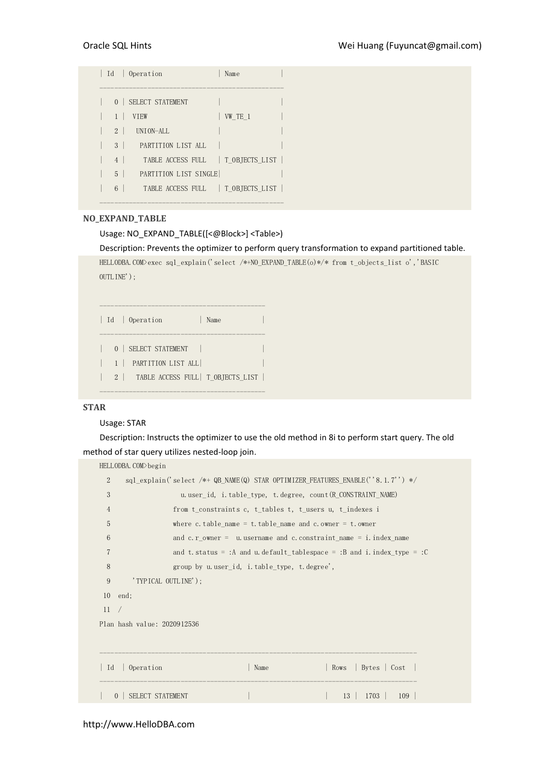|                | Id   Operation                     | Name    |
|----------------|------------------------------------|---------|
| 0 <sup>1</sup> | SELECT STATEMENT                   |         |
|                | <b>VTEW</b>                        | VW TE 1 |
| $2^{1}$        | UNION-ALL                          |         |
| $3-1$          | PARTITION LIST ALL                 |         |
| $\overline{4}$ | TABLE ACCESS FULL   T OBJECTS LIST |         |
| $\sqrt{2}$     | PARTITION LIST SINGLE              |         |
| 6              | TABLE ACCESS FULL   T OBJECTS LIST |         |
|                |                                    |         |

# NO\_EXPAND\_TABLE

## Usage: NO\_EXPAND\_TABLE([<@Block>] <Table>)

Description: Prevents the optimizer to perform query transformation to expand partitioned table.

HELLODBA.COM>exec sql\_explain('select /\*+NO\_EXPAND\_TABLE(o)\*/\* from t\_objects\_list o','BASIC OUTLINE');

```
| Id | Operation | Name | |
--------------------------------------------- 
| 0 | SELECT STATEMENT | | 
| 1 | PARTITION LIST ALL| | 
| 2 | TABLE ACCESS FULL| T_OBJECTS_LIST | 
---------------------------------------------
```
---------------------------------------------

# STAR

# Usage: STAR

Description: Instructs the optimizer to use the old method in 8i to perform start query. The old method of star query utilizes nested-loop join.

|                  | HELLODBA.COM>begin                                                   |                                                             |      |  |                                                                                 |  |  |
|------------------|----------------------------------------------------------------------|-------------------------------------------------------------|------|--|---------------------------------------------------------------------------------|--|--|
| $\overline{2}$   |                                                                      |                                                             |      |  | sql explain('select /*+ QB NAME(Q) STAR OPTIMIZER FEATURES ENABLE(''8.1.7'') */ |  |  |
| 3                |                                                                      |                                                             |      |  | u user id, i table type, t degree, count (R CONSTRAINT NAME)                    |  |  |
| 4                |                                                                      | from t constraints c, t tables t, t users u, t indexes i    |      |  |                                                                                 |  |  |
| 5                |                                                                      | where c. table name = t. table name and c. owner = t. owner |      |  |                                                                                 |  |  |
| 6                | and c. r owner = $u$ username and c. constraint name = i. index name |                                                             |      |  |                                                                                 |  |  |
| 7                |                                                                      |                                                             |      |  | and t. status = :A and u. default tablespace = :B and i. index type = :C        |  |  |
| 8                |                                                                      | group by u.user_id, i.table_type, t.degree',                |      |  |                                                                                 |  |  |
| 9                | 'TYPICAL OUTLINE');                                                  |                                                             |      |  |                                                                                 |  |  |
| $10$ end:        |                                                                      |                                                             |      |  |                                                                                 |  |  |
| 11<br>$\sqrt{2}$ |                                                                      |                                                             |      |  |                                                                                 |  |  |
|                  | Plan hash value: 2020912536                                          |                                                             |      |  |                                                                                 |  |  |
|                  |                                                                      |                                                             |      |  |                                                                                 |  |  |
|                  |                                                                      |                                                             |      |  |                                                                                 |  |  |
| Id               | Operation                                                            |                                                             | Name |  | Bytes   Cost  <br>Rows                                                          |  |  |
| $\Omega$         | <b>SELECT STATEMENT</b>                                              |                                                             |      |  | 1703<br>13 <sup>1</sup><br>109                                                  |  |  |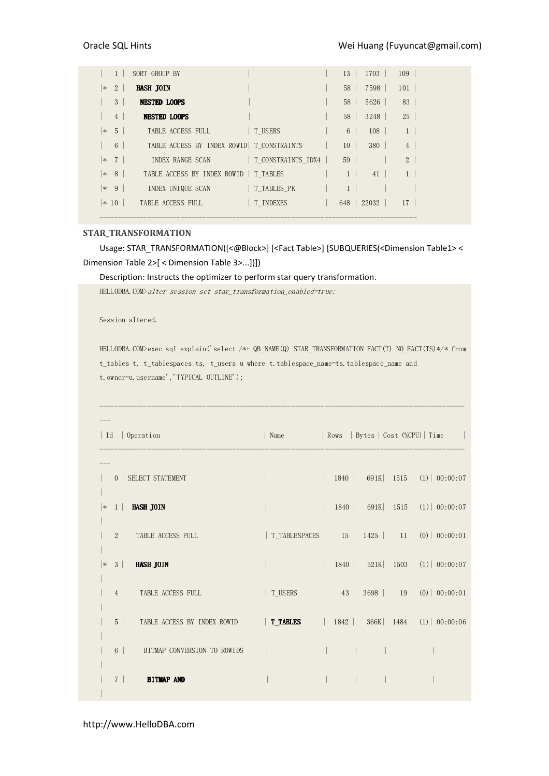|        | $\mathbf{1}$   | SORT GROUP BY                               |           |                 | $13 \mid 1703 \mid$ | 109             |
|--------|----------------|---------------------------------------------|-----------|-----------------|---------------------|-----------------|
| $\ast$ | 2              | <b>HASH JOIN</b>                            |           | 58 <sup>1</sup> | 7598                | 101             |
|        | 3 <sup>1</sup> | <b>NESTED LOOPS</b>                         |           | 58 <sup>1</sup> | 5626                | 83              |
|        | 4              | <b>NESTED LOOPS</b>                         |           | 58 <sup>1</sup> | 3248                | 25              |
|        | $ * 5 $        | TABLE ACCESS FULL                           | T USERS   | $6 \mid$        | 108                 | 1 <sup>1</sup>  |
|        | 6              | TABLE ACCESS BY INDEX ROWID   T CONSTRAINTS |           | 10 <sup>1</sup> | 380                 | $4\overline{ }$ |
|        | $ * 7 $        | INDEX RANGE SCAN T CONSTRAINTS IDX4         |           | 59              |                     | 2 <sup>1</sup>  |
|        | $ * 8 $        | TABLE ACCESS BY INDEX ROWID   T TABLES      |           | 1 <sup>1</sup>  | 41                  | 1 <sup>1</sup>  |
|        | $ * 9 $        | INDEX UNIQUE SCAN T TABLES PK               |           |                 |                     |                 |
|        | $ * 10 $       | TABLE ACCESS FULL                           | T INDEXES |                 | 648   22032         | 17 <sup>1</sup> |
|        |                |                                             |           |                 |                     |                 |

## STAR\_TRANSFORMATION

Usage: STAR\_TRANSFORMATION([<@Block>] [<Fact Table>] [SUBQUERIES(<Dimension Table1> < Dimension Table 2>[ < Dimension Table 3>...])])

Description: Instructs the optimizer to perform star query transformation.

HELLODBA.COM>alter session set star\_transformation\_enabled=true;

Session altered.

HELLODBA.COM>exec sql\_explain('select /\*+ QB\_NAME(Q) STAR\_TRANSFORMATION FACT(T) NO\_FACT(TS)\*/\* from t\_tables t, t\_tablespaces ts, t\_users u where t.tablespace\_name=ts.tablespace\_name and t.owner=u.username','TYPICAL OUTLINE');

---------------------------------------------------------------------------------------------------

| Id   Operation   |                                                                                       |                                               |  |  |                                   |
|------------------|---------------------------------------------------------------------------------------|-----------------------------------------------|--|--|-----------------------------------|
|                  |                                                                                       |                                               |  |  |                                   |
|                  | 0   SELECT STATEMENT                                                                  |                                               |  |  | 1840   691K   1515 (1)   00:00:07 |
| $ *1 $ HASH JOIN |                                                                                       |                                               |  |  | 1840   691K   1515 (1)   00:00:07 |
|                  | 2 TABLE ACCESS FULL                                                                   | T_TABLESPACES   15   1425   11 (0)   00:00:01 |  |  |                                   |
| $\vert * \vert$  | $3$   <b>HASH JOIN</b>                                                                |                                               |  |  | 1840   521K   1503 (1)   00:00:07 |
|                  | 4 TABLE ACCESS FULL                                                                   | T_USERS   43   3698   19 $(0)$   00:00:01     |  |  |                                   |
|                  | 5   TABLE ACCESS BY INDEX ROWID   <b>T_TABLES</b>   1842   366K   1484 (1)   00:00:06 |                                               |  |  |                                   |
|                  | 6 BITMAP CONVERSION TO ROWIDS                                                         |                                               |  |  |                                   |
|                  | 7 BITMAP AND                                                                          |                                               |  |  |                                   |

http://www.HelloDBA.com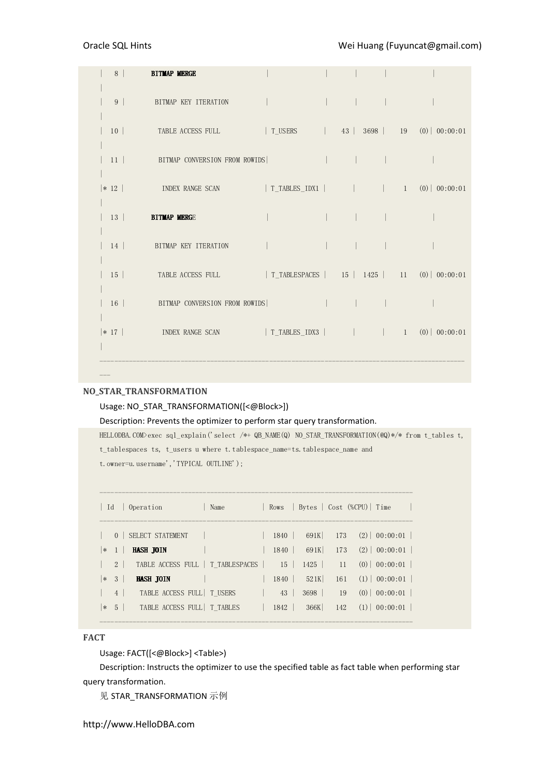# Oracle SQL Hints **Canadian Company** Wei Huang (Fuyuncat@gmail.com)

|  | 8 BITMAP MERGE                                                                  |  |  |  |
|--|---------------------------------------------------------------------------------|--|--|--|
|  |                                                                                 |  |  |  |
|  | 9 BITMAP KEY ITERATION                                                          |  |  |  |
|  |                                                                                 |  |  |  |
|  |                                                                                 |  |  |  |
|  |                                                                                 |  |  |  |
|  |                                                                                 |  |  |  |
|  |                                                                                 |  |  |  |
|  | $*$ 12   INDEX RANGE SCAN   T_TABLES_IDX1       1 (0)   00:00:01                |  |  |  |
|  | 13 BITMAP MERGE                                                                 |  |  |  |
|  |                                                                                 |  |  |  |
|  | 14 BITMAP KEY ITERATION                                                         |  |  |  |
|  |                                                                                 |  |  |  |
|  | 15   TABLE ACCESS FULL   T_TABLESPACES   15   1425   11 (0)   00:00:01          |  |  |  |
|  |                                                                                 |  |  |  |
|  | 16   BITMAP CONVERSION FROM ROWIDS                                              |  |  |  |
|  |                                                                                 |  |  |  |
|  | $ * 17 $ INDEX RANGE SCAN $ T_{\text{IABLES\_IDX3}} $ $ $ $ 10\rangle 00:00:01$ |  |  |  |
|  |                                                                                 |  |  |  |
|  |                                                                                 |  |  |  |

# NO\_STAR\_TRANSFORMATION

# Usage: NO\_STAR\_TRANSFORMATION([<@Block>])

# Description: Prevents the optimizer to perform star query transformation.

HELLODBA.COM>exec sql\_explain('select /\*+ QB\_NAME(Q) NO\_STAR\_TRANSFORMATION(@Q)\*/\* from t\_tables t, t tablespaces ts, t\_users u where t.tablespace\_name=ts.tablespace\_name and t.owner=u.username','TYPICAL OUTLINE');

|        |                | Id   Operation<br>  Name                                            |                                                   |             | Rows Bytes Cost (%CPU) Time        |
|--------|----------------|---------------------------------------------------------------------|---------------------------------------------------|-------------|------------------------------------|
|        |                | 0   SELECT STATEMENT                                                |                                                   |             | $1840$   691K   173 (2)   00:00:01 |
| $\ast$ | 1 <sup>1</sup> | <b>HASH JOIN</b>                                                    |                                                   | $1840$ 691K | $173$ $(2)$ $00:00:01$             |
|        |                | 2   TABLE ACCESS FULL   T TABLESPACES   15   1425   11 (0) 00:00:01 |                                                   |             |                                    |
| $* 3$  |                | HASH JOIN                                                           |                                                   | $1840$ 521K | $161$ $(1)$ $00:00:01$             |
|        | 4              | TABLE ACCESS FULL   T USERS                                         | $\begin{array}{ c c c c c c } \hline \end{array}$ |             | $3698$   19 (0)   00:00:01         |
|        |                | $ * 5 $<br>TABLE ACCESS FULL   T TABLES                             |                                                   | $1842$ 366K | $142$ (1) 00:00:01                 |
|        |                |                                                                     |                                                   |             |                                    |

# FACT

Usage: FACT([<@Block>] <Table>)

Description: Instructs the optimizer to use the specified table as fact table when performing star query transformation.

见 STAR\_TRANSFORMATION 示例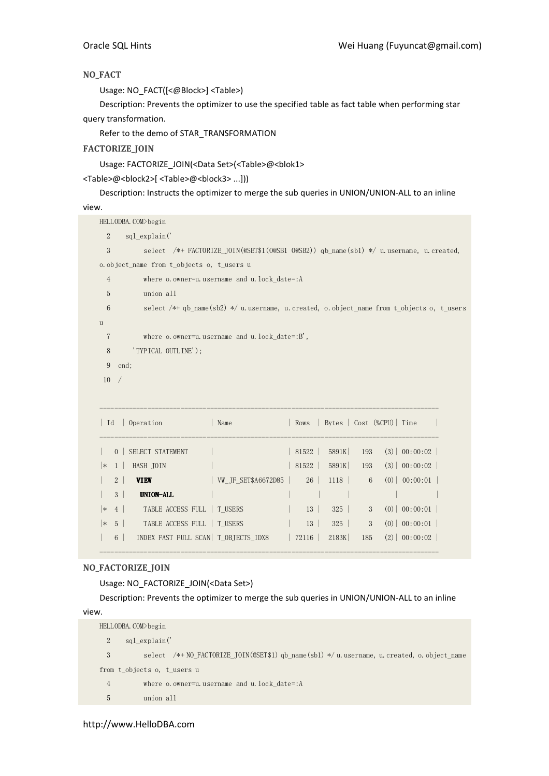# NO\_FACT

Usage: NO\_FACT([<@Block>] <Table>)

Description: Prevents the optimizer to use the specified table as fact table when performing star query transformation.

Refer to the demo of STAR\_TRANSFORMATION

# FACTORIZE\_JOIN

Usage: FACTORIZE\_JOIN(<Data Set>(<Table>@<blok1>

<Table>@<block2>[ <Table>@<block3> ...]))

Description: Instructs the optimizer to merge the sub queries in UNION/UNION-ALL to an inline

# view.

| o. object name from t objects o, t users u |    |                                                                                                                                                 |                              |                                                                                                                                                                                                                                            |  |  |  |  |  |
|--------------------------------------------|----|-------------------------------------------------------------------------------------------------------------------------------------------------|------------------------------|--------------------------------------------------------------------------------------------------------------------------------------------------------------------------------------------------------------------------------------------|--|--|--|--|--|
|                                            |    |                                                                                                                                                 |                              |                                                                                                                                                                                                                                            |  |  |  |  |  |
|                                            |    |                                                                                                                                                 |                              |                                                                                                                                                                                                                                            |  |  |  |  |  |
|                                            |    |                                                                                                                                                 |                              |                                                                                                                                                                                                                                            |  |  |  |  |  |
|                                            |    |                                                                                                                                                 |                              |                                                                                                                                                                                                                                            |  |  |  |  |  |
|                                            |    |                                                                                                                                                 |                              |                                                                                                                                                                                                                                            |  |  |  |  |  |
| 'TYPICAL OUTLINE');<br>8                   |    |                                                                                                                                                 |                              |                                                                                                                                                                                                                                            |  |  |  |  |  |
| 9<br>end;                                  |    |                                                                                                                                                 |                              |                                                                                                                                                                                                                                            |  |  |  |  |  |
|                                            |    |                                                                                                                                                 |                              |                                                                                                                                                                                                                                            |  |  |  |  |  |
|                                            |    |                                                                                                                                                 |                              |                                                                                                                                                                                                                                            |  |  |  |  |  |
|                                            |    |                                                                                                                                                 |                              |                                                                                                                                                                                                                                            |  |  |  |  |  |
| Name                                       |    |                                                                                                                                                 |                              |                                                                                                                                                                                                                                            |  |  |  |  |  |
|                                            |    |                                                                                                                                                 |                              |                                                                                                                                                                                                                                            |  |  |  |  |  |
|                                            |    |                                                                                                                                                 |                              |                                                                                                                                                                                                                                            |  |  |  |  |  |
|                                            |    |                                                                                                                                                 | (3)   00:00:02               |                                                                                                                                                                                                                                            |  |  |  |  |  |
| WW JF SET\$A6672D85                        |    |                                                                                                                                                 |                              |                                                                                                                                                                                                                                            |  |  |  |  |  |
|                                            | 26 | 1118<br>6                                                                                                                                       | $(0)$   00:00:01             |                                                                                                                                                                                                                                            |  |  |  |  |  |
|                                            |    |                                                                                                                                                 |                              |                                                                                                                                                                                                                                            |  |  |  |  |  |
| TABLE ACCESS FULL   T USERS                | 13 | 325<br>3                                                                                                                                        | $(0)$ 00:00:01               |                                                                                                                                                                                                                                            |  |  |  |  |  |
| TABLE ACCESS FULL   T USERS                | 13 | 325<br>3                                                                                                                                        | $(0)$ 00:00:01               |                                                                                                                                                                                                                                            |  |  |  |  |  |
|                                            |    | where o. owner=u. username and u. lock date=: A<br>where $o.$ owner=u. username and u. $lock\_date=:B'$ ,<br>$\vert$ Rows<br> 81522 <br>  81522 | 5891K<br>193<br>5891K<br>193 | select /*+ FACTORIZE_JOIN(@SET\$1(0@SB1 0@SB2)) qb_name(sb1) */ u.username, u.created,<br>select /*+ qb_name(sb2) */ u. username, u. created, o. object_name from t_objects o, t_users<br>  Bytes   Cost (%CPU)   Time<br>$(3)$   00:00:02 |  |  |  |  |  |

## NO\_FACTORIZE\_JOIN

Usage: NO\_FACTORIZE\_JOIN(<Data Set>)

Description: Prevents the optimizer to merge the sub queries in UNION/UNION-ALL to an inline

--------------------------------------------------------------------------------------------

view.

```
HELLODBA.COM>begin 
  2 sql_explain(' 
  3 select /*+ NO_FACTORIZE_JOIN(@SET$1) qb_name(sb1) */ u.username, u.created, o.object_name
from t_objects o, t_users u 
  4 where o.owner=u.username and u.lock_date=:A 
  5 union all
```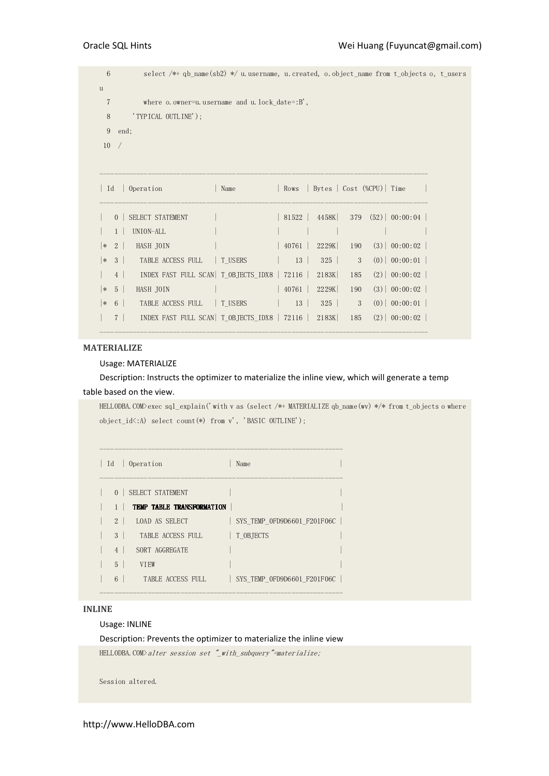6 select /\*+ qb\_name(sb2) \*/ u.username, u.created, o.object\_name from t\_objects o, t\_users u 7 where o.owner=u.username and u.lock\_date=:B', 8 'TYPICAL OUTLINE'); 9 end; 10 / ----------------------------------------------------------------------------------------- | Id | Operation | Name | Rows | Bytes | Cost (%CPU)| Time | ----------------------------------------------------------------------------------------- | 0 | SELECT STATEMENT | | 81522 | 4458K| 379 (52)| 00:00:04 | | 1 | UNION-ALL | | | | | | |\* 2 | HASH JOIN | | 40761 | 2229K | 190 (3) | 00:00:02 | |\* 3 | TABLE ACCESS FULL | T\_USERS | 13 | 325 | 3 (0)| 00:00:01 | | 4 | INDEX FAST FULL SCAN| T\_OBJECTS\_IDX8 | 72116 | 2183K| 185 (2)| 00:00:02 | |\* 5 | HASH JOIN | | 40761 | 2229K| 190 (3)| 00:00:02 | |\* 6 | TABLE ACCESS FULL | T\_USERS | 13 | 325 | 3 (0)| 00:00:01 | | 7 | INDEX FAST FULL SCAN| T\_OBJECTS\_IDX8 | 72116 | 2183K| 185 (2)| 00:00:02 |

# MATERIALIZE

#### Usage: MATERIALIZE

Description: Instructs the optimizer to materialize the inline view, which will generate a temp table based on the view.

-----------------------------------------------------------------------------------------

HELLODBA.COM>exec sql\_explain('with v as (select /\*+ MATERIALIZE qb\_name(wv) \*/\* from t\_objects o where object\_id<:A) select count(\*) from v', 'BASIC OUTLINE');

| Id             | 0 Operation                      | Name                        |
|----------------|----------------------------------|-----------------------------|
| $\overline{0}$ | SELECT STATEMENT                 |                             |
| $1 \perp$      | <b>TEMP TABLE TRANSFORMATION</b> |                             |
| $2 \mid$       | LOAD AS SELECT                   | SYS TEMP OFD9D6601 F201F06C |
| $3-1$          | TABLE ACCESS FULL                | T OBJECTS                   |
| 4              | SORT AGGREGATE                   |                             |
| 5 <sup>5</sup> | <b>VTEW</b>                      |                             |
| 6 <sup>1</sup> | TABLE ACCESS FULL                | SYS TEMP OFD9D6601 F201F06C |

# INLINE

#### Usage: INLINE

Description: Prevents the optimizer to materialize the inline view

HELLODBA.COM>alter session set "\_with\_subquery"=materialize;

Session altered.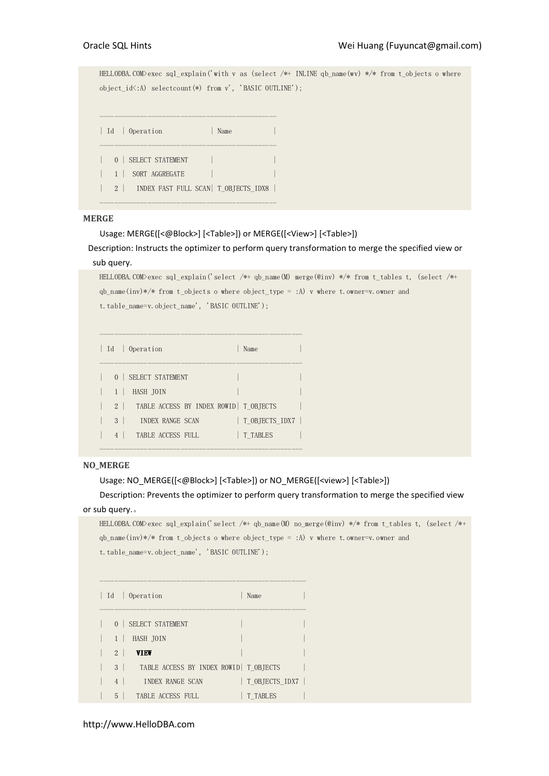HELLODBA.COM>exec sql\_explain('with v as (select /\*+ INLINE qb\_name(wv) \*/\* from t\_objects o where object\_id<:A) selectcount(\*) from v', 'BASIC OUTLINE'); ------------------------------------------------ | Id | Operation | Name ------------------------------------------------ | 0 | SELECT STATEMENT | 1 | SORT AGGREGATE | | | 2 | INDEX FAST FULL SCAN| T\_OBJECTS\_IDX8 | ------------------------------------------------

# MERGE

Usage: MERGE([<@Block>] [<Table>]) or MERGE([<View>] [<Table>])

Description: Instructs the optimizer to perform query transformation to merge the specified view or sub query.

```
HELLODBA.COM>exec sql_explain('select /*+ qb_name(M) merge(@inv) */* from t_tables t, (select /*+ 
qb name(inv)*/* from t_objects o where object type = :A) v where t.owner=v.owner and
t.table_name=v.object_name', 'BASIC OUTLINE');
```

```
------------------------------------------------------- 
| Id | Operation | Name
------------------------------------------------------- 
| 0 | SELECT STATEMENT
| 1 | HASH JOIN
| 2 | TABLE ACCESS BY INDEX ROWID | T_OBJECTS
| 3 | INDEX RANGE SCAN | T_OBJECTS_IDX7 |
| 4 | TABLE ACCESS FULL | T_TABLES
```
-------------------------------------------------------

# NO\_MERGE

Usage: NO\_MERGE([<@Block>] [<Table>]) or NO\_MERGE([<view>] [<Table>])

Description: Prevents the optimizer to perform query transformation to merge the specified view or sub query.。

```
HELLODBA.COM>exec sql_explain('select /*+ qb_name(M) no_merge(@inv) */* from t_tables t, (select /*+ 
qb_name(inv)*/* from t_objects o where object_type = :A) v where t.owner=v.owner and 
t.table_name=v.object_name', 'BASIC OUTLINE');
```

|                | Id   Operation<br>Name                  |  |
|----------------|-----------------------------------------|--|
|                | 0   SELECT STATEMENT                    |  |
|                | HASH JOIN                               |  |
| $2 \mid$       | VIEW                                    |  |
| $3-1$          | TABLE ACCESS BY INDEX ROWID   T OBJECTS |  |
| $\overline{4}$ | T OBJECTS IDX7<br>INDEX RANGE SCAN      |  |
| 5              | TABLE ACCESS FULL<br>T TABLES           |  |

--------------------------------------------------------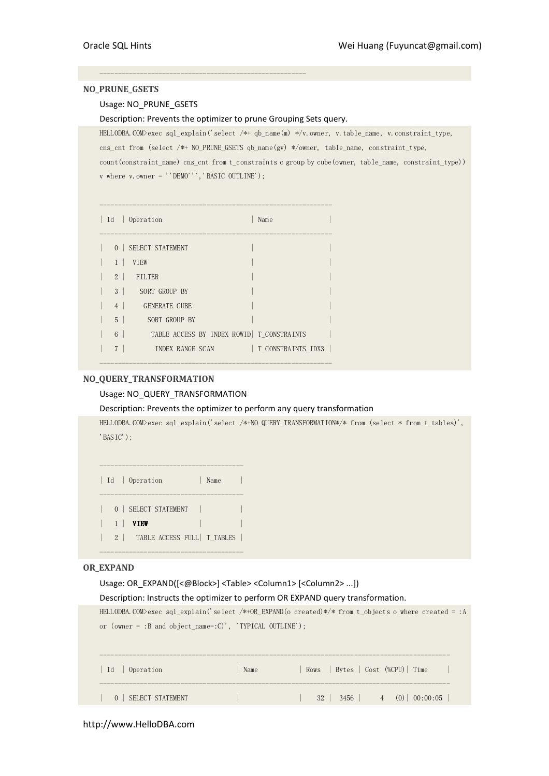## NO\_PRUNE\_GSETS

## Usage: NO\_PRUNE\_GSETS

Description: Prevents the optimizer to prune Grouping Sets query.

--------------------------------------------------------

HELLODBA.COM>exec sql\_explain('select /\*+ qb\_name(m) \*/v.owner, v.table\_name, v.constraint\_type, cns\_cnt from (select /\*+ NO\_PRUNE\_GSETS qb\_name(gv) \*/owner, table\_name, constraint\_type, count(constraint\_name) cns\_cnt from t\_constraints c group by cube(owner, table\_name, constraint\_type))

 ${\tt v}$  where  ${\tt v}.\, {\tt owner}$  = ''DEMO''', 'BASIC OUTLINE');

|                | Id   Operation<br>Name                      |  |
|----------------|---------------------------------------------|--|
|                | 0   SELECT STATEMENT                        |  |
| $1 \perp$      | VIEW                                        |  |
|                | 2 FILTER                                    |  |
| $3-1$          | SORT GROUP BY                               |  |
| 4              | <b>GENERATE CUBE</b>                        |  |
| $5-1$          | SORT GROUP BY                               |  |
| $6-1$          | TABLE ACCESS BY INDEX ROWID   T CONSTRAINTS |  |
| 7 <sup>1</sup> | T CONSTRAINTS IDX3  <br>INDEX RANGE SCAN    |  |
|                |                                             |  |

# NO\_QUERY\_TRANSFORMATION

# Usage: NO\_QUERY\_TRANSFORMATION

## Description: Prevents the optimizer to perform any query transformation

HELLODBA.COM>exec sql\_explain('select /\*+NO\_QUERY\_TRANSFORMATION\*/\* from (select \* from t\_tables)', 'BASIC');

|           | Id   Operation<br>Name           |  |
|-----------|----------------------------------|--|
|           | 0   SELECT STATEMENT             |  |
| $1 \perp$ | <b>VIEW</b>                      |  |
|           | 2   TABLE ACCESS FULL   T TABLES |  |
|           |                                  |  |

## OR\_EXPAND

Usage: OR\_EXPAND([<@Block>] <Table> <Column1> [<Column2> ...])

## Description: Instructs the optimizer to perform OR EXPAND query transformation.

```
HELLODBA.COM>exec sql explain('select /*+OR_EXPAND(o created)*/* from t_objects o where created = :A
or (owner = :B and object_name=:C)', 'TYPICAL OUTLINE');
```

| Id   Operation       | Name | Rows   Bytes   Cost (%CPU)   Time             |
|----------------------|------|-----------------------------------------------|
| 0   SELECT STATEMENT |      | $32 \mid 3456 \mid 4 \quad (0) \mid 00:00:05$ |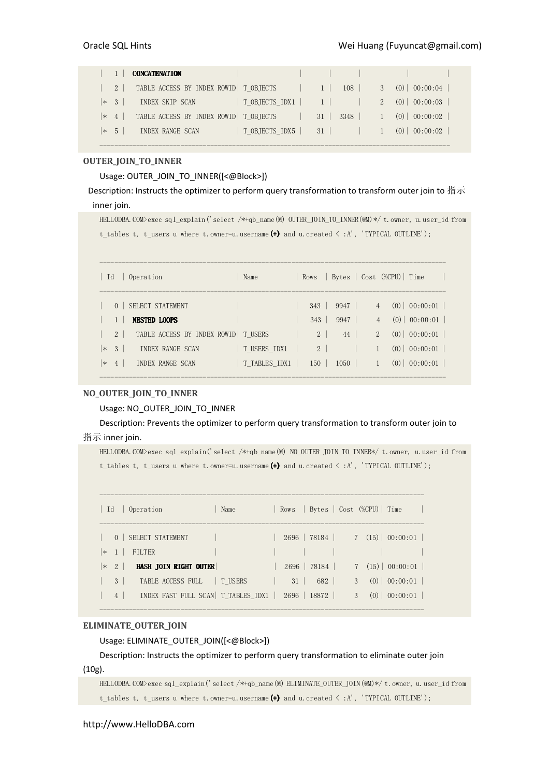|          | <b>CONCATENATION</b>                    |                |    |        |         |                  |  |
|----------|-----------------------------------------|----------------|----|--------|---------|------------------|--|
| $2 \mid$ | TABLE ACCESS BY INDEX ROWID   T OBJECTS |                |    | 108    |         | 3(0) 00:00:04    |  |
| $ * \t3$ | INDEX SKIP SCAN                         |                |    |        | $2^{1}$ | $(0)$   00:00:03 |  |
| $ * 4 $  | TABLE ACCESS BY INDEX ROWID   T OBJECTS |                | 31 | 3348   |         | $(0)$ 00:00:02   |  |
| $*$ 5    | <b>INDEX RANGE SCAN</b>                 | T OBJECTS IDX5 |    | $31$ 1 |         | $(0)$   00:00:02 |  |

-----------------------------------------------------------------------------------------------

## OUTER\_JOIN\_TO\_INNER

# Usage: OUTER\_JOIN\_TO\_INNER([<@Block>])

Description: Instructs the optimizer to perform query transformation to transform outer join to 指示 inner join.

HELLODBA.COM>exec sql\_explain('select /\*+qb\_name(M) OUTER\_JOIN\_TO\_INNER(@M)\*/ t.owner, u.user\_id from t\_tables t, t\_users u where t.owner=u.username(+) and u.created  $\langle :A',$  'TYPICAL OUTLINE');

| Id     |                | Operation                               | Name          |                |              |                                  | Rows   Bytes   Cost (%CPU)   Time               |
|--------|----------------|-----------------------------------------|---------------|----------------|--------------|----------------------------------|-------------------------------------------------|
|        | $\Omega$       | SELECT STATEMENT<br><b>NESTED LOOPS</b> |               | 343<br>343     | 9947<br>9947 | $\overline{4}$<br>$\overline{4}$ | $\vert 00:00:01 \vert$<br>(0)<br>$(0)$ 00:00:01 |
|        | 2 <sup>1</sup> | TABLE ACCESS BY INDEX ROWID   T USERS   |               | 2 <sup>1</sup> | 44           | $\mathfrak{D}$                   | 00:00:01<br>(0)                                 |
| $\ast$ | - 3            | INDEX RANGE SCAN                        | T USERS IDX1  | 2 <sup>1</sup> |              |                                  | 00:00:01<br>(0)                                 |
| $*$    | $-4$           | INDEX RANGE SCAN                        | T TABLES IDX1 | 150            | 1050         |                                  | 00:00:01<br>(0)                                 |

# NO\_OUTER\_JOIN\_TO\_INNER

## Usage: NO\_OUTER\_JOIN\_TO\_INNER

Description: Prevents the optimizer to perform query transformation to transform outer join to 指示 inner join.

HELLODBA.COM>exec sql\_explain('select /\*+qb\_name(M) NO\_OUTER\_JOIN\_TO\_INNER\*/ t.owner, u.user\_id from t\_tables t, t\_users u where t.owner=u.username(+) and u.created  $\langle :A',$  'TYPICAL OUTLINE');

| Id    |                           | Operation                                                          | Name |    | Rows Bytes Cost (%CPU) Time        |               |                                 |
|-------|---------------------------|--------------------------------------------------------------------|------|----|------------------------------------|---------------|---------------------------------|
| $ * $ |                           | 0   SELECT STATEMENT<br>FILTER                                     |      |    | $2696$   78184   7 (15)   00:00:01 |               |                                 |
| $*2$  |                           | HASH JOIN RIGHT OUTER                                              |      |    | $2696$   78184                     |               | $7(15)$ 00:00:01                |
|       | $\mathcal{E}$<br>$4 \mid$ | TABLE ACCESS FULL   T USERS<br>INDEX FAST FULL SCAN  T TABLES IDX1 |      | 31 | 682  <br>2696   18872              | $\mathcal{E}$ | 3(0) 00:00:01<br>$(0)$ 00:00:01 |

#### ELIMINATE\_OUTER\_JOIN

Usage: ELIMINATE\_OUTER\_JOIN([<@Block>])

Description: Instructs the optimizer to perform query transformation to eliminate outer join

# (10g).

HELLODBA.COM>exec sql\_explain('select /\*+qb\_name(M) ELIMINATE\_OUTER\_JOIN(@M)\*/ t.owner, u.user\_id from t\_tables t, t\_users u where t.owner=u.username(+) and u.created  $\langle :A', \cdot \text{'}TYPICAL \text{ } OUTLINE' \rangle$ ;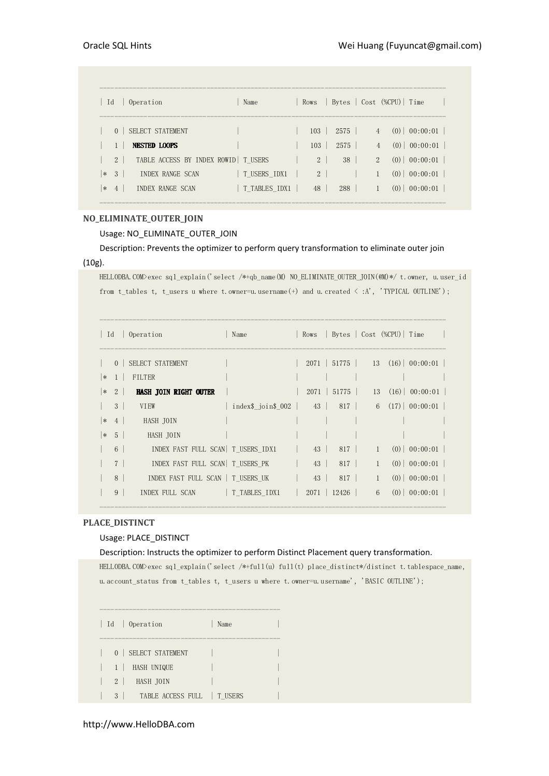| Operation<br>Id                                         | Name          | Rows           | Bytes   Cost (%CPU)   Time |                |     |                |
|---------------------------------------------------------|---------------|----------------|----------------------------|----------------|-----|----------------|
| SELECT STATEMENT<br>$\Omega$                            |               | 103            | 2575                       | $\overline{4}$ |     | $(0)$ 00:00:01 |
| <b>NESTED LOOPS</b>                                     |               | 103            | 2575                       |                | (0) | 00:00:01       |
| TABLE ACCESS BY INDEX ROWID   T_USERS<br>2 <sup>1</sup> |               | $\overline{2}$ | 38                         | $\mathcal{L}$  |     | $(0)$ 00:00:01 |
| -3<br><b>INDEX RANGE SCAN</b><br>$\ast$                 | T USERS IDX1  | 2              |                            |                | (0) | 00:00:01       |
| INDEX RANGE SCAN<br>$\ast$<br>$\overline{4}$            | T TABLES IDX1 | 48             | 288                        |                | (0) | 00:00:01       |

# NO\_ELIMINATE\_OUTER\_JOIN

# Usage: NO\_ELIMINATE\_OUTER\_JOIN

Description: Prevents the optimizer to perform query transformation to eliminate outer join (10g).

HELLODBA.COM>exec sql\_explain('select /\*+qb\_name(M) NO\_ELIMINATE\_OUTER\_JOIN(@M)\*/ t.owner, u.user\_id from t\_tables t, t\_users u where t.owner=u.username(+) and u.created < :A', 'TYPICAL OUTLINE');

| $\vert$ Id |                 | Operation                           | Name               | Rows |                |              | Bytes   Cost (%CPU)   Time |                                      |
|------------|-----------------|-------------------------------------|--------------------|------|----------------|--------------|----------------------------|--------------------------------------|
|            | $\Omega$        | SELECT STATEMENT                    |                    |      | $2071$ 51775   |              |                            | $13(16) \mid 00:00:01$               |
| $\vert *$  | $1 \mid$        | <b>FILTER</b>                       |                    |      |                |              |                            |                                      |
| ∣∗         | 2 <sup>1</sup>  | HASH JOIN RIGHT OUTER               |                    |      | $2071$   51775 |              |                            | 13(16)   00:00:01                    |
|            | 3 <sup>1</sup>  | <b>VTEW</b>                         | index\$ join\$ 002 |      |                |              |                            | $43$   $817$   6 $(17)$   $00:00:01$ |
| ∣∗         | 4 <sup>1</sup>  | HASH JOIN                           |                    |      |                |              |                            |                                      |
| ∣∗         | 5 <sup>1</sup>  | HASH JOIN                           |                    |      |                |              |                            |                                      |
|            | $6\overline{6}$ | INDEX FAST FULL SCAN   T USERS IDX1 |                    |      | 43   817       | $\mathbf{1}$ |                            | $(0)$   00:00:01                     |
|            | $\overline{7}$  | INDEX FAST FULL SCAN   T USERS PK   |                    | 43   | 817            | $\mathbf{1}$ |                            | $(0)$ 00:00:01                       |
|            | 8               | INDEX FAST FULL SCAN   T USERS UK   |                    | 43   | 817            | $\mathbf{1}$ |                            | $(0)$ 00:00:01                       |
|            | 9               | INDEX FULL SCAN   T TABLES IDX1     |                    |      | $2071$   12426 | 6            |                            | $(0)$   00:00:01                     |

# PLACE\_DISTINCT

## Usage: PLACE\_DISTINCT

## Description: Instructs the optimizer to perform Distinct Placement query transformation.

HELLODBA.COM>exec sql\_explain('select /\*+full(u) full(t) place\_distinct\*/distinct t.tablespace\_name, u.account\_status from t\_tables t, t\_users u where t.owner=u.username', 'BASIC OUTLINE');

| Id | Operation | Name ------------------------------------------------- 0 | SELECT STATEMENT  $| 1 |$  HASH UNIQUE 2 | HASH JOIN | | 3 | TABLE ACCESS FULL | T\_USERS |

-------------------------------------------------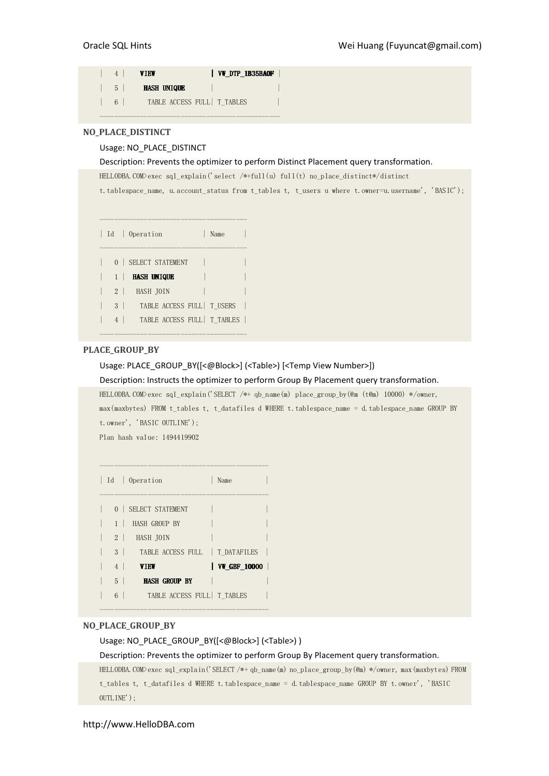|                | VW DTP 1B35BAOF<br>VTEW      |
|----------------|------------------------------|
| 5 <sup>1</sup> | <b>HASH UNIQUE</b>           |
| 6 <sup>1</sup> | TABLE ACCESS FULL   T TABLES |
|                |                              |

## NO\_PLACE\_DISTINCT

## Usage: NO\_PLACE\_DISTINCT

Description: Prevents the optimizer to perform Distinct Placement query transformation.

HELLODBA.COM>exec sql\_explain('select /\*+full(u) full(t) no\_place\_distinct\*/distinct

t.tablespace\_name, u.account\_status from t\_tables t, t\_users u where t.owner=u.username', 'BASIC');

|                | Id   Operation<br>Name       |  |
|----------------|------------------------------|--|
|                | 0   SELECT STATEMENT         |  |
|                | <b>HASH UNIQUE</b>           |  |
| 2 <sup>1</sup> | HASH JOIN                    |  |
| $3-1$          | TABLE ACCESS FULL   T USERS  |  |
| 4              | TABLE ACCESS FULL   T TABLES |  |

----------------------------------------

# PLACE\_GROUP\_BY

Usage: PLACE\_GROUP\_BY([<@Block>] (<Table>) [<Temp View Number>])

## Description: Instructs the optimizer to perform Group By Placement query transformation.

HELLODBA.COM>exec sql\_explain('SELECT /\*+ qb\_name(m) place\_group\_by(@m (t@m) 10000) \*/owner,

max(maxbytes) FROM t\_tables t, t\_datafiles d WHERE t.tablespace\_name = d.tablespace\_name GROUP BY t.owner', 'BASIC OUTLINE');

Plan hash value: 1494419902

|                | Id   Operation                      | Name                         |
|----------------|-------------------------------------|------------------------------|
|                | 0   SELECT STATEMENT                |                              |
| $1 \perp$      | HASH GROUP BY                       |                              |
| 2 <sup>1</sup> | HASH JOIN                           |                              |
|                | 3   TABLE ACCESS FULL   T DATAFILES |                              |
| 4              | VIEW                                | $\vert$ VW GBF 10000 $\vert$ |
| $5-1$          | <b>HASH GROUP BY</b>                |                              |
| 6              | TABLE ACCESS FULL T TABLES          |                              |

----------------------------------------------

#### NO\_PLACE\_GROUP\_BY

Usage: NO\_PLACE\_GROUP\_BY([<@Block>] (<Table>) )

Description: Prevents the optimizer to perform Group By Placement query transformation.

HELLODBA.COM>exec sql\_explain('SELECT /\*+ qb\_name(m) no\_place\_group\_by(@m) \*/owner, max(maxbytes) FROM t tables t, t datafiles d WHERE t.tablespace name = d.tablespace name GROUP BY t.owner', 'BASIC OUTLINE');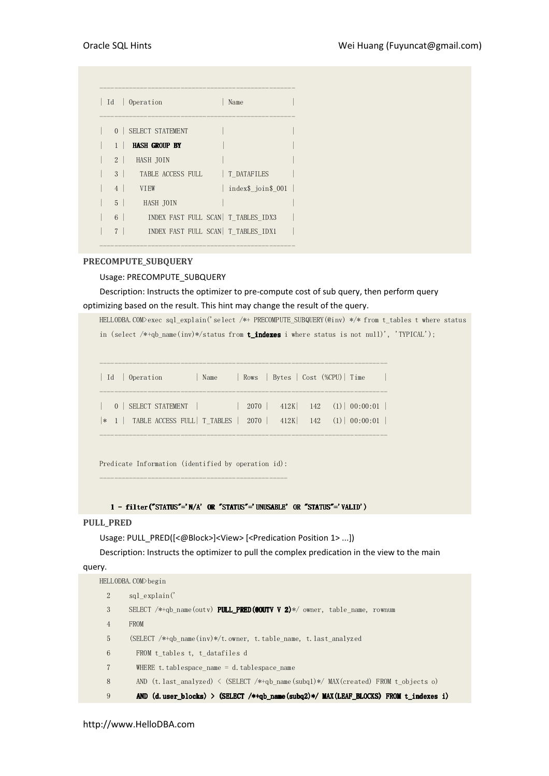| Id             | Operation                            | Name               |
|----------------|--------------------------------------|--------------------|
| 0 <sup>1</sup> | SELECT STATEMENT                     |                    |
|                | <b>HASH GROUP BY</b>                 |                    |
| 2 <sup>1</sup> | HASH JOIN                            |                    |
| $3-1$          | TABLE ACCESS FULL                    | T DATAFILES        |
| 4              | <b>VTEW</b>                          | index\$ join\$ 001 |
| $5-1$          | HASH JOIN                            |                    |
| $6-1$          | INDEX FAST FULL SCAN   T TABLES IDX3 |                    |
| $\overline{7}$ | INDEX FAST FULL SCAN   T TABLES IDX1 |                    |

## PRECOMPUTE\_SUBQUERY

## Usage: PRECOMPUTE\_SUBQUERY

Description: Instructs the optimizer to pre-compute cost of sub query, then perform query optimizing based on the result. This hint may change the result of the query.

HELLODBA.COM>exec sql\_explain('select /\*+ PRECOMPUTE\_SUBQUERY(@inv) \*/\* from t\_tables t where status in (select  $/*+qb\_name(inv)*(status from t_indexes i where status is not null)',$  'TYPICAL');

| Id   Operation                                                                                                                               | Name |  | Rows   Bytes   Cost (%CPU)   Time |
|----------------------------------------------------------------------------------------------------------------------------------------------|------|--|-----------------------------------|
| $0$ SELECT STATEMENT $\vert$ 2070 $\vert$ 412K 142 (1) 00:00:01  <br>$*$ 1   TABLE ACCESS FULL   T TABLES   2070   412K   142 (1)   00:00:01 |      |  |                                   |

Predicate Information (identified by operation id): ---------------------------------------------------

1 - filter("STATUS"='N/A' OR "STATUS"='UNUSABLE' OR "STATUS"='VALID')

## PULL PRED

Usage: PULL\_PRED([<@Block>]<View> [<Predication Position 1> ...])

Description: Instructs the optimizer to pull the complex predication in the view to the main

query.

|                | HELLODBA.COM>begin                                                                           |
|----------------|----------------------------------------------------------------------------------------------|
| $\overline{2}$ | sql explain('                                                                                |
| 3              | SELECT $/*+qb$ name (outy) <b>PULL PRED (COUTY V 2)</b> */ owner, table name, rownum         |
| $\overline{4}$ | <b>FROM</b>                                                                                  |
| 5              | (SELECT $/*+qb$ name (inv)*/t. owner, t. table name, t. last analyzed                        |
| 6              | FROM t tables t, t datafiles d                                                               |
| 7              | WHERE t. tablespace name $=$ d. tablespace name                                              |
| 8              | AND (t. last analyzed) $\langle$ (SELECT /*+qb name (subq1)*/ MAX(created) FROM t objects o) |
| 9              | AND (d. user_blocks) > (SELECT /*+qb_name(subq2)*/ MAX(LEAF BLOCKS) FROM t_indexes_i)        |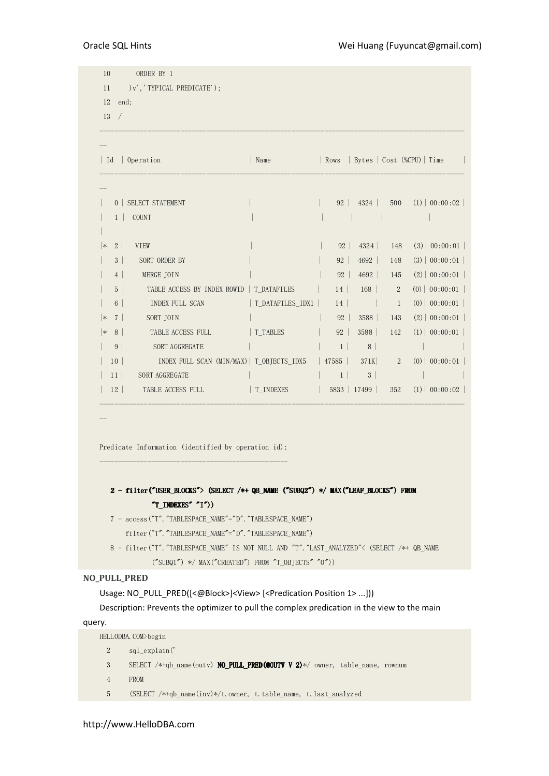| $\vert$ Id           | Operation                                           | Name             | Rows           |                     |                  | Bytes   Cost (%CPU)   Time |  |
|----------------------|-----------------------------------------------------|------------------|----------------|---------------------|------------------|----------------------------|--|
|                      | 0   SELECT STATEMENT                                |                  |                | $92 \mid 4324 \mid$ | 500              | $(1)$   00:00:02           |  |
|                      | $1  $ COUNT                                         |                  |                |                     |                  |                            |  |
| $2\vert$<br> ∗       | VIEW                                                |                  |                | 92   4324           | 148              | (3)   00:00:01             |  |
| 3 <sup>2</sup>       | SORT ORDER BY                                       |                  | 92             | 4692                | 148              | (3)   00:00:01             |  |
| 4                    | MERGE JOIN                                          |                  | 92             | 4692                | 145              | (2)   00:00:01             |  |
| 5 <sup>1</sup>       | TABLE ACCESS BY INDEX ROWID   T DATAFILES           |                  |                | $14$ 168            | $2^{\circ}$      | (0)   00:00:01             |  |
| 6 <sup>1</sup>       | INDEX FULL SCAN                                     | T DATAFILES IDX1 |                | $14$                | $\overline{1}$   | $(0)$   00:00:01           |  |
| 7 <sup>1</sup><br> ∗ | SORT JOIN                                           |                  | 92             | 3588                | 143              | (2)   00:00:01             |  |
| 8 <sup>1</sup><br> ∗ | TABLE ACCESS FULL                                   | T TABLES         | 92             | 3588                | 142              | (1)   00:00:01             |  |
| 9 <sup>°</sup>       | SORT AGGREGATE                                      |                  |                | $1 \vert 8 \vert$   |                  |                            |  |
| 10 <sup>1</sup>      | INDEX FULL SCAN (MIN/MAX)   T_OBJECTS_IDX5          |                  |                | $ 47585 $ 371K      | $\boldsymbol{2}$ | $(0)$   00:00:01           |  |
| 11 <sup>1</sup>      | SORT AGGREGATE                                      |                  | 1 <sup>1</sup> | 3                   |                  |                            |  |
| 12 <sup>1</sup>      | TABLE ACCESS FULL TABLE                             | T INDEXES        |                | 5833   17499        | 352              | $(1)$   00:00:02           |  |
|                      | Predicate Information (identified by operation id): |                  |                |                     |                  |                            |  |

 8 - filter("T"."TABLESPACE\_NAME" IS NOT NULL AND "T"."LAST\_ANALYZED"< (SELECT /\*+ QB\_NAME  $('SUBQ1'')$  \*/ MAX("CREATED") FROM "T\_OBJECTS" "0"))

## NO\_PULL\_PRED

Usage: NO\_PULL\_PRED([<@Block>]<View> [<Predication Position 1> ...]))

Description: Prevents the optimizer to pull the complex predication in the view to the main

## query.

```
HELLODBA.COM>begin 
  2 sql_explain(' 
  3 SELECT /*+qb_name(outv) NO_PULL_PRED(@OUTV V 2)*/ owner, table_name, rownum 
  4 FROM 
  5 (SELECT /*+qb_name(inv)*/t.owner, t.table_name, t.last_analyzed
```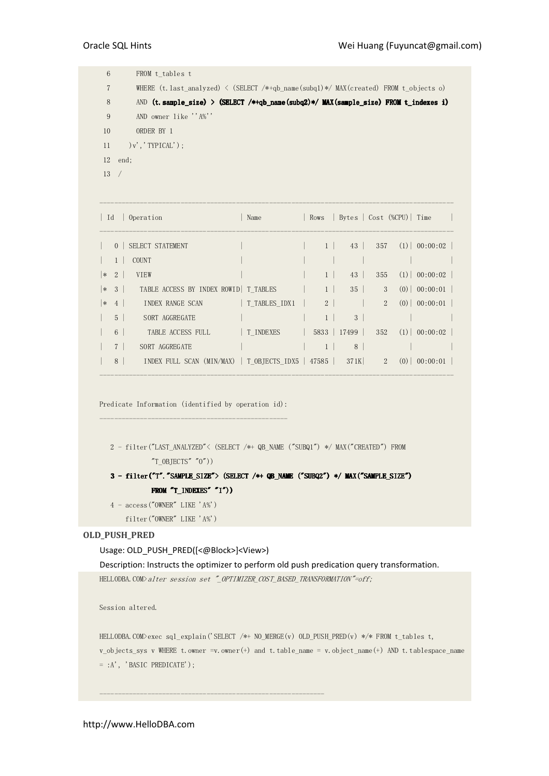| 6   | FROM t tables t                                                                               |
|-----|-----------------------------------------------------------------------------------------------|
| 7   | WHERE (t. last analyzed) $\langle$ (SELECT /*+qb name(subq1)*/ MAX(created) FROM t objects o) |
| 8   | AND (t. sample size) > (SELECT /*+qb name(subq2)*/ MAX(sample size) FROM t indexes i)         |
| 9   | AND owner like ''A%''                                                                         |
| 10  | ORDER BY 1                                                                                    |
| 11  | $)v'$ , 'TYPICAL'):                                                                           |
|     | $12$ end;                                                                                     |
| 13/ |                                                                                               |
|     |                                                                                               |
|     |                                                                                               |

| Id |                | Operation                                          | Name          | Rows           | Bytes   Cost (%CPU)  Time |                |                        |
|----|----------------|----------------------------------------------------|---------------|----------------|---------------------------|----------------|------------------------|
|    |                |                                                    |               |                |                           |                |                        |
|    | $0-1$          | SELECT STATEMENT                                   |               |                | 43                        |                | $357$ (1) 00:00:02     |
|    | 1              | <b>COUNT</b>                                       |               |                |                           |                |                        |
| ∗  | 2 <sup>1</sup> | <b>VIEW</b>                                        |               | $1 \perp$      | 43                        | 355            | $(1)$ 00:00:02         |
|    | $ * 3 $        | TABLE ACCESS BY INDEX ROWID   T TABLES             |               | $1 \mid$       | 35                        | 3 <sup>1</sup> | $(0)$   00:00:01       |
| ∣∗ | $4 \vert$      | INDEX RANGE SCAN                                   | T TABLES IDX1 | 2 <sup>2</sup> |                           | $2^{\circ}$    | $(0)$ 00:00:01         |
|    | 5 <sup>5</sup> | SORT AGGREGATE                                     |               | $1 \perp$      | 3 <sup>1</sup>            |                |                        |
|    | 6 <sup>1</sup> | TABLE ACCESS FULL                                  | T INDEXES     |                | 5833   17499              |                | $352 \t(1) \t00:00:02$ |
|    | 7 <sup>1</sup> | SORT AGGREGATE                                     |               | $1 \vert$      | 8 <sup>1</sup>            |                |                        |
|    | 8              | INDEX FULL SCAN (MIN/MAX)   T_OBJECTS_IDX5   47585 |               |                | 371K                      | $2^{\circ}$    | $(0)$   00:00:01       |
|    |                |                                                    |               |                |                           |                |                        |

Predicate Information (identified by operation id): ---------------------------------------------------

```
 2 - filter("LAST_ANALYZED"< (SELECT /*+ QB_NAME ("SUBQ1") */ MAX("CREATED") FROM 
           T_0BJECTS''''0')
```
# 3 - filter("T"."SAMPLE\_SIZE"> (SELECT /\*+ QB\_NAME ("SUBQ2") \*/ MAX("SAMPLE\_SIZE") FROM  $T$  indexes"  $'I")$ )

 $4 - \arccos("OWNER" LIKE 'A"')$ 

filter("OWNER" LIKE 'A%')

## OLD\_PUSH\_PRED

## Usage: OLD\_PUSH\_PRED([<@Block>]<View>)

Description: Instructs the optimizer to perform old push predication query transformation.

HELLODBA.COM>alter session set "\_OPTIMIZER\_COST\_BASED\_TRANSFORMATION"=off;

-------------------------------------------------------------

Session altered.

HELLODBA.COM>exec sql\_explain('SELECT /\*+ NO\_MERGE(v) OLD\_PUSH\_PRED(v) \*/\* FROM t\_tables t,  $v\_objects\_sys$  v WHERE t.owner =v.owner(+) and t.table\_name = v.object\_name(+) AND t.tablespace\_name  $=$  :A', 'BASIC PREDICATE');

http://www.HelloDBA.com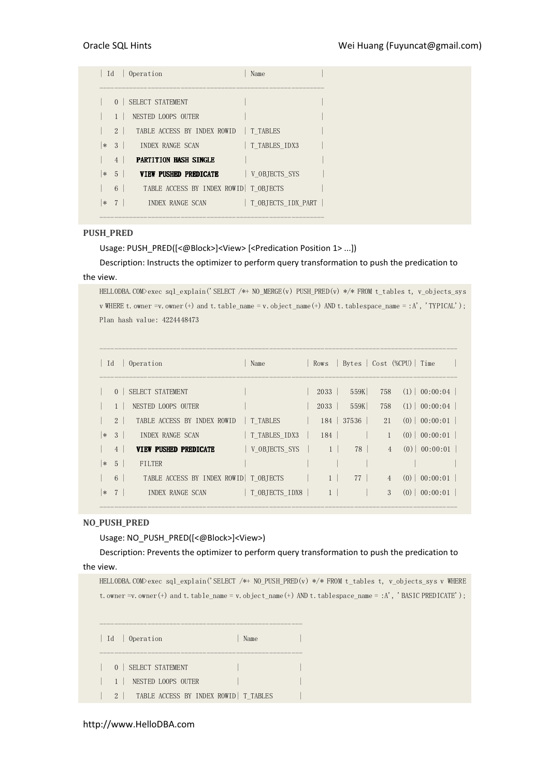| Id             | Operation                               | Name               |  |
|----------------|-----------------------------------------|--------------------|--|
|                |                                         |                    |  |
| $\overline{0}$ | SELECT STATEMENT                        |                    |  |
|                | NESTED LOOPS OUTER                      |                    |  |
| $2 \mid$       | TABLE ACCESS BY INDEX ROWID   T TABLES  |                    |  |
| $ * 3 $        | INDEX RANGE SCAN                        | T TABLES IDX3      |  |
| $4 \vert$      | <b>PARTITION HASH SINGLE</b>            |                    |  |
| $ * 5 $        | VIEW PUSHED PREDICATE                   | V OBJECTS SYS      |  |
| $6 \mid$       | TABLE ACCESS BY INDEX ROWID   T OBJECTS |                    |  |
| $ * 7 $        | INDEX RANGE SCAN                        | T OBJECTS IDX PART |  |
|                |                                         |                    |  |

## PUSH\_PRED

Usage: PUSH\_PRED([<@Block>]<View> [<Predication Position 1> ...])

Description: Instructs the optimizer to perform query transformation to push the predication to the view.

HELLODBA.COM>exec sql\_explain('SELECT /\*+ NO\_MERGE(v) PUSH\_PRED(v) \*/\* FROM t\_tables t, v\_objects\_sys v WHERE t. owner =v. owner(+) and t. table\_name = v. object\_name(+) AND t. tablespace\_name = :A', 'TYPICAL'); Plan hash value: 4224448473

| Id     |                | Operation                               | Name           | Rows           | Bytes   Cost (%CPU)   Time |                |                |
|--------|----------------|-----------------------------------------|----------------|----------------|----------------------------|----------------|----------------|
|        | $\Omega$       | SELECT STATEMENT                        |                | 2033           | 559K                       | 758            | $(1)$ 00:00:04 |
|        |                | NESTED LOOPS OUTER                      |                | 2033           | 559K                       | 758            | $(1)$ 00:00:04 |
|        | 2 <sup>1</sup> | TABLE ACCESS BY INDEX ROWID             | T TABLES       | 184            | 37536                      | 21             | $(0)$ 00:00:01 |
| $\ast$ | 3 <sup>1</sup> | INDEX RANGE SCAN                        | T TABLES IDX3  | 184            |                            |                | $(0)$ 00:00:01 |
|        | 4              | VIEW PUSHED PREDICATE                   | V OBJECTS SYS  | $1 \vert$      | 78                         | $\overline{4}$ | $(0)$ 00:00:01 |
| $\ast$ | 5 <sup>5</sup> | <b>FILTER</b>                           |                |                |                            |                |                |
|        | 6              | TABLE ACCESS BY INDEX ROWID   T OBTECTS |                | 1 <sup>1</sup> | $77 \mid$                  | $\overline{4}$ | $(0)$ 00:00:01 |
| $\ast$ | 7              | INDEX RANGE SCAN                        | T OBJECTS IDX8 |                |                            | 3              | $(0)$ 00:00:01 |

## NO\_PUSH\_PRED

Usage: NO\_PUSH\_PRED([<@Block>]<View>)

Description: Prevents the optimizer to perform query transformation to push the predication to the view.

HELLODBA.COM>exec sql\_explain('SELECT /\*+ NO\_PUSH\_PRED(v) \*/\* FROM t\_tables t, v\_objects\_sys v WHERE t.owner =v.owner(+) and t.table\_name = v.object\_name(+) AND t.tablespace\_name = :A', 'BASIC PREDICATE');

------------------------------------------------------- | Id | Operation | Name ------------------------------------------------------- 0 | SELECT STATEMENT  $| 1 |$  NESTED LOOPS OUTER | 2 | TABLE ACCESS BY INDEX ROWID | T\_TABLES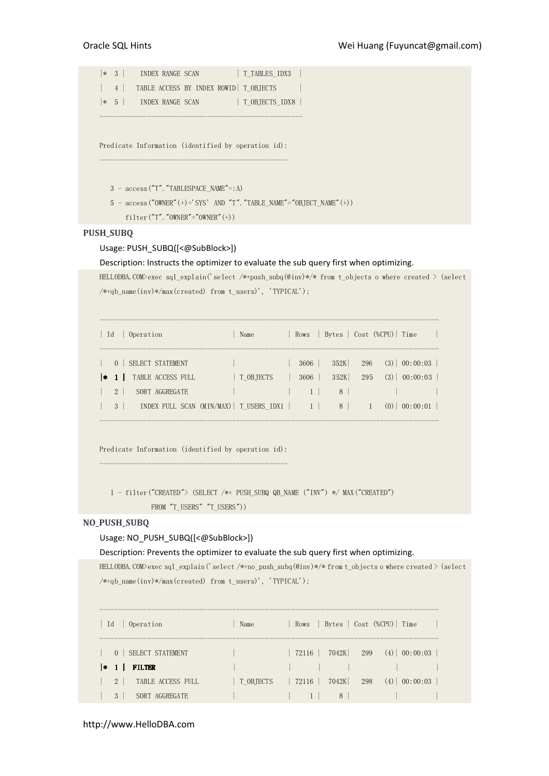|\* 3 | INDEX RANGE SCAN | T\_TABLES\_IDX3 | | 4 | TABLE ACCESS BY INDEX ROWID | T\_OBJECTS | |\* 5 | INDEX RANGE SCAN | T\_OBJECTS\_IDX8 | -------------------------------------------------------

Predicate Information (identified by operation id): ---------------------------------------------------

 $3 - \text{access("T".}$  "TABLESPACE\_NAME"=:A)

 $5$  -  $\mathrm{access}("OWNER" (+)='SYS' AND "T". "TABLE\_NAME" = "OBJECT\_NAME" (+))$ 

 $filter("T"."OWNER" = "OWNER" (+))$ 

# PUSH\_SUBQ

# Usage: PUSH\_SUBQ([<@SubBlock>])

Description: Instructs the optimizer to evaluate the sub query first when optimizing.

HELLODBA.COM>exec sql\_explain('select /\*+push\_subq(@inv)\*/\* from t\_objects o where created > (select /\*+qb\_name(inv)\*/max(created) from t\_users)', 'TYPICAL');

| - Id |                         | Operation                             | Name                                         |              | Rows   Bytes   Cost (%CPU)   Time |            |     |                                                                     |  |
|------|-------------------------|---------------------------------------|----------------------------------------------|--------------|-----------------------------------|------------|-----|---------------------------------------------------------------------|--|
| l∗   | $\Omega$                | SELECT STATEMENT<br>TABLE ACCESS FULL | T OBJECTS                                    | 3606<br>3606 | 352K<br>352K                      | 296<br>295 |     | $(3) \begin{array}{ c} 00:00:03 \end{array}$<br>$(3) \mid 00:00:03$ |  |
|      | $2^{\circ}$<br>$3 \mid$ | SORT AGGREGATE                        | INDEX FULL SCAN (MIN/MAX)   T_USERS_IDX1   1 |              | 8<br>8 <sup>1</sup>               |            | (0) | 00:00:01                                                            |  |

--------------------------------------------------------------------------------------------

Predicate Information (identified by operation id): ---------------------------------------------------

 1 - filter("CREATED"> (SELECT /\*+ PUSH\_SUBQ QB\_NAME ("INV") \*/ MAX("CREATED") FROM "T\_USERS" "T\_USERS"))

# NO\_PUSH\_SUBQ

## Usage: NO\_PUSH\_SUBQ([<@SubBlock>])

Description: Prevents the optimizer to evaluate the sub query first when optimizing.

HELLODBA.COM>exec sql\_explain('select /\*+no\_push\_subq(@inv)\*/\* from t\_objects o where created > (select  $\verb|{\ast_{\text{q}}b\_name(inv)}{\ast}/\text{max(created)}\text{ from t\_users)}',\text{ 'TYPICAL'});$ 

| Operation<br>Id                          | Name      | Rows   Bytes   Cost (%CPU)   Time |                                            |
|------------------------------------------|-----------|-----------------------------------|--------------------------------------------|
| 0   SELECT STATEMENT                     |           |                                   | $72116$   $7042K$   $299$ (4)   $00:00:03$ |
| <b>FILTER</b><br>$\vert * \vert 1 \vert$ |           |                                   |                                            |
| $2 \mid$<br>TABLE ACCESS FULL            | T OBJECTS | 7042K 298<br>72116                | (4)<br>00:00:03                            |
| 3<br>SORT AGGREGATE                      |           | 8                                 |                                            |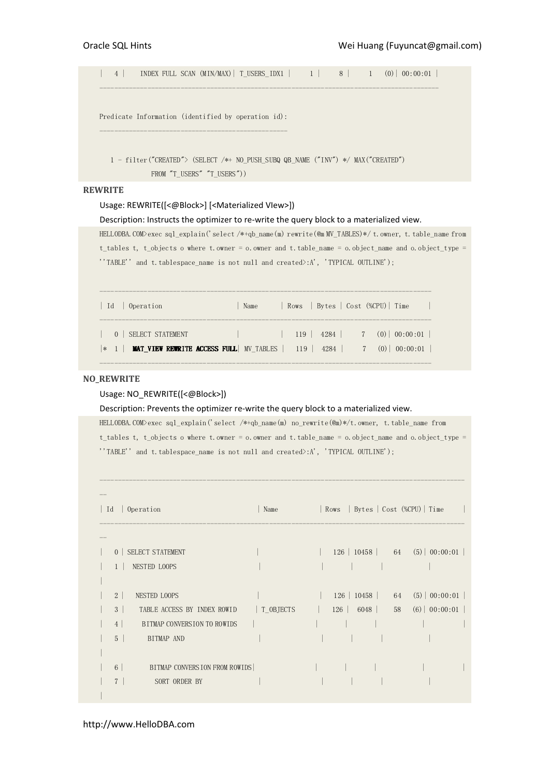| 4 | INDEX FULL SCAN (MIN/MAX)| T\_USERS\_IDX1 | 1 | 8 | 1 (0)| 00:00:01 | --------------------------------------------------------------------------------------------

Predicate Information (identified by operation id): ---------------------------------------------------

 1 - filter("CREATED"> (SELECT /\*+ NO\_PUSH\_SUBQ QB\_NAME ("INV") \*/ MAX("CREATED") FROM "T\_USERS" "T\_USERS"))

## **REWRITE**

#### Usage: REWRITE([<@Block>] [<Materialized VIew>])

#### Description: Instructs the optimizer to re-write the query block to a materialized view.

HELLODBA.COM>exec sql\_explain('select /\*+qb\_name(m) rewrite(@m MV\_TABLES)\*/ t.owner, t.table\_name from t\_tables t, t\_objects o where t.owner = o.owner and t.table\_name = o.object\_name and o.object\_type = ''TABLE'' and t.tablespace\_name is not null and created>:A', 'TYPICAL OUTLINE');

| Id   Operation                                                                                        | Name                                                                                                                                                                                                                                 | Rows   Bytes   Cost (%CPU)   Time     |
|-------------------------------------------------------------------------------------------------------|--------------------------------------------------------------------------------------------------------------------------------------------------------------------------------------------------------------------------------------|---------------------------------------|
| SELECT STATEMENT<br>$ *$ 1   MAT_VIEW REWRITE ACCESS FULL   MV_TABLES   119   4284   7 (0)   00:00:01 | <u> Albert Starten von der Starten und der Entschaft der Entschaft der Entschaft der Entschaft der Entschaft der Entschaft der Entschaft der Entschaft der Entschaft der Entschaft der Entschaft der Entschaft der Entschaft der</u> | $119$   $4284$   $7$ (0)   $00:00:01$ |

## NO\_REWRITE

## Usage: NO\_REWRITE([<@Block>])

Description: Prevents the optimizer re-write the query block to a materialized view.

HELLODBA.COM>exec sql\_explain('select /\*+qb\_name(m) no\_rewrite(@m)\*/t.owner, t.table\_name from t\_tables t, t\_objects o where t.owner = o.owner and t.table\_name = o.object\_name and o.object\_type = ''TABLE'' and t.tablespace name is not null and created>:A', 'TYPICAL OUTLINE');

---------------------------------------------------------------------------------------------------

| Id<br>Operation                                  | Name      | Rows   Bytes   Cost (%CPU)   Time |    |                                                   |  |
|--------------------------------------------------|-----------|-----------------------------------|----|---------------------------------------------------|--|
|                                                  |           |                                   |    |                                                   |  |
| SELECT STATEMENT<br>$\overline{0}$               |           |                                   |    | $126 \mid 10458 \mid 64 \n(5) \mid 00:00:01 \mid$ |  |
| <b>NESTED LOOPS</b><br>1 <sup>1</sup>            |           |                                   |    |                                                   |  |
|                                                  |           |                                   |    |                                                   |  |
| 2 <sup>1</sup><br>NESTED LOOPS                   |           | $126 \mid 10458 \mid$             | 64 | $(5)$   00:00:01                                  |  |
| $\mathbf{3}$<br>TABLE ACCESS BY INDEX ROWID      | T OBJECTS | $126$ 6048                        | 58 | $(6)$   00:00:01                                  |  |
| BITMAP CONVERSION TO ROWIDS<br>$4\overline{ }$   |           |                                   |    |                                                   |  |
| 5 <sup>5</sup><br>BITMAP AND                     |           |                                   |    |                                                   |  |
|                                                  |           |                                   |    |                                                   |  |
| $6\overline{6}$<br>BITMAP CONVERSION FROM ROWIDS |           |                                   |    |                                                   |  |
| SORT ORDER BY                                    |           |                                   |    |                                                   |  |
|                                                  |           |                                   |    |                                                   |  |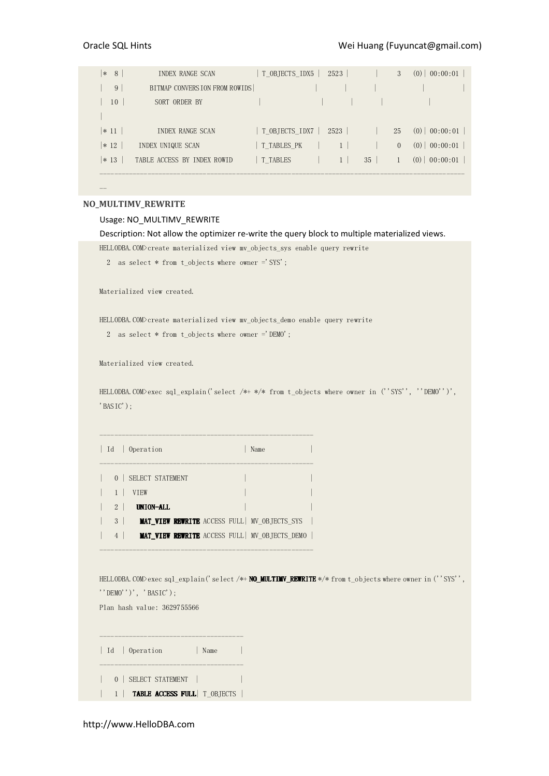| 8<br>∣∗  | INDEX RANGE SCAN              | T OBJECTS IDX5 | 2523         |    | 3        | 00:00:01<br>(0) |
|----------|-------------------------------|----------------|--------------|----|----------|-----------------|
| 9        | BITMAP CONVERSION FROM ROWIDS |                |              |    |          |                 |
| 10       | SORT ORDER BY                 |                |              |    |          |                 |
|          |                               |                |              |    |          |                 |
| $ *11 $  | INDEX RANGE SCAN              | T OBJECTS IDX7 | 2523         |    | 25       | $(0)$ 00:00:01  |
| $ * 12 $ | INDEX UNIQUE SCAN             | T TABLES PK    |              |    | $\Omega$ | 00:00:01<br>(0) |
| $ * 13$  | TABLE ACCESS BY INDEX ROWID   | T TABLES       | $\mathbf{1}$ | 35 |          | 00:00:01<br>(0) |
|          |                               |                |              |    |          |                 |
|          |                               |                |              |    |          |                 |

## NO\_MULTIMV\_REWRITE

#### Usage: NO\_MULTIMV\_REWRITE

Description: Not allow the optimizer re-write the query block to multiple materialized views.

HELLODBA.COM>create materialized view mv\_objects\_sys enable query rewrite

```
 2 as select * from t_objects where owner ='SYS';
```
Materialized view created.

HELLODBA.COM>create materialized view mv\_objects\_demo enable query rewrite

2 as select \* from t\_objects where owner ='DEMO';

Materialized view created.

HELLODBA.COM>exec sql\_explain('select /\*+ \*/\* from t\_objects where owner in (''SYS'', ''DEMO'')', 'BASIC');

|                             | Id   Operation<br>Name                                |  |
|-----------------------------|-------------------------------------------------------|--|
| $\Omega$                    | SELECT STATEMENT                                      |  |
|                             | <b>VTEW</b>                                           |  |
| $\mathcal{D}_{\mathcal{L}}$ | UNION-ALL                                             |  |
| 3                           | <b>MAT VIEW REWRITE</b> ACCESS FULL MV OBJECTS SYS    |  |
| $\overline{4}$              | <b>MAT VIEW REWRITE</b> ACCESS FULL   MV OBJECTS DEMO |  |

----------------------------------------------------------

----------------------------------------------------------

HELLODBA.COM>exec sql\_explain('select /\*+ **NO\_MULTIMV\_REWRITE** \*/\* from t\_objects where owner in (''SYS'', ''DEMO'')', 'BASIC');

Plan hash value: 3629755566

| Id   Operation<br>Name            |  |
|-----------------------------------|--|
| 0   SELECT STATEMENT              |  |
| 1   TABLE ACCESS FULL   T_OBJECTS |  |

http://www.HelloDBA.com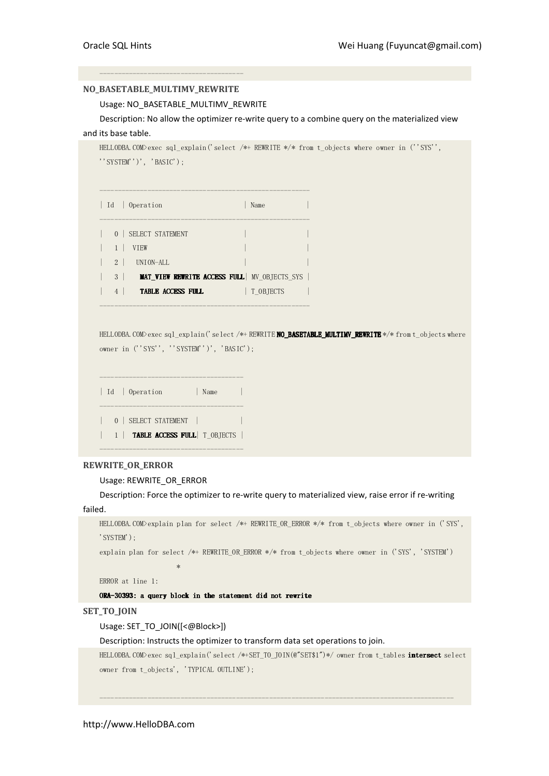# NO\_BASETABLE\_MULTIMV\_REWRITE

---------------------------------------

## Usage: NO\_BASETABLE\_MULTIMV\_REWRITE

Description: No allow the optimizer re-write query to a combine query on the materialized view and its base table.

```
HELLODBA.COM>exec sql_explain('select /*+ REWRITE */* from t_objects where owner in (''SYS'',
''SYSTEM'')', 'BASIC'); 
--------------------------------------------------------- 
| Id | Operation | Name
--------------------------------------------------------- 
| 0 | SELECT STATEMENT
| 1 | VIEW
\vert 2 \vert UNION-ALL
| 3 | MAT_VIEW REWRITE ACCESS FULL| MV_OBJECTS_SYS |
| 4 | TABLE ACCESS FULL | T_OBJECTS
---------------------------------------------------------
```
HELLODBA.COM>exec sql\_explain('select /\*+ REWRITE NO\_BASETABLE\_MULTIMV\_REWRITE \*/\* from t\_objects where owner in (''SYS'', ''SYSTEM'')', 'BASIC');

```
--------------------------------------- 
| Id | Operation | Name
--------------------------------------- 
| 0 | SELECT STATEMENT | | 
| 1 | TABLE ACCESS FULL| T_OBJECTS |
---------------------------------------
```
## REWRITE\_OR\_ERROR

Usage: REWRITE\_OR\_ERROR

Description: Force the optimizer to re-write query to materialized view, raise error if re-writing failed.

```
HELLODBA.COM>explain plan for select /*+ REWRITE_OR_ERROR */* from t_objects where owner in ('SYS', 
'SYSTEM');
```
explain plan for select /\*+ REWRITE\_OR\_ERROR \*/\* from t\_objects where owner in ('SYS', 'SYSTEM')

ERROR at line 1:

\*\*\*\*\*\*\*\*\*\*\*\*\*\*\*\*\*\*\*\*\*\*

ORA-30393: a query block in the statement did not rewrite

SET\_TO\_JOIN

Usage: SET\_TO\_JOIN([<@Block>])

Description: Instructs the optimizer to transform data set operations to join.

HELLODBA.COM>exec sql\_explain('select /\*+SET\_TO\_JOIN(@"SET\$1")\*/ owner from t\_tables intersect select owner from t\_objects', 'TYPICAL OUTLINE');

------------------------------------------------------------------------------------------------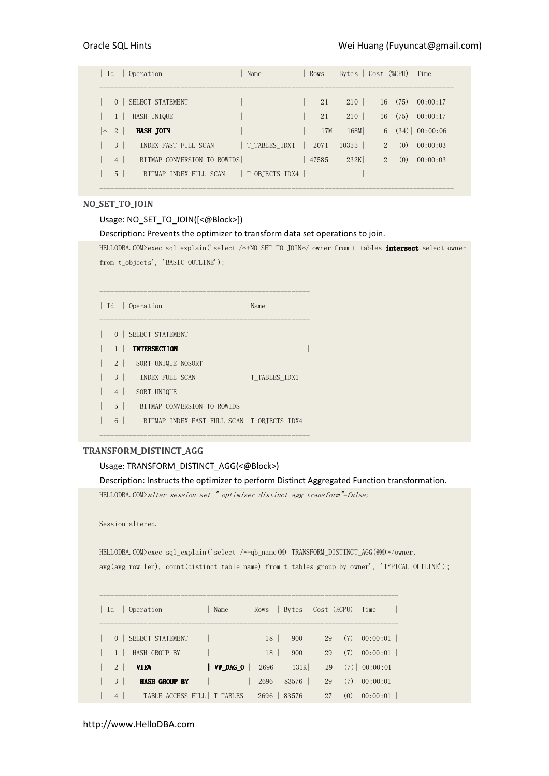| Id<br>Operation<br>Rows  <br>Name                                          | Bytes   Cost (%CPU)   Time       |
|----------------------------------------------------------------------------|----------------------------------|
|                                                                            |                                  |
| SELECT STATEMENT<br>210<br>21<br>$\Omega$                                  | 16(75)   00:00:17                |
| 210<br>HASH UNIQUE<br>21                                                   | 16(75)   00:00:17                |
| 168M<br>17M<br>2<br><b>HASH JOIN</b><br>$\ast$                             | $(34)$ 00:00:06<br>6             |
| T TABLES_IDX1<br>3 <sup>1</sup><br>INDEX FAST FULL SCAN<br>2071<br>$10355$ | $(0)$ 00:00:03<br>$2^{1}$        |
| BITMAP CONVERSION TO ROWIDS<br>232K<br>47585<br>4 <sup>1</sup>             | $\overline{2}$<br>$(0)$ 00:00:03 |
| T OBJECTS IDX4  <br>$5^{\circ}$<br>BITMAP INDEX FULL SCAN                  |                                  |

## NO\_SET\_TO\_JOIN

## Usage: NO\_SET\_TO\_JOIN([<@Block>])

## Description: Prevents the optimizer to transform data set operations to join.

HELLODBA.COM>exec sql\_explain('select /\*+NO\_SET\_TO\_JOIN\*/ owner from t\_tables **intersect** select owner from t\_objects', 'BASIC OUTLINE');

|                | Id   Operation                             | Name          |  |
|----------------|--------------------------------------------|---------------|--|
| 0 <sup>1</sup> | SELECT STATEMENT                           |               |  |
|                | <b>INTERSECTION</b>                        |               |  |
| 2 <sup>1</sup> | SORT UNIQUE NOSORT                         |               |  |
| $3-1$          | INDEX FULL SCAN                            | T TABLES IDX1 |  |
| $\overline{4}$ | SORT UNIQUE                                |               |  |
| $5-1$          | BITMAP CONVERSION TO ROWIDS                |               |  |
| 6              | BITMAP INDEX FAST FULL SCAN T OBJECTS IDX4 |               |  |

---------------------------------------------------------

---------------------------------------------------------

# TRANSFORM\_DISTINCT\_AGG

# Usage: TRANSFORM\_DISTINCT\_AGG(<@Block>)

Description: Instructs the optimizer to perform Distinct Aggregated Function transformation.

HELLODBA.COM>alter session set "\_optimizer\_distinct\_agg\_transform"=false;

Session altered.

HELLODBA.COM>exec sql\_explain('select /\*+qb\_name(M) TRANSFORM\_DISTINCT\_AGG(@M)\*/owner, avg(avg\_row\_len), count(distinct table\_name) from t\_tables group by owner', 'TYPICAL OUTLINE');

| Operation<br>Id                           | Name            | Rows                   |    | Bytes   Cost (%CPU)   Time |
|-------------------------------------------|-----------------|------------------------|----|----------------------------|
|                                           |                 |                        |    |                            |
| SELECT STATEMENT<br>$\overline{0}$        |                 | 900<br>18 <sup>1</sup> | 29 | $(7)$ 00:00:01             |
| <b>HASH GROUP BY</b>                      |                 | 18<br>900              | 29 | $(7)$ 00:00:01             |
| $2^{\circ}$<br><b>VIEW</b>                | <b>WW</b> DAG 0 | 2696<br>131K           | 29 | $(7)$ 00:00:01             |
| <b>HASH GROUP BY</b><br>3                 |                 | 83576<br>2696          | 29 | $(7)$   00:00:01           |
| TABLE ACCESS FULL   T TABLES<br>$4 \vert$ |                 | 2696<br>83576          | 27 | 00:00:01<br>(0)            |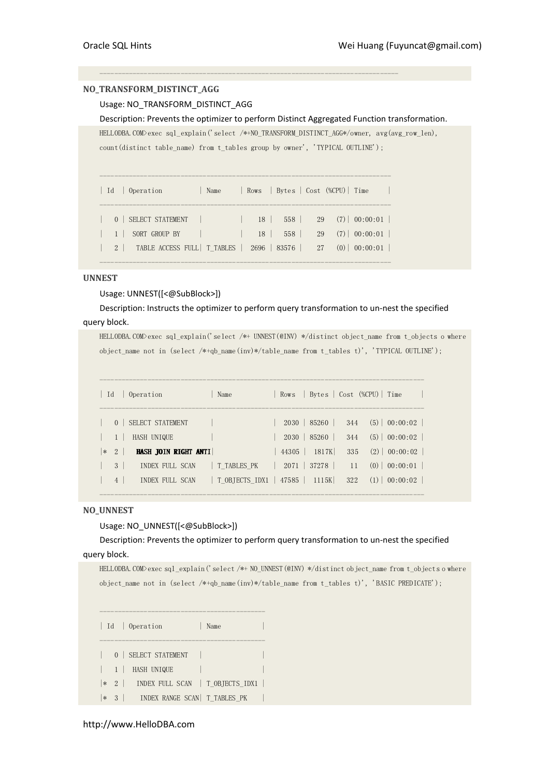# NO\_TRANSFORM\_DISTINCT\_AGG

# Usage: NO\_TRANSFORM\_DISTINCT\_AGG

Description: Prevents the optimizer to perform Distinct Aggregated Function transformation.

HELLODBA.COM>exec sql\_explain('select /\*+NO\_TRANSFORM\_DISTINCT\_AGG\*/owner, avg(avg\_row\_len), count(distinct table name) from t\_tables group by owner', 'TYPICAL OUTLINE');

---------------------------------------------------------------------------------

| Id Operation                                                        | Name |    |     | Rows   Bytes   Cost (%CPU)   Time |
|---------------------------------------------------------------------|------|----|-----|-----------------------------------|
| 0 SELECT STATEMENT                                                  |      | 18 |     | $558$   29 (7)   00:00:01         |
| 1 SORT GROUP BY                                                     |      | 18 | 558 | 29(7) 00:00:01                    |
| 2   TABLE ACCESS FULL   T TABLES   2696   83576   27 (0)   00:00:01 |      |    |     |                                   |

-------------------------------------------------------------------------------

-------------------------------------------------------------------------------

# **UNNEST**

## Usage: UNNEST([<@SubBlock>])

# Description: Instructs the optimizer to perform query transformation to un-nest the specified query block.

HELLODBA.COM>exec sql\_explain('select /\*+ UNNEST(@INV) \*/distinct object\_name from t\_objects o where

object\_name not in (select /\*+qb\_name(inv)\*/table\_name from t\_tables t)', 'TYPICAL OUTLINE');

| Id     |                | Operation                       | Name                           |  |                                          |            | Rows   Bytes   Cost (%CPU)   Time      |
|--------|----------------|---------------------------------|--------------------------------|--|------------------------------------------|------------|----------------------------------------|
|        | $\Omega$       | SELECT STATEMENT<br>HASH UNIQUE |                                |  | 2030   85260  <br>$2030 \mid 85260 \mid$ | 344<br>344 | $(5)$   00:00:02  <br>$(5)$   00:00:02 |
| $\ast$ | 2              | HASH JOIN RIGHT ANTI            |                                |  | 44305   1817K                            | 335        | $(2)$ 00:00:02                         |
|        | 3              | INDEX FULL SCAN                 | T TABLES PK                    |  | $2071$   37278                           |            | $11$ (0) 00:00:01                      |
|        | $\overline{4}$ | INDEX FULL SCAN                 | T OBJECTS IDX1   47585   1115K |  |                                          | 322        | $(1)$   00:00:02                       |

# NO\_UNNEST

## Usage: NO\_UNNEST([<@SubBlock>])

Description: Prevents the optimizer to perform query transformation to un-nest the specified query block.

```
HELLODBA.COM>exec sql_explain('select /*+ NO_UNNEST(@INV) */distinct object_name from t_objects o where 
object_name not in (select /*+qb_name(inv)*/table_name from t_tables t)', 'BASIC PREDICATE');
```

|   |                | Id   Operation                             | Name |  |
|---|----------------|--------------------------------------------|------|--|
|   | 0 <sup>1</sup> | SELECT STATEMENT                           |      |  |
|   | $1 \perp$      | HASH UNIQUE                                |      |  |
|   |                | $ \cdot 2 $ INDEX FULL SCAN T OBJECTS IDX1 |      |  |
| ∗ |                | 3   INDEX RANGE SCAN   T_TABLES_PK         |      |  |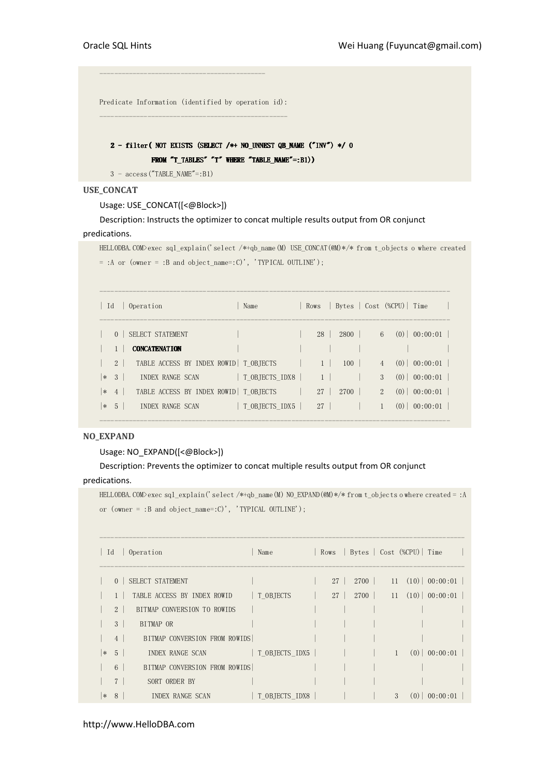Predicate Information (identified by operation id): ---------------------------------------------------

---------------------------------------------

# $2$  -filter( NOT EXISTS (SELECT /\*+ NO\_UNNEST QB\_NAME ("INV") \*/ 0 FROM  $T_{{\text{I}^{\text{R}}}}$  and  $T_{{\text{I}^{\text{R}}}}$  and  $T_{{\text{I}^{\text{R}}}}$  and  $T_{{\text{I}^{\text{R}}}}$  and  $T_{{\text{I}^{\text{R}}}}$  and  $T_{{\text{I}^{\text{R}}}}$  and  $T_{{\text{I}^{\text{R}}}}$

3 - access("TABLE\_NAME"=:B1)

# USE\_CONCAT

Usage: USE\_CONCAT([<@Block>])

Description: Instructs the optimizer to concat multiple results output from OR conjunct

# predications.

HELLODBA.COM>exec sql\_explain('select /\*+qb\_name(M) USE\_CONCAT(@M)\*/\* from t\_objects o where created = :A or (owner = :B and object\_name=:C)', 'TYPICAL OUTLINE');

| Id     |                | Operation                               | Name           |                 |      |                | Rows   Bytes   Cost (%CPU)   Time |
|--------|----------------|-----------------------------------------|----------------|-----------------|------|----------------|-----------------------------------|
|        | $\Omega$       | SELECT STATEMENT                        |                | 28 <sup>1</sup> | 2800 |                | $6$ (0) 00:00:01                  |
|        |                | <b>CONCATENATION</b>                    |                |                 |      |                |                                   |
|        | 2 <sup>1</sup> | TABLE ACCESS BY INDEX ROWID   T OBJECTS |                |                 | 100  | $\overline{4}$ | $(0)$   00:00:01                  |
| $\ast$ | 3 <sup>7</sup> | INDEX RANGE SCAN                        | T OBJECTS IDX8 |                 |      | 3              | $(0)$ 00:00:01                    |
|        | $\ast$ 4       | TABLE ACCESS BY INDEX ROWID   T OBJECTS |                | 27 <sup>1</sup> | 2700 | $2^{\circ}$    | $(0)$ 00:00:01                    |
| $*$ 5  |                | <b>INDEX RANGE SCAN</b>                 | T OBJECTS IDX5 | 27              |      |                | (0)<br>$00:00:01$                 |

-----------------------------------------------------------------------------------------------

## NO\_EXPAND

# Usage: NO\_EXPAND([<@Block>])

# Description: Prevents the optimizer to concat multiple results output from OR conjunct predications.

HELLODBA.COM>exec sql\_explain('select /\*+qb\_name(M) NO\_EXPAND(@M)\*/\* from t\_objects o where created = :A or (owner = :B and object\_name=:C)', 'TYPICAL OUTLINE');

|        | Id             | Operation                     | Name                           |                 |      |              | Rows   Bytes   Cost (%CPU)   Time |                                    |
|--------|----------------|-------------------------------|--------------------------------|-----------------|------|--------------|-----------------------------------|------------------------------------|
|        | $\Omega$       | SELECT STATEMENT              |                                | 27 <sup>1</sup> | 2700 |              |                                   | $11 \quad (10) \mid 00:00:01 \mid$ |
|        |                | TABLE ACCESS BY INDEX ROWID   | T OBJECTS                      | 27 <sup>2</sup> |      |              |                                   | $2700$   11 (10)   00:00:01        |
|        | 2 <sup>1</sup> | BITMAP CONVERSION TO ROWIDS   |                                |                 |      |              |                                   |                                    |
|        | 3 <sup>1</sup> | BITMAP OR                     |                                |                 |      |              |                                   |                                    |
|        | 4 <sup>1</sup> | BITMAP CONVERSION FROM ROWIDS |                                |                 |      |              |                                   |                                    |
| *      | 5 <sup>1</sup> | INDEX RANGE SCAN              | $\vert$ T OBJECTS IDX5 $\vert$ |                 |      | $\mathbf{1}$ |                                   | $(0)$ 00:00:01                     |
|        | 6 <sup>1</sup> | BITMAP CONVERSION FROM ROWIDS |                                |                 |      |              |                                   |                                    |
|        | 7 <sup>1</sup> | SORT ORDER BY                 |                                |                 |      |              |                                   |                                    |
| $\ast$ | 8              | INDEX RANGE SCAN              | T OBJECTS IDX8                 |                 |      | 3            |                                   | $(0)$   00:00:01                   |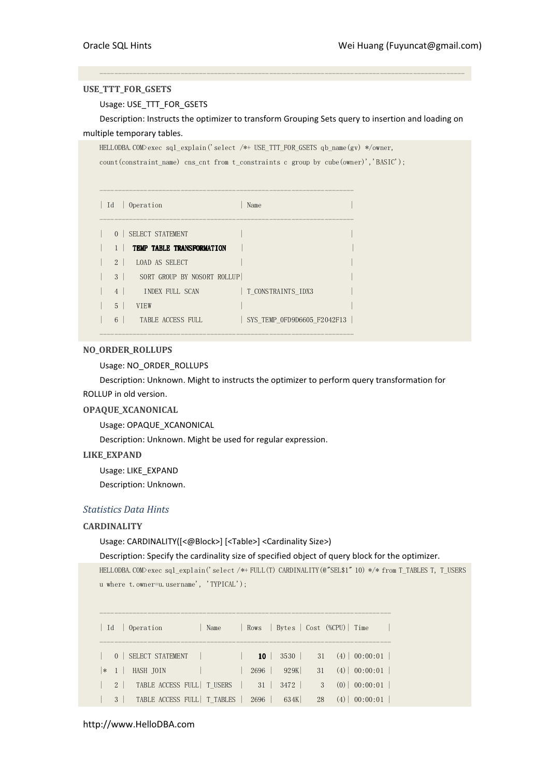## USE\_TTT\_FOR\_GSETS

# Usage: USE\_TTT\_FOR\_GSETS

Description: Instructs the optimizer to transform Grouping Sets query to insertion and loading on multiple temporary tables.

---------------------------------------------------------------------------------------------------

HELLODBA.COM>exec sql\_explain('select /\*+ USE\_TTT\_FOR\_GSETS qb\_name(gv) \*/owner,

count(constraint\_name) cns\_cnt from t\_constraints c group by cube(owner)','BASIC');

| $\vert$ Id     | Operation                       | Name                        |  |
|----------------|---------------------------------|-----------------------------|--|
|                | 0   SELECT STATEMENT            |                             |  |
|                | TEMP TABLE TRANSFORMATION       |                             |  |
| $2 \perp$      | LOAD AS SELECT                  |                             |  |
|                | 3   SORT GROUP BY NOSORT ROLLUP |                             |  |
| 4              | <b>INDEX FULL SCAN</b>          | T CONSTRAINTS IDX3          |  |
| $\overline{5}$ | <b>VTEW</b>                     |                             |  |
| 6              | TABLE ACCESS FULL               | SYS TEMP OFD9D6605 F2042F13 |  |

---------------------------------------------------------------------

# NO\_ORDER\_ROLLUPS

Usage: NO\_ORDER\_ROLLUPS

Description: Unknown. Might to instructs the optimizer to perform query transformation for ROLLUP in old version.

# OPAQUE\_XCANONICAL

Usage: OPAQUE\_XCANONICAL

Description: Unknown. Might be used for regular expression.

# LIKE\_EXPAND

Usage: LIKE\_EXPAND

Description: Unknown.

# Statistics Data Hints

## **CARDINALITY**

Usage: CARDINALITY([<@Block>] [<Table>] <Cardinality Size>)

Description: Specify the cardinality size of specified object of query block for the optimizer.

```
HELLODBA.COM>exec sql_explain('select /*+ FULL(T) CARDINALITY(@"SEL$1" 10) */* from T_TABLES T, T_USERS 
u where t.owner=u.username', 'TYPICAL');
```

| $\vert$ Id | Operation<br>Name                         |                 |             |    | Rows   Bytes   Cost (%CPU)   Time  |
|------------|-------------------------------------------|-----------------|-------------|----|------------------------------------|
|            | 0   SELECT STATEMENT                      | 10 <sup>1</sup> | 3530        |    | $31 \quad (4) \mid 00:00:01 \mid$  |
|            | HASH JOIN<br>$ * 1$                       | $2696$          | 929K        |    | $31 \quad (4) \mid 00:00:01 \mid$  |
|            | TABLE ACCESS FULL   T_USERS  <br>$2 \mid$ | 31              | 3472        |    | 3 <sup>3</sup><br>$(0)$   00:00:01 |
|            | TABLE ACCESS FULL   T TABLES<br>$3 \mid$  |                 | $2696$ 634K | 28 | $(4)$   00:00:01                   |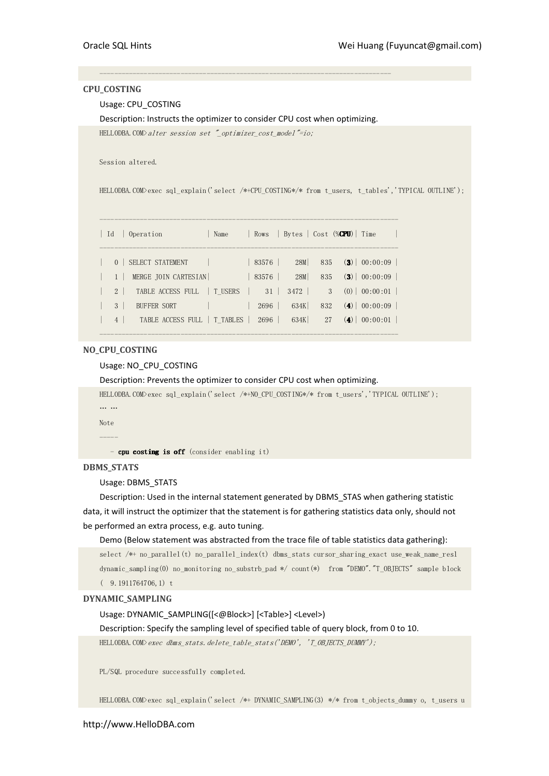# CPU\_COSTING

# Usage: CPU\_COSTING

Description: Instructs the optimizer to consider CPU cost when optimizing.

-------------------------------------------------------------------------------

HELLODBA.COM>alter session set "\_optimizer\_cost\_model"=io;

Session altered.

HELLODBA.COM>exec sql\_explain('select /\*+CPU\_COSTING\*/\* from t\_users, t\_tables','TYPICAL OUTLINE');

| $\vert$ Id     | Operation                    | Name | Rows  |      |     | Bytes   Cost (% <b>CPU</b> )   Time |                          |  |
|----------------|------------------------------|------|-------|------|-----|-------------------------------------|--------------------------|--|
| $\Omega$       | SELECT STATEMENT             |      | 83576 | 28M  | 835 |                                     | $(3) \mid 00:00:09 \mid$ |  |
|                | MERGE JOIN CARTESIAN         |      | 83576 | 28M  | 835 |                                     | $(3) \mid 00:00:09$      |  |
| $2 \mid$       | TABLE ACCESS FULL   T USERS  |      | 31    | 3472 | 3   |                                     | $(0)$   00:00:01         |  |
| 3              | <b>BUFFER SORT</b>           |      | 2696  | 634K | 832 |                                     | $(4)$   00:00:09         |  |
| $\overline{4}$ | TABLE ACCESS FULL   T TABLES |      | 2696  | 634K | 27  |                                     | $(4)$   00:00:01         |  |

---------------------------------------------------------------------------------

## NO\_CPU\_COSTING

## Usage: NO\_CPU\_COSTING

Description: Prevents the optimizer to consider CPU cost when optimizing.

```
HELLODBA.COM>exec sql_explain('select /*+NO_CPU_COSTING*/* from t_users','TYPICAL OUTLINE'); 
… … 
Note
```
-----

- cpu costing is off (consider enabling it)

# DBMS\_STATS

Usage: DBMS\_STATS

Description: Used in the internal statement generated by DBMS\_STAS when gathering statistic data, it will instruct the optimizer that the statement is for gathering statistics data only, should not be performed an extra process, e.g. auto tuning.

## Demo (Below statement was abstracted from the trace file of table statistics data gathering):

select /\*+ no\_parallel(t) no\_parallel\_index(t) dbms\_stats cursor\_sharing\_exact use\_weak\_name\_resl dynamic\_sampling(0) no\_monitoring no\_substrb\_pad \*/ count(\*) from "DEMO"."T\_OBJECTS" sample block ( 9.1911764706,1) t

# DYNAMIC\_SAMPLING

Usage: DYNAMIC\_SAMPLING([<@Block>] [<Table>] <Level>)

Description: Specify the sampling level of specified table of query block, from 0 to 10.

HELLODBA.COM>exec dbms\_stats.delete\_table\_stats('DEMO', 'T\_OBJECTS\_DUMMY');

PL/SQL procedure successfully completed.

HELLODBA.COM>exec sql\_explain('select /\*+ DYNAMIC\_SAMPLING(3) \*/\* from t\_objects\_dummy o, t\_users u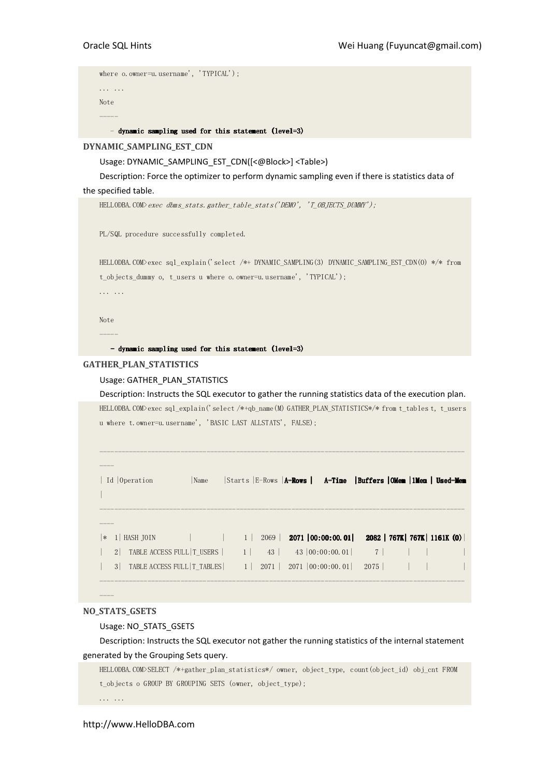```
where o.owner=u.username', 'TYPICAL');
... ... 
Note 
-----
```
## - dynamic sampling used for this statement (level=3)

## DYNAMIC\_SAMPLING\_EST\_CDN

Usage: DYNAMIC\_SAMPLING\_EST\_CDN([<@Block>] <Table>)

Description: Force the optimizer to perform dynamic sampling even if there is statistics data of the specified table.

HELLODBA.COM>exec dbms\_stats.gather\_table\_stats('DEMO', 'T\_OBJECTS\_DUMMY');

PL/SQL procedure successfully completed.

HELLODBA.COM>exec sql\_explain('select /\*+ DYNAMIC\_SAMPLING(3) DYNAMIC\_SAMPLING\_EST\_CDN(O) \*/\* from t\_objects\_dummy o, t\_users u where o.owner=u.username', 'TYPICAL'); ... ...

Note -----

 $-d$ ynamic sampling used for this statement (level=3)

#### GATHER\_PLAN\_STATISTICS

## Usage: GATHER\_PLAN\_STATISTICS

Description: Instructs the SQL executor to gather the running statistics data of the execution plan. HELLODBA.COM>exec sql\_explain('select /\*+qb\_name(M) GATHER\_PLAN\_STATISTICS\*/\* from t\_tables t, t\_users u where t.owner=u.username', 'BASIC LAST ALLSTATS', FALSE);

---------------------------------------------------------------------------------------------------

| Id Operation                                      | Name |  | Starts E-Rows   A-Rows   A-Time   Buffers   OMem   1Mem   Used-Mem |                                |  |
|---------------------------------------------------|------|--|--------------------------------------------------------------------|--------------------------------|--|
| 1   HASH JOIN<br>∣∗                               |      |  | $\vert$ 1 2069 2071 00:00:00.01 2082 767K 767K 1161K (0)           |                                |  |
| TABLE ACCESS FULL TUSERS   1 43<br>2 <sup>1</sup> |      |  | $43 \mid 00:00:00.01$ 7                                            |                                |  |
| 3 <sup>1</sup>                                    |      |  |                                                                    | $2075$ $\vert$ $\vert$ $\vert$ |  |
|                                                   |      |  |                                                                    |                                |  |

## NO\_STATS\_GSETS

----

#### Usage: NO\_STATS\_GSETS

Description: Instructs the SQL executor not gather the running statistics of the internal statement generated by the Grouping Sets query.

HELLODBA.COM>SELECT /\*+gather\_plan\_statistics\*/ owner, object\_type, count(object\_id) obj\_cnt FROM t objects o GROUP BY GROUPING SETS (owner, object type);

... ...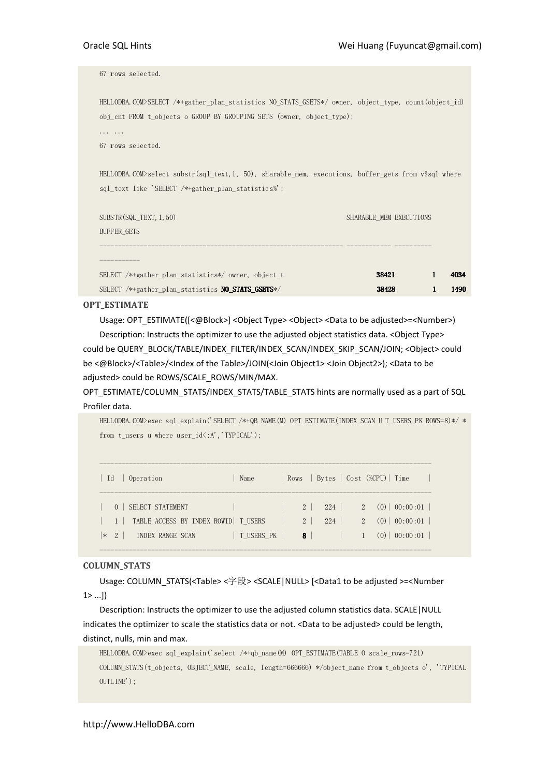| 67 rows selected.                                                                                                                                                                                  |                                                                |
|----------------------------------------------------------------------------------------------------------------------------------------------------------------------------------------------------|----------------------------------------------------------------|
| HELLODBA.COM>SELECT /*+gather plan statistics NO STATS GSETS*/ owner, object type, count (object id)<br>obj cnt FROM t objects o GROUP BY GROUPING SETS (owner, object type);<br>67 rows selected. |                                                                |
| HELLODBA. COM>select substr(sql text, 1, 50), sharable mem, executions, buffer gets from $\sqrt{s}$ sql where<br>sql text like 'SELECT /*+gather plan statistics%';                                |                                                                |
| SUBSTR(SQL TEXT, 1, 50)<br><b>BUFFER GETS</b>                                                                                                                                                      | SHARABLE MEM EXECUTIONS                                        |
| SELECT $/*+$ gather plan statistics*/ owner, object t<br>SELECT /*+gather plan statistics <b>NO STATS GSETS</b> */                                                                                 | $\mathbf{1}$<br>4034<br>38421<br>38428<br>$\mathbf{1}$<br>1490 |

OPT\_ESTIMATE

Usage: OPT\_ESTIMATE([<@Block>] <Object Type> <Object> <Data to be adjusted>=<Number>) Description: Instructs the optimizer to use the adjusted object statistics data. < Object Type>

could be QUERY\_BLOCK/TABLE/INDEX\_FILTER/INDEX\_SCAN/INDEX\_SKIP\_SCAN/JOIN; <Object> could be <@Block>/<Table>/<Index of the Table>/JOIN(<Join Object1> <Join Object2>); <Data to be adjusted> could be ROWS/SCALE\_ROWS/MIN/MAX.

OPT\_ESTIMATE/COLUMN\_STATS/INDEX\_STATS/TABLE\_STATS hints are normally used as a part of SQL Profiler data.

HELLODBA.COM>exec sql\_explain('SELECT /\*+QB\_NAME(M) OPT\_ESTIMATE(INDEX\_SCAN U T\_USERS\_PK ROWS=8)\*/ \* from t\_users u where user  $id\langle :A', 'TYPICAL' \rangle$ ;

| Id |          | Operation                                                     | Name       |                            | Rows   Bytes   Cost (%CPU)   Time |     |                                             |  |
|----|----------|---------------------------------------------------------------|------------|----------------------------|-----------------------------------|-----|---------------------------------------------|--|
|    | $\Omega$ | SELECT STATEMENT<br>1   TABLE ACCESS BY INDEX ROWID   T USERS |            | $2 \mid$<br>2 <sup>1</sup> | 224                               |     | $224$   2 (0)   00:00:01  <br>2(0) 00:00:01 |  |
|    | $*$ 2    | INDEX RANGE SCAN                                              | T USERS PK | 8 <sup>1</sup>             |                                   | (0) | 00:00:01                                    |  |

------------------------------------------------------------------------------------------

## COLUMN\_STATS

Usage: COLUMN\_STATS(<Table> <字段> <SCALE|NULL> [<Data1 to be adjusted >=<Number  $1 > ...]$ 

Description: Instructs the optimizer to use the adjusted column statistics data. SCALE|NULL indicates the optimizer to scale the statistics data or not. <Data to be adjusted> could be length, distinct, nulls, min and max.

```
HELLODBA.COM>exec sql_explain('select /*+qb_name(M) OPT_ESTIMATE(TABLE O scale_rows=721) 
COLUMN_STATS(t_objects, OBJECT_NAME, scale, length=666666) */object_name from t_objects o', 'TYPICAL 
OUTLINE');
```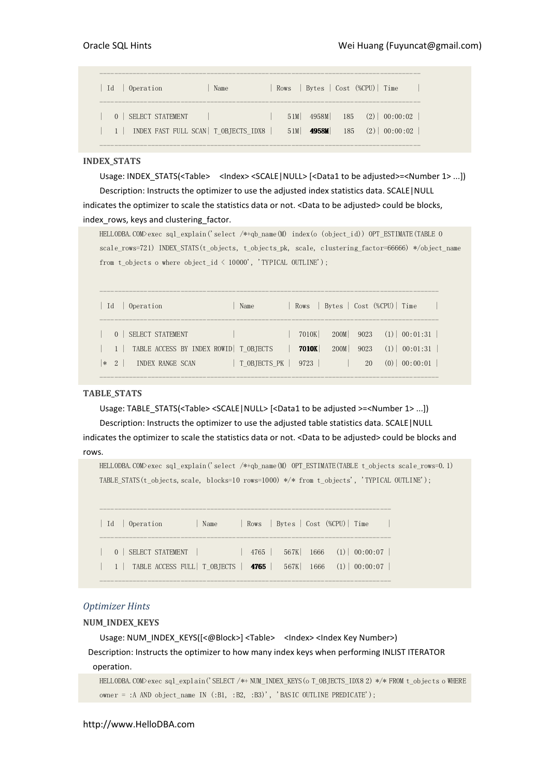| 0 Operation<br>Id.                                                | Name |            |       | Rows   Bytes   Cost (%CPU)   Time                         |
|-------------------------------------------------------------------|------|------------|-------|-----------------------------------------------------------|
| 0   SELECT STATEMENT<br>1   INDEX FAST FULL SCAN   T OBJECTS IDX8 |      | 51M<br>51M | 4958M | $4958M$ $185$ $(2)$ $00:00:02$<br>$185 \t(2) \t(00:00:02$ |

# INDEX\_STATS

Usage: INDEX\_STATS(<Table> <Index><SCALE|NULL> [<Data1 to be adjusted>=<Number 1> ...]) Description: Instructs the optimizer to use the adjusted index statistics data. SCALE|NULL indicates the optimizer to scale the statistics data or not. <Data to be adjusted> could be blocks, index rows, keys and clustering factor.

HELLODBA.COM>exec sql\_explain('select /\*+qb\_name(M) index(o (object\_id)) OPT\_ESTIMATE(TABLE O scale\_rows=721) INDEX\_STATS(t\_objects, t\_objects\_pk, scale, clustering\_factor=66666) \*/object\_name from t\_objects o where object\_id < 10000', 'TYPICAL OUTLINE');

| Operation<br>- Id                                                                                          | Name              |                |      |            | Rows   Bytes   Cost (%CPU)   Time                            |
|------------------------------------------------------------------------------------------------------------|-------------------|----------------|------|------------|--------------------------------------------------------------|
| SELECT STATEMENT<br>1   TABLE ACCESS BY INDEX ROWID   T OBTECTS<br><b>INDEX RANGE SCAN</b><br>$ *2\rangle$ | T OBJECTS PK 9723 | 7010K<br>7010K | 200M | 9023<br>20 | $200M$ 9023 (1) 00:01:31<br>$(1)$ 00:01:31<br>$(0)$ 00:00:01 |

# TABLE\_STATS

Usage: TABLE\_STATS(<Table> <SCALE | NULL> [<Data1 to be adjusted >=<Number 1> ...]) Description: Instructs the optimizer to use the adjusted table statistics data. SCALE|NULL indicates the optimizer to scale the statistics data or not. <Data to be adjusted> could be blocks and rows.

HELLODBA.COM>exec sql\_explain('select /\*+qb\_name(M) OPT\_ESTIMATE(TABLE t\_objects scale\_rows=0.1) TABLE\_STATS(t\_objects,scale, blocks=10 rows=1000) \*/\* from t\_objects', 'TYPICAL OUTLINE');

| Id   Operation                                                                                                                              | Name |  |  | Rows Bytes Cost (%CPU) Time |  |
|---------------------------------------------------------------------------------------------------------------------------------------------|------|--|--|-----------------------------|--|
| 0   SELECT STATEMENT   $4765$   $567K$   $1666$ (1)   00:00:07  <br>  1   TABLE ACCESS FULL   T_OBJECTS   4765   567K   1666 (1)   00:00:07 |      |  |  |                             |  |

-------------------------------------------------------------------------------

## Optimizer Hints

## NUM\_INDEX\_KEYS

Usage: NUM\_INDEX\_KEYS([<@Block>] <Table> <Index> <Index Key Number>) Description: Instructs the optimizer to how many index keys when performing INLIST ITERATOR operation.

HELLODBA.COM>exec sql\_explain('SELECT /\*+ NUM\_INDEX\_KEYS(o T\_OBJECTS\_IDX8 2) \*/\* FROM t\_objects o WHERE owner = :A AND object\_name IN (:B1, :B2, :B3)', 'BASIC OUTLINE PREDICATE');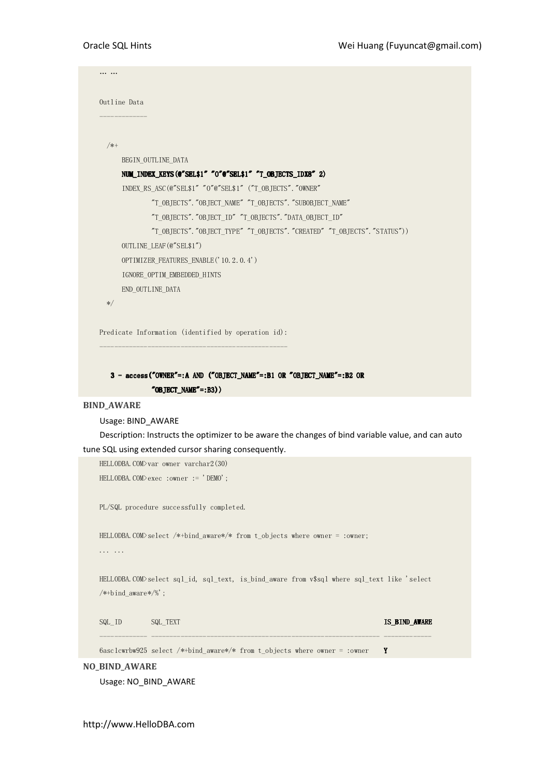```
… … 
    Outline Data 
    ------------- 
       /*+ 
           BEGIN_OUTLINE_DATA 
          NUM_INDEX_KEYS(@"SEL$1" "O"@"SEL$1" "T_OBJECTS_IDX8" 2)
          INDEX_RS_ASC(@"SEL$1" "O"@"SEL$1" ("T_OBJECTS". "OWNER"
                   "T_OBJECTS"."OBJECT_NAME" "T_OBJECTS"."SUBOBJECT_NAME" 
                   "T_OBJECTS"."OBJECT_ID" "T_OBJECTS"."DATA_OBJECT_ID" 
                   "T_OBJECTS"."OBJECT_TYPE" "T_OBJECTS"."CREATED" "T_OBJECTS"."STATUS")) 
           OUTLINE_LEAF(@"SEL$1") 
           OPTIMIZER_FEATURES_ENABLE('10.2.0.4') 
           IGNORE_OPTIM_EMBEDDED_HINTS 
           END_OUTLINE_DATA 
       */ 
    Predicate Information (identified by operation id):
    ---------------------------------------------------
       3 - access("OWNER"=:A AND ("OBJECT_NAME"=:B1 OR "OBJECT_NAME"=:B2 OR
                  "OBJECT_NAME"=:B3))
BIND_AWARE 
    Usage: BIND_AWARE 
    Description: Instructs the optimizer to be aware the changes of bind variable value, and can auto 
tune SQL using extended cursor sharing consequently. 
    HELLODBA.COM>var owner varchar2(30) 
    HELLODBA.COM>exec :owner := 'DEMO'; 
    PL/SQL procedure successfully completed. 
    HELLODBA.COM>select /*+bind_aware*/* from t_objects where owner = :owner;
    ... ... 
    HELLODBA.COM>select sql_id, sql_text, is_bind_aware from v$sql where sql_text like 'select 
    /*+bind_aware*/%'; 
    SQL_ID SQL_TEXT IS_BIND_AWARE
    ------------- -------------------------------------------------------------- ------------- 
    6asc1cwrbw925 select /*+bind_aware*/* from t_objects where owner = :owner Y
```
NO\_BIND\_AWARE

Usage: NO\_BIND\_AWARE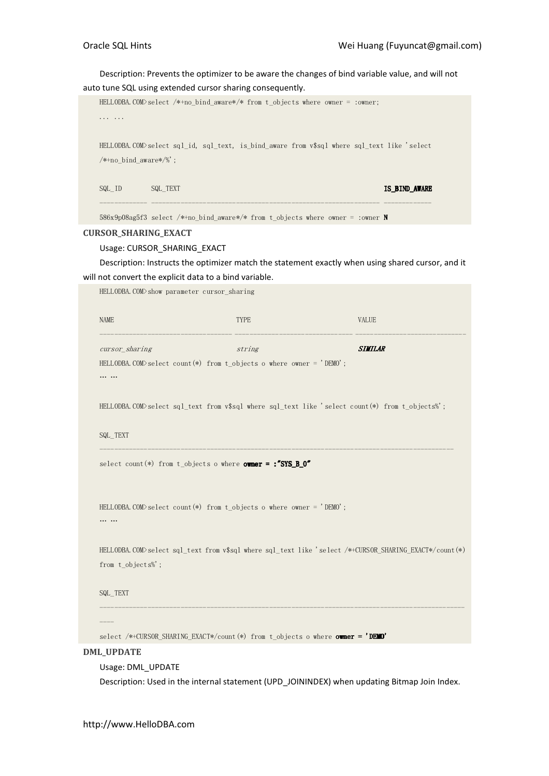Description: Prevents the optimizer to be aware the changes of bind variable value, and will not auto tune SQL using extended cursor sharing consequently.

|                             | auto tune SQL using extended cursor sharing consequently.                     |             |                                                                                                        |  |
|-----------------------------|-------------------------------------------------------------------------------|-------------|--------------------------------------------------------------------------------------------------------|--|
|                             |                                                                               |             | HELLODBA. COM>select /*+no_bind_aware*/* from t_objects where owner = :owner;                          |  |
| .                           |                                                                               |             |                                                                                                        |  |
|                             |                                                                               |             |                                                                                                        |  |
|                             |                                                                               |             | HELLODBA.COM>select sql_id, sql_text, is_bind_aware from v\$sql where sql_text like 'select            |  |
| $/*+no\_bind\_aware*/\%$ ;  |                                                                               |             |                                                                                                        |  |
|                             |                                                                               |             |                                                                                                        |  |
| $SQL$ $ID$                  | SQL_TEXT                                                                      |             | IS_BIND_AWARE                                                                                          |  |
|                             |                                                                               |             |                                                                                                        |  |
|                             |                                                                               |             |                                                                                                        |  |
|                             |                                                                               |             | 586x9p08ag5f3 select /*+no_bind_aware*/* from t_objects where owner = :owner N                         |  |
| <b>CURSOR_SHARING_EXACT</b> |                                                                               |             |                                                                                                        |  |
|                             | Usage: CURSOR_SHARING_EXACT                                                   |             |                                                                                                        |  |
|                             |                                                                               |             | Description: Instructs the optimizer match the statement exactly when using shared cursor, and it      |  |
|                             | will not convert the explicit data to a bind variable.                        |             |                                                                                                        |  |
|                             | HELLODBA.COM>show parameter cursor_sharing                                    |             |                                                                                                        |  |
|                             |                                                                               |             |                                                                                                        |  |
| <b>NAME</b>                 |                                                                               | <b>TYPE</b> | <b>VALUE</b>                                                                                           |  |
|                             |                                                                               |             |                                                                                                        |  |
| cursor_sharing              |                                                                               | string      | <b>SIMILAR</b>                                                                                         |  |
|                             | HELLODBA. COM $>$ select count(*) from t_objects o where owner = 'DEMO';      |             |                                                                                                        |  |
|                             |                                                                               |             |                                                                                                        |  |
|                             |                                                                               |             |                                                                                                        |  |
|                             |                                                                               |             |                                                                                                        |  |
|                             |                                                                               |             | HELLODBA.COM>select sql_text from v\$sql where sql_text like 'select count(*) from t_objects%';        |  |
|                             |                                                                               |             |                                                                                                        |  |
| SQL_TEXT                    |                                                                               |             |                                                                                                        |  |
|                             |                                                                               |             |                                                                                                        |  |
|                             | select count(*) from t_objects o where $\overline{\text{owner}} =$ :"SYS_B_O" |             |                                                                                                        |  |
|                             |                                                                               |             |                                                                                                        |  |
|                             |                                                                               |             |                                                                                                        |  |
|                             | HELLODBA. COM>select count(*) from t_objects o where owner = 'DEMO';          |             |                                                                                                        |  |
|                             |                                                                               |             |                                                                                                        |  |
|                             |                                                                               |             |                                                                                                        |  |
|                             |                                                                               |             | HELLODBA.COM>select sql_text from v\$sql where sql_text like 'select /*+CURSOR_SHARING_EXACT*/count(*) |  |
| from t_objects%;            |                                                                               |             |                                                                                                        |  |
|                             |                                                                               |             |                                                                                                        |  |
| SQL_TEXT                    |                                                                               |             |                                                                                                        |  |
|                             |                                                                               |             |                                                                                                        |  |
|                             |                                                                               |             |                                                                                                        |  |
|                             |                                                                               |             |                                                                                                        |  |
|                             |                                                                               |             | select /*+CURSOR_SHARING_EXACT*/count(*) from t_objects o where <b>owner = 'DEMO'</b>                  |  |
| <b>DML_UPDATE</b>           |                                                                               |             |                                                                                                        |  |
|                             | Usage: DML_UPDATE                                                             |             |                                                                                                        |  |

Description: Used in the internal statement (UPD\_JOININDEX) when updating Bitmap Join Index.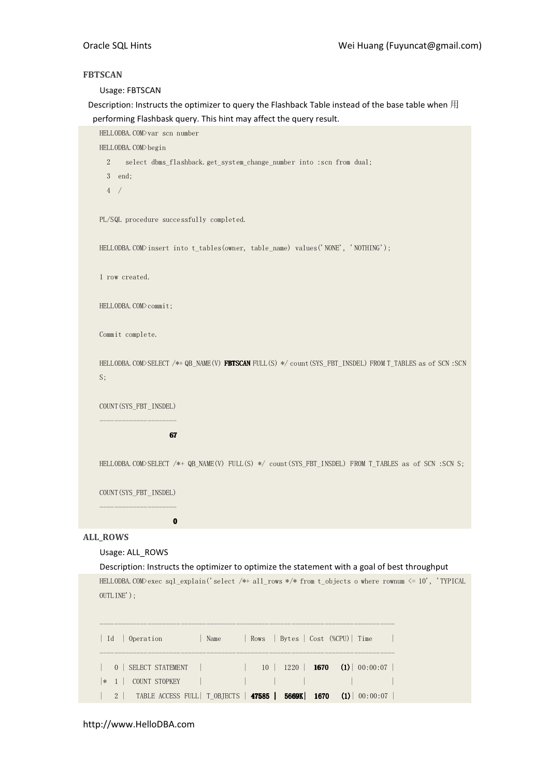## **FBTSCAN**

Usage: FBTSCAN

Description: Instructs the optimizer to query the Flashback Table instead of the base table when 用 performing Flashbask query. This hint may affect the query result.

HELLODBA.COM>var scn number

HELLODBA.COM>begin

2 select dbms\_flashback.get\_system\_change\_number into :scn from dual;

3 end;

4 /

PL/SQL procedure successfully completed.

HELLODBA.COM>insert into t\_tables(owner, table\_name) values('NONE', 'NOTHING');

1 row created.

HELLODBA.COM>commit;

Commit complete.

HELLODBA. COM>SELECT /\*+ QB\_NAME(V) FBTSCAN FULL(S) \*/ count(SYS\_FBT\_INSDEL) FROM T\_TABLES as of SCN :SCN S;

COUNT(SYS\_FBT\_INSDEL) ---------------------

## 67

HELLODBA.COM>SELECT /\*+ QB\_NAME(V) FULL(S) \*/ count(SYS\_FBT\_INSDEL) FROM T\_TABLES as of SCN :SCN S;

COUNT(SYS\_FBT\_INSDEL)

--------------------- **District Contract Only 1999** 

## ALL\_ROWS

## Usage: ALL\_ROWS

Description: Instructs the optimizer to optimize the statement with a goal of best throughput HELLODBA.COM>exec sql\_explain('select /\*+ all\_rows \*/\* from t\_objects o where rownum  $\leq 10$ ', 'TYPICAL OUTLINE');

| Id   Operation          | Name |  | Rows   Bytes   Cost (%CPU)   Time                                             |
|-------------------------|------|--|-------------------------------------------------------------------------------|
| 0   SELECT STATEMENT    |      |  | $10 \parallel 1220 \parallel 1670 \parallel (1) \parallel 00:00:07 \parallel$ |
| COUNT STOPKEY<br>$* 1 $ |      |  |                                                                               |
| $2 \mid$                |      |  | TABLE ACCESS FULL   T_OBJECTS   47585   5669K   1670 (1)   00:00:07           |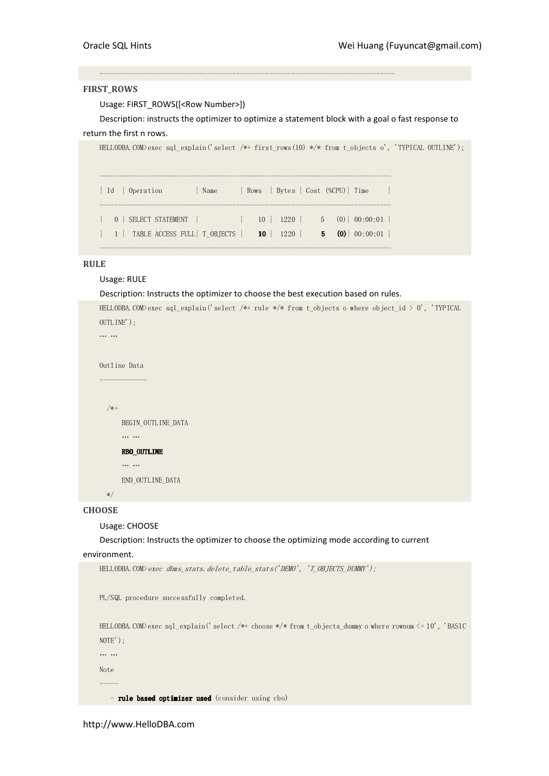## FIRST\_ROWS

Usage: FIRST\_ROWS([<Row Number>])

Description: instructs the optimizer to optimize a statement block with a goal o fast response to return the first n rows.

--------------------------------------------------------------------------------

```
HELLODBA.COM>exec sql_explain('select /*+ first_rows(10) */* from t_objects o', 'TYPICAL OUTLINE');
------------------------------------------------------------------------------- 
| Id | Operation | Name | Rows | Bytes | Cost (%CPU) | Time |
------------------------------------------------------------------------------- 
| 0 | SELECT STATEMENT | | 10 | 1220 | 5 (0) | 00:00:01 |
| 1 | TABLE ACCESS FULL | T_OBJECTS | 10 | 1220 | 5 (0) | 00:00:01 |
-------------------------------------------------------------------------------
```
## RULE

# Usage: RULE

Description: Instructs the optimizer to choose the best execution based on rules.

```
HELLODBA.COM>exec sql explain('select /*+ rule */* from t objects o where object id > 0', 'TYPICAL
OUTLINE'); 
… … 
Outline Data 
------------- 
   /*+ 
       BEGIN_OUTLINE_DATA 
       … … 
       RBO_OUTLINE RBO_OUTLINE 
       … … 
       END_OUTLINE_DATA 
   */
```
# **CHOOSE**

Usage: CHOOSE

## Description: Instructs the optimizer to choose the optimizing mode according to current

#### environment.

```
HELLODBA.COM>exec dbms_stats.delete_table_stats('DEMO', 'T_OBJECTS_DUMMY');
PL/SQL procedure successfully completed. 
HELLODBA.COM>exec sql_explain('select /*+ choose */* from t_objects_dummy o where rownum <= 10', 'BASIC 
NOTE'); 
… … 
Note 
----- 
   - rule based optimizer used (consider using cbo)
```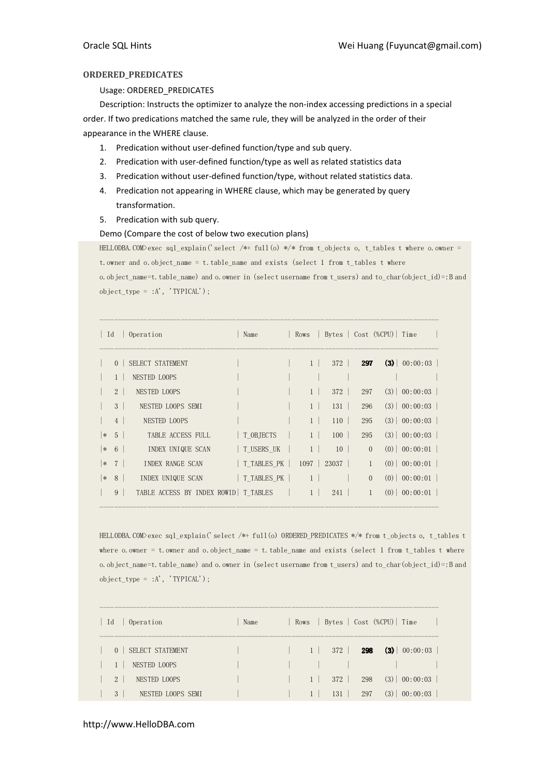# ORDERED\_PREDICATES

## Usage: ORDERED\_PREDICATES

Description: Instructs the optimizer to analyze the non-index accessing predictions in a special order. If two predications matched the same rule, they will be analyzed in the order of their appearance in the WHERE clause.

- 1. Predication without user-defined function/type and sub query.
- 2. Predication with user-defined function/type as well as related statistics data
- 3. Predication without user-defined function/type, without related statistics data.
- 4. Predication not appearing in WHERE clause, which may be generated by query transformation.
- 5. Predication with sub query.

## Demo (Compare the cost of below two execution plans)

HELLODBA.COM>exec sql\_explain('select /\*+ full(o) \*/\* from t\_objects o, t\_tables t where o.owner = t.owner and o.object\_name = t.table\_name and exists (select 1 from t\_tables t where o.object\_name=t.table\_name) and o.owner in (select username from t\_users) and to\_char(object\_id)=:B and

| $object_type = :A', 'TYPICAL');$ |  |  |
|----------------------------------|--|--|
|----------------------------------|--|--|

| Id     |                | Operation                                  | Name        |                |                |              | Rows   Bytes   Cost (%CPU)   Time |
|--------|----------------|--------------------------------------------|-------------|----------------|----------------|--------------|-----------------------------------|
|        | $\Omega$       | SELECT STATEMENT                           |             | $1 \perp$      | 372            | 297          | $(3) \mid 00:00:03 \mid$          |
|        |                | NESTED LOOPS                               |             |                |                |              |                                   |
|        | 2 <sup>1</sup> | NESTED LOOPS                               |             | 1              | 372            | 297          | $(3) \mid 00:00:03$               |
|        | $\mathcal{S}$  | NESTED LOOPS SEMI                          |             | 1 <sup>1</sup> | 131            | 296          | $(3) \mid 00:00:03$               |
|        | 4              | NESTED LOOPS                               |             | $1 \perp$      | 110            | 295          | $(3) \mid 00:00:03$               |
| $\ast$ | 5 <sup>1</sup> | TABLE ACCESS FULL                          | T OBJECTS   | $1 \mid$       | 100            | 295          | $(3) \mid 00:00:03$               |
| $\ast$ | 6              | INDEX UNIQUE SCAN                          | T USERS UK  | $1 \mid$       | $10-1$         | $\Omega$     | $(0)$ 00:00:01                    |
| $\ast$ | 7 <sup>7</sup> | INDEX RANGE SCAN                           | T TABLES PK |                | $1097$   23037 | $\mathbf{1}$ | $(0)$ 00:00:01                    |
| $\ast$ | 8              | INDEX UNIQUE SCAN                          | T TABLES PK | 1 <sup>1</sup> |                | $\Omega$     | $(0)$ 00:00:01                    |
|        | 9              | TABLE ACCESS BY INDEX ROWID   T TABLES   1 |             |                | 241            | $\mathbf{1}$ | $(0)$   00:00:01                  |

HELLODBA.COM>exec sql\_explain('select /\*+ full(o) ORDERED\_PREDICATES \*/\* from t\_objects o, t\_tables t where  $o.$  owner = t. owner and  $o.$  object\_name = t. table\_name and exists (select 1 from t\_tables t where o.object\_name=t.table\_name) and o.owner in (select username from t\_users) and to\_char(object\_id)=:B and  ${\tt object\_type} \ = \ : {\tt A'} \ , \ \ '{\tt TYPICAL'} \ ) \ ;$ 

| Operation<br>Id                | Name |                |     |     | Rows   Bytes   Cost (%CPU)   Time |
|--------------------------------|------|----------------|-----|-----|-----------------------------------|
| 0   SELECT STATEMENT           |      | 1 <sup>1</sup> | 372 | 298 | $(3) \mid 00:00:03$               |
| NESTED LOOPS                   |      |                |     |     |                                   |
| 2 <sup>1</sup><br>NESTED LOOPS |      | $1 \vert$      | 372 | 298 | $(3) \mid 00:00:03$               |
| 3<br>NESTED LOOPS SEMI         |      |                | 131 | 297 | (3)<br>00:00:03                   |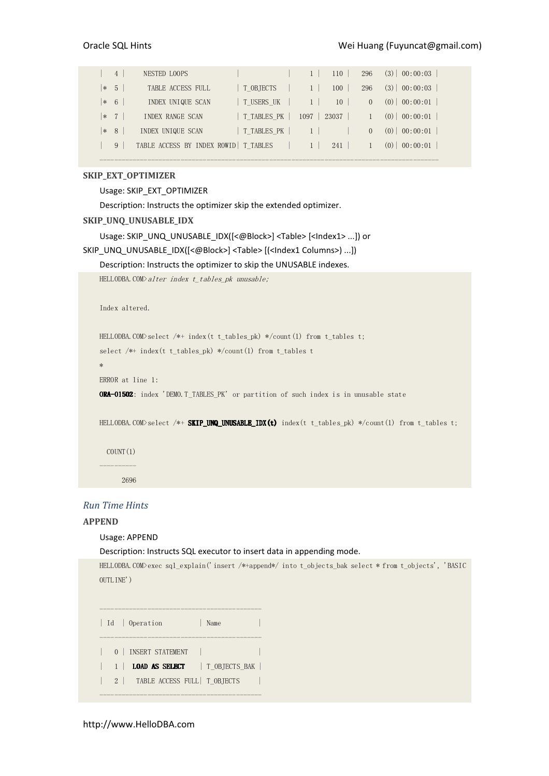|        | $\overline{4}$ | NESTED LOOPS                           |                            | 110                   | 296      | $(3) \mid 00:00:03$ |
|--------|----------------|----------------------------------------|----------------------------|-----------------------|----------|---------------------|
| $*$    | $-5$           | TABLE ACCESS FULL                      | T OBJECTS                  | 100<br>1 <sup>1</sup> | 296      | $(3) \mid 00:00:03$ |
| $* 6$  |                | INDEX UNIQUE SCAN                      | T USERS UK                 | 10<br>$1 \perp$       | $\Omega$ | $(0)$   00:00:01    |
|        | $ *$ 7         | INDEX RANGE SCAN                       | T TABLES PK   1097   23037 |                       |          | $(0)$ 00:00:01      |
| $\ast$ | -8             | INDEX UNIQUE SCAN                      | T TABLES PK                |                       | $\Omega$ | $(0)$ 00:00:01      |
|        | 9              | TABLE ACCESS BY INDEX ROWID   T TABLES |                            | 241                   |          | (0)<br>00:00:01     |

--------------------------------------------------------------------------------------------

# SKIP\_EXT\_OPTIMIZER

Usage: SKIP\_EXT\_OPTIMIZER

Description: Instructs the optimizer skip the extended optimizer.

#### SKIP\_UNQ\_UNUSABLE\_IDX

```
Usage: SKIP_UNQ_UNUSABLE_IDX([<@Block>] <Table> [<Index1> ...]) or
```

```
SKIP_UNQ_UNUSABLE_IDX([<@Block>] <Table> [(<Index1 Columns>) ...])
```
#### Description: Instructs the optimizer to skip the UNUSABLE indexes.

```
HELLODBA.COM\lambdaalter index t_tables_pk unusable;
```

```
Index altered.
```
HELLODBA.COM>select /\*+ index(t t\_tables\_pk) \*/count(1) from t\_tables t;

select /\*+ index(t t\_tables\_pk) \*/count(1) from t\_tables t

```
ERROR at line 1:
```
\*

ORA-01502: index 'DEMO.T\_TABLES\_PK' or partition of such index is in unusable state

HELLODBA.COM>select /\*+ SKIP\_UNQ\_UNUSABLE\_IDX(t) index(t t\_tables\_pk) \*/count(1) from t\_tables t;

```
COUNT(1)----------
```
2696

## Run Time Hints

## APPEND

#### Usage: APPEND

Description: Instructs SQL executor to insert data in appending mode.

HELLODBA.COM>exec sql\_explain('insert /\*+append\*/ into t\_objects\_bak select \* from t\_objects', 'BASIC OUTLINE')

```
-------------------------------------------- 
| Id | Operation | Name | |
-------------------------------------------- 
| 0 | INSERT STATEMENT | |
| 1 | LOAD AS SELECT | T_OBJECTS_BAK | 
| 2 | TABLE ACCESS FULL | T_OBJECTS |
```
--------------------------------------------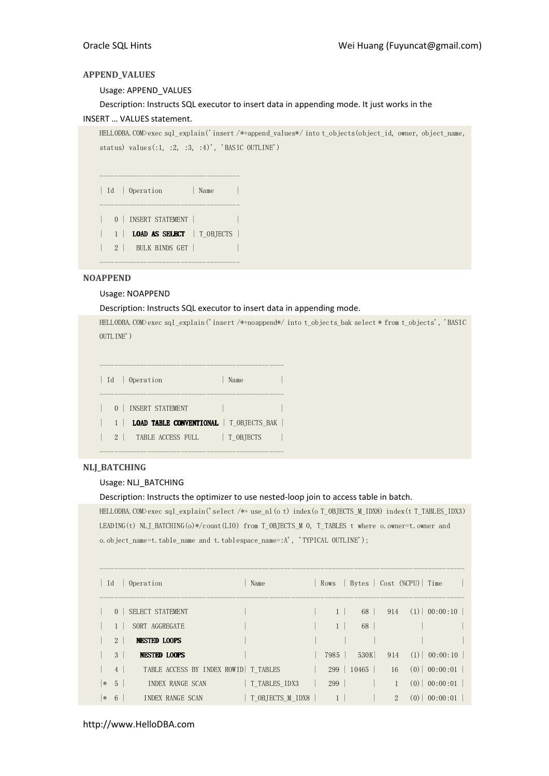# APPEND\_VALUES

Usage: APPEND\_VALUES

Description: Instructs SQL executor to insert data in appending mode. It just works in the INSERT … VALUES statement.

HELLODBA.COM>exec sql\_explain('insert /\*+append\_values\*/ into t\_objects(object\_id, owner, object\_name, status) values $(:1, :2, :3, :4)'$ , 'BASIC OUTLINE')

| Id | Operation | Name | -------------------------------------- | 0 | INSERT STATEMENT | | | 1 | **LOAD AS SELECT** | T\_OBJECTS | | 2 | BULK BINDS GET | |

--------------------------------------

--------------------------------------

# NOAPPEND

## Usage: NOAPPEND

Description: Instructs SQL executor to insert data in appending mode.

HELLODBA.COM>exec sql\_explain('insert /\*+noappend\*/ into t\_objects\_bak select \* from t\_objects', 'BASIC OUTLINE')

|                | Id   Operation                                 | Name      |  |
|----------------|------------------------------------------------|-----------|--|
| 0 <sup>1</sup> | INSERT STATEMENT                               |           |  |
|                | <b>LOAD TABLE CONVENTIONAL</b>   T OBJECTS BAK |           |  |
| $2 \mid$       | TABLE ACCESS FULL                              | T OBJECTS |  |

--------------------------------------------------

# NLJ\_BATCHING

## Usage: NLJ\_BATCHING

## Description: Instructs the optimizer to use nested-loop join to access table in batch.

HELLODBA.COM>exec sql\_explain('select /\*+ use\_nl(o t) index(o T\_OBJECTS\_M\_IDX8) index(t T\_TABLES\_IDX3) LEADING(t) NLJ\_BATCHING(o)\*/count(LIO) from T\_OBJECTS\_M 0, T\_TABLES t where o.owner=t.owner and o.object\_name=t.table\_name and t.tablespace\_name=:A', 'TYPICAL OUTLINE');

|        | Id q            | Operation            |                                        | Name             | Rows           |       |                | Bytes   Cost (%CPU)   Time |  |
|--------|-----------------|----------------------|----------------------------------------|------------------|----------------|-------|----------------|----------------------------|--|
|        |                 | 0   SELECT STATEMENT |                                        |                  |                | 68    | 914            | $(1)$ 00:00:10             |  |
|        |                 | SORT AGGREGATE       |                                        |                  | 1 <sup>1</sup> | 68    |                |                            |  |
|        | $2^{\circ}$     | <b>NESTED LOOPS</b>  |                                        |                  |                |       |                |                            |  |
|        | 3 <sup>1</sup>  | NESTED LOOPS         |                                        |                  | 7985           | 530K  | 914            | $(1)$ 00:00:10             |  |
|        | 4               |                      | TABLE ACCESS BY INDEX ROWID   T TABLES |                  | $299 \mid$     | 10465 | 16             | $(0)$   00:00:01           |  |
| $\ast$ | $5\overline{)}$ | INDEX RANGE SCAN     |                                        | T TABLES IDX3    | 299            |       |                | $(0)$ 00:00:01             |  |
| $*$    | - 6             | INDEX RANGE SCAN     |                                        | T OBJECTS M IDX8 |                |       | $\overline{2}$ | $(0)$ 00:00:01             |  |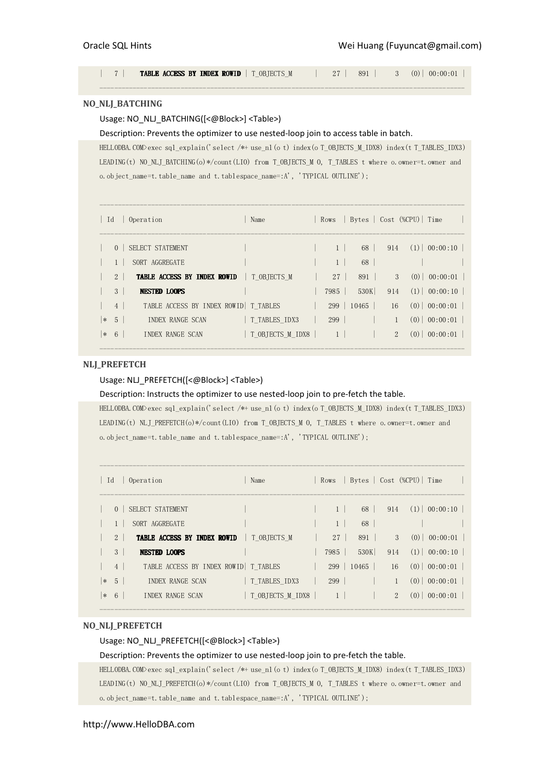| 7 | **TABLE ACCESS BY INDEX ROWID** | T\_OBJECTS\_M | 27 | 891 | 3 (0) | 00:00:01 | ---------------------------------------------------------------------------------------------------

## NO\_NLJ\_BATCHING

# Usage: NO\_NLJ\_BATCHING([<@Block>] <Table>)

## Description: Prevents the optimizer to use nested-loop join to access table in batch.

HELLODBA.COM>exec sql\_explain('select /\*+ use\_nl(o t) index(o T\_OBJECTS\_M\_IDX8) index(t T\_TABLES\_IDX3) LEADING(t) NO\_NLJ\_BATCHING(o)\*/count(LIO) from T\_OBJECTS\_M 0, T\_TABLES t where o.owner=t.owner and o.object\_name=t.table\_name and t.tablespace\_name=:A', 'TYPICAL OUTLINE');

| Id     |                | Operation                                        | Name             |                |                       |                | Rows   Bytes   Cost (%CPU)   Time  |
|--------|----------------|--------------------------------------------------|------------------|----------------|-----------------------|----------------|------------------------------------|
|        | 0 <sup>1</sup> | SELECT STATEMENT                                 |                  | 1 <sup>1</sup> | 68                    |                | $914$ (1) 00:00:10                 |
|        |                | SORT AGGREGATE                                   |                  | $\mathbf{1}$   | 68                    |                |                                    |
|        | 2 <sup>1</sup> | <b>TABLE ACCESS BY INDEX ROWID</b>   T OBJECTS M |                  | $27 \mid$      | 891                   |                | 3(0) 00:00:01                      |
|        | 3 <sup>1</sup> | <b>NESTED LOOPS</b>                              |                  | 7985           | 530K                  |                | $914$ (1) 00:00:10                 |
|        | 4              | TABLE ACCESS BY INDEX ROWID   T TABLES           |                  |                | $299 \mid 10465 \mid$ |                | $16$ (0) 00:00:01                  |
| $\ast$ | 5 <sup>1</sup> | INDEX RANGE SCAN                                 | T TABLES IDX3    | 299            |                       |                | $(0)$   00:00:01  <br>$\mathbf{1}$ |
|        | $* 6$          | INDEX RANGE SCAN                                 | T OBJECTS M IDX8 | $1 \mid$       |                       | $\overline{2}$ | $(0)$   00:00:01                   |
|        |                |                                                  |                  |                |                       |                |                                    |

## NLJ\_PREFETCH

## Usage: NLJ\_PREFETCH([<@Block>] <Table>)

Description: Instructs the optimizer to use nested-loop join to pre-fetch the table.

HELLODBA.COM>exec sql\_explain('select /\*+ use\_nl(o t) index(o T\_OBJECTS\_M\_IDX8) index(t T\_TABLES\_IDX3) LEADING(t) NLJ\_PREFETCH(o)\*/count(LIO) from T\_OBJECTS\_M O, T\_TABLES t where o.owner=t.owner and o.object\_name=t.table\_name and t.tablespace\_name=:A', 'TYPICAL OUTLINE');

| Id |                | Operation                                        | Name             |              |          |       |                | Rows   Bytes   Cost (%CPU)   Time |  |
|----|----------------|--------------------------------------------------|------------------|--------------|----------|-------|----------------|-----------------------------------|--|
|    | $0-1$          | SELECT STATEMENT                                 |                  | $\mathbf{1}$ |          | 68    |                | $914$ (1) 00:00:10                |  |
|    |                | SORT AGGREGATE                                   |                  | 1            |          | 68    |                |                                   |  |
|    | 2 <sup>1</sup> | <b>TABLE ACCESS BY INDEX ROWID</b>   T OBJECTS M |                  | $27 \mid$    |          | 891   |                | 3(0) 00:00:01                     |  |
|    | $3-1$          | <b>NESTED LOOPS</b>                              |                  | 7985         |          | 530K  |                | $914$ (1) 00:00:10                |  |
|    | 4              | TABLE ACCESS BY INDEX ROWID   T TABLES           |                  | 299          |          | 10465 |                | $16$ (0) 00:00:01                 |  |
| ∣∗ | - 5            | INDEX RANGE SCAN                                 | T TABLES IDX3    | 299          |          |       | 1              | $(0)$   00:00:01                  |  |
| ∗  | - 6            | INDEX RANGE SCAN                                 | T OBJECTS M IDX8 |              | $1 \mid$ |       | $\overline{2}$ | $(0)$   00:00:01                  |  |
|    |                |                                                  |                  |              |          |       |                |                                   |  |

## NO\_NLJ\_PREFETCH

## Usage: NO\_NLJ\_PREFETCH([<@Block>] <Table>)

#### Description: Prevents the optimizer to use nested-loop join to pre-fetch the table.

HELLODBA.COM>exec sql\_explain('select /\*+ use\_nl(o t) index(o T\_OBJECTS\_M\_IDX8) index(t T\_TABLES\_IDX3) LEADING(t) NO\_NLJ\_PREFETCH(o)\*/count(LIO) from T\_OBJECTS\_M O, T\_TABLES t where o.owner=t.owner and o.object\_name=t.table\_name and t.tablespace\_name=:A', 'TYPICAL OUTLINE');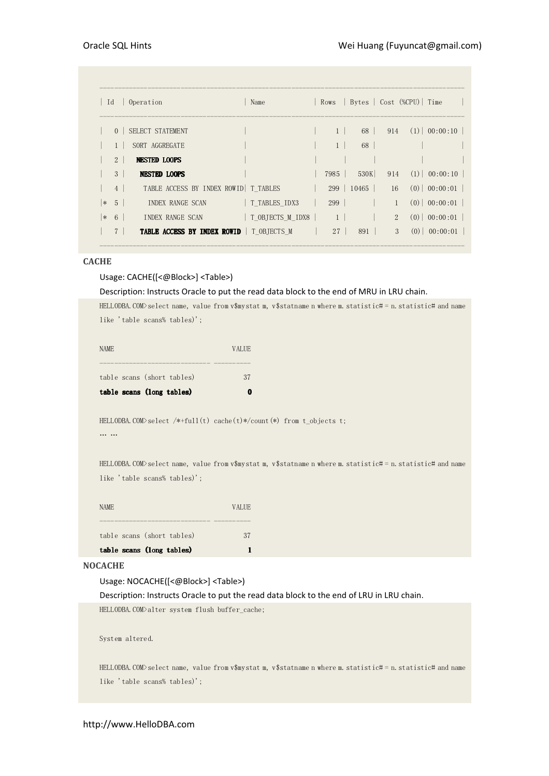| Id     |                | Operation                                 | Name                             | Rows            |                       |               | Bytes   Cost (%CPU)   Time |                |
|--------|----------------|-------------------------------------------|----------------------------------|-----------------|-----------------------|---------------|----------------------------|----------------|
|        |                | 0   SELECT STATEMENT                      |                                  |                 | 68                    |               | $914$ (1) 00:00:10         |                |
|        |                | SORT AGGREGATE                            |                                  | 1               | 68                    |               |                            |                |
|        | 2 <sup>1</sup> | <b>NESTED LOOPS</b>                       |                                  |                 |                       |               |                            |                |
|        | 3 <sup>1</sup> | NESTED LOOPS                              |                                  | 7985            | 530K                  |               | $914$ (1) 00:00:10         |                |
|        | $4 \vert$      | TABLE ACCESS BY INDEX ROWID   T TABLES    |                                  |                 | $299 \mid 10465 \mid$ |               | $16$ (0) 00:00:01          |                |
| $*$    | 5 <sub>1</sub> | INDEX RANGE SCAN                          | T TABLES IDX3                    | 299             |                       | $\mathbf{1}$  |                            | $(0)$ 00:00:01 |
| $\ast$ | 6              | INDEX RANGE SCAN                          | $\vert$ T OBJECTS M IDX8 $\vert$ | 1 <sup>1</sup>  |                       | $2^{1}$       |                            | $(0)$ 00:00:01 |
|        |                | TABLE ACCESS BY INDEX ROWID   T_OBJECTS_M |                                  | 27 <sup>1</sup> | 891                   | $\mathcal{S}$ |                            | $(0)$ 00:00:01 |

# **CACHE**

# Usage: CACHE([<@Block>] <Table>)

## Description: Instructs Oracle to put the read data block to the end of MRU in LRU chain.

HELLODBA.COM>select name, value from v\$mystat m, v\$statname n where m.statistic# = n.statistic# and name like 'table scans% tables)';

| <b>NAME</b> |                            | <b>VALUE</b> |
|-------------|----------------------------|--------------|
|             |                            |              |
|             | table scans (short tables) | 37           |
|             | table scans (long tables)  |              |

HELLODBA.COM>select /\*+full(t) cache(t)\*/count(\*) from t\_objects t; … …

HELLODBA.COM>select name, value from v\$mystat m, v\$statname n where m.statistic# = n.statistic# and name like 'table scans% tables)';

|       | table scans (long tables)  |              |
|-------|----------------------------|--------------|
|       | table scans (short tables) | 37           |
|       |                            |              |
| NAME. |                            | <b>VALUE</b> |

#### **NOCACHE**

# Usage: NOCACHE([<@Block>] <Table>)

Description: Instructs Oracle to put the read data block to the end of LRU in LRU chain. HELLODBA.COM>alter system flush buffer\_cache;

System altered.

HELLODBA.COM>select name, value from v\$mystat m, v\$statname n where m.statistic# = n.statistic# and name like 'table scans% tables)';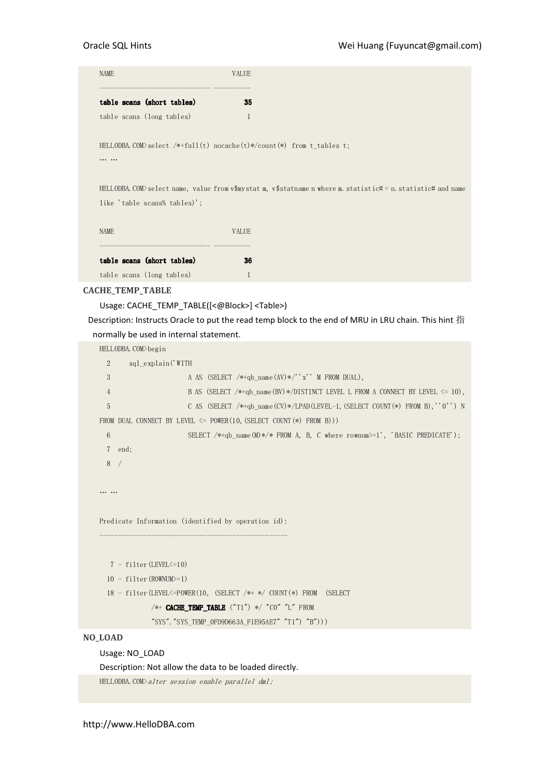| <b>NAME</b>                                                                                                  | <b>VALUE</b> |
|--------------------------------------------------------------------------------------------------------------|--------------|
| table scans (short tables)                                                                                   | 35           |
| table scans (long tables)                                                                                    | 1            |
| HELLODBA. COM>select /*+full(t) nocache(t)*/count(*) from t tables t;                                        |              |
| HELLODBA.COM>select name, value from v\$mystat m, v\$statname n where m. statistic# = n. statistic# and name |              |
| like 'table scans% tables)';                                                                                 |              |
| <b>NAME</b>                                                                                                  | <b>VALUE</b> |
| table scans (short tables)                                                                                   | 36           |
| table scans (long tables)                                                                                    |              |

# CACHE\_TEMP\_TABLE

Usage: CACHE\_TEMP\_TABLE([<@Block>] <Table>)

Description: Instructs Oracle to put the read temp block to the end of MRU in LRU chain. This hint 指 normally be used in internal statement.

HELLODBA.COM>begin

```
 2 sql_explain('WITH 
 3 A AS (SELECT /*+qb_name(AV)*/''x'' M FROM DUAL),
  4 B AS (SELECT /*+qb_name(BV)*/DISTINCT LEVEL L FROM A CONNECT BY LEVEL <= 10),
  5 C AS (SELECT /*+qb_name(CV)*/LPAD(LEVEL-1,(SELECT COUNT(*) FROM B),''0'') N 
FROM DUAL CONNECT BY LEVEL \le POWER(10, (SELECT COUNT(*) FROM B)))
 6 SELECT /*+qb name(M)*/* FROM A, B, C where rownum>=1', 'BASIC PREDICATE');
  7 end; 
  8 / 
… … 
Predicate Information (identified by operation id):
---------------------------------------------------
   7 - filter(LEVEL<=10) 
  10 - filter(ROWNUM>=1) 
   18 - filter(LEVEL<=POWER(10, (SELECT /*+ */ COUNT(*) FROM (SELECT 
            /*+ CACHE_TEMP_TABLE ("T1") */ "CO" "L" FROM
             "SYS"."SYS_TEMP_0FD9D663A_F1E95AE7" "T1") "B")))
```
# NO\_LOAD

Usage: NO\_LOAD

Description: Not allow the data to be loaded directly.

HELLODBA.COM>alter session enable parallel dml;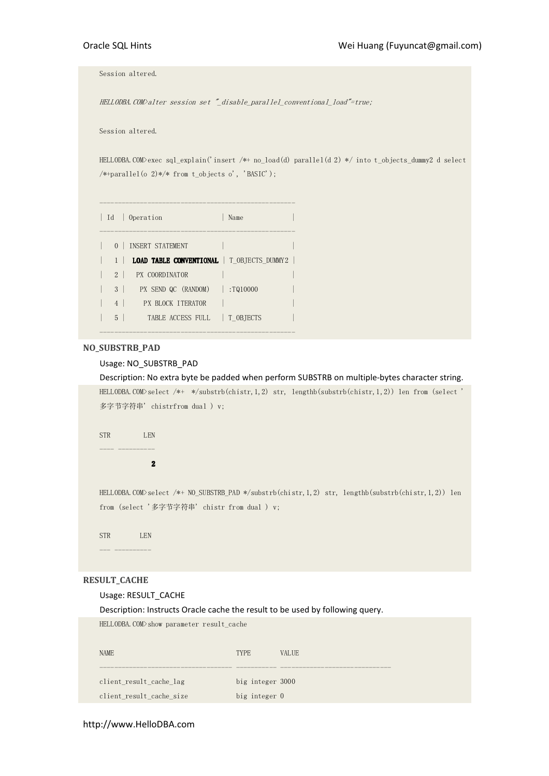Session altered.

HELLODBA.COM>alter session set "\_disable\_parallel\_conventional\_load"=true;

Session altered.

HELLODBA.COM>exec sql\_explain('insert /\*+ no\_load(d) parallel(d 2) \*/ into t\_objects\_dummy2 d select /\*+parallel(o 2)\*/\* from t\_objects o', 'BASIC');

|                | Id   Operation                                    | Name |
|----------------|---------------------------------------------------|------|
|                | 0   INSERT STATEMENT                              |      |
| $1 \perp$      | <b>LOAD TABLE CONVENTIONAL</b>   T OBJECTS DUMMY2 |      |
| $2 \perp$      | <b>PX COORDINATOR</b>                             |      |
| 3 <sup>1</sup> | PX SEND QC (RANDOM)   :TQ10000                    |      |
| 4              | PX BLOCK ITERATOR                                 |      |
| $5-1$          | TABLE ACCESS FULL   T OBTECTS                     |      |
|                |                                                   |      |

# NO\_SUBSTRB\_PAD

# Usage: NO\_SUBSTRB\_PAD

Description: No extra byte be padded when perform SUBSTRB on multiple-bytes character string. HELLODBA.COM>select /\*+ \*/substrb(chistr,1,2) str, lengthb(substrb(chistr,1,2)) len from (select ' 多字节字符串' chistrfrom dual ) v;

STR LEN ---- ----------

2 2

HELLODBA.COM>select /\*+ NO\_SUBSTRB\_PAD \*/substrb(chistr,1,2) str, lengthb(substrb(chistr,1,2)) len from (select '多字节字符串' chistr from dual ) v;

STR LEN --- ----------

# RESULT\_CACHE

## Usage: RESULT\_CACHE

Description: Instructs Oracle cache the result to be used by following query.

| HELLODBA.COM>show parameter result cache |                  |              |
|------------------------------------------|------------------|--------------|
| <b>NAME</b>                              | <b>TYPE</b>      | <b>VALUE</b> |
| client result cache lag                  | big integer 3000 |              |
| client result cache size                 | big integer 0    |              |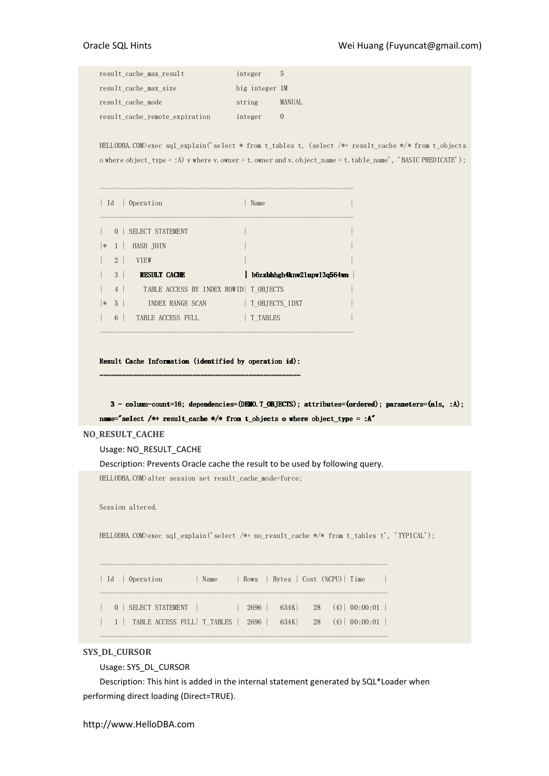| result cache max result        | integer        | :5            |
|--------------------------------|----------------|---------------|
| result cache max size          | big integer 1M |               |
| result cache mode              | string         | <b>MANUAL</b> |
| result cache remote expiration | integer        |               |

HELLODBA.COM>exec sql\_explain('select \* from t\_tables t, (select /\*+ result\_cache \*/\* from t\_objects o where object\_type = :A) v where v.owner = t.owner and v.object\_name = t.table\_name', 'BASIC PREDICATE');

| Id     |                | Operation                               | Name                       |
|--------|----------------|-----------------------------------------|----------------------------|
|        | $\Omega$       | SELECT STATEMENT                        |                            |
| $\ast$ | 1 <sup>1</sup> | HASH JOIN                               |                            |
|        | $2 \mid$       | <b>VTEW</b>                             |                            |
|        | 3 <sup>1</sup> | <b>RESULT CACHE</b>                     | b6zzbhhgh4knw21npw13q564wn |
|        | 4              | TABLE ACCESS BY INDEX ROWID   T OBJECTS |                            |
| $\ast$ | 5 <sup>1</sup> | INDEX RANGE SCAN                        | T OBJECTS IDX7             |
|        | 6              | TABLE ACCESS FULL                       | T TABLES                   |
|        |                |                                         |                            |

Result Cache Information (identified by operation id): ------------------------------------------------------ ------------------------------------------------------

 $3$  - column-count=16; dependencies=(DEMO.T\_OBJECTS); attributes=(ordered); parameters=(nls, :A); name="select /\*+ result\_cache \*/\* from t\_objects o where object\_type = :A"

## NO\_RESULT\_CACHE

Usage: NO\_RESULT\_CACHE

Description: Prevents Oracle cache the result to be used by following query.

HELLODBA.COM>alter session set result\_cache\_mode=force;

Session altered.

HELLODBA.COM>exec sql\_explain('select /\*+ no\_result\_cache \*/\* from t\_tables t', 'TYPICAL');

| 0   SELECT STATEMENT    <br>$2696$ 634K 28 (4) 00:00:01<br>  1   TABLE ACCESS FULL   T_TABLES   2696   634K   28 (4)   00:00:01 |  | Id   Operation |  | Name |  | Rows   Bytes   Cost (%CPU)   Time |  |  |
|---------------------------------------------------------------------------------------------------------------------------------|--|----------------|--|------|--|-----------------------------------|--|--|
|                                                                                                                                 |  |                |  |      |  |                                   |  |  |

------------------------------------------------------------------------------

# SYS\_DL\_CURSOR

Usage: SYS\_DL\_CURSOR

Description: This hint is added in the internal statement generated by SQL\*Loader when performing direct loading (Direct=TRUE).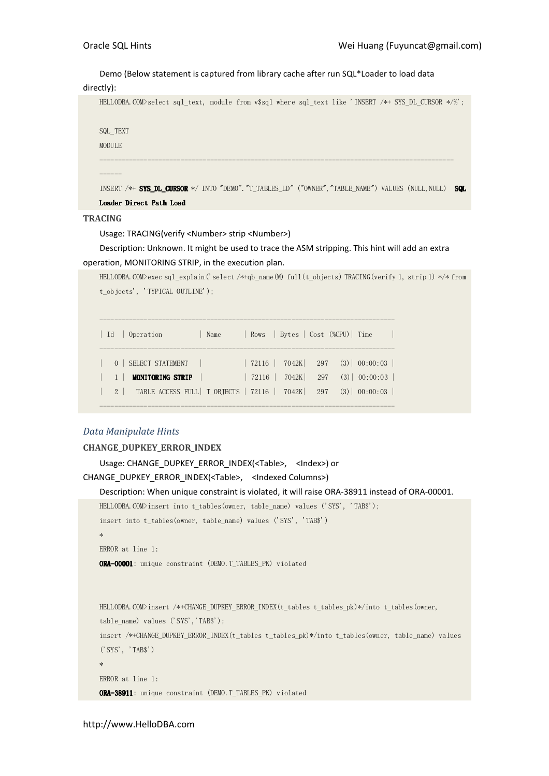Demo (Below statement is captured from library cache after run SQL\*Loader to load data

```
directly):
```
HELLODBA.COM>select sql\_text, module from v\$sql where sql\_text like 'INSERT /\*+ SYS\_DL\_CURSOR \*/%'; SQL\_TEXT

MODULE

------

INSERT /\*+ SYS\_DL\_CURSOR \*/ INTO "DEMO". "T\_TABLES\_LD" ("OWNER", "TABLE\_NAME") VALUES (NULL,NULL) SQL

------------------------------------------------------------------------------------------------

Loader Direct Path Load

**TRACING** 

Usage: TRACING(verify <Number> strip <Number>)

Description: Unknown. It might be used to trace the ASM stripping. This hint will add an extra operation, MONITORING STRIP, in the execution plan.

```
HELLODBA.COM>exec sql_explain('select /*+qb_name(M) full(t_objects) TRACING(verify 1, strip 1) */* from 
t_objects', 'TYPICAL_OUTLINE');
```

|  | Id   Operation                                                         | Name |  | Rows   Bytes   Cost (%CPU)   Time |  |                                            |  |
|--|------------------------------------------------------------------------|------|--|-----------------------------------|--|--------------------------------------------|--|
|  | 0   SELECT STATEMENT                                                   |      |  |                                   |  | $72116$   $7042K$   $297$ (3)   $00:00:03$ |  |
|  | <b>MONITORING STRIP</b>                                                |      |  |                                   |  | $72116$   $7042K$   $297$ (3)   $00:00:03$ |  |
|  | 2   TABLE ACCESS FULL   T_OBJECTS   72116   7042K   297 (3)   00:00:03 |      |  |                                   |  |                                            |  |

# Data Manipulate Hints

# CHANGE\_DUPKEY\_ERROR\_INDEX

```
Usage: CHANGE_DUPKEY_ERROR_INDEX(<Table>, <Index>) or 
CHANGE_DUPKEY_ERROR_INDEX(<Table>, <Indexed Columns>) 
    Description: When unique constraint is violated, it will raise ORA-38911 instead of ORA-00001. 
    HELLODBA.COM>insert into t_tables(owner, table_name) values ('SYS', 'TAB$'); 
    insert into t_tables(owner, table_name) values ('SYS', 'TAB$') 
    * 
    ERROR at line 1: 
    ORA-00001: unique constraint (DEMO.T_TABLES_PK) violated 
    HELLODBA.COM>insert /*+CHANGE_DUPKEY_ERROR_INDEX(t_tables t_tables_pk)*/into t_tables(owner, 
    table_name) values ('SYS','TAB$'); 
    insert /*+CHANGE_DUPKEY_ERROR_INDEX(t_tables t_tables_pk)*/into t_tables(owner, table_name) values 
    ('SYS', 'TAB$') 
    * 
    ERROR at line 1: 
    ORA-38911: unique constraint (DEMO.T_TABLES_PK) violated
```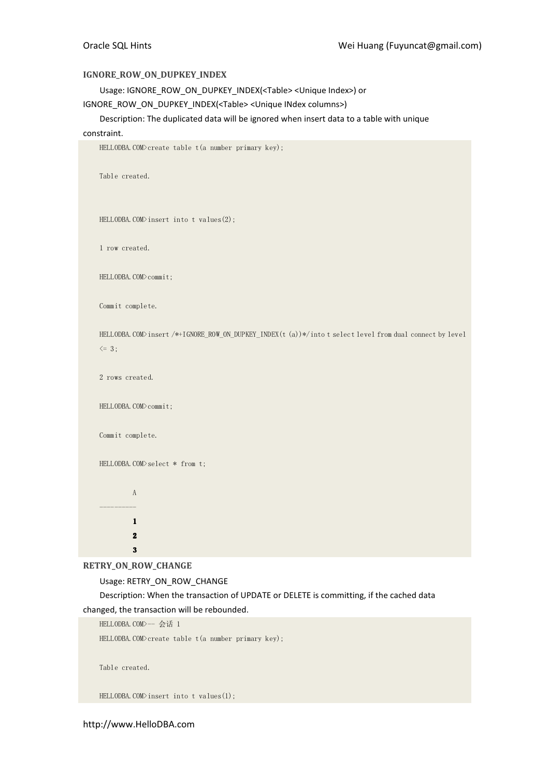# IGNORE\_ROW\_ON\_DUPKEY\_INDEX

Usage: IGNORE\_ROW\_ON\_DUPKEY\_INDEX(<Table> <Unique Index>) or

IGNORE\_ROW\_ON\_DUPKEY\_INDEX(<Table> <Unique INdex columns>)

Description: The duplicated data will be ignored when insert data to a table with unique

# constraint.

```
HELLODBA.COM>create table t(a number primary key); 
    Table created. 
    HELLODBA.COM>insert into t values(2);
    1 row created. 
    HELLODBA.COM>commit;
    Commit complete. 
    HELLODBA.COM>insert /*+IGNORE_ROW_ON_DUPKEY_INDEX(t (a))*/into t select level from dual connect by level 
    \leq 3;
    2 rows created. 
    HELLODBA.COM>commit; 
    Commit complete. 
    HELLODBA.COM>select * from t;
               A 
     ---------- 
               1 1 
               2 2 
               3 3
RETRY_ON_ROW_CHANGE
```
Usage: RETRY\_ON\_ROW\_CHANGE

Description: When the transaction of UPDATE or DELETE is committing, if the cached data changed, the transaction will be rebounded.

HELLODBA. COM>-- 会话 1

HELLODBA.COM>create table t(a number primary key);

Table created.

HELLODBA.COM>insert into t values(1);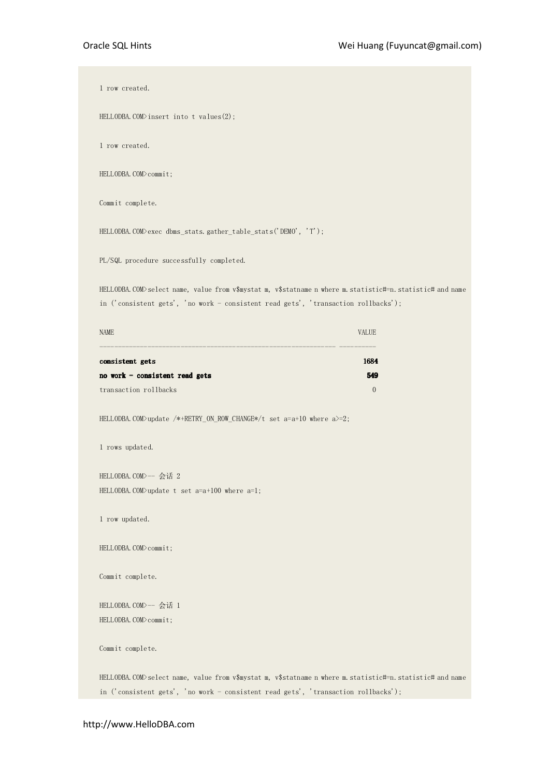1 row created.

HELLODBA.COM>insert into t values(2);

1 row created.

HELLODBA.COM>commit;

Commit complete.

HELLODBA.COM>exec dbms\_stats.gather\_table\_stats('DEMO', 'T');

PL/SQL procedure successfully completed.

HELLODBA.COM>select name, value from v\$mystat m, v\$statname n where m.statistic#=n.statistic# and name in ('consistent gets', 'no work - consistent read gets', 'transaction rollbacks');

| <b>NAME</b>                      | <b>VALIE</b> |
|----------------------------------|--------------|
| consistent gets                  | 1684         |
| no work $-$ consistent read gets | 549          |
| transaction rollbacks            |              |

HELLODBA.COM>update /\*+RETRY\_ON\_ROW\_CHANGE\*/t set a=a+10 where a>=2;

1 rows updated.

HELLODBA. COM> -- 会话 2 <code>HELLODBA</code>.COM>update <code>t</code> set <code>a=a+100</code> where <code>a=1;</code>

1 row updated.

HELLODBA.COM>commit;

Commit complete.

HELLODBA. COM> -- 会话 1 HELLODBA.COM>commit;

Commit complete.

HELLODBA.COM>select name, value from v\$mystat m, v\$statname n where m.statistic#=n.statistic# and name in ('consistent gets', 'no work - consistent read gets', 'transaction rollbacks');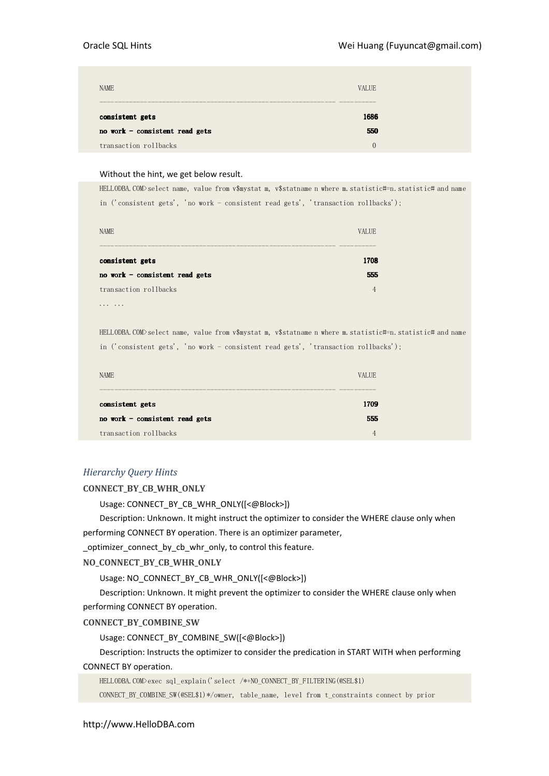| <b>NAME</b>                      | <b>VALUE</b> |
|----------------------------------|--------------|
| consistent gets                  | 1686         |
| no work $-$ consistent read gets | 550          |
| transaction rollbacks            | $\Omega$     |

## Without the hint, we get below result.

HELLODBA.COM>select name, value from v\$mystat m, v\$statname n where m.statistic#=n.statistic# and name in ('consistent gets', 'no work - consistent read gets', 'transaction rollbacks');

| <b>NAME</b>                    | VALIE. |
|--------------------------------|--------|
|                                |        |
| consistent gets                | 1708   |
| no work - consistent read gets | 555    |
| transaction rollbacks          |        |
|                                |        |

... ...

HELLODBA.COM>select name, value from v\$mystat m, v\$statname n where m.statistic#=n.statistic# and name in ('consistent gets', 'no work - consistent read gets', 'transaction rollbacks');

| <b>NAME</b>                      | VALIJE. |
|----------------------------------|---------|
|                                  |         |
| consistent gets                  | 1709    |
| no work $-$ consistent read gets | 555     |
| transaction rollbacks            |         |

# Hierarchy Query Hints

CONNECT\_BY\_CB\_WHR\_ONLY

Usage: CONNECT\_BY\_CB\_WHR\_ONLY([<@Block>])

Description: Unknown. It might instruct the optimizer to consider the WHERE clause only when performing CONNECT BY operation. There is an optimizer parameter,

\_optimizer\_connect\_by\_cb\_whr\_only, to control this feature.

NO\_CONNECT\_BY\_CB\_WHR\_ONLY

Usage: NO\_CONNECT\_BY\_CB\_WHR\_ONLY([<@Block>])

Description: Unknown. It might prevent the optimizer to consider the WHERE clause only when performing CONNECT BY operation.

CONNECT\_BY\_COMBINE\_SW

Usage: CONNECT\_BY\_COMBINE\_SW([<@Block>])

Description: Instructs the optimizer to consider the predication in START WITH when performing CONNECT BY operation.

HELLODBA.COM>exec sql\_explain('select /\*+NO\_CONNECT\_BY\_FILTERING(@SEL\$1)

CONNECT\_BY\_COMBINE\_SW(@SEL\$1)\*/owner, table\_name, level from t\_constraints connect by prior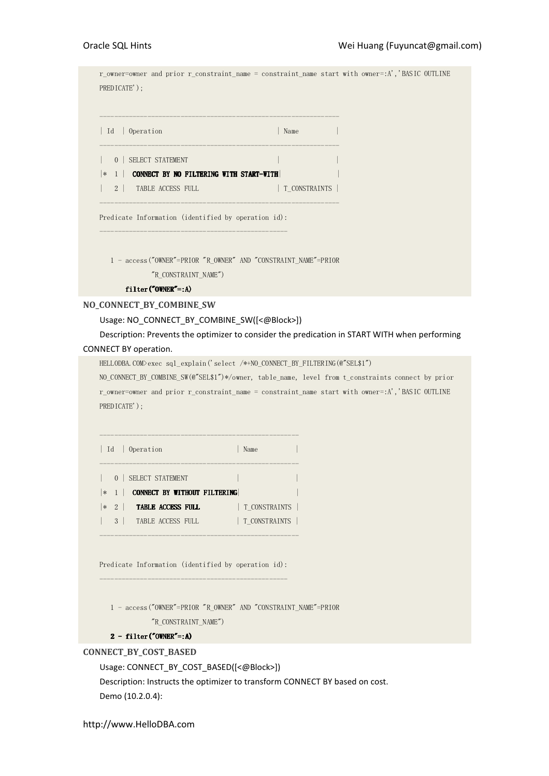r\_owner=owner and prior r\_constraint\_name = constraint\_name start with owner=:A','BASIC OUTLINE PREDICATE'); ----------------------------------------------------------------- | Id | Operation | Name | Name | Name | Name | Name | Name | Name | Name | Name | Name | Name | Name | Name | Name | Name | Name | Name | Name | Name | Name | Name | Name | Name | Name | Name | Name | Name | Name | Name | ----------------------------------------------------------------- | 0 | SELECT STATEMENT  $|\cdot|$  1 | CONNECT BY NO FILTERING WITH START-WITH | 2 | TABLE ACCESS FULL | T CONSTRAINTS | ----------------------------------------------------------------- Predicate Information (identified by operation id): --------------------------------------------------- 1 - access("OWNER"=PRIOR "R\_OWNER" AND "CONSTRAINT\_NAME"=PRIOR "R\_CONSTRAINT\_NAME") filter("OWNER"=:A) NO\_CONNECT\_BY\_COMBINE\_SW Usage: NO\_CONNECT\_BY\_COMBINE\_SW([<@Block>]) Description: Prevents the optimizer to consider the predication in START WITH when performing

# CONNECT BY operation.

HELLODBA.COM>exec sql explain('select /\*+NO\_CONNECT\_BY\_FILTERING(@"SEL\$1")

NO\_CONNECT\_BY\_COMBINE\_SW(@"SEL\$1")\*/owner, table\_name, level from t\_constraints connect by prior r\_owner=owner and prior r\_constraint\_name = constraint\_name start with owner=:A','BASIC OUTLINE PREDICATE');

------------------------------------------------------ | Id | Operation | Name | ------------------------------------------------------ | 0 | SELECT STATEMENT | |  $|\cdot|$  | CONNECT BY WITHOUT FILTERING  $|* 2 |$  **TABLE ACCESS FULL**  $|T_{\text{LONSTRAINTS}}|$ | 3 | TABLE ACCESS FULL | T\_CONSTRAINTS |

------------------------------------------------------

Predicate Information (identified by operation id): ---------------------------------------------------

 1 - access("OWNER"=PRIOR "R\_OWNER" AND "CONSTRAINT\_NAME"=PRIOR "R\_CONSTRAINT\_NAME")

## $2 - filter("OWNER"=:A)$

# CONNECT\_BY\_COST\_BASED

Usage: CONNECT\_BY\_COST\_BASED([<@Block>]) Description: Instructs the optimizer to transform CONNECT BY based on cost. Demo (10.2.0.4):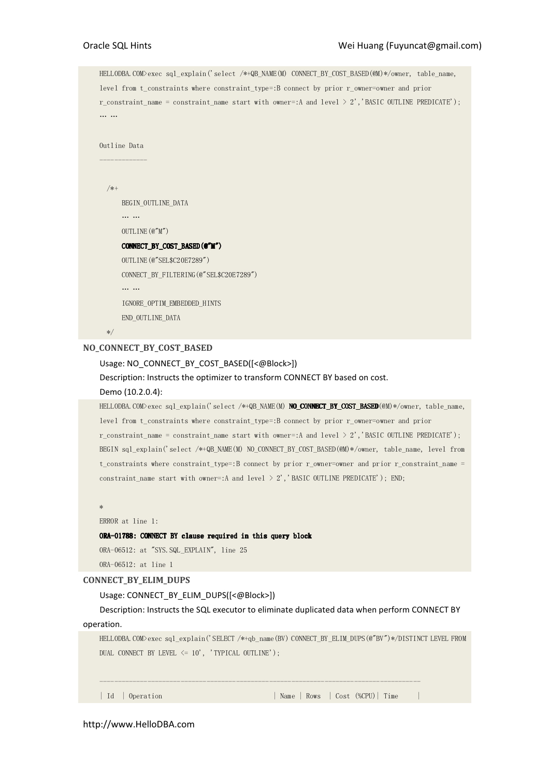HELLODBA.COM>exec sql\_explain('select /\*+QB\_NAME(M) CONNECT\_BY\_COST\_BASED(@M)\*/owner, table\_name, level from t constraints where constraint type=:B connect by prior r\_owner=owner and prior r\_constraint\_name = constraint\_name start with owner=:A and level  $> 2'$ , BASIC OUTLINE PREDICATE'); … …

```
Outline Data 
-------------
```
/\*+

 BEGIN\_OUTLINE\_DATA … … OUTLINE(@"M") CONNECT\_BY\_COST\_BASED(@"M") OUTLINE(@"SEL\$C20E7289") CONNECT\_BY\_FILTERING(@"SEL\$C20E7289") … …

IGNORE\_OPTIM\_EMBEDDED\_HINTS

END\_OUTLINE\_DATA

\*/

# NO\_CONNECT\_BY\_COST\_BASED

# Usage: NO\_CONNECT\_BY\_COST\_BASED([<@Block>])

Description: Instructs the optimizer to transform CONNECT BY based on cost.

#### Demo (10.2.0.4):

HELLODBA.COM>exec sql\_explain('select /\*+QB\_NAME(M) NO\_CONNECT\_BY\_COST\_BASED(@M)\*/owner, table\_name, level from t\_constraints where constraint\_type=:B connect by prior r\_owner=owner and prior r\_constraint\_name = constraint\_name start with owner=:A and level > 2','BASIC OUTLINE PREDICATE'); BEGIN sql explain('select /\*+QB\_NAME(M) NO\_CONNECT\_BY\_COST\_BASED(@M)\*/owner, table\_name, level from t\_constraints where constraint\_type=:B connect by prior r\_owner=owner and prior r\_constraint\_name = constraint\_name start with owner=:A and level  $> 2'$ , BASIC OUTLINE PREDICATE'); END;

\*

```
ERROR at line 1:
```
ORA-01788: CONNECT BY clause required in this query block

ORA-06512: at "SYS.SQL\_EXPLAIN", line 25

ORA-06512: at line 1

# CONNECT\_BY\_ELIM\_DUPS

## Usage: CONNECT\_BY\_ELIM\_DUPS([<@Block>])

Description: Instructs the SQL executor to eliminate duplicated data when perform CONNECT BY operation.

---------------------------------------------------------------------------------------

HELLODBA.COM>exec sql\_explain('SELECT /\*+qb\_name(BV) CONNECT\_BY\_ELIM\_DUPS(@"BV")\*/DISTINCT LEVEL FROM DUAL CONNECT BY LEVEL  $\langle = 10'$ , 'TYPICAL OUTLINE');

| Id | Operation | Name | Rows | Cost (%CPU) | Time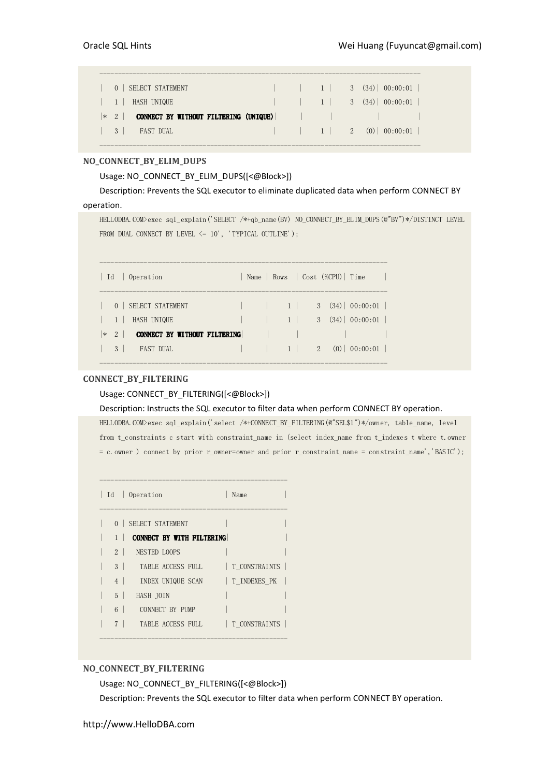| $\vert 0 \vert$ SELECT STATEMENT                                                |  |  | $\vert$ $\vert$ 1 3 (34) 00:00:01 $\vert$ |
|---------------------------------------------------------------------------------|--|--|-------------------------------------------|
|                                                                                 |  |  |                                           |
|                                                                                 |  |  |                                           |
| $\begin{array}{ c c c c c c } \hline 3 & 5 & 5 \\ \hline \end{array}$ FAST DUAL |  |  |                                           |

---------------------------------------------------------------------------------------

# NO\_CONNECT\_BY\_ELIM\_DUPS

# Usage: NO\_CONNECT\_BY\_ELIM\_DUPS([<@Block>])

Description: Prevents the SQL executor to eliminate duplicated data when perform CONNECT BY operation.

HELLODBA.COM>exec sql\_explain('SELECT /\*+qb\_name(BV) NO\_CONNECT\_BY\_ELIM\_DUPS(@"BV")\*/DISTINCT LEVEL FROM DUAL CONNECT BY LEVEL  $\leq 10'$ , 'TYPICAL OUTLINE');

|                  | Id   Operation                      |  |  | Name   Rows   Cost (%CPU)   Time |                                      |
|------------------|-------------------------------------|--|--|----------------------------------|--------------------------------------|
|                  | 0   SELECT STATEMENT                |  |  |                                  | $3(34) \mid 00:00:01 \mid$           |
| $\left(1\right)$ | HASH UNIQUE                         |  |  |                                  | $3(34) \mid 00:00:01$                |
|                  | $ *2 $ connect by without filtering |  |  |                                  |                                      |
| 3                | FAST DUAL                           |  |  |                                  | $1 \quad 2 \quad (0) \quad 00:00:01$ |
|                  |                                     |  |  |                                  |                                      |

# CONNECT\_BY\_FILTERING

# Usage: CONNECT\_BY\_FILTERING([<@Block>])

## Description: Instructs the SQL executor to filter data when perform CONNECT BY operation.

HELLODBA.COM>exec sql\_explain('select /\*+CONNECT\_BY\_FILTERING(@"SEL\$1")\*/owner, table\_name, level from t\_constraints c start with constraint\_name in (select index\_name from t\_indexes t where t.owner = c.owner ) connect by prior r\_owner=owner and prior r\_constraint\_name = constraint\_name','BASIC');

|                | Id   Operation                   | Name          |  |
|----------------|----------------------------------|---------------|--|
| 0 <sup>1</sup> | SELECT STATEMENT                 |               |  |
|                | <b>CONNECT BY WITH FILTERING</b> |               |  |
| $2 \perp$      | NESTED LOOPS                     |               |  |
| 3 <sup>1</sup> | TABLE ACCESS FULL                | T CONSTRAINTS |  |
| 4              | INDEX UNIQUE SCAN                | T INDEXES PK  |  |
| 5 <sup>1</sup> | HASH JOIN                        |               |  |
| 6              | CONNECT BY PIMP                  |               |  |
| 7              | TABLE ACCESS FULL                | T CONSTRAINTS |  |
|                |                                  |               |  |

# NO\_CONNECT\_BY\_FILTERING

Usage: NO\_CONNECT\_BY\_FILTERING([<@Block>])

Description: Prevents the SQL executor to filter data when perform CONNECT BY operation.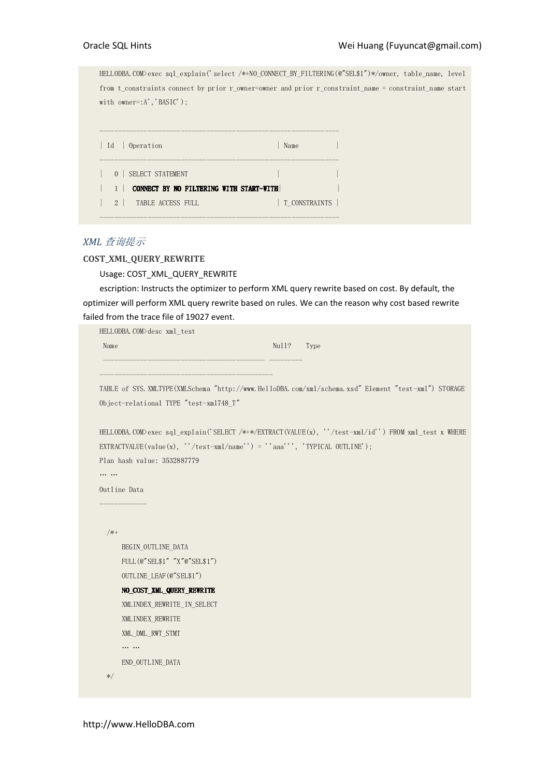HELLODBA.COM>exec sql\_explain('select /\*+NO\_CONNECT\_BY\_FILTERING(@"SEL\$1")\*/owner, table\_name, level from t\_constraints connect by prior r\_owner=owner and prior r\_constraint\_name = constraint\_name start with owner=:A', 'BASIC');

| Id   Operation                          | Name          |  |
|-----------------------------------------|---------------|--|
| 0   SELECT STATEMENT                    |               |  |
| CONNECT BY NO FILTERING WITH START-WITH |               |  |
| $2 \mid$<br>TABLE ACCESS FULL           | T CONSTRAINTS |  |
|                                         |               |  |

# XML 查询提示

# COST\_XML\_QUERY\_REWRITE

Usage: COST\_XML\_QUERY\_REWRITE

escription: Instructs the optimizer to perform XML query rewrite based on cost. By default, the optimizer will perform XML query rewrite based on rules. We can the reason why cost based rewrite failed from the trace file of 19027 event.

| HELLODBA.COM>desc xml_test                                                                            |       |      |
|-------------------------------------------------------------------------------------------------------|-------|------|
| Name                                                                                                  | Nu11? | Type |
|                                                                                                       |       |      |
|                                                                                                       |       |      |
| TABLE of SYS. XMLTYPE (XMLSchema "http://www.HelloDBA.com/xml/schema.xsd" Element "test-xml") STORAGE |       |      |
| Object-relational TYPE "test-xml748_T"                                                                |       |      |
|                                                                                                       |       |      |
| HELLODBA.COM>exec sql_explain('SELECT /*+*/EXTRACT(VALUE(x), ''/test-xml/id'') FROM xml_test x WHERE  |       |      |
| EXTRACTVALUE(value(x), "/test-xml/name'') = "'aaa''', 'TYPICAL OUTLINE');                             |       |      |
| Plan hash value: 3532887779                                                                           |       |      |
| .                                                                                                     |       |      |
| Outline Data                                                                                          |       |      |
|                                                                                                       |       |      |
|                                                                                                       |       |      |
| /*+                                                                                                   |       |      |
| BEGIN_OUTLINE_DATA                                                                                    |       |      |
| FULL (@"SEL\$1" "X"@"SEL\$1")                                                                         |       |      |
| OUTLINE_LEAF(@"SEL\$1")                                                                               |       |      |
| NO_COST_XML_QUERY_REWRITE                                                                             |       |      |
| XMLINDEX REWRITE IN SELECT                                                                            |       |      |
| XMLINDEX_REWRITE                                                                                      |       |      |
| XML DML RWT STMT                                                                                      |       |      |
| $\cdots \cdots$                                                                                       |       |      |
| END OUTLINE DATA                                                                                      |       |      |
| $\ast/$                                                                                               |       |      |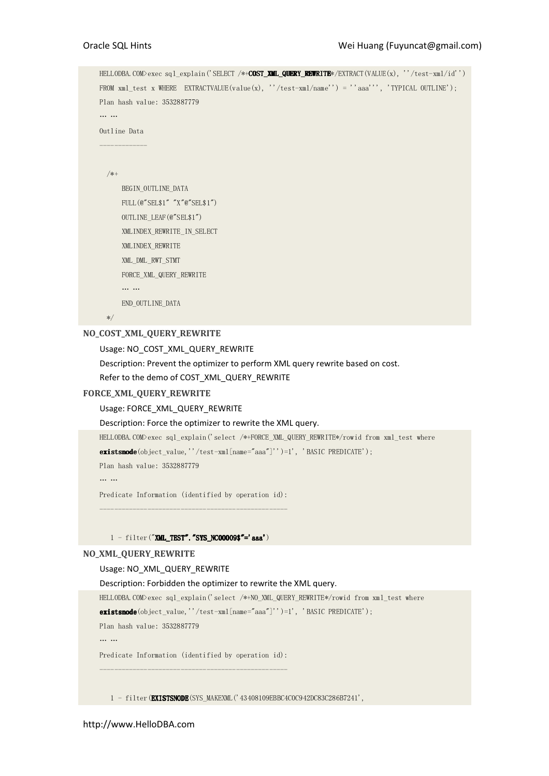```
HELLODBA.COM>exec sql_explain('SELECT /*+COST_XML_QUERY_REWRITE*/EXTRACT(VALUE(x), ''/test-xml/id'') 
FROM xml test x WHERE EXTRACTVALUE(value(x), ''/test-xml/name'') = ''aaa''', 'TYPICAL OUTLINE');
Plan hash value: 3532887779 
… … 
Outline Data 
------------- 
   /*+ 
       BEGIN_OUTLINE_DATA 
       FULL(@"SEL$1" "X"@"SEL$1") 
       OUTLINE_LEAF(@"SEL$1") 
       XMLINDEX_REWRITE_IN_SELECT 
       XMLINDEX_REWRITE 
       XML_DML_RWT_STMT 
       FORCE_XML_QUERY_REWRITE 
       … … 
       END_OUTLINE_DATA 
   */
```
# NO\_COST\_XML\_QUERY\_REWRITE

Usage: NO\_COST\_XML\_QUERY\_REWRITE

Description: Prevent the optimizer to perform XML query rewrite based on cost.

Refer to the demo of COST\_XML\_QUERY\_REWRITE

## FORCE\_XML\_QUERY\_REWRITE

## Usage: FORCE\_XML\_QUERY\_REWRITE

## Description: Force the optimizer to rewrite the XML query.

HELLODBA.COM>exec sql\_explain('select /\*+FORCE\_XML\_QUERY\_REWRITE\*/rowid from xml\_test where existsnode(object\_value,''/test-xml[name="aaa"]'')=1', 'BASIC PREDICATE');

Plan hash value: 3532887779

… …

Predicate Information (identified by operation id): ---------------------------------------------------

## 1 - filter("XML\_TEST". "SYS\_NC00009\$"='aaa')

# NO\_XML\_QUERY\_REWRITE

## Usage: NO\_XML\_QUERY\_REWRITE

#### Description: Forbidden the optimizer to rewrite the XML query.

HELLODBA.COM>exec sql\_explain('select /\*+NO\_XML\_QUERY\_REWRITE\*/rowid from xml\_test where

existsnode(object\_value,''/test-xml[name="aaa"]'')=1', 'BASIC PREDICATE');

Plan hash value: 3532887779

… …

Predicate Information (identified by operation id):

---------------------------------------------------

1 - filter(EXISTSNODE(SYS\_MAKEXML('43408109EBBC4C0C942DC83C286B7241',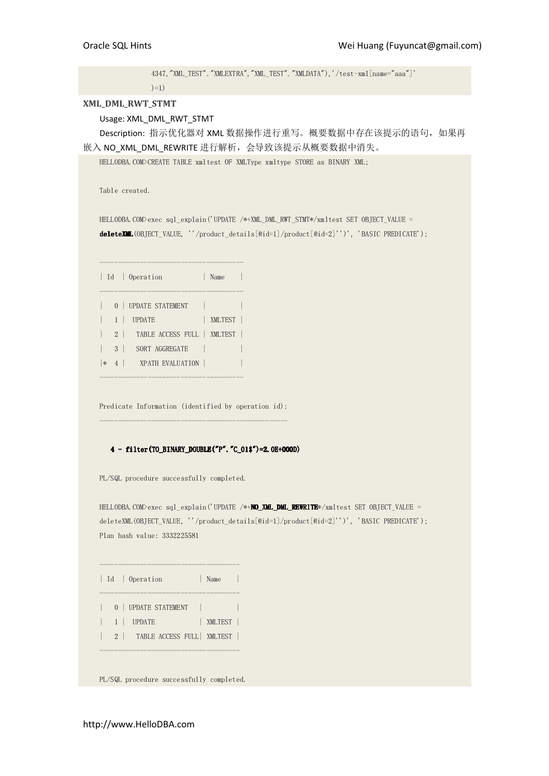4347,"XML\_TEST"."XMLEXTRA","XML\_TEST"."XMLDATA"),'/test-xml[name="aaa"]'  $)=1)$ 

## XML\_DML\_RWT\_STMT

Usage: XML\_DML\_RWT\_STMT

Description: 指示优化器对 XML 数据操作进行重写。概要数据中存在该提示的语句, 如果再 嵌入 NO\_XML\_DML\_REWRITE 进行解析,会导致该提示从概要数据中消失。

HELLODBA.COM>CREATE TABLE xmltest OF XMLType xmltype STORE as BINARY XML;

Table created.

HELLODBA.COM>exec sql\_explain('UPDATE /\*+XML\_DML\_RWT\_STMT\*/xmltest SET OBJECT\_VALUE = deleteXML deleteXML(OBJECT\_VALUE, ''/product\_details[@id=1]/product[@id=2]'')', 'BASIC PREDICATE');

|        |   | Id   Operation                  | Name    |  |
|--------|---|---------------------------------|---------|--|
|        |   | 0   UPDATE STATEMENT            |         |  |
|        |   | <b>UPDATE</b>                   | XMLTEST |  |
|        |   | 2   TABLE ACCESS FULL   XMLTEST |         |  |
|        | 3 | SORT AGGREGATE                  |         |  |
| $\ast$ |   | <b>EVALUATION</b>               |         |  |

---------------------------------------

Predicate Information (identified by operation id): ---------------------------------------------------

# $4$  -filter(TO\_BINARY\_DOUBLE("P". "C\_01\$")=2.0E+000D)

PL/SQL procedure successfully completed.

HELLODBA.COM>exec sql explain('UPDATE /\*+NO XML DML REWRITE\*/xmltest SET OBJECT VALUE = deleteXML(OBJECT\_VALUE, ''/product\_details[@id=1]/product[@id=2]'')', 'BASIC PREDICATE'); Plan hash value: 3332225581

|  | Id   Operation                  | Name    |  |
|--|---------------------------------|---------|--|
|  | 0   UPDATE STATEMENT            |         |  |
|  | 1   UPDATE                      | XMLTEST |  |
|  | 2   TABLE ACCESS FULL   XMLTEST |         |  |
|  |                                 |         |  |

--------------------------------------

PL/SQL procedure successfully completed.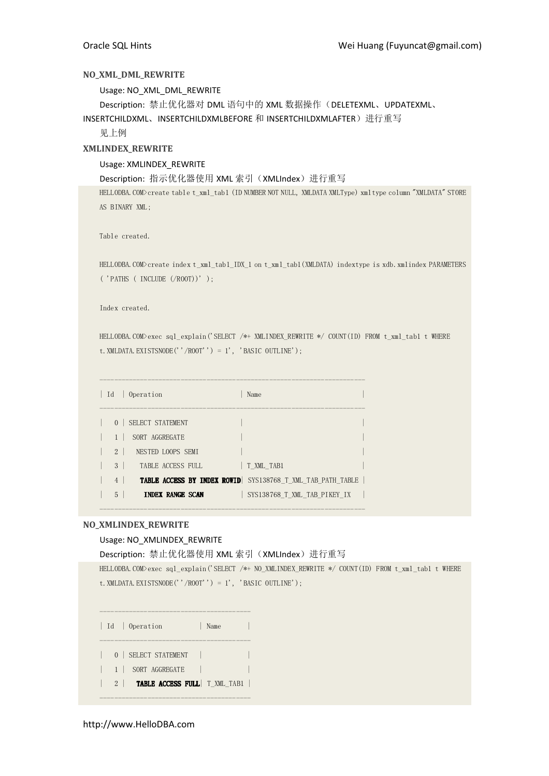## NO\_XML\_DML\_REWRITE

Usage: NO\_XML\_DML\_REWRITE

Description: 禁止优化器对 DML 语句中的 XML 数据操作(DELETEXML、UPDATEXML、

INSERTCHILDXML、INSERTCHILDXMLBEFORE 和 INSERTCHILDXMLAFTER)进行重写

见上例

# XMLINDEX\_REWRITE

## Usage: XMLINDEX\_REWRITE

Description: 指示优化器使用 XML 索引 (XMLIndex) 进行重写

HELLODBA.COM>create table t\_xml\_tab1 (ID NUMBER NOT NULL, XMLDATA XMLType) xmltype column "XMLDATA" STORE AS BINARY XML;

Table created.

HELLODBA.COM>create index t\_xml\_tab1\_IDX\_1 on t\_xml\_tab1(XMLDATA) indextype is xdb.xmlindex PARAMETERS ( 'PATHS ( INCLUDE (/ROOT))' );

Index created.

HELLODBA.COM>exec sql\_explain('SELECT /\*+ XMLINDEX\_REWRITE \*/ COUNT(ID) FROM t\_xml\_tab1 t WHERE t.XMLDATA.EXISTSNODE(''/ROOT'') = 1', 'BASIC OUTLINE');

| Id             | Operation               | Name                                                              |
|----------------|-------------------------|-------------------------------------------------------------------|
| $\Omega$       | SELECT STATEMENT        |                                                                   |
|                | SORT AGGREGATE          |                                                                   |
| $2 \perp$      | NESTED LOOPS SEMI       |                                                                   |
| 3 <sup>1</sup> | TABLE ACCESS FULL       | T XML TAB1                                                        |
| $\overline{4}$ |                         | <b>TABLE ACCESS BY INDEX ROWID</b> SYS138768 T XML TAB PATH TABLE |
| 5              | <b>INDEX RANGE SCAN</b> | SYS138768 T XML TAB PIKEY IX                                      |

------------------------------------------------------------------------

# NO\_XMLINDEX\_REWRITE

## Usage: NO\_XMLINDEX\_REWRITE

Description: 禁止优化器使用 XML 索引(XMLIndex)进行重写

```
HELLODBA.COM>exec sql_explain('SELECT /*+ NO_XMLINDEX_REWRITE */ COUNT(ID) FROM t_xml_tab1 t WHERE 
t.XMLDATA.EXISTSNODE(''/ROOT'') = 1', 'BASIC OUTLINE');
```

|  | Id   Operation<br>Name                    |  |
|--|-------------------------------------------|--|
|  | 0   SELECT STATEMENT                      |  |
|  | 1 SORT AGGREGATE                          |  |
|  | 2   <b>TABLE ACCESS FULL</b>   T XML TAB1 |  |
|  |                                           |  |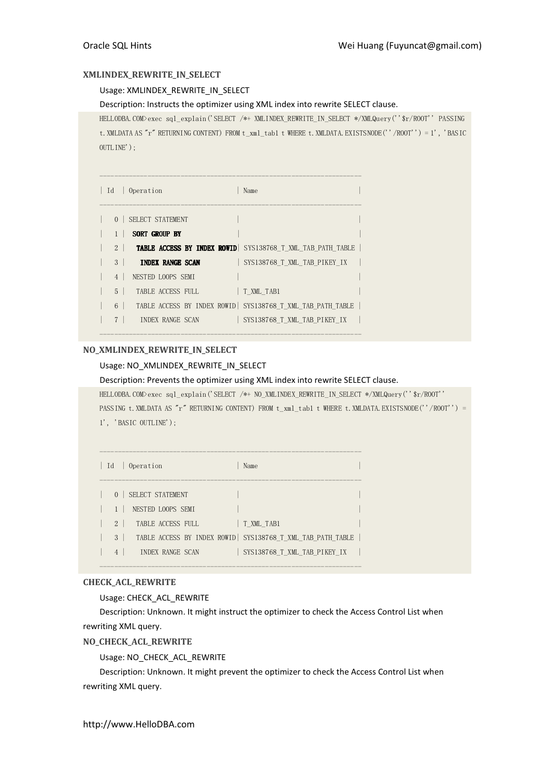# XMLINDEX\_REWRITE\_IN\_SELECT

Usage: XMLINDEX\_REWRITE\_IN\_SELECT

Description: Instructs the optimizer using XML index into rewrite SELECT clause.

HELLODBA.COM>exec sql\_explain('SELECT /\*+ XMLINDEX\_REWRITE\_IN\_SELECT \*/XMLQuery(''\$r/ROOT'' PASSING t. XMLDATA AS "r" RETURNING CONTENT) FROM t\_xml\_tab1 t WHERE t. XMLDATA. EXISTSNODE(''/ROOT'') = 1', 'BASIC OUTLINE');

| Id<br>Operation<br>Name                                                      |  |
|------------------------------------------------------------------------------|--|
| SELECT STATEMENT<br>$\Omega$                                                 |  |
| <b>SORT GROUP BY</b>                                                         |  |
| 2   <b>TABLE ACCESS BY INDEX ROWID</b> SYS138768 T XML TAB PATH TABLE        |  |
| $\mathbf{3}$<br><b>INDEX RANGE SCAN</b><br>SYS138768 T XML TAB PIKEY IX      |  |
| $\overline{4}$<br>NESTED LOOPS SEMI                                          |  |
| $\overline{5}$<br>T XML TAB1<br>TABLE ACCESS FULL                            |  |
| TABLE ACCESS BY INDEX ROWID SYS138768 T XML TAB PATH TABLE<br>6 <sup>1</sup> |  |
| $\overline{7}$<br>SYS138768 T XML TAB PIKEY IX<br><b>INDEX RANGE SCAN</b>    |  |

-----------------------------------------------------------------------

# NO\_XMLINDEX\_REWRITE\_IN\_SELECT

# Usage: NO\_XMLINDEX\_REWRITE\_IN\_SELECT

Description: Prevents the optimizer using XML index into rewrite SELECT clause.

HELLODBA.COM>exec sql\_explain('SELECT /\*+ NO\_XMLINDEX\_REWRITE\_IN\_SELECT \*/XMLQuery(''\$r/ROOT'' PASSING t. XMLDATA AS "r" RETURNING CONTENT) FROM t\_xml\_tab1 t WHERE t. XMLDATA.EXISTSNODE(''/ROOT'') = 1', 'BASIC OUTLINE');

| Id             | Operation<br>Name                                          |
|----------------|------------------------------------------------------------|
| $\Omega$       | SELECT STATEMENT                                           |
|                | NESTED LOOPS SEMI                                          |
| $\mathfrak{D}$ | TABLE ACCESS FULL<br>T XML TAB1                            |
| 3              | TABLE ACCESS BY INDEX ROWID SYS138768 T XML TAB PATH TABLE |
| $\overline{4}$ | INDEX RANGE SCAN<br>SYS138768 T XML TAB PIKEY IX           |

-----------------------------------------------------------------------

# CHECK\_ACL\_REWRITE

Usage: CHECK\_ACL\_REWRITE

Description: Unknown. It might instruct the optimizer to check the Access Control List when rewriting XML query.

NO\_CHECK\_ACL\_REWRITE

Usage: NO\_CHECK\_ACL\_REWRITE

Description: Unknown. It might prevent the optimizer to check the Access Control List when rewriting XML query.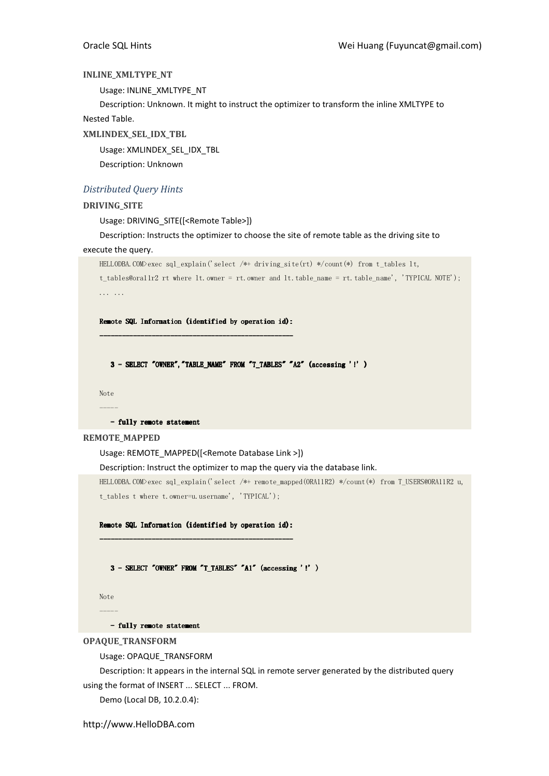# INLINE\_XMLTYPE\_NT

Usage: INLINE\_XMLTYPE\_NT

Description: Unknown. It might to instruct the optimizer to transform the inline XMLTYPE to Nested Table.

XMLINDEX\_SEL\_IDX\_TBL

Usage: XMLINDEX\_SEL\_IDX\_TBL

Description: Unknown

# Distributed Query Hints

# DRIVING\_SITE

Usage: DRIVING\_SITE([<Remote Table>])

Description: Instructs the optimizer to choose the site of remote table as the driving site to

# execute the query.

```
HELLODBA.COM>exec sql_explain('select /*+ driving_site(rt) */count(*) from t_tables lt, 
t_tables@ora11r2 rt where lt.owner = rt.owner and lt.table_name = rt.table_name', 'TYPICAL NOTE'); 
... ...
```
Remote SQL Information (identified by operation id): ---------------------------------------------------- -----------------------------------------------------------------------------------------

 $3$  -SELECT "OWNER", "TABLE\_NAME" FROM "T\_TABLES" "A2" (accessing '!' )

Note -----

- fully remote statement

## REMOTE\_MAPPED

# Usage: REMOTE\_MAPPED([<Remote Database Link >])

Description: Instruct the optimizer to map the query via the database link.

HELLODBA.COM>exec sql\_explain('select /\*+ remote\_mapped(ORA11R2) \*/count(\*) from T\_USERS@ORA11R2 u, t\_tables t where t.owner=u.username', 'TYPICAL');

Remote SQL Information (identified by operation id): Remote SQL Information (identified by operation id): ---------------------------------------------------- -----------------------------------

 $3$  - SELECT "OWNER" FROM "T\_TABLES" "A1" (accessing '!' )

Note -----

- fully remote statement

OPAQUE\_TRANSFORM

Usage: OPAQUE\_TRANSFORM

Description: It appears in the internal SQL in remote server generated by the distributed query using the format of INSERT ... SELECT ... FROM.

Demo (Local DB, 10.2.0.4):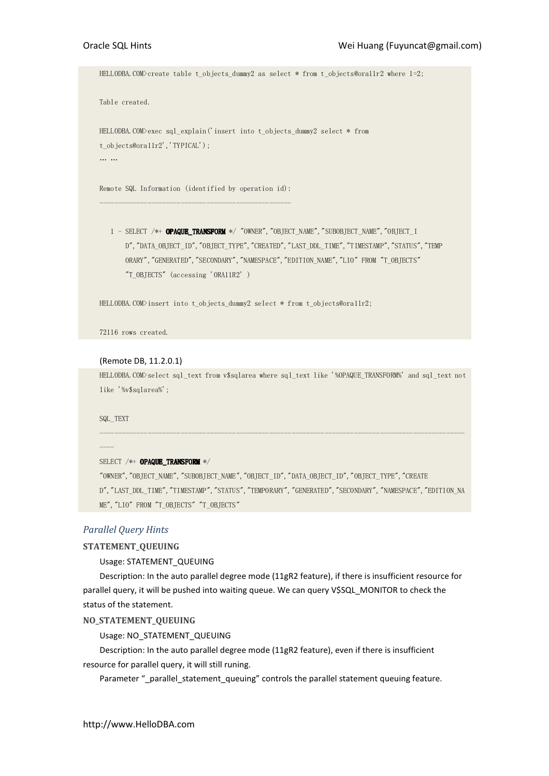HELLODBA.COM>create table t\_objects\_dummy2 as select \* from t\_objects@ora11r2 where 1=2;

Table created.

```
HELLODBA.COM>exec sql_explain('insert into t_objects_dummy2 select * from 
t_objects@ora11r2','TYPICAL');
… …
```
Remote SQL Information (identified by operation id): ----------------------------------------------------

1 - SELECT /\*+ OPAQUE\_TRANSFORM \*/ "OWNER", "OBJECT\_NAME", "SUBOBJECT\_NAME", "OBJECT\_I D", "DATA\_OBJECT\_ID", "OBJECT\_TYPE", "CREATED", "LAST\_DDL\_TIME", "TIMESTAMP", "STATUS", "TEMP ORARY", "GENERATED", "SECONDARY", "NAMESPACE", "EDITION\_NAME", "LIO" FROM "T\_OBJECTS" "T\_OBJECTS" (accessing 'ORA11R2' )

HELLODBA.COM>insert into t\_objects\_dummy2 select \* from t\_objects@ora11r2;

72116 rows created.

## (Remote DB, 11.2.0.1)

HELLODBA.COM>select sql\_text from v\$sqlarea where sql\_text like '%OPAQUE\_TRANSFORM%' and sql\_text not like '%v\$sqlarea%';

---------------------------------------------------------------------------------------------------

SQL\_TEXT

----

#### SELECT /\*+ OPAQUE TRANSFORM \*/

"OWNER","OBJECT\_NAME","SUBOBJECT\_NAME","OBJECT\_ID","DATA\_OBJECT\_ID","OBJECT\_TYPE","CREATE D","LAST\_DDL\_TIME","TIMESTAMP","STATUS","TEMPORARY","GENERATED","SECONDARY","NAMESPACE","EDITION\_NA ME", "LIO" FROM "T\_OBJECTS" "T\_OBJECTS"

# Parallel Query Hints

## STATEMENT\_QUEUING

# Usage: STATEMENT\_QUEUING

Description: In the auto parallel degree mode (11gR2 feature), if there is insufficient resource for parallel query, it will be pushed into waiting queue. We can query V\$SQL\_MONITOR to check the status of the statement.

# NO\_STATEMENT\_QUEUING

## Usage: NO\_STATEMENT\_QUEUING

Description: In the auto parallel degree mode (11gR2 feature), even if there is insufficient resource for parallel query, it will still runing.

Parameter "\_parallel\_statement\_queuing" controls the parallel statement queuing feature.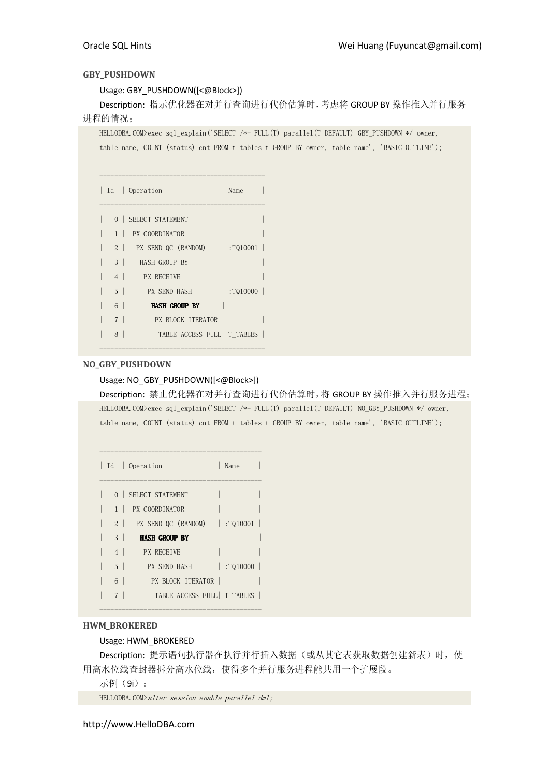# GBY\_PUSHDOWN

Usage: GBY\_PUSHDOWN([<@Block>])

Description: 指示优化器在对并行查询进行代价估算时,考虑将 GROUP BY 操作推入并行服务 进程的情况;

HELLODBA.COM>exec sql\_explain('SELECT /\*+ FULL(T) parallel(T DEFAULT) GBY\_PUSHDOWN \*/ owner, table name, COUNT (status) cnt FROM t tables t GROUP BY owner, table name', 'BASIC OUTLINE');

|                | Id   Operation                     | Name     |
|----------------|------------------------------------|----------|
|                | 0 SELECT STATEMENT                 |          |
|                | 1 PX COORDINATOR                   |          |
|                | 2   PX SEND QC (RANDOM)   :TQ10001 |          |
| 3 <sup>1</sup> | HASH GROUP BY                      |          |
| 4 <sup>1</sup> | <b>EX RECETVE</b>                  |          |
| $5-1$          | PX SEND HASH                       | :T010000 |
| $6-1$          | <b>HASH GROUP BY</b>               |          |
| 7 <sup>1</sup> | PX BLOCK ITERATOR                  |          |
| 8              | TABLE ACCESS FULL   T TABLES       |          |

# NO\_GBY\_PUSHDOWN

# Usage: NO\_GBY\_PUSHDOWN([<@Block>])

---------------------------------------------

Description: 禁止优化器在对并行查询进行代价估算时,将 GROUP BY 操作推入并行服务进程; HELLODBA.COM>exec sql\_explain('SELECT /\*+ FULL(T) parallel(T DEFAULT) NO\_GBY\_PUSHDOWN \*/ owner, table\_name, COUNT (status) cnt FROM t\_tables t GROUP BY owner, table\_name', 'BASIC OUTLINE');

|                | Id   Operation               | Name          |
|----------------|------------------------------|---------------|
|                | 0 SELECT STATEMENT           |               |
|                | 1 PX COORDINATOR             |               |
|                | 2 PX SEND QC (RANDOM)        | $ $ : TQ10001 |
| 3 <sup>1</sup> | <b>HASH GROUP BY</b>         |               |
| 4              | <b>PX RECEIVE</b>            |               |
| $5-1$          | PX SEND HASH                 | :T010000      |
| $6-1$          | - PX BLOCK ITERATOR          |               |
|                | TABLE ACCESS FULL   T TABLES |               |

--------------------------------------------

# HWM\_BROKERED

# Usage: HWM\_BROKERED

Description: 提示语句执行器在执行并行插入数据(或从其它表获取数据创建新表)时, 使 用高水位线查封器拆分高水位线,使得多个并行服务进程能共用一个扩展段。

示例(9i):

HELLODBA.COM>alter session enable parallel dml;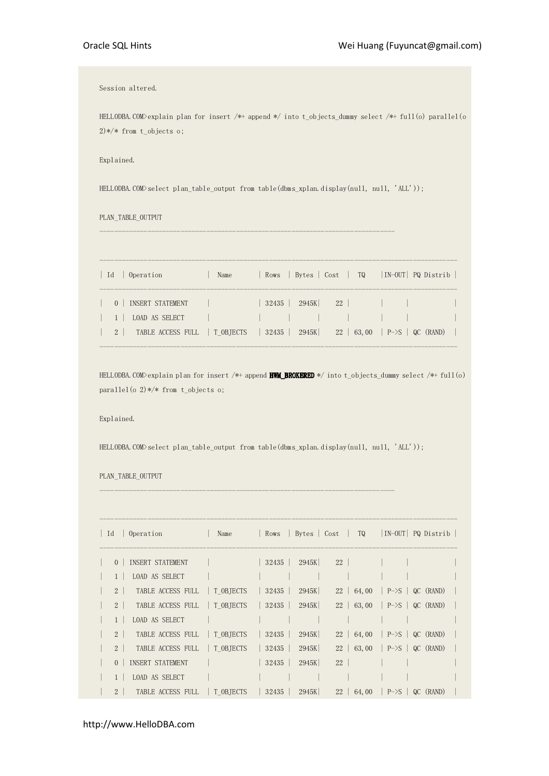Session altered.

HELLODBA.COM>explain plan for insert /\*+ append \*/ into t\_objects\_dummy select /\*+ full(o) parallel(o 2)\*/\* from t\_objects o;

Explained.

HELLODBA.COM>select plan table output from table(dbms xplan.display(null, null, 'ALL'));

--------------------------------------------------------------------------------

PLAN\_TABLE\_OUTPUT

| Id | Operation                    | Name | Rows   Bytes $ $ Cost $ $ TQ $ $ IN-OUT $ $ PQ Distrib $ $ |  |
|----|------------------------------|------|------------------------------------------------------------|--|
|    | INSERT STATEMENT<br>$\Omega$ |      | $32435$   2945K   22                                       |  |
|    | LOAD AS SELECT               |      |                                                            |  |
|    | 2 TABLE ACCESS FULL TOBIECTS |      | $32435$   $2945K$   $22$   63,00   P- $>$ S   QC (RAND)    |  |

HELLODBA.COM>explain plan for insert /\*+ append HWM\_BROKERED \*/ into t\_objects\_dummy select /\*+ full(o) parallel(o 2)\*/\* from t\_objects o;

Explained.

HELLODBA.COM>select plan\_table\_output from table(dbms\_xplan.display(null, null, 'ALL'));

--------------------------------------------------------------------------------

PLAN\_TABLE\_OUTPUT

------------------------------------------------------------------------------------------------- | Id | Operation | Name | Rows | Bytes | Cost | TQ |IN-OUT| PQ Distrib | ------------------------------------------------------------------------------------------------- | 0 | INSERT STATEMENT | | 32435 | 2945K| 22 | | | | | 1 | LOAD AS SELECT | | | | | | | | | | | | | 2 | TABLE ACCESS FULL | T\_OBJECTS | 32435 | 2945K| 22 | 64,00 | P->S | QC (RAND) | | 2 | TABLE ACCESS FULL | T\_OBJECTS | 32435 | 2945K| 22 | 63,00 | P->S | QC (RAND) | | 1 | LOAD AS SELECT | | | | | | | | | | | | | | 2 | TABLE ACCESS FULL | T\_OBJECTS | 32435 | 2945K| 22 | 64,00 | P->S | QC (RAND) | | 2 | TABLE ACCESS FULL | T\_OBJECTS | 32435 | 2945K| 22 | 63,00 | P->S | QC (RAND) | | 0 | INSERT STATEMENT | | 32435 | 2945K| 22 | | | | | 1 | LOAD AS SELECT | | | | | | | | | | | | | | | 2 | TABLE ACCESS FULL | T\_OBJECTS | 32435 | 2945K| 22 | 64,00 | P->S | QC (RAND) |

http://www.HelloDBA.com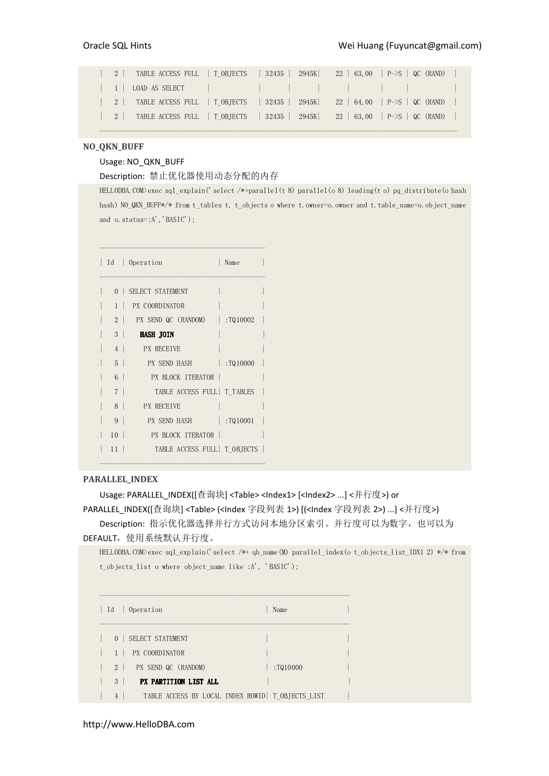|  | 2   TABLE ACCESS FULL   TOBJECTS   32435   2945K   22   63,00   P->S   QC (RAND) |  |  |  |
|--|----------------------------------------------------------------------------------|--|--|--|
|  |                                                                                  |  |  |  |
|  | 2   TABLE ACCESS FULL   TOBJECTS   32435   2945K   22   64,00   P->S   QC (RAND) |  |  |  |
|  | 2   TABLE ACCESS FULL   TOBJECTS   32435   2945K   22   63,00   P->S   QC (RAND) |  |  |  |

-------------------------------------------------------------------------------------------------

# NO\_QKN\_BUFF

# Usage: NO\_QKN\_BUFF

Description: 禁止优化器使用动态分配的内存

HELLODBA.COM>exec sql\_explain('select /\*+parallel(t 8) parallel(o 8) leading(t o) pq\_distribute(o hash hash) NO\_QKN\_BUFF\*/\* from t\_tables t, t\_objects o where t.owner=o.owner and t.table\_name=o.object\_name and o.status=:A','BASIC');

|                | Id   Operation                     | Name          |
|----------------|------------------------------------|---------------|
|                | 0 SELECT STATEMENT                 |               |
|                | 1 PX COORDINATOR                   |               |
|                | 2   PX SEND QC (RANDOM)   :TQ10002 |               |
| 3 <sup>1</sup> | HASH JOIN                          |               |
| 4              | <b>EX RECETVE</b>                  |               |
| $5-1$          | PX SEND HASH                       | :TQ10000      |
| 6              | <b>PX BLOCK ITERATOR</b>           |               |
| 7 <sup>1</sup> | TABLE ACCESS FULL   T TABLES       |               |
| 8 <sup>1</sup> | <b>PX RECEIVE</b>                  |               |
| $9 \mid$       | PX SEND HASH                       | $ $ : TQ10001 |
| $10-1$         | <b>PX BLOCK ITERATOR</b>           |               |
| 11             | TABLE ACCESS FULL   T OBJECTS      |               |

# PARALLEL\_INDEX

Usage: PARALLEL\_INDEX([查询块] <Table> <Index1> [<Index2> ...] <并行度>) or PARALLEL\_INDEX([查询块] <Table> (<Index 字段列表 1>) [(<Index 字段列表 2>) ...] <并行度>) Description: 指示优化器选择并行方式访问本地分区索引。并行度可以为数字, 也可以为

# DEFAULT,使用系统默认并行度。

HELLODBA.COM>exec sql\_explain('select /\*+ qb\_name(M) parallel\_index(o t\_objects\_list\_IDX1 2) \*/\* from t\_objects\_list o where object\_name like :A', 'BASIC');

| Id<br>Operation                                                      | Name     |
|----------------------------------------------------------------------|----------|
| SELECT STATEMENT<br>$\Omega$                                         |          |
| PX COORDINATOR                                                       |          |
| $2 \mid$<br>PX SEND QC (RANDOM)                                      | :T010000 |
| 3<br>PX PARTITION LIST ALL                                           |          |
| TABLE ACCESS BY LOCAL INDEX ROWID   T OBJECTS LIST<br>$\overline{4}$ |          |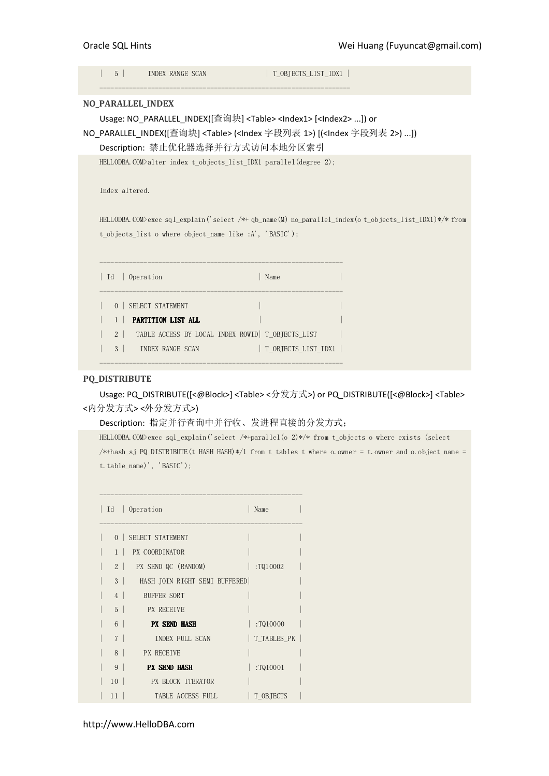| $5^{\circ}$       | INDEX RANGE SCAN                                                                         |      | T OBJECTS LIST IDX1 |                                                                                                           |
|-------------------|------------------------------------------------------------------------------------------|------|---------------------|-----------------------------------------------------------------------------------------------------------|
| NO_PARALLEL_INDEX |                                                                                          |      |                     |                                                                                                           |
|                   | Usage: NO_PARALLEL_INDEX([查询块] <table><index1> [<index2> ]) or</index2></index1></table> |      |                     |                                                                                                           |
|                   |                                                                                          |      |                     | NO_PARALLEL_INDEX([查询块] <table> (<index 1="" 字段列表="">) [(<index 2="" 字段列表="">) ])</index></index></table> |
|                   | Description: 禁止优化器选择并行方式访问本地分区索引                                                         |      |                     |                                                                                                           |
|                   | HELLODBA. COM>alter index t objects list IDX1 parallel (degree 2);                       |      |                     |                                                                                                           |
|                   |                                                                                          |      |                     |                                                                                                           |
| Index altered.    |                                                                                          |      |                     |                                                                                                           |
|                   |                                                                                          |      |                     |                                                                                                           |
|                   |                                                                                          |      |                     | HELLODBA. COM>exec sql explain('select /*+ qb name(M) no parallel index(o t objects list IDX1)*/* from    |
|                   | t objects list o where object name like :A', 'BASIC');                                   |      |                     |                                                                                                           |
|                   |                                                                                          |      |                     |                                                                                                           |
|                   |                                                                                          |      |                     |                                                                                                           |
| Id                | Operation                                                                                | Name |                     |                                                                                                           |
|                   |                                                                                          |      |                     |                                                                                                           |
| $\Omega$          | SELECT STATEMENT                                                                         |      |                     |                                                                                                           |
| $\mathbf{1}$      | PARTITION LIST ALL                                                                       |      |                     |                                                                                                           |
| 2                 | TABLE ACCESS BY LOCAL INDEX ROWID   T OBJECTS LIST                                       |      |                     |                                                                                                           |
| 3                 | INDEX RANGE SCAN                                                                         |      | T OBJECTS LIST IDX1 |                                                                                                           |
|                   |                                                                                          |      |                     |                                                                                                           |

# PQ\_DISTRIBUTE

Usage: PQ\_DISTRIBUTE([<@Block>] <Table> <分发方式>) or PQ\_DISTRIBUTE([<@Block>] <Table> <内分发方式> <外分发方式>)

Description: 指定并行查询中并行收、发进程直接的分发方式;

HELLODBA.COM>exec sql\_explain('select /\*+parallel(o 2)\*/\* from t\_objects o where exists (select /\*+hash\_sj PQ\_DISTRIBUTE(t HASH HASH)\*/1 from t\_tables t where o.owner = t.owner and o.object\_name = t.table\_name)', 'BASIC');

| Id<br>$\mathbb{R}$ | Operation                     | Name        |
|--------------------|-------------------------------|-------------|
| $\Omega$<br>- 11   | SELECT STATEMENT              |             |
|                    | PX COORDINATOR                |             |
| 2 <sup>1</sup>     | PX SEND QC (RANDOM)           | :TQ10002    |
| 3 <sup>1</sup>     | HASH JOIN RIGHT SEMI BUFFERED |             |
| 4                  | <b>BUFFER SORT</b>            |             |
| 5 <sup>1</sup>     | <b>PX RECEIVE</b>             |             |
| 6 <sup>1</sup>     | <b>PX SEND HASH</b>           | :TQ10000    |
| 7 <sup>1</sup>     | INDEX FULL SCAN               | T TABLES PK |
| $8-1$              | <b>PX RECEIVE</b>             |             |
| 9 <sup>1</sup>     | <b>PX SEND HASH</b>           | :TQ10001    |
| 10<br>- 1          | <b>EX BLOCK ITERATOR</b>      |             |
| 11                 | TABLE ACCESS FULL             | T OBJECTS   |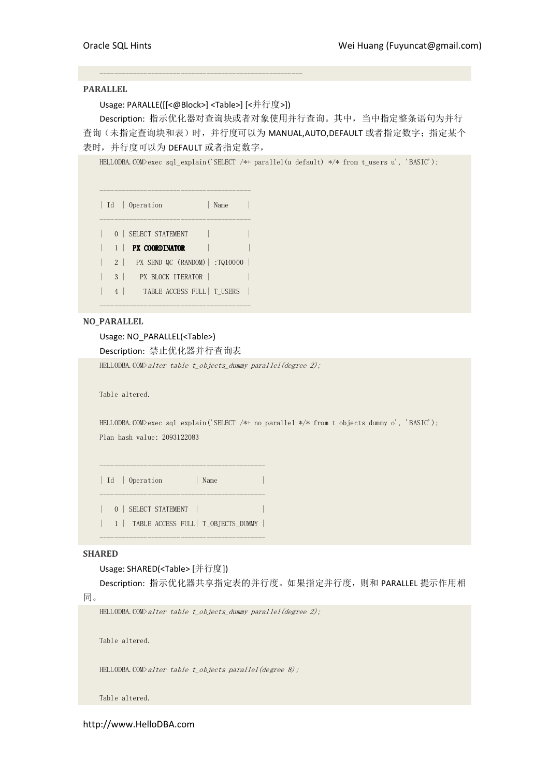## PARALLEL

Usage: PARALLE([[<@Block>] <Table>] [<并行度>])

-------------------------------------------------------

Description: 指示优化器对查询块或者对象使用并行查询。其中,当中指定整条语句为并行 查询(未指定查询块和表)时,并行度可以为 MANUAL,AUTO,DEFAULT 或者指定数字; 指定某个 表时,并行度可以为 DEFAULT 或者指定数字,

HELLODBA.COM>exec sql\_explain('SELECT /\*+ parallel(u default) \*/\* from t\_users u', 'BASIC');

----------------------------------------- | Id | Operation | Name | ----------------------------------------- | 0 | SELECT STATEMENT |  $| 1 |$  PX COORDINATOR  $| 1 |$ | 2 | PX SEND QC (RANDOM)| :TQ10000 | | 3 | PX BLOCK ITERATOR | | | 4 | TABLE ACCESS FULL | T USERS |

# NO\_PARALLEL

Usage: NO\_PARALLEL(<Table>)

Description: 禁止优化器并行查询表

-----------------------------------------

HELLODBA.COM $\lambda$ alter table t\_objects\_dummy parallel(degree 2);

Table altered.

HELLODBA.COM>exec sql\_explain('SELECT /\*+ no\_parallel \*/\* from t\_objects\_dummy o', 'BASIC'); Plan hash value: 2093122083

| Id | Operation | Name --------------------------------------------- | 0 | SELECT STATEMENT | | 1 | TABLE ACCESS FULL| T\_OBJECTS\_DUMMY |

---------------------------------------------

---------------------------------------------

# SHARED

## Usage: SHARED(<Table> [并行度])

Description: 指示优化器共享指定表的并行度。如果指定并行度,则和 PARALLEL 提示作用相

同。

HELLODBA.COM $\geq$ alter table t objects dummy parallel(degree 2);

Table altered.

HELLODBA.COM $\lambda$ alter table t\_objects parallel(degree 8);

Table altered.

http://www.HelloDBA.com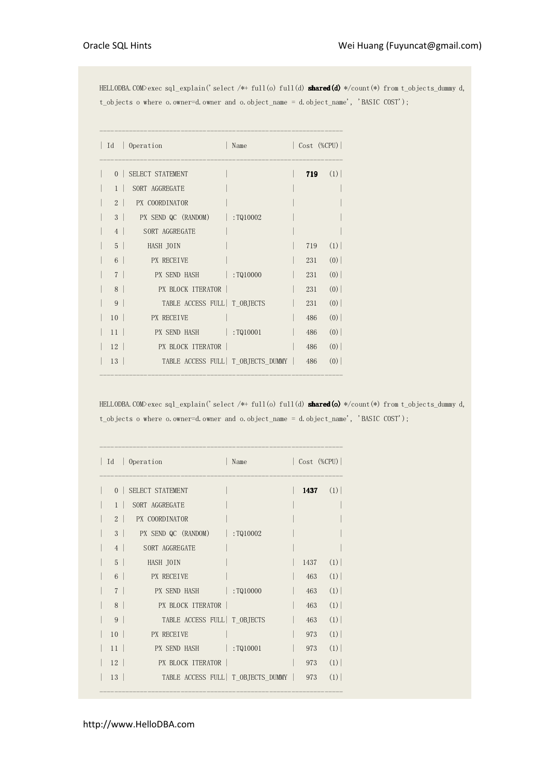HELLODBA.COM>exec sql\_explain('select /\*+ full(o) full(d) **shared(d)** \*/count(\*) from t\_objects\_dummy d, t\_objects o where o.owner=d.owner and o.object\_name = d.object\_name', 'BASIC COST');

| Id             | $\log$ 0 peration<br>Name               | $\vert$ Cost (%CPU) $\vert$ |     |
|----------------|-----------------------------------------|-----------------------------|-----|
| $\Omega$       | SELECT STATEMENT                        | 719                         | (1) |
| $1 \perp$      | SORT AGGREGATE                          |                             |     |
| $2 \perp$      | <b>PX COORDINATOR</b>                   |                             |     |
| 3 <sup>1</sup> | PX SEND QC (RANDOM)   :TQ10002          |                             |     |
| 4              | SORT AGGREGATE                          |                             |     |
| $5-1$          | HASH JOIN                               | 719                         | (1) |
| $6-1$          | <b>PX RECEIVE</b>                       | 231                         | (0) |
| 7 <sup>1</sup> | PX SEND HASH :TQ10000                   | 231                         | (0) |
| 8 <sup>1</sup> | <b>PX BLOCK ITERATOR</b>                | 231                         | (0) |
| 9              | TABLE ACCESS FULL   T OBJECTS           | 231                         | (0) |
| $10-1$         | PX RECEIVE                              | 486                         | (0) |
| $11-1$         | PX SEND HASH : TQ10001                  | 486                         | (0) |
| $12-1$         | PX BLOCK ITERATOR                       | 486                         | (0) |
| 13             | TABLE ACCESS FULL T OBJECTS DUMMY   486 |                             | (0) |

HELLODBA.COM>exec sql\_explain('select /\*+ full(o) full(d) **shared(o)** \*/count(\*) from t\_objects\_dummy d, t\_objects o where o.owner=d.owner and o.object\_name = d.object\_name', 'BASIC COST');

|                 | Id   Operation<br>Name                    | $\vert$ Cost (%CPU) $\vert$ |     |
|-----------------|-------------------------------------------|-----------------------------|-----|
| $\Omega$        | SELECT STATEMENT                          | 1437                        | (1) |
| 1               | SORT AGGREGATE                            |                             |     |
| 2 <sup>1</sup>  | <b>PX COORDINATOR</b>                     |                             |     |
| $3-1$           | PX SEND QC (RANDOM)   :TQ10002            |                             |     |
| 4               | SORT AGGREGATE                            |                             |     |
| 5 <sup>1</sup>  | HASH JOIN                                 | 1437                        | (1) |
| $6-1$           | <b>PX RECEIVE</b>                         | 463                         | (1) |
| 7 <sup>1</sup>  | PX SEND HASH :TQ10000                     | 463                         | (1) |
| $8-1$           | <b>PX BLOCK ITERATOR</b>                  | 463                         | (1) |
| 9 <sup>1</sup>  | TABLE ACCESS FULL   T OBJECTS             | 463                         | (1) |
| $10-1$          | <b>PX RECEIVE</b>                         | 973                         | (1) |
| 11              | PX SEND HASH : TQ10001                    | 973                         | (1) |
| $12-1$          | <b>PX BLOCK ITERATOR</b>                  | 973                         | (1) |
| 13 <sup>1</sup> | TABLE ACCESS FULL   T OBJECTS DUMMY   973 |                             | (1) |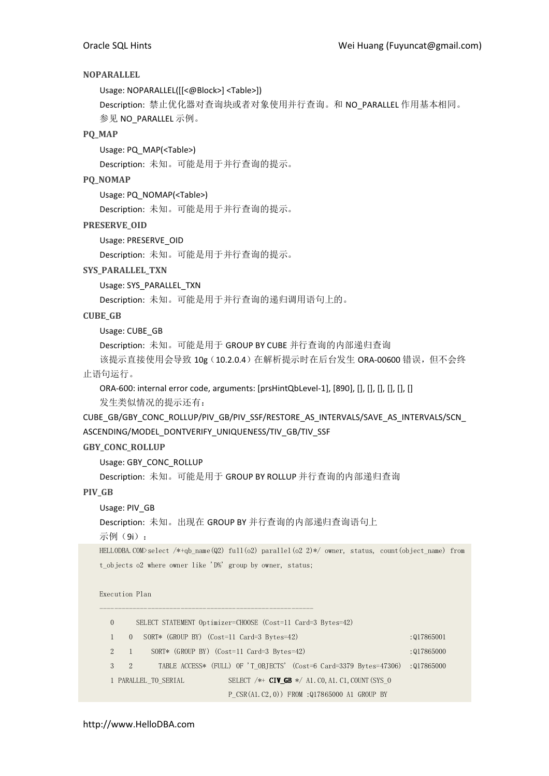# NOPARALLEL

Usage: NOPARALLEL([[<@Block>] <Table>])

Description: 禁止优化器对查询块或者对象使用并行查询。和 NO\_PARALLEL 作用基本相同。 参见 NO\_PARALLEL 示例。

# PQ\_MAP

Usage: PQ\_MAP(<Table>)

Description: 未知。可能是用于并行查询的提示。

# PQ\_NOMAP

Usage: PQ\_NOMAP(<Table>)

Description: 未知。可能是用于并行查询的提示。

PRESERVE\_OID

Usage: PRESERVE\_OID

Description: 未知。可能是用于并行查询的提示。

# SYS PARALLEL TXN

Usage: SYS\_PARALLEL\_TXN

Description: 未知。可能是用于并行查询的递归调用语句上的。

# CUBE\_GB

Usage: CUBE\_GB

Description: 未知。可能是用于 GROUP BY CUBE 并行查询的内部递归查询

该提示直接使用会导致 10g (10.2.0.4) 在解析提示时在后台发生 ORA-00600 错误, 但不会终 止语句运行。

ORA-600: internal error code, arguments: [prsHintQbLevel-1], [890], [], [], [], [], [], [], [] 发生类似情况的提示还有:

CUBE\_GB/GBY\_CONC\_ROLLUP/PIV\_GB/PIV\_SSF/RESTORE\_AS\_INTERVALS/SAVE\_AS\_INTERVALS/SCN\_ ASCENDING/MODEL\_DONTVERIFY\_UNIQUENESS/TIV\_GB/TIV\_SSF

# GBY\_CONC\_ROLLUP

Usage: GBY\_CONC\_ROLLUP

Description: 未知。可能是用于 GROUP BY ROLLUP 并行查询的内部递归查询

# PIV\_GB

Usage: PIV\_GB

Description: 未知。出现在 GROUP BY 并行查询的内部递归查询语句上

示例(9i):

HELLODBA.COM>select /\*+qb\_name(Q2) full(o2) parallel(o2 2)\*/ owner, status, count(object\_name) from t\_objects o2 where owner like 'D%' group by owner, status;

# Execution Plan

---------------------------------------------------------- 0 SELECT STATEMENT Optimizer=CHOOSE (Cost=11 Card=3 Bytes=42) 1 0 SORT\* (GROUP BY) (Cost=11 Card=3 Bytes=42) :Q17865001 2 1 SORT\* (GROUP BY) (Cost=11 Card=3 Bytes=42) :Q17865000 3 2 TABLE ACCESS\* (FULL) OF 'T\_OBJECTS' (Cost=6 Card=3379 Bytes=47306) :Q17865000 1 PARALLEL TO SERIAL SELECT /\*+ CIV\_GB \*/ A1.C0,A1.C1,COUNT(SYS\_O P CSR(A1.C2,0)) FROM :Q17865000 A1 GROUP BY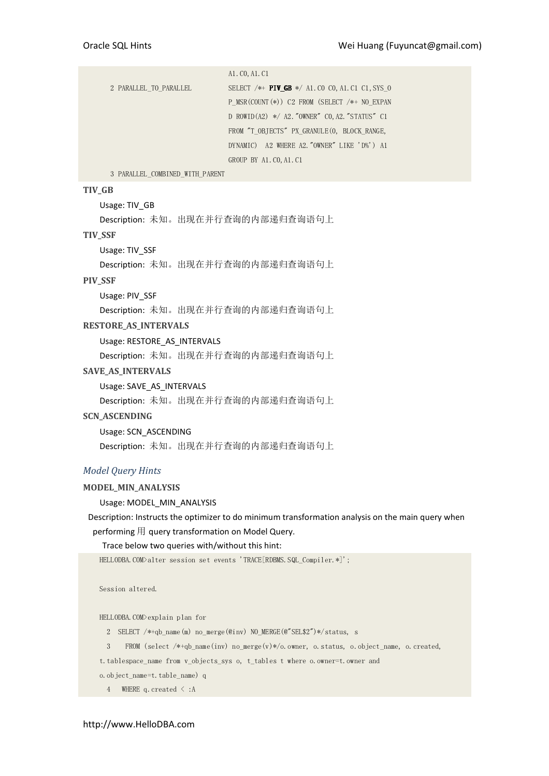| 2 PARALLEL TO PARALLEL | SELECT $/*$ PIV GB $*/$ A1. CO CO, A1. C1 C1, SYS O |
|------------------------|-----------------------------------------------------|
|                        | P MSR $(COUNT (*))$ C2 FROM (SELECT /*+ NO EXPAN    |
|                        | D ROWID(A2) $*/$ A2. "OWNER" CO, A2. "STATUS" C1    |
|                        | FROM "T OBJECTS" PX GRANULE (0, BLOCK RANGE,        |
|                        | DYNAMIC) A2 WHERE A2. "OWNER" LIKE 'D%') A1         |
|                        | GROUP BY A1. CO, A1. C1                             |

3 PARALLEL\_COMBINED\_WITH\_PARENT

## TIV\_GB

Usage: TIV\_GB

Description: 未知。出现在并行查询的内部递归查询语句上

#### TIV\_SSF

Usage: TIV\_SSF

Description: 未知。出现在并行查询的内部递归查询语句上

# PIV\_SSF

Usage: PIV\_SSF

Description: 未知。出现在并行查询的内部递归查询语句上

#### RESTORE AS INTERVALS

Usage: RESTORE\_AS\_INTERVALS

Description: 未知。出现在并行查询的内部递归查询语句上

## SAVE\_AS\_INTERVALS

Usage: SAVE\_AS\_INTERVALS

Description: 未知。出现在并行查询的内部递归查询语句上

## SCN\_ASCENDING

Usage: SCN\_ASCENDING Description: 未知。出现在并行查询的内部递归查询语句上

## Model Query Hints

## MODEL\_MIN\_ANALYSIS

Usage: MODEL\_MIN\_ANALYSIS

Description: Instructs the optimizer to do minimum transformation analysis on the main query when performing 用 query transformation on Model Query.

## Trace below two queries with/without this hint:

```
HELLODBA.COM>alter session set events 'TRACE[RDBMS.SQL Compiler.*]';
```
Session altered.

HELLODBA.COM>explain plan for

- 2 SELECT /\*+qb\_name(m) no\_merge(@inv) NO\_MERGE(@"SEL\$2")\*/status, s
- 3 FROM (select /\*+qb\_name(inv) no\_merge(v)\*/o.owner, o.status, o.object\_name, o.created,

t.tablespace\_name from v\_objects\_sys o, t\_tables t where o.owner=t.owner and

- o.object\_name=t.table\_name) q
	- 4 WHERE q.created < :A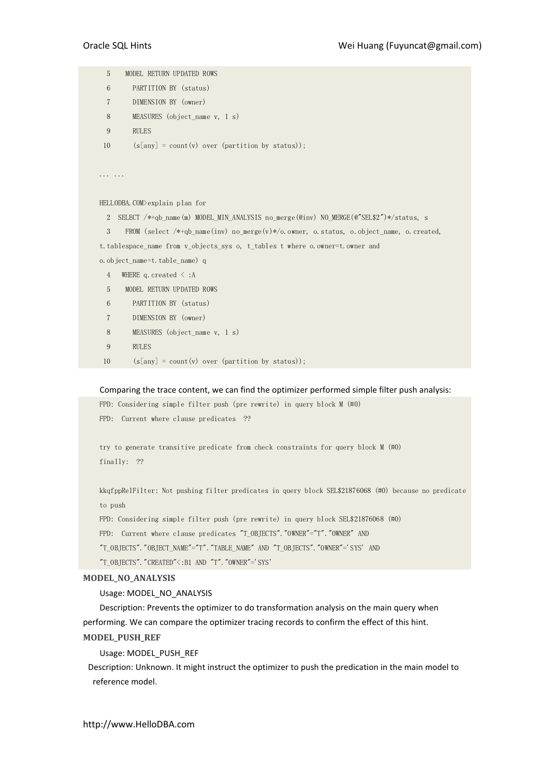5 MODEL RETURN UPDATED ROWS 6 PARTITION BY (status) 7 DIMENSION BY (owner) 8 MEASURES (object\_name v, 1 s) 9 RULES 10  $(s[any] = count(v) over (partition by status));$ ... ... HELLODBA.COM>explain plan for 2 SELECT /\*+qb\_name(m) MODEL\_MIN\_ANALYSIS no\_merge(@inv) NO\_MERGE(@"SEL\$2")\*/status, s 3 FROM (select /\*+qb\_name(inv) no\_merge(v)\*/o.owner, o.status, o.object\_name, o.created, t.tablespace\_name from v\_objects\_sys o, t\_tables t where o.owner=t.owner and o.object\_name=t.table\_name) q 4 WHERE q.created < :A 5 MODEL RETURN UPDATED ROWS 6 PARTITION BY (status) 7 DIMENSION BY (owner) 8 MEASURES (object\_name v, 1 s) 9 RULES 10  $(s[any] = count(v) over (partition by status));$ 

Comparing the trace content, we can find the optimizer performed simple filter push analysis:

FPD: Considering simple filter push (pre rewrite) in query block M (#0)

FPD: Current where clause predicates ??

try to generate transitive predicate from check constraints for query block M (#0) finally: ??

kkqfppRelFilter: Not pushing filter predicates in query block SEL\$21876068 (#0) because no predicate to push

FPD: Considering simple filter push (pre rewrite) in query block SEL\$21876068 (#0)

FPD: Current where clause predicates "T\_OBJECTS". "OWNER"="T". "OWNER" AND

"T\_OBJECTS"."OBJECT\_NAME"="T"."TABLE\_NAME" AND "T\_OBJECTS"."OWNER"='SYS' AND

 $"T_OBJECTS"$ . "CREATED" $\le$ :B1 AND "T". "OWNER"='SYS'

## MODEL\_NO\_ANALYSIS

Usage: MODEL\_NO\_ANALYSIS

Description: Prevents the optimizer to do transformation analysis on the main query when performing. We can compare the optimizer tracing records to confirm the effect of this hint. MODEL\_PUSH\_REF

Usage: MODEL\_PUSH\_REF

Description: Unknown. It might instruct the optimizer to push the predication in the main model to reference model.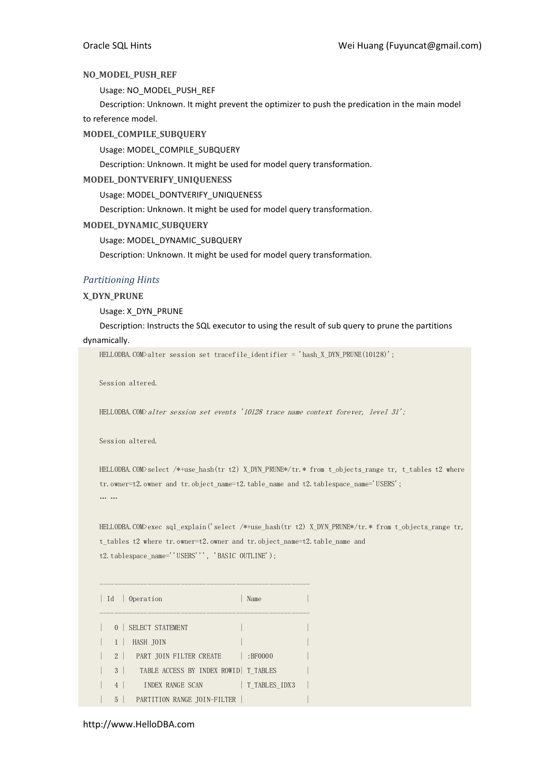# NO\_MODEL\_PUSH\_REF

Usage: NO\_MODEL\_PUSH\_REF

Description: Unknown. It might prevent the optimizer to push the predication in the main model to reference model.

# MODEL COMPILE SUBQUERY

Usage: MODEL\_COMPILE\_SUBQUERY

Description: Unknown. It might be used for model query transformation.

# MODEL\_DONTVERIFY\_UNIQUENESS

Usage: MODEL\_DONTVERIFY\_UNIQUENESS

Description: Unknown. It might be used for model query transformation.

## MODEL\_DYNAMIC\_SUBQUERY

Usage: MODEL\_DYNAMIC\_SUBQUERY

Description: Unknown. It might be used for model query transformation.

# Partitioning Hints

# X\_DYN\_PRUNE

Usage: X\_DYN\_PRUNE

# Description: Instructs the SQL executor to using the result of sub query to prune the partitions

## dynamically.

HELLODBA.COM>alter session set tracefile\_identifier = 'hash\_X\_DYN\_PRUNE(10128)';

Session altered.

HELLODBA.COM>alter session set events '10128 trace name context forever, level 31';

Session altered.

HELLODBA.COM>select /\*+use\_hash(tr t2) X\_DYN\_PRUNE\*/tr.\* from t\_objects\_range tr, t\_tables t2 where tr.owner=t2.owner and tr.object\_name=t2.table\_name and t2.tablespace\_name='USERS'; … …

HELLODBA.COM>exec sql\_explain('select /\*+use\_hash(tr t2) X\_DYN\_PRUNE\*/tr.\* from t\_objects\_range tr, t tables t2 where tr.owner=t2.owner and tr.object name=t2.table name and t2.tablespace\_name=''USERS''', 'BASIC OUTLINE');

| Id   Operation<br>Name                             |               |
|----------------------------------------------------|---------------|
| 0   SELECT STATEMENT                               |               |
| HASH JOIN                                          |               |
| 2 PART JOIN FILTER CREATE<br>:BF0000               |               |
| TABLE ACCESS BY INDEX ROWID   T TABLES<br>$3 \mid$ |               |
| 4<br>INDEX RANGE SCAN                              | T TABLES IDX3 |
| PARTITION RANGE TOIN-FILTER<br>$5 \mid$            |               |

## http://www.HelloDBA.com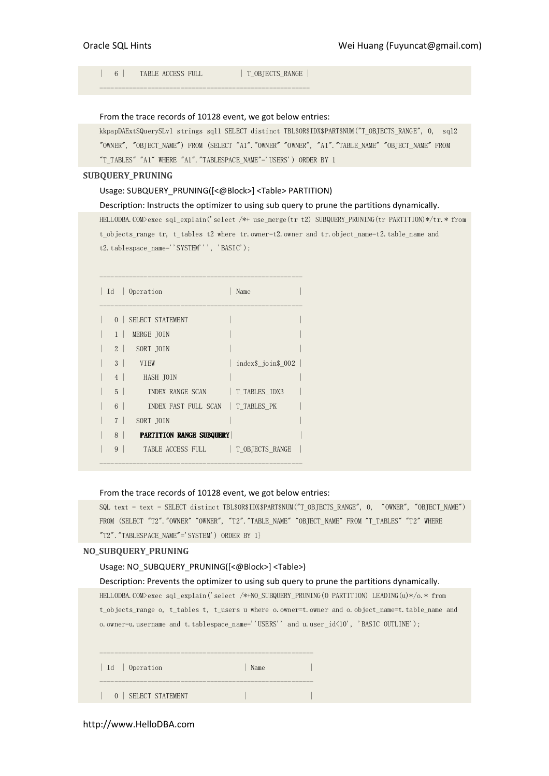| 6 | TABLE ACCESS FULL | T\_OBJECTS\_RANGE |

## From the trace records of 10128 event, we got below entries:

---------------------------------------------------------

kkpapDAExtSQuerySLvl strings sql1 SELECT distinct TBL\$OR\$IDX\$PART\$NUM("T\_OBJECTS\_RANGE", 0, sql2 "OWNER", "OBJECT\_NAME") FROM (SELECT "A1"."OWNER" "OWNER", "A1"."TABLE\_NAME" "OBJECT\_NAME" FROM "T\_TABLES" "A1" WHERE "A1"."TABLESPACE\_NAME"='USERS') ORDER BY 1

#### SUBQUERY\_PRUNING

## Usage: SUBQUERY\_PRUNING([<@Block>] <Table> PARTITION)

#### Description: Instructs the optimizer to using sub query to prune the partitions dynamically.

HELLODBA.COM>exec sql\_explain('select /\*+ use\_merge(tr t2) SUBQUERY\_PRUNING(tr PARTITION)\*/tr.\* from t\_objects\_range tr, t\_tables t2 where tr.owner=t2.owner and tr.object\_name=t2.table\_name and t2.tablespace\_name=''SYSTEM''', 'BASIC');

| Id<br>Operation |                                 | Name               |  |
|-----------------|---------------------------------|--------------------|--|
| $\Omega$        | SELECT STATEMENT                |                    |  |
| $1 \perp$       | MERGE JOIN                      |                    |  |
| 2 <sup>1</sup>  | SORT JOIN                       |                    |  |
| 3 <sup>1</sup>  | <b>VTEW</b>                     | index\$ join\$ 002 |  |
| 4 <sup>1</sup>  | HASH JOIN                       |                    |  |
| $5-1$           | INDEX RANGE SCAN                | T TABLES IDX3      |  |
| 6               | <b>INDEX FAST FULL SCAN</b>     | T TABLES PK        |  |
| 7 <sup>1</sup>  | SORT JOIN                       |                    |  |
| 8               | <b>PARTITION RANGE SUBQUERY</b> |                    |  |
| 9               | TABLE ACCESS FULL               | T OBJECTS RANGE    |  |
|                 |                                 |                    |  |

-------------------------------------------------------

#### From the trace records of 10128 event, we got below entries:

```
SQL text = text = SELECT distinct TBL$OR$IDX$PART$NUM("T_OBJECTS_RANGE", 0, "OWNER", "OBJECT_NAME")
FROM (SELECT "T2". "OWNER" "OWNER", "T2". "TABLE_NAME" "OBJECT_NAME" FROM "T_TABLES" "T2" WHERE
"T2"."TABLESPACE_NAME"='SYSTEM') ORDER BY 1}
```
## NO\_SUBQUERY\_PRUNING

#### Usage: NO\_SUBQUERY\_PRUNING([<@Block>] <Table>)

#### Description: Prevents the optimizer to using sub query to prune the partitions dynamically.

HELLODBA.COM>exec sql\_explain('select /\*+NO\_SUBQUERY\_PRUNING(O PARTITION) LEADING(u)\*/o.\* from t\_objects\_range o, t\_tables t, t\_users u where o.owner=t.owner and o.object\_name=t.table\_name and o.owner=u.username and t.tablespace\_name=''USERS'' and u.user\_id<10', 'BASIC OUTLINE');

| Id   Operation       | Name |  |
|----------------------|------|--|
| 0   SELECT STATEMENT |      |  |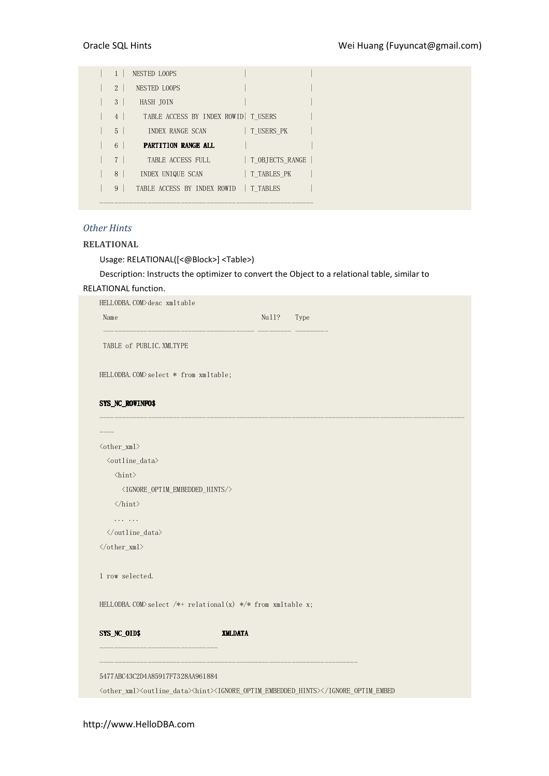|                | NESTED LOOPS                          |                 |  |
|----------------|---------------------------------------|-----------------|--|
| $\overline{2}$ | <b>NESTED LOOPS</b>                   |                 |  |
| 3 <sup>1</sup> | HASH JOIN                             |                 |  |
| $4 \mid$       | TABLE ACCESS BY INDEX ROWID   T USERS |                 |  |
| $5-1$          | INDEX RANGE SCAN                      | T USERS PK      |  |
| 6              | PARTITION RANGE ALL                   |                 |  |
|                |                                       |                 |  |
| 7 <sup>1</sup> | TABLE ACCESS FULL                     | T OBJECTS RANGE |  |
| 8 <sup>1</sup> | INDEX UNIQUE SCAN                     | T TABLES PK     |  |
| 9              | TABLE ACCESS BY INDEX ROWID           | T TABLES        |  |

# Other Hints

# RELATIONAL

Usage: RELATIONAL([<@Block>] <Table>)

Description: Instructs the optimizer to convert the Object to a relational table, similar to

# RELATIONAL function.

| HELLODBA.COM>desc xmltable                                                                                                                           |                |       |                                                                                                                              |
|------------------------------------------------------------------------------------------------------------------------------------------------------|----------------|-------|------------------------------------------------------------------------------------------------------------------------------|
| Name                                                                                                                                                 |                | Null? | Type                                                                                                                         |
| TABLE of PUBLIC. XMLTYPE                                                                                                                             |                |       |                                                                                                                              |
| HELLODBA.COM>select * from xmltable;                                                                                                                 |                |       |                                                                                                                              |
| SYS_NC_ROWINFO\$                                                                                                                                     |                |       |                                                                                                                              |
|                                                                                                                                                      |                |       |                                                                                                                              |
| <other_xml></other_xml>                                                                                                                              |                |       |                                                                                                                              |
| <br><br>d<br>d<br>d<br>d<br>d<br>d<br><br>d<br><br><br><br><br><br><br><br><br><br><br><br><br><br><br><br><br><br><br><br><br><br><br><br><<<<<<<<< |                |       |                                                                                                                              |
| $\langle \text{hint} \rangle$                                                                                                                        |                |       |                                                                                                                              |
| <ignore_optim_embedded_hints></ignore_optim_embedded_hints>                                                                                          |                |       |                                                                                                                              |
| $\langle$ /hint>                                                                                                                                     |                |       |                                                                                                                              |
| .                                                                                                                                                    |                |       |                                                                                                                              |
| $\langle$ /outline_data>                                                                                                                             |                |       |                                                                                                                              |
| $\langle /other\_xml \rangle$                                                                                                                        |                |       |                                                                                                                              |
| 1 row selected.                                                                                                                                      |                |       |                                                                                                                              |
| HELLODBA. COM>select /*+ relational(x) */* from xmltable x;                                                                                          |                |       |                                                                                                                              |
| SYS_NC_OID\$<br>_________________                                                                                                                    | <b>XMLDATA</b> |       |                                                                                                                              |
| 5477ABC43C2D4A85917F7328AA961884                                                                                                                     |                |       |                                                                                                                              |
|                                                                                                                                                      |                |       | <other_xml><outline_data><hint><ignore_optim_embedded_hints></ignore_optim_embedded_hints></hint></outline_data></other_xml> |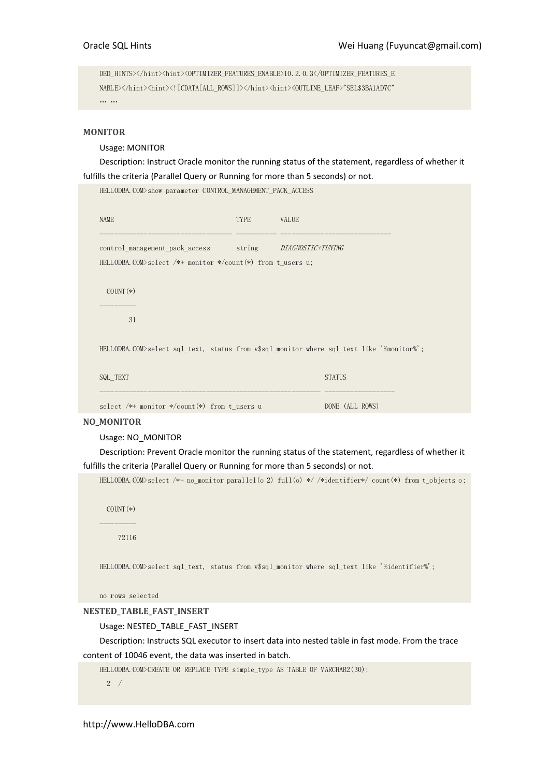DED\_HINTS></hint><hint><OPTIMIZER\_FEATURES\_ENABLE>10.2.0.3</OPTIMIZER\_FEATURES\_E NABLE></hint><hint><![CDATA[ALL\_ROWS]]></hint><hint><OUTLINE\_LEAF>"SEL\$3BA1AD7C" … …

HELLODBA.COM>show parameter CONTROL\_MANAGEMENT\_PACK\_ACCESS

## MONITOR

Usage: MONITOR

Description: Instruct Oracle monitor the running status of the statement, regardless of whether it fulfills the criteria (Parallel Query or Running for more than 5 seconds) or not.

| HELLODBA.COM/show parameter CONIROL MANAGEMENI PACK ACCESS            |      |                                                                                           |
|-----------------------------------------------------------------------|------|-------------------------------------------------------------------------------------------|
| <b>NAME</b>                                                           | TYPE | <b>VALUE</b>                                                                              |
| control_management_pack_access    string                              |      | <i>DIAGNOSTIC+TUNING</i>                                                                  |
| HELLODBA.COM>select $/*+$ monitor $*/\text{count}(*)$ from t users u; |      |                                                                                           |
| $COUNT(*)$                                                            |      |                                                                                           |
| 31                                                                    |      |                                                                                           |
|                                                                       |      | HELLODBA.COM>select sql_text, status from v\$sql_monitor where sql_text like '%monitor%'; |
| SQL TEXT                                                              |      | <b>STATUS</b>                                                                             |
| select $/*+$ monitor $*/\text{count}(*)$ from t users u               |      | DONE (ALL ROWS)                                                                           |

## NO\_MONITOR

## Usage: NO\_MONITOR

Description: Prevent Oracle monitor the running status of the statement, regardless of whether it fulfills the criteria (Parallel Query or Running for more than 5 seconds) or not.

HELLODBA.COM>select /\*+ no\_monitor parallel(o 2) full(o) \*/ /\*identifier\*/ count(\*) from t\_objects o;

 COUNT(\*) ----------

72116

HELLODBA.COM>select sql\_text, status from v\$sql\_monitor where sql\_text like '%identifier%';

```
no rows selected
```
NESTED\_TABLE\_FAST\_INSERT

Usage: NESTED\_TABLE\_FAST\_INSERT

Description: Instructs SQL executor to insert data into nested table in fast mode. From the trace content of 10046 event, the data was inserted in batch.

```
HELLODBA.COM>CREATE OR REPLACE TYPE simple_type AS TABLE OF VARCHAR2(30);
```
2 /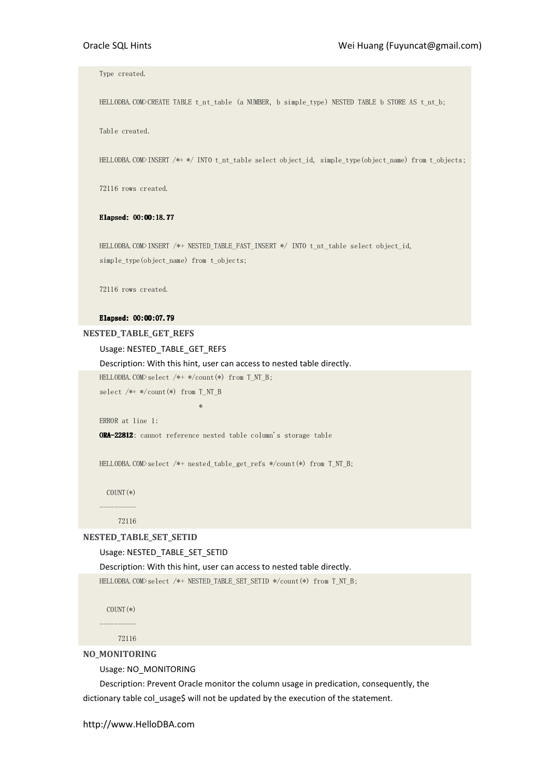Type created.

HELLODBA.COM>CREATE TABLE t\_nt\_table (a NUMBER, b simple\_type) NESTED TABLE b STORE AS t\_nt\_b;

Table created.

HELLODBA.COM>INSERT /\*+ \*/ INTO t\_nt\_table select object\_id, simple\_type(object\_name) from t\_objects;

72116 rows created.

#### Elapsed: 00:00:18.77 Elapsed: 00:00:18.77

HELLODBA.COM>INSERT /\*+ NESTED\_TABLE\_FAST\_INSERT \*/ INTO t\_nt\_table select object\_id, simple\_type(object\_name) from t\_objects;

72116 rows created.

#### Elapsed: 00:00:07.79 Elapsed: 00:00:07.79

NESTED\_TABLE\_GET\_REFS

Usage: NESTED\_TABLE\_GET\_REFS

Description: With this hint, user can access to nested table directly.

HELLODBA.COM>select /\*+ \*/count(\*) from T\_NT\_B;

select /\*+ \*/count(\*) from T\_NT\_B

\*\*\*\*\*\*\*\*\*\*\*\*\*\*\*\*\*\*\*\*\*\*\*\*\*\*

ERROR at line 1:

ORA-22812: cannot reference nested table column's storage table

HELLODBA.COM>select /\*+ nested\_table\_get\_refs \*/count(\*) from T\_NT\_B;

 COUNT(\*) ----------

72116

#### NESTED\_TABLE\_SET\_SETID

## Usage: NESTED\_TABLE\_SET\_SETID

Description: With this hint, user can access to nested table directly.

HELLODBA.COM>select /\*+ NESTED\_TABLE\_SET\_SETID \*/count(\*) from T\_NT\_B;

 $COUNT$ (\*)

----------

72116

# NO\_MONITORING

Usage: NO\_MONITORING

Description: Prevent Oracle monitor the column usage in predication, consequently, the dictionary table col\_usage\$ will not be updated by the execution of the statement.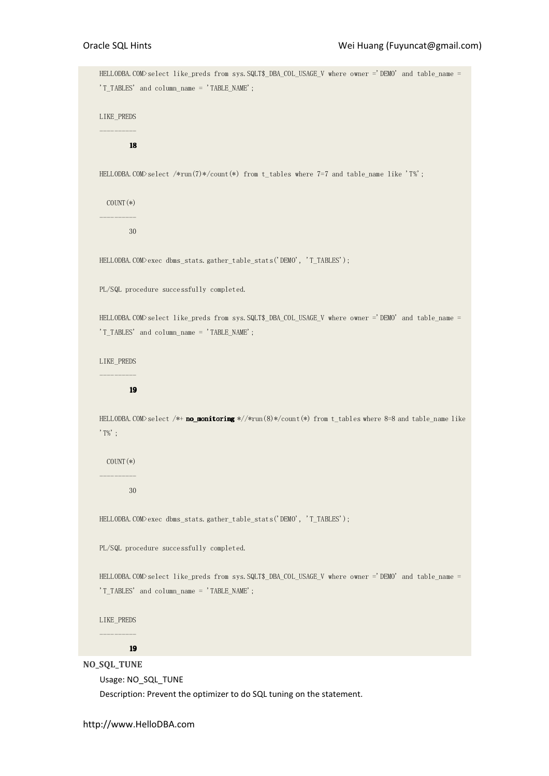HELLODBA.COM>select like\_preds from sys.SQLT\$\_DBA\_COL\_USAGE\_V where owner ='DEMO' and table\_name = 'T\_TABLES' and column\_name = 'TABLE\_NAME'; LIKE\_PREDS ---------- 18 18 HELLODBA.COM>select /\*run(7)\*/count(\*) from t\_tables where 7=7 and table\_name like 'T%'; COUNT(\*) ---------- 30 HELLODBA.COM>exec dbms\_stats.gather\_table\_stats('DEMO', 'T\_TABLES'); PL/SQL procedure successfully completed. HELLODBA.COM>select like\_preds from sys.SQLT\$\_DBA\_COL\_USAGE\_V where owner ='DEMO' and table\_name = 'T\_TABLES' and column\_name = 'TABLE\_NAME'; LIKE\_PREDS ---------- 19 19 HELLODBA.COM>select /\*+ no\_monitoring \*//\*run(8)\*/count(\*) from t\_tables where 8=8 and table\_name like  $'T\%$ :  $COUNT(*)$ ---------- 30 HELLODBA.COM>exec dbms\_stats.gather\_table\_stats('DEMO', 'T\_TABLES'); PL/SQL procedure successfully completed. HELLODBA.COM>select like preds from sys.SQLT\$\_DBA\_COL\_USAGE\_V where owner ='DEMO' and table\_name = 'T\_TABLES' and column\_name = 'TABLE\_NAME'; LIKE\_PREDS ---------- 19 19 NO\_SQL\_TUNE Usage: NO\_SQL\_TUNE

Description: Prevent the optimizer to do SQL tuning on the statement.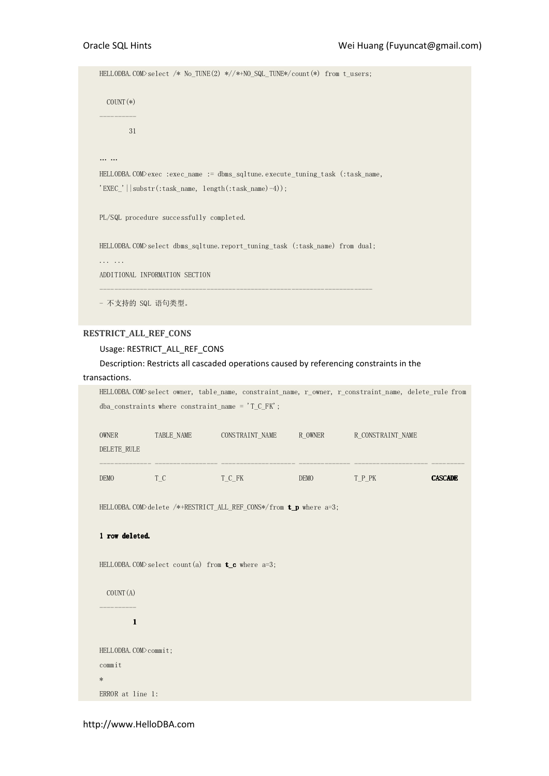```
HELLODBA.COM>select /* No_TUNE(2) *//*+NO_SQL_TUNE*/count(*) from t_users;
   COUNT(*) 
---------- 
         31 
… … 
HELLODBA.COM>exec :exec_name := dbms_sqltune.execute_tuning_task (:task_name, 
'EXEC_'||substr(:task_name, length(:task_name)-4));
PL/SQL procedure successfully completed. 
HELLODBA.COM>select dbms_sqltune.report_tuning_task (:task_name) from dual; 
... ... 
ADDITIONAL INFORMATION SECTION 
-------------------------------------------------------------------------- 
- 不支持的 SQL 语句类型。
```
# RESTRICT\_ALL\_REF\_CONS

#### Usage: RESTRICT\_ALL\_REF\_CONS

# Description: Restricts all cascaded operations caused by referencing constraints in the

# transactions.

|                       |            | HELLODBA.COM>select owner, table_name, constraint_name, r_owner, r_constraint_name, delete_rule from<br>dba_constraints where constraint_name = $T_C$ FK'; |         |                   |                |
|-----------------------|------------|------------------------------------------------------------------------------------------------------------------------------------------------------------|---------|-------------------|----------------|
| <b>OWNER</b>          | TABLE NAME | CONSTRAINT NAME                                                                                                                                            | R OWNER | R CONSTRAINT NAME |                |
| DELETE_RULE           |            |                                                                                                                                                            |         |                   |                |
| DEMO                  | $T_C$      | T_C_FK                                                                                                                                                     | DEMO    | T P PK            | <b>CASCADE</b> |
|                       |            | HELLODBA.COM>delete /*+RESTRICT_ALL_REF_CONS*/from <b>t_p</b> where a=3;                                                                                   |         |                   |                |
| 1 row deleted.        |            |                                                                                                                                                            |         |                   |                |
|                       |            | HELLODBA. COM>select count (a) from $t_c$ where a=3;                                                                                                       |         |                   |                |
| COUNT (A)             |            |                                                                                                                                                            |         |                   |                |
| $\mathbf{1}$          |            |                                                                                                                                                            |         |                   |                |
|                       |            |                                                                                                                                                            |         |                   |                |
| HELLODBA. COM>commit; |            |                                                                                                                                                            |         |                   |                |
| commit                |            |                                                                                                                                                            |         |                   |                |
| $\ast$                |            |                                                                                                                                                            |         |                   |                |
| ERROR at line 1:      |            |                                                                                                                                                            |         |                   |                |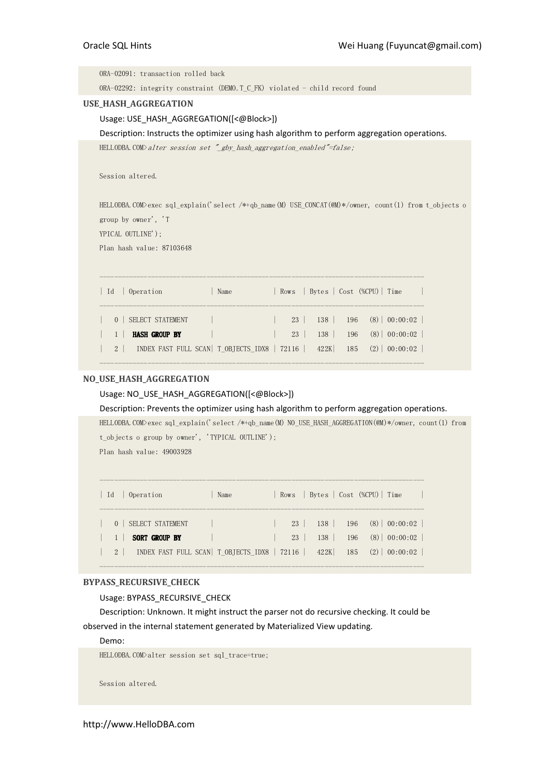ORA-02091: transaction rolled back

ORA-02292: integrity constraint (DEMO.T\_C\_FK) violated - child record found

#### USE\_HASH\_AGGREGATION

## Usage: USE\_HASH\_AGGREGATION([<@Block>])

Description: Instructs the optimizer using hash algorithm to perform aggregation operations.

HELLODBA.COM>alter session set "\_gby\_hash\_aggregation\_enabled"=false;

Session altered.

HELLODBA.COM>exec sql\_explain('select /\*+qb\_name(M) USE\_CONCAT(@M)\*/owner, count(1) from t\_objects o group by owner', 'T

YPICAL OUTLINE');

Plan hash value: 87103648

| - Id | 0 Operation                                       | Name |           |     |          | Rows   Bytes   Cost (%CPU)   Time                   |
|------|---------------------------------------------------|------|-----------|-----|----------|-----------------------------------------------------|
|      | SELECT STATEMENT                                  |      |           |     |          | $23 \mid 138 \mid 196 \quad (8) \mid 00:00:02 \mid$ |
|      | <b>HASH GROUP BY</b>                              |      | $23 \mid$ | 138 |          | $196$ (8) 00:00:02                                  |
|      | 2   INDEX FAST FULL SCAN   T OBJECTS IDX8   72116 |      |           |     | 422K 185 | $(2)$ 00:00:02                                      |
|      |                                                   |      |           |     |          |                                                     |

## NO\_USE\_HASH\_AGGREGATION

## Usage: NO\_USE\_HASH\_AGGREGATION([<@Block>])

Description: Prevents the optimizer using hash algorithm to perform aggregation operations.

HELLODBA.COM>exec sql\_explain('select /\*+qb\_name(M) NO\_USE\_HASH\_AGGREGATION(@M)\*/owner, count(1) from t\_objects o group by owner', 'TYPICAL OUTLINE');

Plan hash value: 49003928

| Id             | Operation                                     | Name |           |      |     | Rows   Bytes   Cost (%CPU)   Time |                    |
|----------------|-----------------------------------------------|------|-----------|------|-----|-----------------------------------|--------------------|
|                | 0   SELECT STATEMENT                          |      | $23 \mid$ | 138  |     |                                   | $196$ (8) 00:00:02 |
|                | <b>SORT GROUP BY</b>                          |      | $23 \mid$ | 138  |     |                                   | $196$ (8) 00:00:02 |
| 2 <sup>1</sup> | INDEX FAST FULL SCAN   T OBJECTS IDX8   72116 |      |           | 422K | 185 |                                   | $(2)$   00:00:02   |

----------------------------------------------------------------------------------------

## BYPASS\_RECURSIVE\_CHECK

Usage: BYPASS\_RECURSIVE\_CHECK

Description: Unknown. It might instruct the parser not do recursive checking. It could be observed in the internal statement generated by Materialized View updating.

# Demo:

HELLODBA.COM>alter session set sql\_trace=true;

Session altered.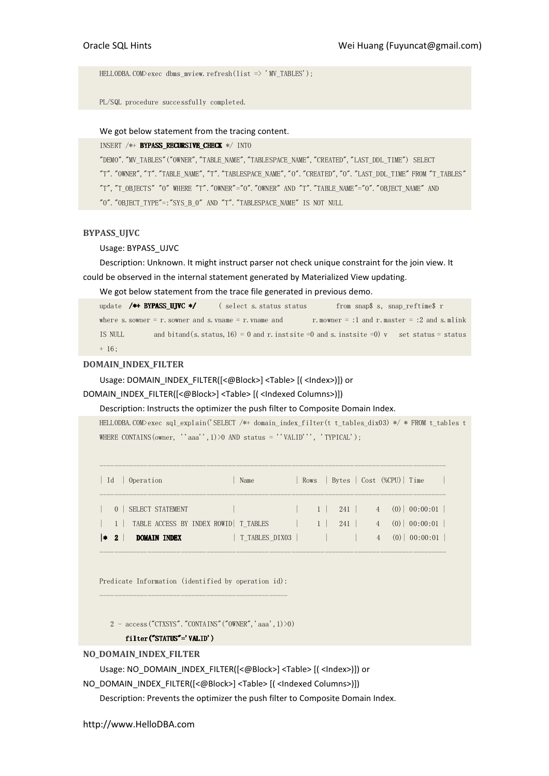HELLODBA.COM $\rangle$ exec dbms mview.refresh(list => 'MV TABLES');

PL/SQL procedure successfully completed.

## We got below statement from the tracing content.

INSERT /\*+ BYPASS\_RECURSIVE\_CHECK \*/ INTO

"DEMO"."MV\_TABLES"("OWNER","TABLE\_NAME","TABLESPACE\_NAME","CREATED","LAST\_DDL\_TIME") SELECT "T"."OWNER","T"."TABLE\_NAME","T"."TABLESPACE\_NAME","O"."CREATED","O"."LAST\_DDL\_TIME" FROM "T\_TABLES" "T", "T\_OBJECTS" "O" WHERE "T". "OWNER"="O". "OWNER" AND "T". "TABLE\_NAME"="O". "OBJECT\_NAME" AND "O"."OBJECT\_TYPE"=:"SYS\_B\_0" AND "T"."TABLESPACE\_NAME" IS NOT NULL

#### BYPASS\_UJVC

Usage: BYPASS\_UJVC

Description: Unknown. It might instruct parser not check unique constraint for the join view. It could be observed in the internal statement generated by Materialized View updating.

We got below statement from the trace file generated in previous demo.

update /\*+ BYPASS\_UJVC \*/ ( select s. status status from snap\$ s, snap\_reftime\$ r where s. sowner = r. sowner and s. vname = r. vname and r. mowner = :1 and r. master = :2 and s. mlink IS NULL and bitand(s. status, 16) = 0 and r. instsite =0 and s. instsite =0) v set status = status + 16;

#### DOMAIN\_INDEX\_FILTER

Usage: DOMAIN\_INDEX\_FILTER([<@Block>] <Table> [( <Index>)]) or

DOMAIN\_INDEX\_FILTER([<@Block>] <Table> [( <Indexed Columns>)])

Description: Instructs the optimizer the push filter to Composite Domain Index.

HELLODBA.COM>exec sql\_explain('SELECT /\*+ domain\_index\_filter(t t\_tables\_dix03) \*/ \* FROM t\_tables t WHERE CONTAINS (owner, ''aaa'', 1) > 0 AND status = ''VALID''', 'TYPICAL');

| - Id | Operation                                                                         | Name           |                                  |                                            |                        | Rows   Bytes   Cost (%CPU)   Time      |
|------|-----------------------------------------------------------------------------------|----------------|----------------------------------|--------------------------------------------|------------------------|----------------------------------------|
|      | SELECT STATEMENT<br>$\Omega$                                                      |                | $\begin{array}{ccc} \end{array}$ |                                            |                        | 241   4 (0)   00:00:01                 |
|      | 1   TABLE ACCESS BY INDEX ROWID   T_TABLES<br>$ *2\rangle$<br><b>DOMAIN INDEX</b> | T TABLES DIXO3 | $-1$                             | 241<br>and the contract of the contract of | $4 \quad$<br>$4 \quad$ | $(0)$   00:00:01  <br>$(0)$   00:00:01 |

----------------------------------------------------------------------------------------------

Predicate Information (identified by operation id): ---------------------------------------------------

 $2 - \text{access}("CTXSYS"."CONTAINS" ("OWNER", 'aaa', 1) > 0$ 

#### filter("STATUS"='VALID')

### NO\_DOMAIN\_INDEX\_FILTER

Usage: NO\_DOMAIN\_INDEX\_FILTER([<@Block>] <Table> [( <Index>)]) or

NO\_DOMAIN\_INDEX\_FILTER([<@Block>] <Table> [( <Indexed Columns>)])

Description: Prevents the optimizer the push filter to Composite Domain Index.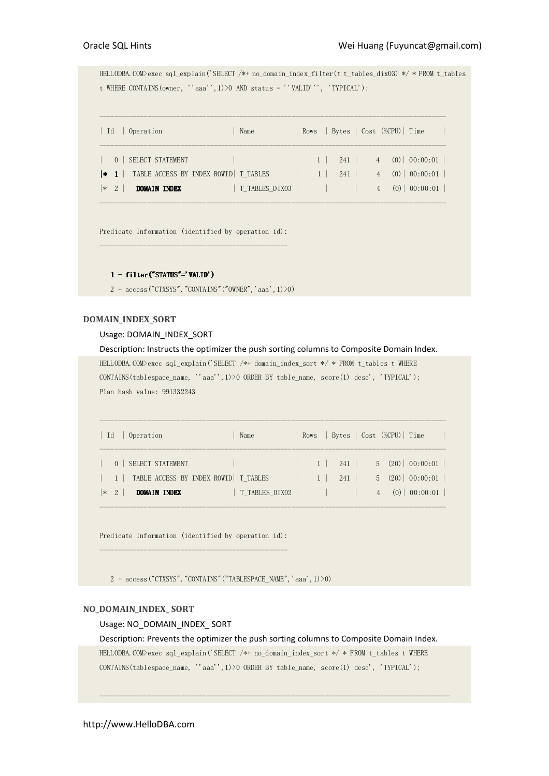HELLODBA.COM>exec sql\_explain('SELECT /\*+ no\_domain\_index\_filter(t t\_tables\_dix03) \*/ \* FROM t\_tables t WHERE CONTAINS(owner, ''aaa'',1)>0 AND status = ''VALID''', 'TYPICAL');

| Operation<br>$\vert$ Id                      | Name           |                                 |     |  | Rows   Bytes   Cost (%CPU)   Time |                     |  |
|----------------------------------------------|----------------|---------------------------------|-----|--|-----------------------------------|---------------------|--|
| 0 SELECT STATEMENT                           |                |                                 |     |  |                                   |                     |  |
| * 1   TABLE ACCESS BY INDEX ROWID   T_TABLES |                | $\blacksquare$ 1 $\blacksquare$ | 241 |  |                                   | $(0) \mid 00:00:01$ |  |
| $ *2\rangle$<br>DOMAIN INDEX                 | T TABLES DIXO3 |                                 |     |  |                                   | $(0)$   00:00:01    |  |

----------------------------------------------------------------------------------------------

Predicate Information (identified by operation id): ---------------------------------------------------

#### $1 - filter("STATUS"='VALID')$

 $2 - \text{access}("CTXSYS"."$ CONTAINS" ("OWNER", 'aaa', 1) > 0)

# DOMAIN\_INDEX\_SORT

#### Usage: DOMAIN\_INDEX\_SORT

Description: Instructs the optimizer the push sorting columns to Composite Domain Index. HELLODBA.COM>exec sql\_explain('SELECT /\*+ domain\_index\_sort \*/ \* FROM t\_tables t WHERE CONTAINS(tablespace\_name, ''aaa'',1)>0 ORDER BY table\_name, score(1) desc', 'TYPICAL'); Plan hash value: 991332243

| SELECT STATEMENT<br>$-1$<br>$\Omega$                                            | 241 | $5(20)$ 00:00:01                |
|---------------------------------------------------------------------------------|-----|---------------------------------|
| 1   TABLE ACCESS BY INDEX ROWID   T TABLES<br>$\mathbf{1}$                      | 241 | $5(20)$ 00:00:01                |
| T TABLES DIXO2  <br>$ *2 $<br>DOMAIN INDEX<br><u>and the state of the state</u> |     | $(0)$   00:00:01  <br>$4 \quad$ |

----------------------------------------------------------------------------------------------

Predicate Information (identified by operation id): ---------------------------------------------------

2 - access("CTXSYS". "CONTAINS" ("TABLESPACE\_NAME", 'aaa', 1)>0)

## NO\_DOMAIN\_INDEX\_ SORT

## Usage: NO\_DOMAIN\_INDEX\_ SORT

Description: Prevents the optimizer the push sorting columns to Composite Domain Index.

HELLODBA.COM>exec sql\_explain('SELECT /\*+ no\_domain\_index\_sort \*/ \* FROM t\_tables t WHERE CONTAINS(tablespace\_name, ''aaa'',1)>0 ORDER BY table\_name, score(1) desc', 'TYPICAL');

-----------------------------------------------------------------------------------------------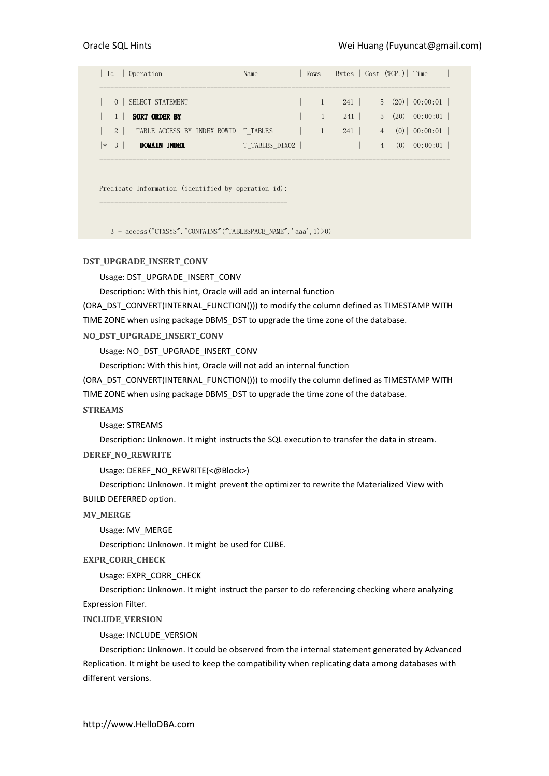|     | Id       | Operation            | Name                                   |                | Rows   Bytes   Cost (%CPU)   Time |                |     |                              |
|-----|----------|----------------------|----------------------------------------|----------------|-----------------------------------|----------------|-----|------------------------------|
|     |          |                      |                                        |                |                                   |                |     |                              |
|     | $\Omega$ | SELECT STATEMENT     |                                        | $1 \mid$       | 241                               |                |     | $5 \quad (20) \mid 00:00:01$ |
|     |          | <b>SORT ORDER BY</b> |                                        |                | 241                               |                |     | $5(20)$ 00:00:01             |
|     | $2^{1}$  |                      | TABLE ACCESS BY INDEX ROWID   T_TABLES | 1 <sup>1</sup> | 241                               | 4              |     | $(0)$   00:00:01             |
| $*$ | -3       | DOMAIN INDEX         | T TABLES DIXO2                         |                |                                   | $\overline{4}$ | (0) | 00:00:01                     |

-----------------------------------------------------------------------------------------------

Predicate Information (identified by operation id): ---------------------------------------------------

3 - access("CTXSYS"."CONTAINS"("TABLESPACE\_NAME",'aaa',1)>0)

# DST\_UPGRADE\_INSERT\_CONV

Usage: DST\_UPGRADE\_INSERT\_CONV

Description: With this hint, Oracle will add an internal function

(ORA\_DST\_CONVERT(INTERNAL\_FUNCTION())) to modify the column defined as TIMESTAMP WITH

TIME ZONE when using package DBMS\_DST to upgrade the time zone of the database.

NO\_DST\_UPGRADE\_INSERT\_CONV

Usage: NO\_DST\_UPGRADE\_INSERT\_CONV

Description: With this hint, Oracle will not add an internal function

(ORA\_DST\_CONVERT(INTERNAL\_FUNCTION())) to modify the column defined as TIMESTAMP WITH TIME ZONE when using package DBMS\_DST to upgrade the time zone of the database.

# STREAMS

Usage: STREAMS

Description: Unknown. It might instructs the SQL execution to transfer the data in stream.

#### DEREF\_NO\_REWRITE

Usage: DEREF\_NO\_REWRITE(<@Block>)

Description: Unknown. It might prevent the optimizer to rewrite the Materialized View with BUILD DEFERRED option.

## MV\_MERGE

Usage: MV\_MERGE

Description: Unknown. It might be used for CUBE.

# EXPR\_CORR\_CHECK

Usage: EXPR\_CORR\_CHECK

Description: Unknown. It might instruct the parser to do referencing checking where analyzing Expression Filter.

## INCLUDE\_VERSION

Usage: INCLUDE\_VERSION

Description: Unknown. It could be observed from the internal statement generated by Advanced Replication. It might be used to keep the compatibility when replicating data among databases with different versions.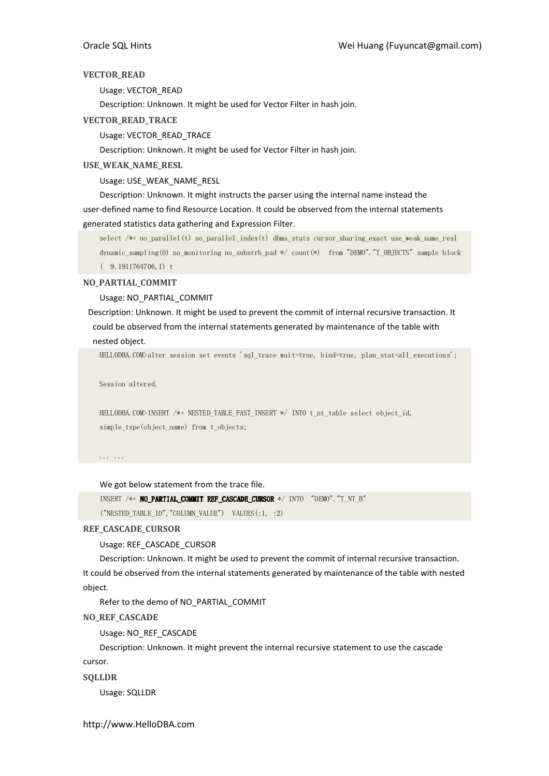## VECTOR\_READ

Usage: VECTOR\_READ

Description: Unknown. It might be used for Vector Filter in hash join.

# VECTOR\_READ\_TRACE

# Usage: VECTOR\_READ\_TRACE

Description: Unknown. It might be used for Vector Filter in hash join.

# USE\_WEAK\_NAME\_RESL

Usage: USE\_WEAK\_NAME\_RESL

Description: Unknown. It might instructs the parser using the internal name instead the user-defined name to find Resource Location. It could be observed from the internal statements generated statistics data gathering and Expression Filter.

select /\*+ no\_parallel(t) no\_parallel\_index(t) dbms\_stats cursor\_sharing\_exact use\_weak\_name\_resl dynamic\_sampling(0) no\_monitoring no\_substrb\_pad \*/ count(\*) from "DEMO"."T\_OBJECTS" sample block ( 9.1911764706,1) t

NO\_PARTIAL\_COMMIT

Usage: NO\_PARTIAL\_COMMIT

Description: Unknown. It might be used to prevent the commit of internal recursive transaction. It could be observed from the internal statements generated by maintenance of the table with nested object.

HELLODBA.COM>alter session set events 'sql\_trace wait=true, bind=true, plan\_stat=all\_executions';

Session altered.

HELLODBA.COM>INSERT /\*+ NESTED\_TABLE\_FAST\_INSERT \*/ INTO t\_nt\_table select object\_id, simple\_type(object\_name) from t\_objects;

... ...

We got below statement from the trace file.

INSERT /\*+ NO\_PARTIAL\_COMMIT REF\_CASCADE\_CURSOR \*/ INTO "DEMO"."T\_NT\_B"

("NESTED\_TABLE\_ID", "COLUMN\_VALUE") VALUES(:1, :2)

# REF\_CASCADE\_CURSOR

Usage: REF\_CASCADE\_CURSOR

Description: Unknown. It might be used to prevent the commit of internal recursive transaction. It could be observed from the internal statements generated by maintenance of the table with nested object.

Refer to the demo of NO\_PARTIAL\_COMMIT

NO\_REF\_CASCADE

Usage: NO\_REF\_CASCADE

Description: Unknown. It might prevent the internal recursive statement to use the cascade cursor.

SQLLDR

Usage: SQLLDR